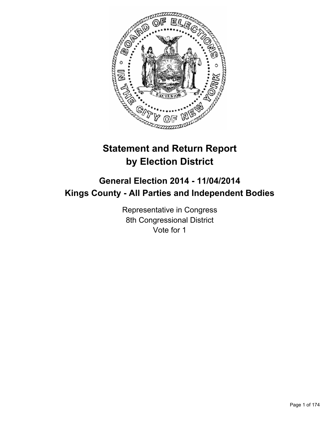

# **Statement and Return Report by Election District**

# **General Election 2014 - 11/04/2014 Kings County - All Parties and Independent Bodies**

Representative in Congress 8th Congressional District Vote for 1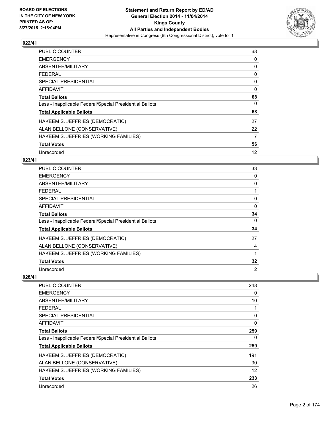

| <b>PUBLIC COUNTER</b>                                    | 68 |
|----------------------------------------------------------|----|
| <b>EMERGENCY</b>                                         | 0  |
| ABSENTEE/MILITARY                                        | 0  |
| FEDERAL                                                  | 0  |
| SPECIAL PRESIDENTIAL                                     | 0  |
| <b>AFFIDAVIT</b>                                         | 0  |
| <b>Total Ballots</b>                                     | 68 |
| Less - Inapplicable Federal/Special Presidential Ballots | 0  |
| <b>Total Applicable Ballots</b>                          | 68 |
| HAKEEM S. JEFFRIES (DEMOCRATIC)                          | 27 |
| ALAN BELLONE (CONSERVATIVE)                              | 22 |
| HAKEEM S. JEFFRIES (WORKING FAMILIES)                    | 7  |
| <b>Total Votes</b>                                       | 56 |
| Unrecorded                                               | 12 |

## **023/41**

| PUBLIC COUNTER                                           | 33       |
|----------------------------------------------------------|----------|
| <b>EMERGENCY</b>                                         | 0        |
| ABSENTEE/MILITARY                                        | 0        |
| <b>FEDERAL</b>                                           |          |
| <b>SPECIAL PRESIDENTIAL</b>                              | 0        |
| <b>AFFIDAVIT</b>                                         | 0        |
| <b>Total Ballots</b>                                     | 34       |
| Less - Inapplicable Federal/Special Presidential Ballots | $\Omega$ |
| <b>Total Applicable Ballots</b>                          | 34       |
| HAKEEM S. JEFFRIES (DEMOCRATIC)                          | 27       |
| ALAN BELLONE (CONSERVATIVE)                              | 4        |
| HAKEEM S. JEFFRIES (WORKING FAMILIES)                    | 1        |
| <b>Total Votes</b>                                       | 32       |
| Unrecorded                                               | 2        |

| 248 |
|-----|
| 0   |
| 10  |
|     |
| 0   |
| 0   |
| 259 |
| 0   |
| 259 |
| 191 |
| 30  |
| 12  |
| 233 |
| 26  |
|     |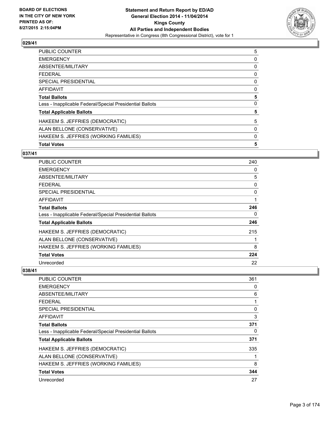

| 5 |
|---|
| 0 |
| 0 |
| 0 |
| 0 |
| 0 |
| 5 |
| 0 |
| 5 |
| 5 |
| 0 |
| 0 |
| 5 |
|   |

## **037/41**

| <b>PUBLIC COUNTER</b>                                    | 240 |
|----------------------------------------------------------|-----|
| <b>EMERGENCY</b>                                         | 0   |
| ABSENTEE/MILITARY                                        | 5   |
| <b>FEDERAL</b>                                           | 0   |
| <b>SPECIAL PRESIDENTIAL</b>                              | 0   |
| AFFIDAVIT                                                | 1   |
| <b>Total Ballots</b>                                     | 246 |
| Less - Inapplicable Federal/Special Presidential Ballots | 0   |
| <b>Total Applicable Ballots</b>                          | 246 |
| HAKEEM S. JEFFRIES (DEMOCRATIC)                          | 215 |
| ALAN BELLONE (CONSERVATIVE)                              | 1   |
| HAKEEM S. JEFFRIES (WORKING FAMILIES)                    | 8   |
| <b>Total Votes</b>                                       | 224 |
| Unrecorded                                               | 22  |

| <b>PUBLIC COUNTER</b>                                    | 361 |
|----------------------------------------------------------|-----|
| <b>EMERGENCY</b>                                         | 0   |
| ABSENTEE/MILITARY                                        | 6   |
| <b>FEDERAL</b>                                           |     |
| SPECIAL PRESIDENTIAL                                     | 0   |
| AFFIDAVIT                                                | 3   |
| <b>Total Ballots</b>                                     | 371 |
| Less - Inapplicable Federal/Special Presidential Ballots | 0   |
| <b>Total Applicable Ballots</b>                          | 371 |
| HAKEEM S. JEFFRIES (DEMOCRATIC)                          | 335 |
| ALAN BELLONE (CONSERVATIVE)                              |     |
| HAKEEM S. JEFFRIES (WORKING FAMILIES)                    | 8   |
| <b>Total Votes</b>                                       | 344 |
| Unrecorded                                               | 27  |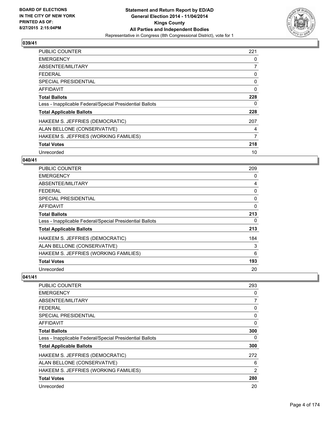

| <b>PUBLIC COUNTER</b>                                    | 221         |
|----------------------------------------------------------|-------------|
| <b>EMERGENCY</b>                                         | 0           |
| ABSENTEE/MILITARY                                        | 7           |
| <b>FEDERAL</b>                                           | 0           |
| SPECIAL PRESIDENTIAL                                     | 0           |
| AFFIDAVIT                                                | $\mathbf 0$ |
| <b>Total Ballots</b>                                     | 228         |
| Less - Inapplicable Federal/Special Presidential Ballots | 0           |
| <b>Total Applicable Ballots</b>                          | 228         |
| HAKEEM S. JEFFRIES (DEMOCRATIC)                          | 207         |
| ALAN BELLONE (CONSERVATIVE)                              | 4           |
| HAKEEM S. JEFFRIES (WORKING FAMILIES)                    | 7           |
| <b>Total Votes</b>                                       | 218         |
| Unrecorded                                               | 10          |

## **040/41**

| <b>PUBLIC COUNTER</b>                                    | 209      |
|----------------------------------------------------------|----------|
| <b>EMERGENCY</b>                                         | 0        |
| ABSENTEE/MILITARY                                        | 4        |
| <b>FEDERAL</b>                                           | 0        |
| <b>SPECIAL PRESIDENTIAL</b>                              | 0        |
| <b>AFFIDAVIT</b>                                         | $\Omega$ |
| <b>Total Ballots</b>                                     | 213      |
| Less - Inapplicable Federal/Special Presidential Ballots | 0        |
| <b>Total Applicable Ballots</b>                          | 213      |
| HAKEEM S. JEFFRIES (DEMOCRATIC)                          | 184      |
| ALAN BELLONE (CONSERVATIVE)                              | 3        |
| HAKEEM S. JEFFRIES (WORKING FAMILIES)                    | 6        |
| <b>Total Votes</b>                                       | 193      |
| Unrecorded                                               | 20       |

| PUBLIC COUNTER                                           | 293 |
|----------------------------------------------------------|-----|
| <b>EMERGENCY</b>                                         | 0   |
| ABSENTEE/MILITARY                                        | 7   |
| <b>FEDERAL</b>                                           | 0   |
| SPECIAL PRESIDENTIAL                                     | 0   |
| AFFIDAVIT                                                | 0   |
| <b>Total Ballots</b>                                     | 300 |
| Less - Inapplicable Federal/Special Presidential Ballots | 0   |
| <b>Total Applicable Ballots</b>                          | 300 |
| HAKEEM S. JEFFRIES (DEMOCRATIC)                          | 272 |
| ALAN BELLONE (CONSERVATIVE)                              | 6   |
| HAKEEM S. JEFFRIES (WORKING FAMILIES)                    | 2   |
| <b>Total Votes</b>                                       | 280 |
| Unrecorded                                               | 20  |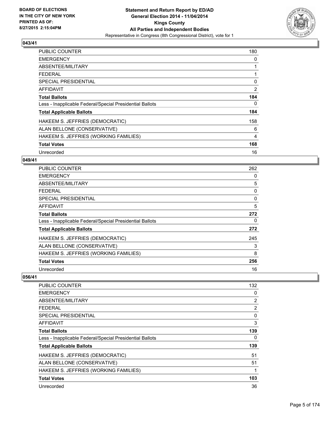

| <b>PUBLIC COUNTER</b>                                    | 180            |
|----------------------------------------------------------|----------------|
| <b>EMERGENCY</b>                                         | 0              |
| ABSENTEE/MILITARY                                        |                |
| <b>FEDERAL</b>                                           |                |
| SPECIAL PRESIDENTIAL                                     | 0              |
| <b>AFFIDAVIT</b>                                         | $\overline{2}$ |
| <b>Total Ballots</b>                                     | 184            |
| Less - Inapplicable Federal/Special Presidential Ballots | 0              |
| <b>Total Applicable Ballots</b>                          | 184            |
| HAKEEM S. JEFFRIES (DEMOCRATIC)                          | 158            |
| ALAN BELLONE (CONSERVATIVE)                              | 6              |
| HAKEEM S. JEFFRIES (WORKING FAMILIES)                    | 4              |
| <b>Total Votes</b>                                       | 168            |
| Unrecorded                                               | 16             |

## **049/41**

| <b>PUBLIC COUNTER</b>                                    | 262      |
|----------------------------------------------------------|----------|
| <b>EMERGENCY</b>                                         | 0        |
| ABSENTEE/MILITARY                                        | 5        |
| <b>FEDERAL</b>                                           | 0        |
| <b>SPECIAL PRESIDENTIAL</b>                              | $\Omega$ |
| <b>AFFIDAVIT</b>                                         | 5        |
| <b>Total Ballots</b>                                     | 272      |
| Less - Inapplicable Federal/Special Presidential Ballots | 0        |
| <b>Total Applicable Ballots</b>                          | 272      |
| HAKEEM S. JEFFRIES (DEMOCRATIC)                          | 245      |
| ALAN BELLONE (CONSERVATIVE)                              | 3        |
| HAKEEM S. JEFFRIES (WORKING FAMILIES)                    | 8        |
| <b>Total Votes</b>                                       | 256      |
| Unrecorded                                               | 16       |

| <b>PUBLIC COUNTER</b>                                    | 132 |
|----------------------------------------------------------|-----|
| <b>EMERGENCY</b>                                         | 0   |
| ABSENTEE/MILITARY                                        | 2   |
| <b>FEDERAL</b>                                           | 2   |
| SPECIAL PRESIDENTIAL                                     | 0   |
| AFFIDAVIT                                                | 3   |
| <b>Total Ballots</b>                                     | 139 |
| Less - Inapplicable Federal/Special Presidential Ballots | 0   |
| <b>Total Applicable Ballots</b>                          | 139 |
| HAKEEM S. JEFFRIES (DEMOCRATIC)                          | 51  |
| ALAN BELLONE (CONSERVATIVE)                              | 51  |
| HAKEEM S. JEFFRIES (WORKING FAMILIES)                    | 1   |
| <b>Total Votes</b>                                       | 103 |
| Unrecorded                                               | 36  |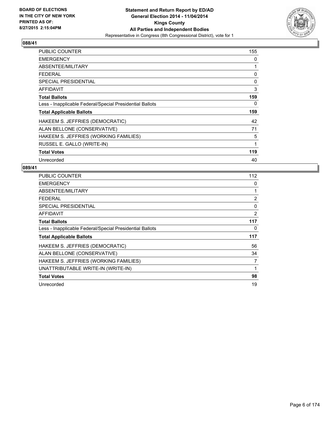

| PUBLIC COUNTER                                           | 155 |
|----------------------------------------------------------|-----|
| <b>EMERGENCY</b>                                         | 0   |
| ABSENTEE/MILITARY                                        | 1   |
| <b>FEDERAL</b>                                           | 0   |
| <b>SPECIAL PRESIDENTIAL</b>                              | 0   |
| <b>AFFIDAVIT</b>                                         | 3   |
| <b>Total Ballots</b>                                     | 159 |
| Less - Inapplicable Federal/Special Presidential Ballots | 0   |
| <b>Total Applicable Ballots</b>                          | 159 |
| HAKEEM S. JEFFRIES (DEMOCRATIC)                          | 42  |
| ALAN BELLONE (CONSERVATIVE)                              | 71  |
| HAKEEM S. JEFFRIES (WORKING FAMILIES)                    | 5   |
| RUSSEL E. GALLO (WRITE-IN)                               | 1   |
| <b>Total Votes</b>                                       | 119 |
| Unrecorded                                               | 40  |

| <b>PUBLIC COUNTER</b>                                    | 112 |
|----------------------------------------------------------|-----|
| <b>EMERGENCY</b>                                         | 0   |
| ABSENTEE/MILITARY                                        | 1   |
| <b>FEDERAL</b>                                           | 2   |
| <b>SPECIAL PRESIDENTIAL</b>                              | 0   |
| <b>AFFIDAVIT</b>                                         | 2   |
| <b>Total Ballots</b>                                     | 117 |
| Less - Inapplicable Federal/Special Presidential Ballots | 0   |
| <b>Total Applicable Ballots</b>                          | 117 |
| HAKEEM S. JEFFRIES (DEMOCRATIC)                          | 56  |
| ALAN BELLONE (CONSERVATIVE)                              | 34  |
| HAKEEM S. JEFFRIES (WORKING FAMILIES)                    | 7   |
| UNATTRIBUTABLE WRITE-IN (WRITE-IN)                       | 1   |
| <b>Total Votes</b>                                       | 98  |
| Unrecorded                                               | 19  |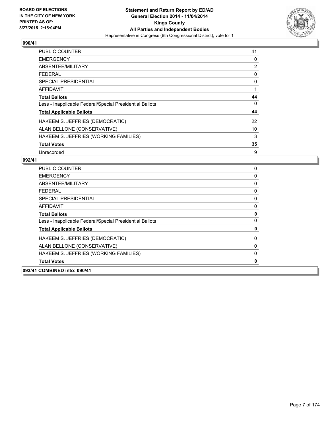

| <b>PUBLIC COUNTER</b>                                    | 41 |
|----------------------------------------------------------|----|
| <b>EMERGENCY</b>                                         | 0  |
| ABSENTEE/MILITARY                                        | 2  |
| FEDERAL                                                  | 0  |
| <b>SPECIAL PRESIDENTIAL</b>                              | 0  |
| <b>AFFIDAVIT</b>                                         | 1  |
| <b>Total Ballots</b>                                     | 44 |
| Less - Inapplicable Federal/Special Presidential Ballots | 0  |
| <b>Total Applicable Ballots</b>                          | 44 |
| HAKEEM S. JEFFRIES (DEMOCRATIC)                          | 22 |
| ALAN BELLONE (CONSERVATIVE)                              | 10 |
| HAKEEM S. JEFFRIES (WORKING FAMILIES)                    | 3  |
| <b>Total Votes</b>                                       | 35 |
| Unrecorded                                               | 9  |

| 093/41 COMBINED into: 090/41                             |             |
|----------------------------------------------------------|-------------|
| <b>Total Votes</b>                                       | $\mathbf 0$ |
| HAKEEM S. JEFFRIES (WORKING FAMILIES)                    | 0           |
| ALAN BELLONE (CONSERVATIVE)                              | 0           |
| HAKEEM S. JEFFRIES (DEMOCRATIC)                          | 0           |
| <b>Total Applicable Ballots</b>                          | 0           |
| Less - Inapplicable Federal/Special Presidential Ballots | 0           |
| <b>Total Ballots</b>                                     | 0           |
| <b>AFFIDAVIT</b>                                         | 0           |
| <b>SPECIAL PRESIDENTIAL</b>                              | 0           |
| <b>FEDERAL</b>                                           | 0           |
| ABSENTEE/MILITARY                                        | 0           |
| <b>EMERGENCY</b>                                         | 0           |
| <b>PUBLIC COUNTER</b>                                    | 0           |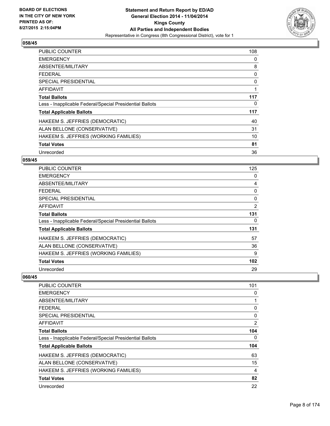

| <b>PUBLIC COUNTER</b>                                    | 108 |
|----------------------------------------------------------|-----|
| <b>EMERGENCY</b>                                         | 0   |
| ABSENTEE/MILITARY                                        | 8   |
| <b>FEDERAL</b>                                           | 0   |
| SPECIAL PRESIDENTIAL                                     | 0   |
| AFFIDAVIT                                                | 1   |
| <b>Total Ballots</b>                                     | 117 |
| Less - Inapplicable Federal/Special Presidential Ballots | 0   |
| <b>Total Applicable Ballots</b>                          | 117 |
| HAKEEM S. JEFFRIES (DEMOCRATIC)                          | 40  |
| ALAN BELLONE (CONSERVATIVE)                              | 31  |
| HAKEEM S. JEFFRIES (WORKING FAMILIES)                    | 10  |
| <b>Total Votes</b>                                       | 81  |
| Unrecorded                                               | 36  |

## **059/45**

| PUBLIC COUNTER                                           | 125            |
|----------------------------------------------------------|----------------|
| <b>EMERGENCY</b>                                         | 0              |
| ABSENTEE/MILITARY                                        | 4              |
| <b>FEDERAL</b>                                           | 0              |
| <b>SPECIAL PRESIDENTIAL</b>                              | 0              |
| <b>AFFIDAVIT</b>                                         | $\overline{2}$ |
| <b>Total Ballots</b>                                     | 131            |
| Less - Inapplicable Federal/Special Presidential Ballots | 0              |
| <b>Total Applicable Ballots</b>                          | 131            |
| HAKEEM S. JEFFRIES (DEMOCRATIC)                          | 57             |
| ALAN BELLONE (CONSERVATIVE)                              | 36             |
| HAKEEM S. JEFFRIES (WORKING FAMILIES)                    | 9              |
| <b>Total Votes</b>                                       | 102            |
| Unrecorded                                               | 29             |

| 101 |
|-----|
| 0   |
| 1   |
| 0   |
| 0   |
| 2   |
| 104 |
| 0   |
| 104 |
| 63  |
| 15  |
| 4   |
| 82  |
| 22  |
|     |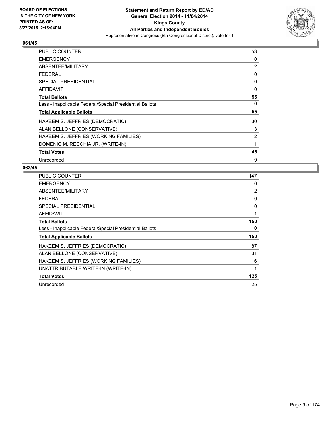

| <b>PUBLIC COUNTER</b>                                    | 53 |
|----------------------------------------------------------|----|
| <b>EMERGENCY</b>                                         | 0  |
| ABSENTEE/MILITARY                                        | 2  |
| <b>FEDERAL</b>                                           | 0  |
| <b>SPECIAL PRESIDENTIAL</b>                              | 0  |
| AFFIDAVIT                                                | 0  |
| <b>Total Ballots</b>                                     | 55 |
| Less - Inapplicable Federal/Special Presidential Ballots | 0  |
| <b>Total Applicable Ballots</b>                          | 55 |
| HAKEEM S. JEFFRIES (DEMOCRATIC)                          | 30 |
| ALAN BELLONE (CONSERVATIVE)                              | 13 |
| HAKEEM S. JEFFRIES (WORKING FAMILIES)                    | 2  |
| DOMENIC M. RECCHIA JR. (WRITE-IN)                        | 1  |
| <b>Total Votes</b>                                       | 46 |
| Unrecorded                                               | 9  |

| <b>PUBLIC COUNTER</b>                                    | 147 |
|----------------------------------------------------------|-----|
| <b>EMERGENCY</b>                                         | 0   |
| ABSENTEE/MILITARY                                        | 2   |
| <b>FEDERAL</b>                                           | 0   |
| <b>SPECIAL PRESIDENTIAL</b>                              | 0   |
| AFFIDAVIT                                                | 1   |
| <b>Total Ballots</b>                                     | 150 |
| Less - Inapplicable Federal/Special Presidential Ballots | 0   |
| <b>Total Applicable Ballots</b>                          | 150 |
| HAKEEM S. JEFFRIES (DEMOCRATIC)                          | 87  |
| ALAN BELLONE (CONSERVATIVE)                              | 31  |
| HAKEEM S. JEFFRIES (WORKING FAMILIES)                    | 6   |
| UNATTRIBUTABLE WRITE-IN (WRITE-IN)                       | 1   |
| <b>Total Votes</b>                                       | 125 |
| Unrecorded                                               | 25  |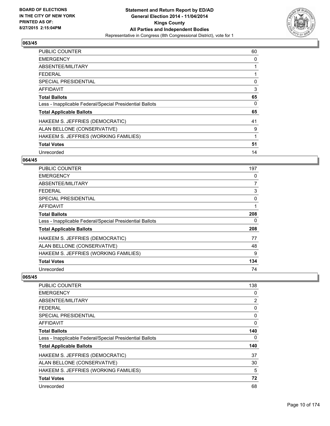

| <b>PUBLIC COUNTER</b>                                    | 60 |
|----------------------------------------------------------|----|
| <b>EMERGENCY</b>                                         | 0  |
| ABSENTEE/MILITARY                                        |    |
| <b>FEDERAL</b>                                           |    |
| <b>SPECIAL PRESIDENTIAL</b>                              | 0  |
| <b>AFFIDAVIT</b>                                         | 3  |
| <b>Total Ballots</b>                                     | 65 |
| Less - Inapplicable Federal/Special Presidential Ballots | 0  |
| <b>Total Applicable Ballots</b>                          | 65 |
| HAKEEM S. JEFFRIES (DEMOCRATIC)                          | 41 |
| ALAN BELLONE (CONSERVATIVE)                              | 9  |
| HAKEEM S. JEFFRIES (WORKING FAMILIES)                    | 1  |
| <b>Total Votes</b>                                       | 51 |
| Unrecorded                                               | 14 |

## **064/45**

| PUBLIC COUNTER                                           | 197 |
|----------------------------------------------------------|-----|
| <b>EMERGENCY</b>                                         | 0   |
| ABSENTEE/MILITARY                                        | 7   |
| <b>FEDERAL</b>                                           | 3   |
| <b>SPECIAL PRESIDENTIAL</b>                              | 0   |
| AFFIDAVIT                                                | 1   |
| <b>Total Ballots</b>                                     | 208 |
| Less - Inapplicable Federal/Special Presidential Ballots | 0   |
| <b>Total Applicable Ballots</b>                          | 208 |
| HAKEEM S. JEFFRIES (DEMOCRATIC)                          | 77  |
| ALAN BELLONE (CONSERVATIVE)                              | 48  |
| HAKEEM S. JEFFRIES (WORKING FAMILIES)                    | 9   |
| <b>Total Votes</b>                                       | 134 |
| Unrecorded                                               | 74  |

| PUBLIC COUNTER                                           | 138 |
|----------------------------------------------------------|-----|
| <b>EMERGENCY</b>                                         | 0   |
| ABSENTEE/MILITARY                                        | 2   |
| FEDERAL                                                  | 0   |
| SPECIAL PRESIDENTIAL                                     | 0   |
| AFFIDAVIT                                                | 0   |
| <b>Total Ballots</b>                                     | 140 |
| Less - Inapplicable Federal/Special Presidential Ballots | 0   |
| <b>Total Applicable Ballots</b>                          | 140 |
| HAKEEM S. JEFFRIES (DEMOCRATIC)                          | 37  |
| ALAN BELLONE (CONSERVATIVE)                              | 30  |
| HAKEEM S. JEFFRIES (WORKING FAMILIES)                    | 5   |
| <b>Total Votes</b>                                       | 72  |
| Unrecorded                                               | 68  |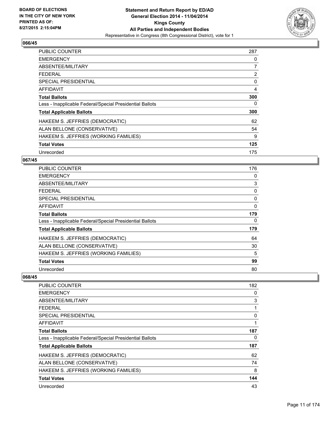

| <b>PUBLIC COUNTER</b>                                    | 287 |
|----------------------------------------------------------|-----|
| <b>EMERGENCY</b>                                         | 0   |
| ABSENTEE/MILITARY                                        | 7   |
| <b>FEDERAL</b>                                           | 2   |
| <b>SPECIAL PRESIDENTIAL</b>                              | 0   |
| <b>AFFIDAVIT</b>                                         | 4   |
| <b>Total Ballots</b>                                     | 300 |
| Less - Inapplicable Federal/Special Presidential Ballots | 0   |
| <b>Total Applicable Ballots</b>                          | 300 |
| HAKEEM S. JEFFRIES (DEMOCRATIC)                          | 62  |
| ALAN BELLONE (CONSERVATIVE)                              | 54  |
| HAKEEM S. JEFFRIES (WORKING FAMILIES)                    | 9   |
| <b>Total Votes</b>                                       | 125 |
| Unrecorded                                               | 175 |

## **067/45**

| <b>PUBLIC COUNTER</b>                                    | 176      |
|----------------------------------------------------------|----------|
| <b>EMERGENCY</b>                                         | 0        |
| ABSENTEE/MILITARY                                        | 3        |
| <b>FEDERAL</b>                                           | 0        |
| <b>SPECIAL PRESIDENTIAL</b>                              | 0        |
| <b>AFFIDAVIT</b>                                         | $\Omega$ |
| <b>Total Ballots</b>                                     | 179      |
| Less - Inapplicable Federal/Special Presidential Ballots | 0        |
| <b>Total Applicable Ballots</b>                          | 179      |
| HAKEEM S. JEFFRIES (DEMOCRATIC)                          | 64       |
| ALAN BELLONE (CONSERVATIVE)                              | 30       |
| HAKEEM S. JEFFRIES (WORKING FAMILIES)                    | 5        |
| <b>Total Votes</b>                                       | 99       |
| Unrecorded                                               | 80       |

| PUBLIC COUNTER                                           | 182 |
|----------------------------------------------------------|-----|
| <b>EMERGENCY</b>                                         | 0   |
| ABSENTEE/MILITARY                                        | 3   |
| FEDERAL                                                  |     |
| SPECIAL PRESIDENTIAL                                     | 0   |
| AFFIDAVIT                                                |     |
| <b>Total Ballots</b>                                     | 187 |
| Less - Inapplicable Federal/Special Presidential Ballots | 0   |
| <b>Total Applicable Ballots</b>                          | 187 |
| HAKEEM S. JEFFRIES (DEMOCRATIC)                          | 62  |
| ALAN BELLONE (CONSERVATIVE)                              | 74  |
| HAKEEM S. JEFFRIES (WORKING FAMILIES)                    | 8   |
| <b>Total Votes</b>                                       | 144 |
| Unrecorded                                               | 43  |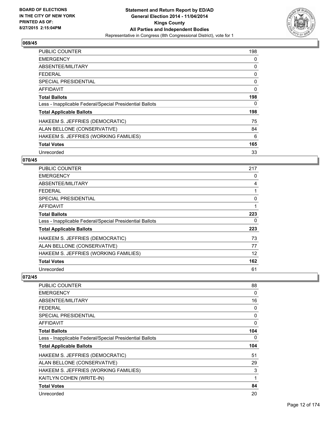

| <b>PUBLIC COUNTER</b>                                    | 198 |
|----------------------------------------------------------|-----|
| <b>EMERGENCY</b>                                         | 0   |
| ABSENTEE/MILITARY                                        | 0   |
| <b>FEDERAL</b>                                           | 0   |
| <b>SPECIAL PRESIDENTIAL</b>                              | 0   |
| <b>AFFIDAVIT</b>                                         | 0   |
| <b>Total Ballots</b>                                     | 198 |
| Less - Inapplicable Federal/Special Presidential Ballots | 0   |
| <b>Total Applicable Ballots</b>                          | 198 |
| HAKEEM S. JEFFRIES (DEMOCRATIC)                          | 75  |
| ALAN BELLONE (CONSERVATIVE)                              | 84  |
| HAKEEM S. JEFFRIES (WORKING FAMILIES)                    | 6   |
| <b>Total Votes</b>                                       | 165 |
| Unrecorded                                               | 33  |

## **070/45**

| <b>PUBLIC COUNTER</b>                                    | 217 |
|----------------------------------------------------------|-----|
| <b>EMERGENCY</b>                                         | 0   |
| ABSENTEE/MILITARY                                        | 4   |
| <b>FEDERAL</b>                                           |     |
| <b>SPECIAL PRESIDENTIAL</b>                              | 0   |
| <b>AFFIDAVIT</b>                                         | 1   |
| <b>Total Ballots</b>                                     | 223 |
| Less - Inapplicable Federal/Special Presidential Ballots | 0   |
| <b>Total Applicable Ballots</b>                          | 223 |
| HAKEEM S. JEFFRIES (DEMOCRATIC)                          | 73  |
| ALAN BELLONE (CONSERVATIVE)                              | 77  |
| HAKEEM S. JEFFRIES (WORKING FAMILIES)                    | 12  |
| <b>Total Votes</b>                                       | 162 |
| Unrecorded                                               | 61  |

| <b>PUBLIC COUNTER</b>                                    | 88  |
|----------------------------------------------------------|-----|
| <b>EMERGENCY</b>                                         | 0   |
| ABSENTEE/MILITARY                                        | 16  |
| <b>FEDERAL</b>                                           | 0   |
| SPECIAL PRESIDENTIAL                                     | 0   |
| AFFIDAVIT                                                | 0   |
| <b>Total Ballots</b>                                     | 104 |
| Less - Inapplicable Federal/Special Presidential Ballots | 0   |
| <b>Total Applicable Ballots</b>                          | 104 |
| HAKEEM S. JEFFRIES (DEMOCRATIC)                          | 51  |
| ALAN BELLONE (CONSERVATIVE)                              | 29  |
| HAKEEM S. JEFFRIES (WORKING FAMILIES)                    | 3   |
| KAITLYN COHEN (WRITE-IN)                                 | 1   |
| <b>Total Votes</b>                                       | 84  |
| Unrecorded                                               | 20  |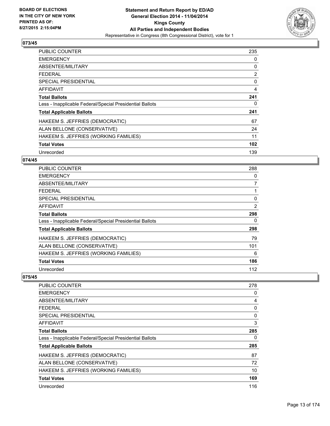

| <b>PUBLIC COUNTER</b>                                    | 235 |
|----------------------------------------------------------|-----|
| <b>EMERGENCY</b>                                         | 0   |
| ABSENTEE/MILITARY                                        | 0   |
| <b>FEDERAL</b>                                           | 2   |
| <b>SPECIAL PRESIDENTIAL</b>                              | 0   |
| <b>AFFIDAVIT</b>                                         | 4   |
| <b>Total Ballots</b>                                     | 241 |
| Less - Inapplicable Federal/Special Presidential Ballots | 0   |
| <b>Total Applicable Ballots</b>                          | 241 |
| HAKEEM S. JEFFRIES (DEMOCRATIC)                          | 67  |
| ALAN BELLONE (CONSERVATIVE)                              | 24  |
| HAKEEM S. JEFFRIES (WORKING FAMILIES)                    | 11  |
| <b>Total Votes</b>                                       | 102 |
| Unrecorded                                               | 139 |

## **074/45**

| <b>PUBLIC COUNTER</b>                                    | 288            |
|----------------------------------------------------------|----------------|
| <b>EMERGENCY</b>                                         | 0              |
| ABSENTEE/MILITARY                                        | $\overline{7}$ |
| <b>FEDERAL</b>                                           |                |
| <b>SPECIAL PRESIDENTIAL</b>                              | 0              |
| AFFIDAVIT                                                | 2              |
| <b>Total Ballots</b>                                     | 298            |
| Less - Inapplicable Federal/Special Presidential Ballots | 0              |
| <b>Total Applicable Ballots</b>                          | 298            |
| HAKEEM S. JEFFRIES (DEMOCRATIC)                          | 79             |
| ALAN BELLONE (CONSERVATIVE)                              | 101            |
| HAKEEM S. JEFFRIES (WORKING FAMILIES)                    | 6              |
| <b>Total Votes</b>                                       | 186            |
| Unrecorded                                               | 112            |

| PUBLIC COUNTER                                           | 278      |
|----------------------------------------------------------|----------|
| <b>EMERGENCY</b>                                         | 0        |
| ABSENTEE/MILITARY                                        | 4        |
| FEDERAL                                                  | 0        |
| SPECIAL PRESIDENTIAL                                     | $\Omega$ |
| AFFIDAVIT                                                | 3        |
| <b>Total Ballots</b>                                     | 285      |
| Less - Inapplicable Federal/Special Presidential Ballots | 0        |
| <b>Total Applicable Ballots</b>                          | 285      |
| HAKEEM S. JEFFRIES (DEMOCRATIC)                          | 87       |
| ALAN BELLONE (CONSERVATIVE)                              | 72       |
| HAKEEM S. JEFFRIES (WORKING FAMILIES)                    | 10       |
| <b>Total Votes</b>                                       | 169      |
| Unrecorded                                               | 116      |
|                                                          |          |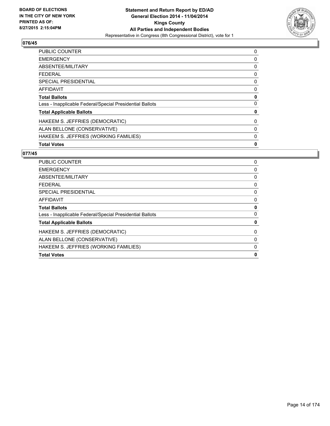

| <b>PUBLIC COUNTER</b>                                    | 0 |
|----------------------------------------------------------|---|
| <b>EMERGENCY</b>                                         | 0 |
| ABSENTEE/MILITARY                                        | 0 |
| <b>FEDERAL</b>                                           | 0 |
| <b>SPECIAL PRESIDENTIAL</b>                              | 0 |
| <b>AFFIDAVIT</b>                                         | 0 |
| <b>Total Ballots</b>                                     | 0 |
| Less - Inapplicable Federal/Special Presidential Ballots | 0 |
| <b>Total Applicable Ballots</b>                          | 0 |
| HAKEEM S. JEFFRIES (DEMOCRATIC)                          | 0 |
| ALAN BELLONE (CONSERVATIVE)                              | 0 |
| HAKEEM S. JEFFRIES (WORKING FAMILIES)                    | 0 |
| <b>Total Votes</b>                                       | 0 |

| <b>Total Votes</b>                                       | 0 |
|----------------------------------------------------------|---|
| HAKEEM S. JEFFRIES (WORKING FAMILIES)                    | 0 |
| ALAN BELLONE (CONSERVATIVE)                              | 0 |
| HAKEEM S. JEFFRIES (DEMOCRATIC)                          | 0 |
| <b>Total Applicable Ballots</b>                          | 0 |
| Less - Inapplicable Federal/Special Presidential Ballots | 0 |
| <b>Total Ballots</b>                                     | 0 |
| <b>AFFIDAVIT</b>                                         | 0 |
| SPECIAL PRESIDENTIAL                                     | 0 |
| <b>FEDERAL</b>                                           | 0 |
| ABSENTEE/MILITARY                                        | 0 |
| <b>EMERGENCY</b>                                         | 0 |
| <b>PUBLIC COUNTER</b>                                    | 0 |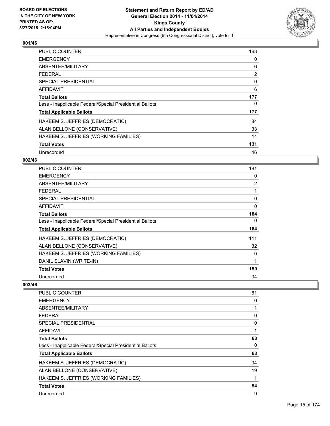

| <b>PUBLIC COUNTER</b>                                    | 163 |
|----------------------------------------------------------|-----|
| <b>EMERGENCY</b>                                         | 0   |
| ABSENTEE/MILITARY                                        | 6   |
| <b>FEDERAL</b>                                           | 2   |
| <b>SPECIAL PRESIDENTIAL</b>                              | 0   |
| <b>AFFIDAVIT</b>                                         | 6   |
| <b>Total Ballots</b>                                     | 177 |
| Less - Inapplicable Federal/Special Presidential Ballots | 0   |
| <b>Total Applicable Ballots</b>                          | 177 |
| HAKEEM S. JEFFRIES (DEMOCRATIC)                          | 84  |
| ALAN BELLONE (CONSERVATIVE)                              | 33  |
| HAKEEM S. JEFFRIES (WORKING FAMILIES)                    | 14  |
| <b>Total Votes</b>                                       | 131 |
| Unrecorded                                               | 46  |

## **002/46**

| <b>PUBLIC COUNTER</b>                                    | 181 |
|----------------------------------------------------------|-----|
| <b>EMERGENCY</b>                                         | 0   |
| ABSENTEE/MILITARY                                        | 2   |
| <b>FEDERAL</b>                                           | 1   |
| <b>SPECIAL PRESIDENTIAL</b>                              | 0   |
| <b>AFFIDAVIT</b>                                         | 0   |
| <b>Total Ballots</b>                                     | 184 |
| Less - Inapplicable Federal/Special Presidential Ballots | 0   |
| <b>Total Applicable Ballots</b>                          | 184 |
| HAKEEM S. JEFFRIES (DEMOCRATIC)                          | 111 |
| ALAN BELLONE (CONSERVATIVE)                              | 32  |
| HAKEEM S. JEFFRIES (WORKING FAMILIES)                    | 6   |
| DANIL SLAVIN (WRITE-IN)                                  | 1   |
| <b>Total Votes</b>                                       | 150 |
| Unrecorded                                               | 34  |

| <b>PUBLIC COUNTER</b>                                    | 61 |
|----------------------------------------------------------|----|
| <b>EMERGENCY</b>                                         | 0  |
| ABSENTEE/MILITARY                                        | 1  |
| <b>FEDERAL</b>                                           | 0  |
| <b>SPECIAL PRESIDENTIAL</b>                              | 0  |
| AFFIDAVIT                                                | 1  |
| <b>Total Ballots</b>                                     | 63 |
| Less - Inapplicable Federal/Special Presidential Ballots | 0  |
| <b>Total Applicable Ballots</b>                          | 63 |
| HAKEEM S. JEFFRIES (DEMOCRATIC)                          | 34 |
| ALAN BELLONE (CONSERVATIVE)                              | 19 |
| HAKEEM S. JEFFRIES (WORKING FAMILIES)                    | 1  |
| <b>Total Votes</b>                                       | 54 |
| Unrecorded                                               | 9  |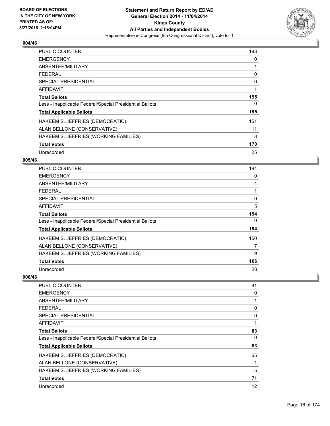

| <b>PUBLIC COUNTER</b>                                    | 193 |
|----------------------------------------------------------|-----|
| <b>EMERGENCY</b>                                         | 0   |
| ABSENTEE/MILITARY                                        |     |
| <b>FEDERAL</b>                                           | 0   |
| <b>SPECIAL PRESIDENTIAL</b>                              | 0   |
| AFFIDAVIT                                                | 1   |
| <b>Total Ballots</b>                                     | 195 |
| Less - Inapplicable Federal/Special Presidential Ballots | 0   |
| <b>Total Applicable Ballots</b>                          | 195 |
| HAKEEM S. JEFFRIES (DEMOCRATIC)                          | 151 |
| ALAN BELLONE (CONSERVATIVE)                              | 11  |
| HAKEEM S. JEFFRIES (WORKING FAMILIES)                    | 8   |
| <b>Total Votes</b>                                       | 170 |
| Unrecorded                                               | 25  |

## **005/46**

| PUBLIC COUNTER                                           | 184 |
|----------------------------------------------------------|-----|
| <b>EMERGENCY</b>                                         | 0   |
| ABSENTEE/MILITARY                                        | 4   |
| <b>FEDERAL</b>                                           |     |
| <b>SPECIAL PRESIDENTIAL</b>                              | 0   |
| <b>AFFIDAVIT</b>                                         | 5   |
| <b>Total Ballots</b>                                     | 194 |
| Less - Inapplicable Federal/Special Presidential Ballots | 0   |
| <b>Total Applicable Ballots</b>                          | 194 |
| HAKEEM S. JEFFRIES (DEMOCRATIC)                          | 150 |
| ALAN BELLONE (CONSERVATIVE)                              | 7   |
| HAKEEM S. JEFFRIES (WORKING FAMILIES)                    | 9   |
| <b>Total Votes</b>                                       | 166 |
| Unrecorded                                               | 28  |

| PUBLIC COUNTER                                           | 81 |
|----------------------------------------------------------|----|
| <b>EMERGENCY</b>                                         | 0  |
| ABSENTEE/MILITARY                                        |    |
| FEDERAL                                                  | 0  |
| <b>SPECIAL PRESIDENTIAL</b>                              | 0  |
| AFFIDAVIT                                                |    |
| <b>Total Ballots</b>                                     | 83 |
| Less - Inapplicable Federal/Special Presidential Ballots | 0  |
| <b>Total Applicable Ballots</b>                          | 83 |
| HAKEEM S. JEFFRIES (DEMOCRATIC)                          | 65 |
| ALAN BELLONE (CONSERVATIVE)                              |    |
| HAKEEM S. JEFFRIES (WORKING FAMILIES)                    | 5  |
| <b>Total Votes</b>                                       | 71 |
| Unrecorded                                               | 12 |
|                                                          |    |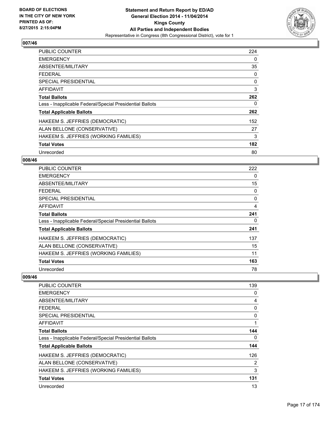

| <b>PUBLIC COUNTER</b>                                    | 224 |
|----------------------------------------------------------|-----|
| <b>EMERGENCY</b>                                         | 0   |
| ABSENTEE/MILITARY                                        | 35  |
| <b>FEDERAL</b>                                           | 0   |
| <b>SPECIAL PRESIDENTIAL</b>                              | 0   |
| <b>AFFIDAVIT</b>                                         | 3   |
| <b>Total Ballots</b>                                     | 262 |
| Less - Inapplicable Federal/Special Presidential Ballots | 0   |
| <b>Total Applicable Ballots</b>                          | 262 |
| HAKEEM S. JEFFRIES (DEMOCRATIC)                          | 152 |
| ALAN BELLONE (CONSERVATIVE)                              | 27  |
| HAKEEM S. JEFFRIES (WORKING FAMILIES)                    | 3   |
| <b>Total Votes</b>                                       | 182 |
| Unrecorded                                               | 80  |

## **008/46**

| PUBLIC COUNTER                                           | 222 |
|----------------------------------------------------------|-----|
| <b>EMERGENCY</b>                                         | 0   |
| ABSENTEE/MILITARY                                        | 15  |
| <b>FEDERAL</b>                                           | 0   |
| SPECIAL PRESIDENTIAL                                     | 0   |
| <b>AFFIDAVIT</b>                                         | 4   |
| <b>Total Ballots</b>                                     | 241 |
| Less - Inapplicable Federal/Special Presidential Ballots | 0   |
| <b>Total Applicable Ballots</b>                          | 241 |
| HAKEEM S. JEFFRIES (DEMOCRATIC)                          | 137 |
| ALAN BELLONE (CONSERVATIVE)                              | 15  |
| HAKEEM S. JEFFRIES (WORKING FAMILIES)                    | 11  |
| <b>Total Votes</b>                                       | 163 |
| Unrecorded                                               | 78  |

| PUBLIC COUNTER                                           | 139 |
|----------------------------------------------------------|-----|
| <b>EMERGENCY</b>                                         | 0   |
| ABSENTEE/MILITARY                                        | 4   |
| FEDERAL                                                  | 0   |
| SPECIAL PRESIDENTIAL                                     | 0   |
| AFFIDAVIT                                                |     |
| <b>Total Ballots</b>                                     | 144 |
| Less - Inapplicable Federal/Special Presidential Ballots | 0   |
| <b>Total Applicable Ballots</b>                          | 144 |
| HAKEEM S. JEFFRIES (DEMOCRATIC)                          | 126 |
| ALAN BELLONE (CONSERVATIVE)                              | 2   |
| HAKEEM S. JEFFRIES (WORKING FAMILIES)                    | 3   |
| <b>Total Votes</b>                                       | 131 |
| Unrecorded                                               | 13  |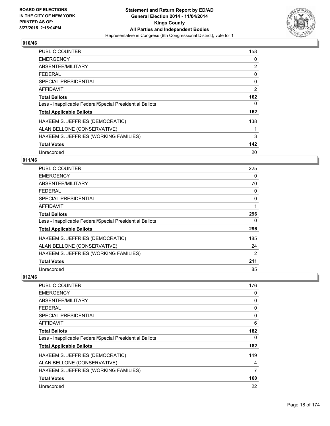

| <b>PUBLIC COUNTER</b>                                    | 158 |
|----------------------------------------------------------|-----|
| <b>EMERGENCY</b>                                         | 0   |
| ABSENTEE/MILITARY                                        | 2   |
| <b>FEDERAL</b>                                           | 0   |
| <b>SPECIAL PRESIDENTIAL</b>                              | 0   |
| <b>AFFIDAVIT</b>                                         | 2   |
| <b>Total Ballots</b>                                     | 162 |
| Less - Inapplicable Federal/Special Presidential Ballots | 0   |
| <b>Total Applicable Ballots</b>                          | 162 |
| HAKEEM S. JEFFRIES (DEMOCRATIC)                          | 138 |
| ALAN BELLONE (CONSERVATIVE)                              | 1   |
| HAKEEM S. JEFFRIES (WORKING FAMILIES)                    | 3   |
| <b>Total Votes</b>                                       | 142 |
| Unrecorded                                               | 20  |

## **011/46**

| <b>PUBLIC COUNTER</b>                                    | 225            |
|----------------------------------------------------------|----------------|
| <b>EMERGENCY</b>                                         | 0              |
| ABSENTEE/MILITARY                                        | 70             |
| <b>FEDERAL</b>                                           | 0              |
| <b>SPECIAL PRESIDENTIAL</b>                              | 0              |
| <b>AFFIDAVIT</b>                                         | 1              |
| <b>Total Ballots</b>                                     | 296            |
| Less - Inapplicable Federal/Special Presidential Ballots | 0              |
| <b>Total Applicable Ballots</b>                          | 296            |
| HAKEEM S. JEFFRIES (DEMOCRATIC)                          | 185            |
| ALAN BELLONE (CONSERVATIVE)                              | 24             |
| HAKEEM S. JEFFRIES (WORKING FAMILIES)                    | $\overline{2}$ |
| <b>Total Votes</b>                                       | 211            |
| Unrecorded                                               | 85             |

| PUBLIC COUNTER                                           | 176 |
|----------------------------------------------------------|-----|
| <b>EMERGENCY</b>                                         | 0   |
| ABSENTEE/MILITARY                                        | 0   |
| FEDERAL                                                  | 0   |
| SPECIAL PRESIDENTIAL                                     | 0   |
| AFFIDAVIT                                                | 6   |
| <b>Total Ballots</b>                                     | 182 |
| Less - Inapplicable Federal/Special Presidential Ballots | 0   |
| <b>Total Applicable Ballots</b>                          | 182 |
| HAKEEM S. JEFFRIES (DEMOCRATIC)                          | 149 |
| ALAN BELLONE (CONSERVATIVE)                              | 4   |
| HAKEEM S. JEFFRIES (WORKING FAMILIES)                    | 7   |
| <b>Total Votes</b>                                       | 160 |
| Unrecorded                                               | 22  |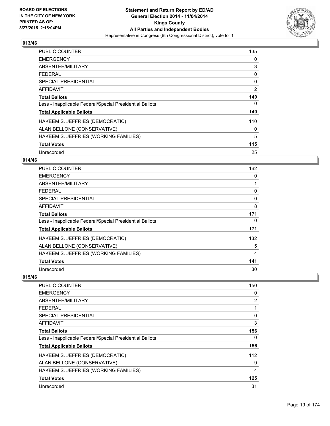

| <b>PUBLIC COUNTER</b>                                    | 135 |
|----------------------------------------------------------|-----|
| <b>EMERGENCY</b>                                         | 0   |
| ABSENTEE/MILITARY                                        | 3   |
| <b>FEDERAL</b>                                           | 0   |
| <b>SPECIAL PRESIDENTIAL</b>                              | 0   |
| <b>AFFIDAVIT</b>                                         | 2   |
| <b>Total Ballots</b>                                     | 140 |
| Less - Inapplicable Federal/Special Presidential Ballots | 0   |
| <b>Total Applicable Ballots</b>                          | 140 |
| HAKEEM S. JEFFRIES (DEMOCRATIC)                          | 110 |
| ALAN BELLONE (CONSERVATIVE)                              | 0   |
| HAKEEM S. JEFFRIES (WORKING FAMILIES)                    | 5   |
| <b>Total Votes</b>                                       | 115 |
| Unrecorded                                               | 25  |

## **014/46**

| <b>PUBLIC COUNTER</b>                                    | 162 |
|----------------------------------------------------------|-----|
| <b>EMERGENCY</b>                                         | 0   |
| ABSENTEE/MILITARY                                        |     |
| <b>FEDERAL</b>                                           | 0   |
| <b>SPECIAL PRESIDENTIAL</b>                              | 0   |
| <b>AFFIDAVIT</b>                                         | 8   |
| Total Ballots                                            | 171 |
| Less - Inapplicable Federal/Special Presidential Ballots | 0   |
| <b>Total Applicable Ballots</b>                          | 171 |
| HAKEEM S. JEFFRIES (DEMOCRATIC)                          | 132 |
| ALAN BELLONE (CONSERVATIVE)                              | 5   |
| HAKEEM S. JEFFRIES (WORKING FAMILIES)                    | 4   |
| <b>Total Votes</b>                                       | 141 |
| Unrecorded                                               | 30  |

| <b>PUBLIC COUNTER</b>                                    | 150 |
|----------------------------------------------------------|-----|
| <b>EMERGENCY</b>                                         | 0   |
| ABSENTEE/MILITARY                                        | 2   |
| <b>FEDERAL</b>                                           | 1   |
| <b>SPECIAL PRESIDENTIAL</b>                              | 0   |
| AFFIDAVIT                                                | 3   |
| <b>Total Ballots</b>                                     | 156 |
| Less - Inapplicable Federal/Special Presidential Ballots | 0   |
| <b>Total Applicable Ballots</b>                          | 156 |
| HAKEEM S. JEFFRIES (DEMOCRATIC)                          | 112 |
| ALAN BELLONE (CONSERVATIVE)                              | 9   |
| HAKEEM S. JEFFRIES (WORKING FAMILIES)                    | 4   |
| <b>Total Votes</b>                                       | 125 |
| Unrecorded                                               | 31  |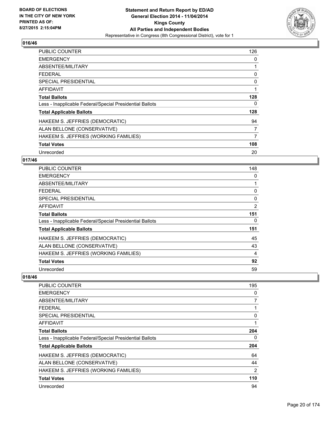

| <b>PUBLIC COUNTER</b>                                    | 126 |
|----------------------------------------------------------|-----|
| <b>EMERGENCY</b>                                         | 0   |
| ABSENTEE/MILITARY                                        |     |
| <b>FEDERAL</b>                                           | 0   |
| <b>SPECIAL PRESIDENTIAL</b>                              | 0   |
| <b>AFFIDAVIT</b>                                         | 1   |
| <b>Total Ballots</b>                                     | 128 |
| Less - Inapplicable Federal/Special Presidential Ballots | 0   |
| <b>Total Applicable Ballots</b>                          | 128 |
| HAKEEM S. JEFFRIES (DEMOCRATIC)                          | 94  |
| ALAN BELLONE (CONSERVATIVE)                              | 7   |
| HAKEEM S. JEFFRIES (WORKING FAMILIES)                    | 7   |
| <b>Total Votes</b>                                       | 108 |
| Unrecorded                                               | 20  |

## **017/46**

| <b>PUBLIC COUNTER</b>                                    | 148 |
|----------------------------------------------------------|-----|
| <b>EMERGENCY</b>                                         | 0   |
| ABSENTEE/MILITARY                                        |     |
| <b>FEDERAL</b>                                           | 0   |
| <b>SPECIAL PRESIDENTIAL</b>                              | 0   |
| AFFIDAVIT                                                | 2   |
| <b>Total Ballots</b>                                     | 151 |
| Less - Inapplicable Federal/Special Presidential Ballots | 0   |
| <b>Total Applicable Ballots</b>                          | 151 |
| HAKEEM S. JEFFRIES (DEMOCRATIC)                          | 45  |
| ALAN BELLONE (CONSERVATIVE)                              | 43  |
| HAKEEM S. JEFFRIES (WORKING FAMILIES)                    | 4   |
| <b>Total Votes</b>                                       | 92  |
| Unrecorded                                               | 59  |

| PUBLIC COUNTER                                           | 195 |
|----------------------------------------------------------|-----|
| <b>EMERGENCY</b>                                         | 0   |
| ABSENTEE/MILITARY                                        | 7   |
| <b>FEDERAL</b>                                           |     |
| SPECIAL PRESIDENTIAL                                     | 0   |
| AFFIDAVIT                                                |     |
| <b>Total Ballots</b>                                     | 204 |
| Less - Inapplicable Federal/Special Presidential Ballots | 0   |
| <b>Total Applicable Ballots</b>                          | 204 |
| HAKEEM S. JEFFRIES (DEMOCRATIC)                          | 64  |
| ALAN BELLONE (CONSERVATIVE)                              | 44  |
| HAKEEM S. JEFFRIES (WORKING FAMILIES)                    | 2   |
| <b>Total Votes</b>                                       | 110 |
| Unrecorded                                               | 94  |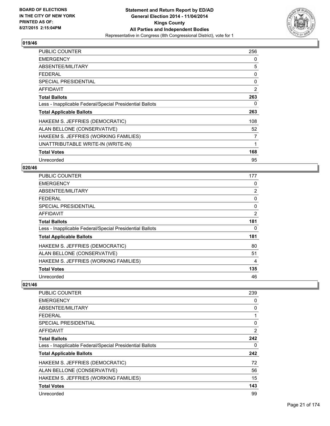

| <b>PUBLIC COUNTER</b>                                    | 256 |
|----------------------------------------------------------|-----|
| <b>EMERGENCY</b>                                         | 0   |
| ABSENTEE/MILITARY                                        | 5   |
| <b>FEDERAL</b>                                           | 0   |
| <b>SPECIAL PRESIDENTIAL</b>                              | 0   |
| <b>AFFIDAVIT</b>                                         | 2   |
| <b>Total Ballots</b>                                     | 263 |
| Less - Inapplicable Federal/Special Presidential Ballots | 0   |
| <b>Total Applicable Ballots</b>                          | 263 |
| HAKEEM S. JEFFRIES (DEMOCRATIC)                          | 108 |
| ALAN BELLONE (CONSERVATIVE)                              | 52  |
| HAKEEM S. JEFFRIES (WORKING FAMILIES)                    | 7   |
| UNATTRIBUTABLE WRITE-IN (WRITE-IN)                       | 1   |
| <b>Total Votes</b>                                       | 168 |
| Unrecorded                                               | 95  |

#### **020/46**

| <b>PUBLIC COUNTER</b>                                    | 177            |
|----------------------------------------------------------|----------------|
| <b>EMERGENCY</b>                                         | 0              |
| ABSENTEE/MILITARY                                        | $\overline{2}$ |
| <b>FEDERAL</b>                                           | 0              |
| <b>SPECIAL PRESIDENTIAL</b>                              | 0              |
| AFFIDAVIT                                                | 2              |
| <b>Total Ballots</b>                                     | 181            |
| Less - Inapplicable Federal/Special Presidential Ballots | 0              |
| <b>Total Applicable Ballots</b>                          | 181            |
| HAKEEM S. JEFFRIES (DEMOCRATIC)                          | 80             |
| ALAN BELLONE (CONSERVATIVE)                              | 51             |
| HAKEEM S. JEFFRIES (WORKING FAMILIES)                    | 4              |
| <b>Total Votes</b>                                       | 135            |
| Unrecorded                                               | 46             |

| <b>PUBLIC COUNTER</b>                                    | 239            |
|----------------------------------------------------------|----------------|
| <b>EMERGENCY</b>                                         | 0              |
| ABSENTEE/MILITARY                                        | 0              |
| <b>FEDERAL</b>                                           | 1              |
| SPECIAL PRESIDENTIAL                                     | $\Omega$       |
| AFFIDAVIT                                                | $\overline{2}$ |
| <b>Total Ballots</b>                                     | 242            |
| Less - Inapplicable Federal/Special Presidential Ballots | 0              |
| <b>Total Applicable Ballots</b>                          | 242            |
| HAKEEM S. JEFFRIES (DEMOCRATIC)                          | 72             |
| ALAN BELLONE (CONSERVATIVE)                              | 56             |
| HAKEEM S. JEFFRIES (WORKING FAMILIES)                    | 15             |
| <b>Total Votes</b>                                       | 143            |
| Unrecorded                                               | 99             |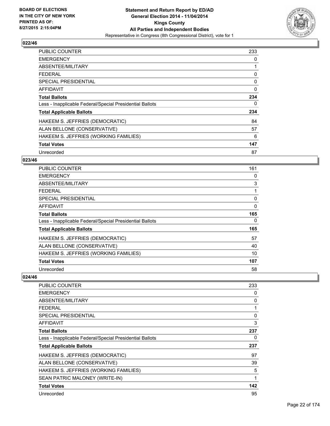

| <b>PUBLIC COUNTER</b>                                    | 233      |
|----------------------------------------------------------|----------|
| <b>EMERGENCY</b>                                         | 0        |
| ABSENTEE/MILITARY                                        |          |
| FFDFRAI                                                  | 0        |
| <b>SPECIAL PRESIDENTIAL</b>                              | 0        |
| <b>AFFIDAVIT</b>                                         | $\Omega$ |
| <b>Total Ballots</b>                                     | 234      |
| Less - Inapplicable Federal/Special Presidential Ballots | 0        |
| <b>Total Applicable Ballots</b>                          | 234      |
| HAKEEM S. JEFFRIES (DEMOCRATIC)                          | 84       |
| ALAN BELLONE (CONSERVATIVE)                              | 57       |
| HAKEEM S. JEFFRIES (WORKING FAMILIES)                    | 6        |
| <b>Total Votes</b>                                       | 147      |
| Unrecorded                                               | 87       |

## **023/46**

| PUBLIC COUNTER                                           | 161 |
|----------------------------------------------------------|-----|
| <b>EMERGENCY</b>                                         | 0   |
| ABSENTEE/MILITARY                                        | 3   |
| <b>FEDERAL</b>                                           |     |
| <b>SPECIAL PRESIDENTIAL</b>                              | 0   |
| <b>AFFIDAVIT</b>                                         | 0   |
| <b>Total Ballots</b>                                     | 165 |
| Less - Inapplicable Federal/Special Presidential Ballots | 0   |
| <b>Total Applicable Ballots</b>                          | 165 |
| HAKEEM S. JEFFRIES (DEMOCRATIC)                          | 57  |
| ALAN BELLONE (CONSERVATIVE)                              | 40  |
| HAKEEM S. JEFFRIES (WORKING FAMILIES)                    | 10  |
| <b>Total Votes</b>                                       | 107 |
| Unrecorded                                               | 58  |

| <b>PUBLIC COUNTER</b>                                    | 233          |
|----------------------------------------------------------|--------------|
| <b>EMERGENCY</b>                                         | 0            |
| ABSENTEE/MILITARY                                        | 0            |
| <b>FFDFRAL</b>                                           | $\mathbf{1}$ |
| <b>SPECIAL PRESIDENTIAL</b>                              | 0            |
| <b>AFFIDAVIT</b>                                         | 3            |
| <b>Total Ballots</b>                                     | 237          |
| Less - Inapplicable Federal/Special Presidential Ballots | 0            |
| <b>Total Applicable Ballots</b>                          | 237          |
| HAKEEM S. JEFFRIES (DEMOCRATIC)                          | 97           |
| ALAN BELLONE (CONSERVATIVE)                              | 39           |
| HAKEEM S. JEFFRIES (WORKING FAMILIES)                    | 5            |
| SEAN PATRIC MALONEY (WRITE-IN)                           | 1            |
| <b>Total Votes</b>                                       | 142          |
| Unrecorded                                               | 95           |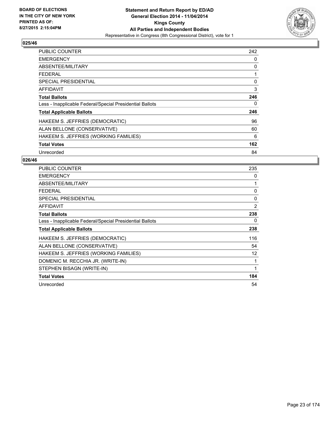

| <b>PUBLIC COUNTER</b>                                    | 242 |
|----------------------------------------------------------|-----|
| <b>EMERGENCY</b>                                         | 0   |
| ABSENTEE/MILITARY                                        | 0   |
| <b>FEDERAL</b>                                           | 1   |
| <b>SPECIAL PRESIDENTIAL</b>                              | 0   |
| <b>AFFIDAVIT</b>                                         | 3   |
| <b>Total Ballots</b>                                     | 246 |
| Less - Inapplicable Federal/Special Presidential Ballots | 0   |
| <b>Total Applicable Ballots</b>                          | 246 |
| HAKEEM S. JEFFRIES (DEMOCRATIC)                          | 96  |
| ALAN BELLONE (CONSERVATIVE)                              | 60  |
| HAKEEM S. JEFFRIES (WORKING FAMILIES)                    | 6   |
| <b>Total Votes</b>                                       | 162 |
| Unrecorded                                               | 84  |

| <b>PUBLIC COUNTER</b>                                    | 235          |
|----------------------------------------------------------|--------------|
| <b>EMERGENCY</b>                                         | 0            |
| ABSENTEE/MILITARY                                        |              |
| <b>FEDERAL</b>                                           | $\mathbf{0}$ |
| <b>SPECIAL PRESIDENTIAL</b>                              | 0            |
| <b>AFFIDAVIT</b>                                         | 2            |
| <b>Total Ballots</b>                                     | 238          |
| Less - Inapplicable Federal/Special Presidential Ballots | 0            |
| <b>Total Applicable Ballots</b>                          | 238          |
| HAKEEM S. JEFFRIES (DEMOCRATIC)                          | 116          |
| ALAN BELLONE (CONSERVATIVE)                              | 54           |
| HAKEEM S. JEFFRIES (WORKING FAMILIES)                    | 12           |
| DOMENIC M. RECCHIA JR. (WRITE-IN)                        |              |
| STEPHEN BISAGN (WRITE-IN)                                | 1            |
| <b>Total Votes</b>                                       | 184          |
| Unrecorded                                               | 54           |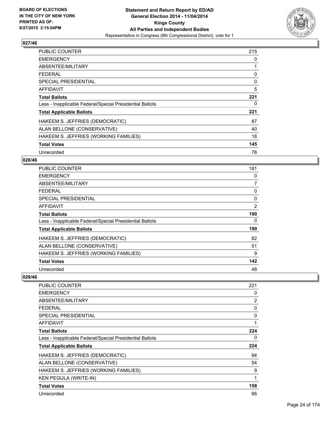

| <b>PUBLIC COUNTER</b>                                    | 215 |
|----------------------------------------------------------|-----|
| <b>EMERGENCY</b>                                         | 0   |
| ABSENTEE/MILITARY                                        | 1   |
| FFDFRAI                                                  | 0   |
| <b>SPECIAL PRESIDENTIAL</b>                              | 0   |
| <b>AFFIDAVIT</b>                                         | 5   |
| <b>Total Ballots</b>                                     | 221 |
| Less - Inapplicable Federal/Special Presidential Ballots | 0   |
| <b>Total Applicable Ballots</b>                          | 221 |
| HAKEEM S. JEFFRIES (DEMOCRATIC)                          | 87  |
| ALAN BELLONE (CONSERVATIVE)                              | 40  |
| HAKEEM S. JEFFRIES (WORKING FAMILIES)                    | 18  |
| <b>Total Votes</b>                                       | 145 |
| Unrecorded                                               | 76  |

## **028/46**

| PUBLIC COUNTER                                           | 181            |
|----------------------------------------------------------|----------------|
| <b>EMERGENCY</b>                                         | 0              |
| ABSENTEE/MILITARY                                        | $\overline{7}$ |
| <b>FEDERAL</b>                                           | 0              |
| <b>SPECIAL PRESIDENTIAL</b>                              | 0              |
| <b>AFFIDAVIT</b>                                         | $\overline{2}$ |
| <b>Total Ballots</b>                                     | 190            |
| Less - Inapplicable Federal/Special Presidential Ballots | 0              |
| <b>Total Applicable Ballots</b>                          | 190            |
| HAKEEM S. JEFFRIES (DEMOCRATIC)                          | 82             |
| ALAN BELLONE (CONSERVATIVE)                              | 51             |
| HAKEEM S. JEFFRIES (WORKING FAMILIES)                    | 9              |
| <b>Total Votes</b>                                       | 142            |
| Unrecorded                                               | 48             |

| <b>PUBLIC COUNTER</b>                                    | 221 |
|----------------------------------------------------------|-----|
| <b>EMERGENCY</b>                                         | 0   |
| ABSENTEE/MILITARY                                        | 2   |
| <b>FEDERAL</b>                                           | 0   |
| <b>SPECIAL PRESIDENTIAL</b>                              | 0   |
| AFFIDAVIT                                                | 1   |
| <b>Total Ballots</b>                                     | 224 |
| Less - Inapplicable Federal/Special Presidential Ballots | 0   |
| <b>Total Applicable Ballots</b>                          | 224 |
| HAKEEM S. JEFFRIES (DEMOCRATIC)                          | 94  |
| ALAN BELLONE (CONSERVATIVE)                              | 54  |
| HAKEEM S. JEFFRIES (WORKING FAMILIES)                    | 9   |
| <b>KEN PEGULA (WRITE-IN)</b>                             | 1   |
| <b>Total Votes</b>                                       | 158 |
| Unrecorded                                               | 66  |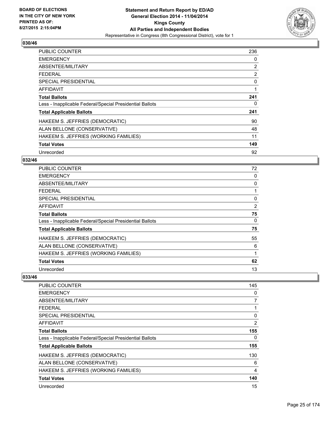

| <b>PUBLIC COUNTER</b>                                    | 236 |
|----------------------------------------------------------|-----|
| <b>EMERGENCY</b>                                         | 0   |
| ABSENTEE/MILITARY                                        | 2   |
| <b>FEDERAL</b>                                           | 2   |
| <b>SPECIAL PRESIDENTIAL</b>                              | 0   |
| <b>AFFIDAVIT</b>                                         | 1   |
| <b>Total Ballots</b>                                     | 241 |
| Less - Inapplicable Federal/Special Presidential Ballots | 0   |
| <b>Total Applicable Ballots</b>                          | 241 |
| HAKEEM S. JEFFRIES (DEMOCRATIC)                          | 90  |
| ALAN BELLONE (CONSERVATIVE)                              | 48  |
| HAKEEM S. JEFFRIES (WORKING FAMILIES)                    | 11  |
| <b>Total Votes</b>                                       | 149 |
| Unrecorded                                               | 92  |

## **032/46**

| PUBLIC COUNTER                                           | 72 |
|----------------------------------------------------------|----|
| <b>EMERGENCY</b>                                         | 0  |
| ABSENTEE/MILITARY                                        | 0  |
| <b>FEDERAL</b>                                           |    |
| SPECIAL PRESIDENTIAL                                     | 0  |
| AFFIDAVIT                                                | 2  |
| <b>Total Ballots</b>                                     | 75 |
| Less - Inapplicable Federal/Special Presidential Ballots | 0  |
| <b>Total Applicable Ballots</b>                          | 75 |
| HAKEEM S. JEFFRIES (DEMOCRATIC)                          | 55 |
| ALAN BELLONE (CONSERVATIVE)                              | 6  |
| HAKEEM S. JEFFRIES (WORKING FAMILIES)                    | 1  |
| <b>Total Votes</b>                                       | 62 |
| Unrecorded                                               | 13 |

| <b>PUBLIC COUNTER</b>                                    | 145 |
|----------------------------------------------------------|-----|
| <b>EMERGENCY</b>                                         | 0   |
| ABSENTEE/MILITARY                                        | 7   |
| <b>FEDERAL</b>                                           | 1   |
| <b>SPECIAL PRESIDENTIAL</b>                              | 0   |
| AFFIDAVIT                                                | 2   |
| <b>Total Ballots</b>                                     | 155 |
| Less - Inapplicable Federal/Special Presidential Ballots | 0   |
| <b>Total Applicable Ballots</b>                          | 155 |
| HAKEEM S. JEFFRIES (DEMOCRATIC)                          | 130 |
| ALAN BELLONE (CONSERVATIVE)                              | 6   |
| HAKEEM S. JEFFRIES (WORKING FAMILIES)                    | 4   |
| <b>Total Votes</b>                                       | 140 |
| Unrecorded                                               | 15  |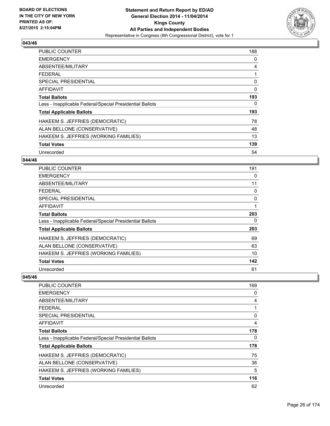

| <b>PUBLIC COUNTER</b>                                    | 188 |
|----------------------------------------------------------|-----|
| <b>EMERGENCY</b>                                         | 0   |
| ABSENTEE/MILITARY                                        | 4   |
| <b>FEDERAL</b>                                           | 1   |
| <b>SPECIAL PRESIDENTIAL</b>                              | 0   |
| AFFIDAVIT                                                | 0   |
| <b>Total Ballots</b>                                     | 193 |
| Less - Inapplicable Federal/Special Presidential Ballots | 0   |
| <b>Total Applicable Ballots</b>                          | 193 |
| HAKEEM S. JEFFRIES (DEMOCRATIC)                          | 78  |
| ALAN BELLONE (CONSERVATIVE)                              | 48  |
| HAKEEM S. JEFFRIES (WORKING FAMILIES)                    | 13  |
| <b>Total Votes</b>                                       | 139 |
| Unrecorded                                               | 54  |

#### **044/46**

| PUBLIC COUNTER                                           | 191 |
|----------------------------------------------------------|-----|
| <b>EMERGENCY</b>                                         | 0   |
| ABSENTEE/MILITARY                                        | 11  |
| <b>FEDERAL</b>                                           | 0   |
| <b>SPECIAL PRESIDENTIAL</b>                              | 0   |
| <b>AFFIDAVIT</b>                                         | 1   |
| <b>Total Ballots</b>                                     | 203 |
| Less - Inapplicable Federal/Special Presidential Ballots | 0   |
| <b>Total Applicable Ballots</b>                          | 203 |
| HAKEEM S. JEFFRIES (DEMOCRATIC)                          | 69  |
| ALAN BELLONE (CONSERVATIVE)                              | 63  |
| HAKEEM S. JEFFRIES (WORKING FAMILIES)                    | 10  |
| <b>Total Votes</b>                                       | 142 |
| Unrecorded                                               | 61  |

| PUBLIC COUNTER                                           | 169 |
|----------------------------------------------------------|-----|
| <b>EMERGENCY</b>                                         | 0   |
| ABSENTEE/MILITARY                                        | 4   |
| <b>FEDERAL</b>                                           |     |
| SPECIAL PRESIDENTIAL                                     | 0   |
| AFFIDAVIT                                                | 4   |
| <b>Total Ballots</b>                                     | 178 |
| Less - Inapplicable Federal/Special Presidential Ballots | 0   |
| <b>Total Applicable Ballots</b>                          | 178 |
| HAKEEM S. JEFFRIES (DEMOCRATIC)                          | 75  |
| ALAN BELLONE (CONSERVATIVE)                              | 36  |
| HAKEEM S. JEFFRIES (WORKING FAMILIES)                    | 5   |
| <b>Total Votes</b>                                       | 116 |
| Unrecorded                                               | 62  |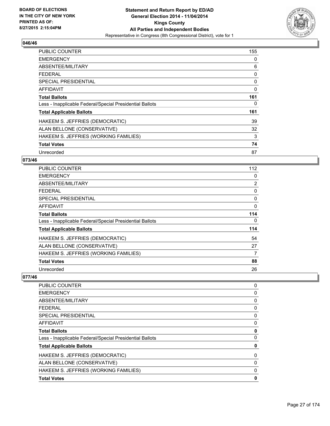

| <b>PUBLIC COUNTER</b>                                    | 155 |
|----------------------------------------------------------|-----|
| <b>EMERGENCY</b>                                         | 0   |
| ABSENTEE/MILITARY                                        | 6   |
| <b>FEDERAL</b>                                           | 0   |
| <b>SPECIAL PRESIDENTIAL</b>                              | 0   |
| <b>AFFIDAVIT</b>                                         | 0   |
| <b>Total Ballots</b>                                     | 161 |
| Less - Inapplicable Federal/Special Presidential Ballots | 0   |
| <b>Total Applicable Ballots</b>                          | 161 |
| HAKEEM S. JEFFRIES (DEMOCRATIC)                          | 39  |
| ALAN BELLONE (CONSERVATIVE)                              | 32  |
| HAKEEM S. JEFFRIES (WORKING FAMILIES)                    | 3   |
| <b>Total Votes</b>                                       | 74  |
| Unrecorded                                               | 87  |

## **073/46**

| <b>PUBLIC COUNTER</b>                                    | 112            |
|----------------------------------------------------------|----------------|
| <b>EMERGENCY</b>                                         | 0              |
| ABSENTEE/MILITARY                                        | $\overline{2}$ |
| <b>FEDERAL</b>                                           | 0              |
| <b>SPECIAL PRESIDENTIAL</b>                              | 0              |
| <b>AFFIDAVIT</b>                                         | $\mathbf{0}$   |
| <b>Total Ballots</b>                                     | 114            |
| Less - Inapplicable Federal/Special Presidential Ballots | $\Omega$       |
| <b>Total Applicable Ballots</b>                          | 114            |
| HAKEEM S. JEFFRIES (DEMOCRATIC)                          | 54             |
| ALAN BELLONE (CONSERVATIVE)                              | 27             |
| HAKEEM S. JEFFRIES (WORKING FAMILIES)                    | 7              |
| <b>Total Votes</b>                                       | 88             |
| Unrecorded                                               | 26             |

| <b>PUBLIC COUNTER</b>                                    | 0 |
|----------------------------------------------------------|---|
| <b>EMERGENCY</b>                                         | 0 |
| ABSENTEE/MILITARY                                        | 0 |
| <b>FEDERAL</b>                                           | 0 |
| <b>SPECIAL PRESIDENTIAL</b>                              | 0 |
| AFFIDAVIT                                                | 0 |
| <b>Total Ballots</b>                                     | 0 |
| Less - Inapplicable Federal/Special Presidential Ballots | 0 |
| <b>Total Applicable Ballots</b>                          | 0 |
| HAKEEM S. JEFFRIES (DEMOCRATIC)                          | 0 |
| ALAN BELLONE (CONSERVATIVE)                              | 0 |
| HAKEEM S. JEFFRIES (WORKING FAMILIES)                    | 0 |
| <b>Total Votes</b>                                       | 0 |
|                                                          |   |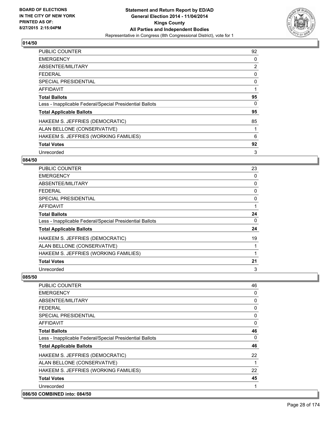

| <b>PUBLIC COUNTER</b>                                    | 92 |
|----------------------------------------------------------|----|
| <b>EMERGENCY</b>                                         | 0  |
| ABSENTEE/MILITARY                                        | 2  |
| <b>FEDERAL</b>                                           | 0  |
| <b>SPECIAL PRESIDENTIAL</b>                              | 0  |
| <b>AFFIDAVIT</b>                                         | 1  |
| <b>Total Ballots</b>                                     | 95 |
| Less - Inapplicable Federal/Special Presidential Ballots | 0  |
| <b>Total Applicable Ballots</b>                          | 95 |
| HAKEEM S. JEFFRIES (DEMOCRATIC)                          | 85 |
| ALAN BELLONE (CONSERVATIVE)                              | 1  |
| HAKEEM S. JEFFRIES (WORKING FAMILIES)                    | 6  |
| <b>Total Votes</b>                                       | 92 |
| Unrecorded                                               | 3  |

## **084/50**

| PUBLIC COUNTER                                           | 23 |
|----------------------------------------------------------|----|
| <b>EMERGENCY</b>                                         | 0  |
| ABSENTEE/MILITARY                                        | 0  |
| <b>FEDERAL</b>                                           | 0  |
| <b>SPECIAL PRESIDENTIAL</b>                              | 0  |
| <b>AFFIDAVIT</b>                                         |    |
| <b>Total Ballots</b>                                     | 24 |
| Less - Inapplicable Federal/Special Presidential Ballots | 0  |
| <b>Total Applicable Ballots</b>                          | 24 |
| HAKEEM S. JEFFRIES (DEMOCRATIC)                          | 19 |
| ALAN BELLONE (CONSERVATIVE)                              |    |
| HAKEEM S. JEFFRIES (WORKING FAMILIES)                    |    |
| <b>Total Votes</b>                                       | 21 |
| Unrecorded                                               | 3  |

| <b>PUBLIC COUNTER</b>                                    | 46 |
|----------------------------------------------------------|----|
| <b>EMERGENCY</b>                                         | 0  |
| ABSENTEE/MILITARY                                        | 0  |
| FFDFRAI                                                  | 0  |
| SPECIAL PRESIDENTIAL                                     | 0  |
| AFFIDAVIT                                                | 0  |
| <b>Total Ballots</b>                                     | 46 |
| Less - Inapplicable Federal/Special Presidential Ballots | 0  |
| <b>Total Applicable Ballots</b>                          | 46 |
| HAKEEM S. JEFFRIES (DEMOCRATIC)                          | 22 |
| ALAN BELLONE (CONSERVATIVE)                              | 1  |
| HAKEEM S. JEFFRIES (WORKING FAMILIES)                    | 22 |
| <b>Total Votes</b>                                       | 45 |
| Unrecorded                                               |    |
| 086/50 COMBINED into: 084/50                             |    |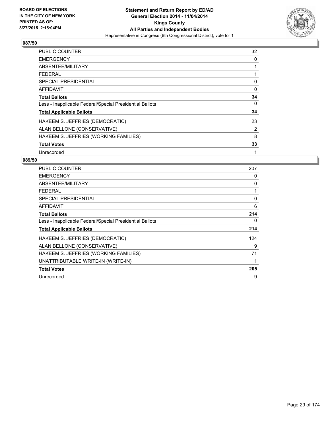

| <b>PUBLIC COUNTER</b>                                    | 32 |
|----------------------------------------------------------|----|
| <b>EMERGENCY</b>                                         | 0  |
| ABSENTEE/MILITARY                                        | 1  |
| <b>FEDERAL</b>                                           | 1  |
| <b>SPECIAL PRESIDENTIAL</b>                              | 0  |
| <b>AFFIDAVIT</b>                                         | 0  |
| <b>Total Ballots</b>                                     | 34 |
| Less - Inapplicable Federal/Special Presidential Ballots | 0  |
| <b>Total Applicable Ballots</b>                          | 34 |
| HAKEEM S. JEFFRIES (DEMOCRATIC)                          | 23 |
| ALAN BELLONE (CONSERVATIVE)                              | 2  |
| HAKEEM S. JEFFRIES (WORKING FAMILIES)                    | 8  |
| <b>Total Votes</b>                                       | 33 |
| Unrecorded                                               | 1  |

| <b>PUBLIC COUNTER</b>                                    | 207 |
|----------------------------------------------------------|-----|
| <b>EMERGENCY</b>                                         | 0   |
| ABSENTEE/MILITARY                                        | 0   |
| <b>FEDERAL</b>                                           |     |
| SPECIAL PRESIDENTIAL                                     | 0   |
| <b>AFFIDAVIT</b>                                         | 6   |
| <b>Total Ballots</b>                                     | 214 |
| Less - Inapplicable Federal/Special Presidential Ballots | 0   |
| <b>Total Applicable Ballots</b>                          | 214 |
| HAKEEM S. JEFFRIES (DEMOCRATIC)                          | 124 |
| ALAN BELLONE (CONSERVATIVE)                              | 9   |
| HAKEEM S. JEFFRIES (WORKING FAMILIES)                    | 71  |
| UNATTRIBUTABLE WRITE-IN (WRITE-IN)                       | 1   |
| <b>Total Votes</b>                                       | 205 |
| Unrecorded                                               | 9   |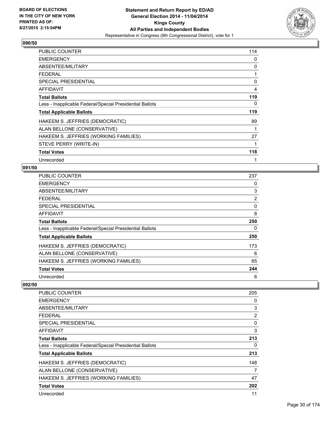

| <b>PUBLIC COUNTER</b>                                    | 114 |
|----------------------------------------------------------|-----|
| <b>EMERGENCY</b>                                         | 0   |
| ABSENTEE/MILITARY                                        | 0   |
| <b>FEDERAL</b>                                           | 1   |
| <b>SPECIAL PRESIDENTIAL</b>                              | 0   |
| <b>AFFIDAVIT</b>                                         | 4   |
| <b>Total Ballots</b>                                     | 119 |
| Less - Inapplicable Federal/Special Presidential Ballots | 0   |
| <b>Total Applicable Ballots</b>                          | 119 |
| HAKEEM S. JEFFRIES (DEMOCRATIC)                          | 89  |
| ALAN BELLONE (CONSERVATIVE)                              | 1   |
| HAKEEM S. JEFFRIES (WORKING FAMILIES)                    | 27  |
| STEVE PERRY (WRITE-IN)                                   | 1   |
| <b>Total Votes</b>                                       | 118 |
| Unrecorded                                               |     |

#### **091/50**

| <b>PUBLIC COUNTER</b>                                    | 237 |
|----------------------------------------------------------|-----|
| <b>EMERGENCY</b>                                         | 0   |
| ABSENTEE/MILITARY                                        | 3   |
| <b>FEDERAL</b>                                           | 2   |
| SPECIAL PRESIDENTIAL                                     | 0   |
| <b>AFFIDAVIT</b>                                         | 8   |
| <b>Total Ballots</b>                                     | 250 |
| Less - Inapplicable Federal/Special Presidential Ballots | 0   |
| <b>Total Applicable Ballots</b>                          | 250 |
| HAKEEM S. JEFFRIES (DEMOCRATIC)                          | 173 |
| ALAN BELLONE (CONSERVATIVE)                              | 6   |
| HAKEEM S. JEFFRIES (WORKING FAMILIES)                    | 65  |
| <b>Total Votes</b>                                       | 244 |
| Unrecorded                                               | 6   |

| <b>PUBLIC COUNTER</b>                                    | 205      |
|----------------------------------------------------------|----------|
| <b>EMERGENCY</b>                                         | 0        |
| ABSENTEE/MILITARY                                        | 3        |
| <b>FEDERAL</b>                                           | 2        |
| SPECIAL PRESIDENTIAL                                     | $\Omega$ |
| AFFIDAVIT                                                | 3        |
| <b>Total Ballots</b>                                     | 213      |
| Less - Inapplicable Federal/Special Presidential Ballots | 0        |
| <b>Total Applicable Ballots</b>                          | 213      |
| HAKEEM S. JEFFRIES (DEMOCRATIC)                          | 148      |
| ALAN BELLONE (CONSERVATIVE)                              | 7        |
| HAKEEM S. JEFFRIES (WORKING FAMILIES)                    | 47       |
| <b>Total Votes</b>                                       | 202      |
| Unrecorded                                               | 11       |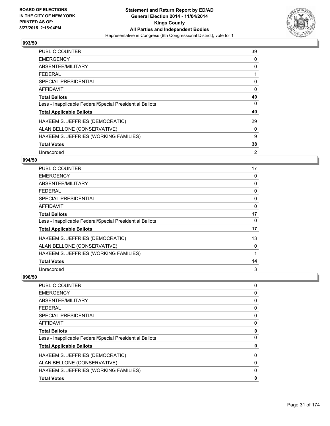

| <b>PUBLIC COUNTER</b>                                    | 39 |
|----------------------------------------------------------|----|
| <b>EMERGENCY</b>                                         | 0  |
| ABSENTEE/MILITARY                                        | 0  |
| <b>FEDERAL</b>                                           |    |
| <b>SPECIAL PRESIDENTIAL</b>                              | 0  |
| AFFIDAVIT                                                | 0  |
| <b>Total Ballots</b>                                     | 40 |
| Less - Inapplicable Federal/Special Presidential Ballots | 0  |
| <b>Total Applicable Ballots</b>                          | 40 |
| HAKEEM S. JEFFRIES (DEMOCRATIC)                          | 29 |
| ALAN BELLONE (CONSERVATIVE)                              | 0  |
| HAKEEM S. JEFFRIES (WORKING FAMILIES)                    | 9  |
| <b>Total Votes</b>                                       | 38 |
| Unrecorded                                               | 2  |

## **094/50**

| PUBLIC COUNTER                                           | 17 |
|----------------------------------------------------------|----|
| <b>EMERGENCY</b>                                         | 0  |
| ABSENTEE/MILITARY                                        | 0  |
| <b>FEDERAL</b>                                           | 0  |
| <b>SPECIAL PRESIDENTIAL</b>                              | 0  |
| <b>AFFIDAVIT</b>                                         | 0  |
| <b>Total Ballots</b>                                     | 17 |
| Less - Inapplicable Federal/Special Presidential Ballots | 0  |
| <b>Total Applicable Ballots</b>                          | 17 |
| HAKEEM S. JEFFRIES (DEMOCRATIC)                          | 13 |
| ALAN BELLONE (CONSERVATIVE)                              | 0  |
| HAKEEM S. JEFFRIES (WORKING FAMILIES)                    |    |
| <b>Total Votes</b>                                       | 14 |
| Unrecorded                                               | 3  |

| <b>PUBLIC COUNTER</b>                                    | 0 |
|----------------------------------------------------------|---|
| <b>EMERGENCY</b>                                         | 0 |
| ABSENTEE/MILITARY                                        | 0 |
| <b>FEDERAL</b>                                           | 0 |
| <b>SPECIAL PRESIDENTIAL</b>                              | 0 |
| <b>AFFIDAVIT</b>                                         | 0 |
| <b>Total Ballots</b>                                     | 0 |
| Less - Inapplicable Federal/Special Presidential Ballots | 0 |
| <b>Total Applicable Ballots</b>                          | 0 |
| HAKEEM S. JEFFRIES (DEMOCRATIC)                          | 0 |
| ALAN BELLONE (CONSERVATIVE)                              | 0 |
| HAKEEM S. JEFFRIES (WORKING FAMILIES)                    | 0 |
| <b>Total Votes</b>                                       | 0 |
|                                                          |   |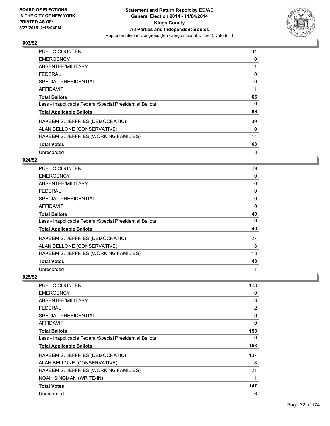

| <b>PUBLIC COUNTER</b>                                    | 64 |
|----------------------------------------------------------|----|
| <b>EMERGENCY</b>                                         | 0  |
| ABSENTEE/MILITARY                                        | 1  |
| <b>FEDERAL</b>                                           | 0  |
| <b>SPECIAL PRESIDENTIAL</b>                              | 0  |
| <b>AFFIDAVIT</b>                                         | 1  |
| <b>Total Ballots</b>                                     | 66 |
| Less - Inapplicable Federal/Special Presidential Ballots | 0  |
| <b>Total Applicable Ballots</b>                          | 66 |
| HAKEEM S. JEFFRIES (DEMOCRATIC)                          | 39 |
| ALAN BELLONE (CONSERVATIVE)                              | 10 |
| HAKEEM S. JEFFRIES (WORKING FAMILIES)                    | 14 |
| <b>Total Votes</b>                                       | 63 |
| Unrecorded                                               | 3  |

## **024/52**

| <b>PUBLIC COUNTER</b>                                    | 49       |
|----------------------------------------------------------|----------|
| <b>EMERGENCY</b>                                         | 0        |
| ABSENTEE/MILITARY                                        | 0        |
| <b>FEDERAL</b>                                           | 0        |
| <b>SPECIAL PRESIDENTIAL</b>                              | 0        |
| <b>AFFIDAVIT</b>                                         | $\Omega$ |
| <b>Total Ballots</b>                                     | 49       |
| Less - Inapplicable Federal/Special Presidential Ballots | 0        |
| <b>Total Applicable Ballots</b>                          | 49       |
| HAKEEM S. JEFFRIES (DEMOCRATIC)                          | 27       |
| ALAN BELLONE (CONSERVATIVE)                              | 8        |
| HAKEEM S. JEFFRIES (WORKING FAMILIES)                    | 13       |
| <b>Total Votes</b>                                       | 48       |
| Unrecorded                                               | 1        |

| PUBLIC COUNTER                                           | 148 |
|----------------------------------------------------------|-----|
| <b>EMERGENCY</b>                                         | 0   |
| ABSENTEE/MILITARY                                        | 3   |
| <b>FEDERAL</b>                                           | 2   |
| <b>SPECIAL PRESIDENTIAL</b>                              | 0   |
| AFFIDAVIT                                                | 0   |
| <b>Total Ballots</b>                                     | 153 |
| Less - Inapplicable Federal/Special Presidential Ballots | 0   |
| <b>Total Applicable Ballots</b>                          | 153 |
| HAKEEM S. JEFFRIES (DEMOCRATIC)                          | 107 |
| ALAN BELLONE (CONSERVATIVE)                              | 18  |
| HAKEEM S. JEFFRIES (WORKING FAMILIES)                    | 21  |
| <b>NOAH SINGMAN (WRITE-IN)</b>                           | 1   |
| <b>Total Votes</b>                                       | 147 |
| Unrecorded                                               | 6   |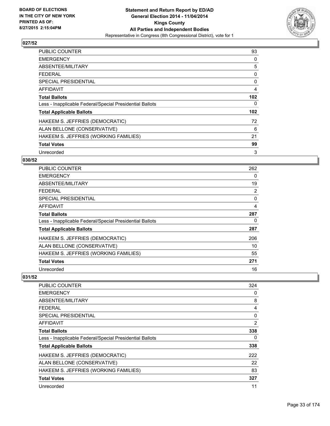

| <b>PUBLIC COUNTER</b>                                    | 93               |
|----------------------------------------------------------|------------------|
| <b>EMERGENCY</b>                                         | 0                |
| ABSENTEE/MILITARY                                        | 5                |
| <b>FEDERAL</b>                                           | 0                |
| <b>SPECIAL PRESIDENTIAL</b>                              | 0                |
| <b>AFFIDAVIT</b>                                         | $\overline{4}$   |
| <b>Total Ballots</b>                                     | 102              |
| Less - Inapplicable Federal/Special Presidential Ballots | 0                |
| <b>Total Applicable Ballots</b>                          | 102 <sub>2</sub> |
| HAKEEM S. JEFFRIES (DEMOCRATIC)                          | 72               |
| ALAN BELLONE (CONSERVATIVE)                              | 6                |
| HAKEEM S. JEFFRIES (WORKING FAMILIES)                    | 21               |
| <b>Total Votes</b>                                       | 99               |
| Unrecorded                                               | 3                |

## **030/52**

| <b>PUBLIC COUNTER</b>                                    | 262            |
|----------------------------------------------------------|----------------|
| <b>EMERGENCY</b>                                         | 0              |
| ABSENTEE/MILITARY                                        | 19             |
| <b>FEDERAL</b>                                           | $\overline{2}$ |
| <b>SPECIAL PRESIDENTIAL</b>                              | $\Omega$       |
| <b>AFFIDAVIT</b>                                         | 4              |
| <b>Total Ballots</b>                                     | 287            |
| Less - Inapplicable Federal/Special Presidential Ballots | 0              |
| <b>Total Applicable Ballots</b>                          | 287            |
| HAKEEM S. JEFFRIES (DEMOCRATIC)                          | 206            |
| ALAN BELLONE (CONSERVATIVE)                              | 10             |
| HAKEEM S. JEFFRIES (WORKING FAMILIES)                    | 55             |
| <b>Total Votes</b>                                       | 271            |
| Unrecorded                                               | 16             |

| PUBLIC COUNTER                                           | 324 |
|----------------------------------------------------------|-----|
| <b>EMERGENCY</b>                                         | 0   |
| ABSENTEE/MILITARY                                        | 8   |
| <b>FEDERAL</b>                                           | 4   |
| SPECIAL PRESIDENTIAL                                     | 0   |
| AFFIDAVIT                                                | 2   |
| <b>Total Ballots</b>                                     | 338 |
| Less - Inapplicable Federal/Special Presidential Ballots | 0   |
| <b>Total Applicable Ballots</b>                          | 338 |
| HAKEEM S. JEFFRIES (DEMOCRATIC)                          | 222 |
| ALAN BELLONE (CONSERVATIVE)                              | 22  |
| HAKEEM S. JEFFRIES (WORKING FAMILIES)                    | 83  |
| <b>Total Votes</b>                                       | 327 |
| Unrecorded                                               | 11  |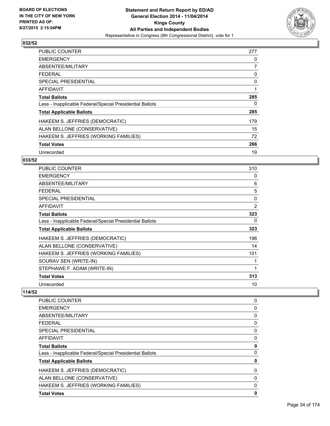

| <b>PUBLIC COUNTER</b>                                    | 277 |
|----------------------------------------------------------|-----|
| <b>EMERGENCY</b>                                         | 0   |
| ABSENTEE/MILITARY                                        | 7   |
| <b>FEDERAL</b>                                           | 0   |
| <b>SPECIAL PRESIDENTIAL</b>                              | 0   |
| <b>AFFIDAVIT</b>                                         | 1   |
| <b>Total Ballots</b>                                     | 285 |
| Less - Inapplicable Federal/Special Presidential Ballots | 0   |
| <b>Total Applicable Ballots</b>                          | 285 |
| HAKEEM S. JEFFRIES (DEMOCRATIC)                          | 179 |
| ALAN BELLONE (CONSERVATIVE)                              | 15  |
| HAKEEM S. JEFFRIES (WORKING FAMILIES)                    | 72  |
| <b>Total Votes</b>                                       | 266 |
| Unrecorded                                               | 19  |

## **033/52**

| PUBLIC COUNTER                                           | 310 |
|----------------------------------------------------------|-----|
| <b>EMERGENCY</b>                                         | 0   |
| ABSENTEE/MILITARY                                        | 6   |
| <b>FEDERAL</b>                                           | 5   |
| <b>SPECIAL PRESIDENTIAL</b>                              | 0   |
| <b>AFFIDAVIT</b>                                         | 2   |
| <b>Total Ballots</b>                                     | 323 |
| Less - Inapplicable Federal/Special Presidential Ballots | 0   |
| <b>Total Applicable Ballots</b>                          | 323 |
| HAKEEM S. JEFFRIES (DEMOCRATIC)                          | 196 |
| ALAN BELLONE (CONSERVATIVE)                              | 14  |
| HAKEEM S. JEFFRIES (WORKING FAMILIES)                    | 101 |
| SOURAV SEN (WRITE-IN)                                    | 1   |
| STEPHAWE F. ADAM (WRITE-IN)                              | 1   |
| <b>Total Votes</b>                                       | 313 |
| Unrecorded                                               | 10  |

| <b>PUBLIC COUNTER</b>                                    | 0 |
|----------------------------------------------------------|---|
| <b>EMERGENCY</b>                                         | 0 |
| ABSENTEE/MILITARY                                        | 0 |
| <b>FEDERAL</b>                                           | 0 |
| SPECIAL PRESIDENTIAL                                     | 0 |
| AFFIDAVIT                                                | 0 |
| <b>Total Ballots</b>                                     | 0 |
| Less - Inapplicable Federal/Special Presidential Ballots | 0 |
| <b>Total Applicable Ballots</b>                          | 0 |
| HAKEEM S. JEFFRIES (DEMOCRATIC)                          | 0 |
| ALAN BELLONE (CONSERVATIVE)                              | 0 |
| HAKEEM S. JEFFRIES (WORKING FAMILIES)                    | 0 |
| <b>Total Votes</b>                                       | 0 |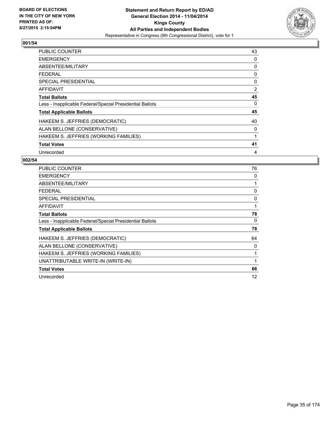

| <b>PUBLIC COUNTER</b>                                    | 43 |
|----------------------------------------------------------|----|
| <b>EMERGENCY</b>                                         | 0  |
| ABSENTEE/MILITARY                                        | 0  |
| <b>FEDERAL</b>                                           | 0  |
| <b>SPECIAL PRESIDENTIAL</b>                              | 0  |
| <b>AFFIDAVIT</b>                                         | 2  |
| <b>Total Ballots</b>                                     | 45 |
| Less - Inapplicable Federal/Special Presidential Ballots | 0  |
| <b>Total Applicable Ballots</b>                          | 45 |
| HAKEEM S. JEFFRIES (DEMOCRATIC)                          | 40 |
| ALAN BELLONE (CONSERVATIVE)                              | 0  |
| HAKEEM S. JEFFRIES (WORKING FAMILIES)                    | 1  |
| <b>Total Votes</b>                                       | 41 |
| Unrecorded                                               | 4  |

| <b>PUBLIC COUNTER</b>                                    | 76           |
|----------------------------------------------------------|--------------|
| <b>EMERGENCY</b>                                         | 0            |
| ABSENTEE/MILITARY                                        | 1            |
| <b>FEDERAL</b>                                           | 0            |
| <b>SPECIAL PRESIDENTIAL</b>                              | 0            |
| <b>AFFIDAVIT</b>                                         | $\mathbf{1}$ |
| <b>Total Ballots</b>                                     | 78           |
| Less - Inapplicable Federal/Special Presidential Ballots | 0            |
| <b>Total Applicable Ballots</b>                          | 78           |
| HAKEEM S. JEFFRIES (DEMOCRATIC)                          | 64           |
| ALAN BELLONE (CONSERVATIVE)                              | 0            |
| HAKEEM S. JEFFRIES (WORKING FAMILIES)                    | 1            |
| UNATTRIBUTABLE WRITE-IN (WRITE-IN)                       | 1            |
| <b>Total Votes</b>                                       | 66           |
| Unrecorded                                               | 12           |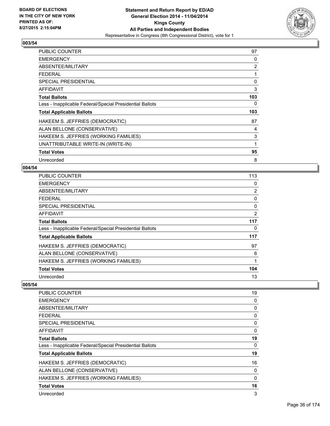

| <b>PUBLIC COUNTER</b>                                    | 97  |
|----------------------------------------------------------|-----|
| <b>EMERGENCY</b>                                         | 0   |
| ABSENTEE/MILITARY                                        | 2   |
| <b>FEDERAL</b>                                           | 1   |
| <b>SPECIAL PRESIDENTIAL</b>                              | 0   |
| AFFIDAVIT                                                | 3   |
| <b>Total Ballots</b>                                     | 103 |
| Less - Inapplicable Federal/Special Presidential Ballots | 0   |
| <b>Total Applicable Ballots</b>                          | 103 |
| HAKEEM S. JEFFRIES (DEMOCRATIC)                          | 87  |
| ALAN BELLONE (CONSERVATIVE)                              | 4   |
| HAKEEM S. JEFFRIES (WORKING FAMILIES)                    | 3   |
| UNATTRIBUTABLE WRITE-IN (WRITE-IN)                       | 1   |
| <b>Total Votes</b>                                       | 95  |
| Unrecorded                                               | 8   |

# **004/54**

| <b>PUBLIC COUNTER</b>                                    | 113            |
|----------------------------------------------------------|----------------|
| <b>EMERGENCY</b>                                         | 0              |
| ABSENTEE/MILITARY                                        | $\overline{2}$ |
| <b>FEDERAL</b>                                           | 0              |
| <b>SPECIAL PRESIDENTIAL</b>                              | 0              |
| <b>AFFIDAVIT</b>                                         | 2              |
| <b>Total Ballots</b>                                     | 117            |
| Less - Inapplicable Federal/Special Presidential Ballots | 0              |
| <b>Total Applicable Ballots</b>                          | 117            |
| HAKEEM S. JEFFRIES (DEMOCRATIC)                          | 97             |
| ALAN BELLONE (CONSERVATIVE)                              | 6              |
| HAKEEM S. JEFFRIES (WORKING FAMILIES)                    | 1              |
| <b>Total Votes</b>                                       | 104            |
| Unrecorded                                               | 13             |

| <b>PUBLIC COUNTER</b>                                    | 19           |
|----------------------------------------------------------|--------------|
| <b>EMERGENCY</b>                                         | 0            |
| ABSENTEE/MILITARY                                        | 0            |
| FEDERAL                                                  | 0            |
| <b>SPECIAL PRESIDENTIAL</b>                              | 0            |
| AFFIDAVIT                                                | $\mathbf{0}$ |
| <b>Total Ballots</b>                                     | 19           |
| Less - Inapplicable Federal/Special Presidential Ballots | 0            |
| <b>Total Applicable Ballots</b>                          | 19           |
| HAKEEM S. JEFFRIES (DEMOCRATIC)                          | 16           |
| ALAN BELLONE (CONSERVATIVE)                              | 0            |
| HAKEEM S. JEFFRIES (WORKING FAMILIES)                    | 0            |
| <b>Total Votes</b>                                       | 16           |
| Unrecorded                                               | 3            |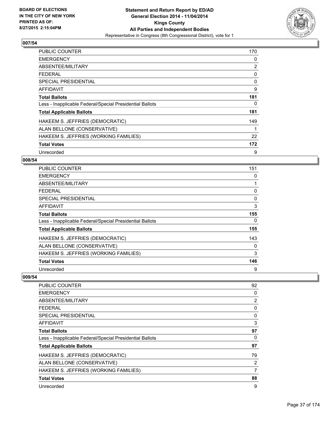

| <b>PUBLIC COUNTER</b>                                    | 170 |
|----------------------------------------------------------|-----|
| <b>EMERGENCY</b>                                         | 0   |
| ABSENTEE/MILITARY                                        | 2   |
| <b>FEDERAL</b>                                           | 0   |
| <b>SPECIAL PRESIDENTIAL</b>                              | 0   |
| AFFIDAVIT                                                | 9   |
| <b>Total Ballots</b>                                     | 181 |
| Less - Inapplicable Federal/Special Presidential Ballots | 0   |
| <b>Total Applicable Ballots</b>                          | 181 |
| HAKEEM S. JEFFRIES (DEMOCRATIC)                          | 149 |
| ALAN BELLONE (CONSERVATIVE)                              | 1   |
| HAKEEM S. JEFFRIES (WORKING FAMILIES)                    | 22  |
| <b>Total Votes</b>                                       | 172 |
| Unrecorded                                               | 9   |

## **008/54**

| <b>PUBLIC COUNTER</b>                                    | 151 |
|----------------------------------------------------------|-----|
| <b>EMERGENCY</b>                                         | 0   |
| ABSENTEE/MILITARY                                        |     |
| <b>FEDERAL</b>                                           | 0   |
| SPECIAL PRESIDENTIAL                                     | 0   |
| <b>AFFIDAVIT</b>                                         | 3   |
| <b>Total Ballots</b>                                     | 155 |
| Less - Inapplicable Federal/Special Presidential Ballots | 0   |
| <b>Total Applicable Ballots</b>                          | 155 |
| HAKEEM S. JEFFRIES (DEMOCRATIC)                          | 143 |
| ALAN BELLONE (CONSERVATIVE)                              | 0   |
| HAKEEM S. JEFFRIES (WORKING FAMILIES)                    | 3   |
| <b>Total Votes</b>                                       | 146 |
| Unrecorded                                               | 9   |

| <b>PUBLIC COUNTER</b>                                    | 92 |
|----------------------------------------------------------|----|
| <b>EMERGENCY</b>                                         | 0  |
| ABSENTEE/MILITARY                                        | 2  |
| <b>FEDERAL</b>                                           | 0  |
| <b>SPECIAL PRESIDENTIAL</b>                              | 0  |
| AFFIDAVIT                                                | 3  |
| <b>Total Ballots</b>                                     | 97 |
| Less - Inapplicable Federal/Special Presidential Ballots | 0  |
| <b>Total Applicable Ballots</b>                          | 97 |
| HAKEEM S. JEFFRIES (DEMOCRATIC)                          | 79 |
| ALAN BELLONE (CONSERVATIVE)                              | 2  |
| HAKEEM S. JEFFRIES (WORKING FAMILIES)                    | 7  |
| <b>Total Votes</b>                                       | 88 |
| Unrecorded                                               | 9  |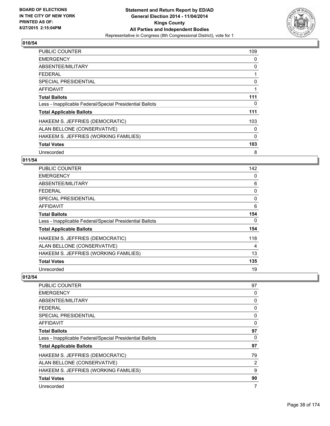

| <b>PUBLIC COUNTER</b>                                    | 109      |
|----------------------------------------------------------|----------|
| <b>EMERGENCY</b>                                         | 0        |
| ABSENTEE/MILITARY                                        | 0        |
| <b>FEDERAL</b>                                           |          |
| <b>SPECIAL PRESIDENTIAL</b>                              | 0        |
| <b>AFFIDAVIT</b>                                         | 1        |
| <b>Total Ballots</b>                                     | 111      |
| Less - Inapplicable Federal/Special Presidential Ballots | 0        |
| <b>Total Applicable Ballots</b>                          | 111      |
| HAKEEM S. JEFFRIES (DEMOCRATIC)                          | 103      |
| ALAN BELLONE (CONSERVATIVE)                              | 0        |
| HAKEEM S. JEFFRIES (WORKING FAMILIES)                    | $\Omega$ |
| <b>Total Votes</b>                                       | 103      |
| Unrecorded                                               | 8        |

## **011/54**

| PUBLIC COUNTER                                           | 142      |
|----------------------------------------------------------|----------|
| <b>EMERGENCY</b>                                         | 0        |
| ABSENTEE/MILITARY                                        | 6        |
| <b>FEDERAL</b>                                           | 0        |
| <b>SPECIAL PRESIDENTIAL</b>                              | 0        |
| AFFIDAVIT                                                | 6        |
| <b>Total Ballots</b>                                     | 154      |
| Less - Inapplicable Federal/Special Presidential Ballots | $\Omega$ |
| <b>Total Applicable Ballots</b>                          | 154      |
| HAKEEM S. JEFFRIES (DEMOCRATIC)                          | 118      |
| ALAN BELLONE (CONSERVATIVE)                              | 4        |
| HAKEEM S. JEFFRIES (WORKING FAMILIES)                    | 13       |
| <b>Total Votes</b>                                       | 135      |
| Unrecorded                                               | 19       |

| <b>PUBLIC COUNTER</b>                                    | 97 |
|----------------------------------------------------------|----|
| <b>EMERGENCY</b>                                         | 0  |
| ABSENTEE/MILITARY                                        | 0  |
| <b>FEDERAL</b>                                           | 0  |
| <b>SPECIAL PRESIDENTIAL</b>                              | 0  |
| AFFIDAVIT                                                | 0  |
| <b>Total Ballots</b>                                     | 97 |
| Less - Inapplicable Federal/Special Presidential Ballots | 0  |
| <b>Total Applicable Ballots</b>                          | 97 |
| HAKEEM S. JEFFRIES (DEMOCRATIC)                          | 79 |
| ALAN BELLONE (CONSERVATIVE)                              | 2  |
| HAKEEM S. JEFFRIES (WORKING FAMILIES)                    | 9  |
| <b>Total Votes</b>                                       | 90 |
| Unrecorded                                               | 7  |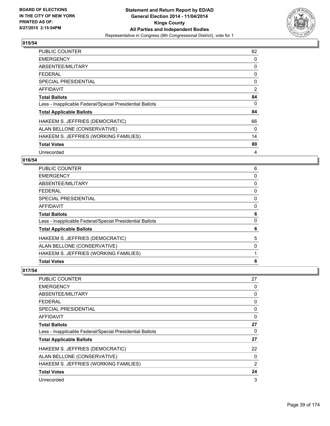

| <b>PUBLIC COUNTER</b>                                    | 82       |
|----------------------------------------------------------|----------|
| <b>EMERGENCY</b>                                         | 0        |
| ABSENTEE/MILITARY                                        | 0        |
| <b>FEDERAL</b>                                           | 0        |
| <b>SPECIAL PRESIDENTIAL</b>                              | 0        |
| <b>AFFIDAVIT</b>                                         | 2        |
| <b>Total Ballots</b>                                     | 84       |
| Less - Inapplicable Federal/Special Presidential Ballots | 0        |
| <b>Total Applicable Ballots</b>                          | 84       |
| HAKEEM S. JEFFRIES (DEMOCRATIC)                          | 66       |
| ALAN BELLONE (CONSERVATIVE)                              | $\Omega$ |
| HAKEEM S. JEFFRIES (WORKING FAMILIES)                    | 14       |
| <b>Total Votes</b>                                       | 80       |
| Unrecorded                                               | 4        |

# **016/54**

| <b>Total Votes</b>                                       | 6 |
|----------------------------------------------------------|---|
| HAKEEM S. JEFFRIES (WORKING FAMILIES)                    |   |
| ALAN BELLONE (CONSERVATIVE)                              | 0 |
| HAKEEM S. JEFFRIES (DEMOCRATIC)                          | 5 |
| <b>Total Applicable Ballots</b>                          | 6 |
| Less - Inapplicable Federal/Special Presidential Ballots | 0 |
| <b>Total Ballots</b>                                     | 6 |
| <b>AFFIDAVIT</b>                                         | 0 |
| <b>SPECIAL PRESIDENTIAL</b>                              | 0 |
| FEDERAL                                                  | 0 |
| <b>ABSENTEE/MILITARY</b>                                 | 0 |
| <b>EMERGENCY</b>                                         | 0 |
| PUBLIC COUNTER                                           | 6 |

| <b>PUBLIC COUNTER</b>                                    | 27 |
|----------------------------------------------------------|----|
| <b>EMERGENCY</b>                                         | 0  |
| ABSENTEE/MILITARY                                        | 0  |
| <b>FEDERAL</b>                                           | 0  |
| <b>SPECIAL PRESIDENTIAL</b>                              | 0  |
| AFFIDAVIT                                                | 0  |
| <b>Total Ballots</b>                                     | 27 |
| Less - Inapplicable Federal/Special Presidential Ballots | 0  |
| <b>Total Applicable Ballots</b>                          | 27 |
| HAKEEM S. JEFFRIES (DEMOCRATIC)                          | 22 |
| ALAN BELLONE (CONSERVATIVE)                              | 0  |
| HAKEEM S. JEFFRIES (WORKING FAMILIES)                    | 2  |
| <b>Total Votes</b>                                       | 24 |
| Unrecorded                                               | 3  |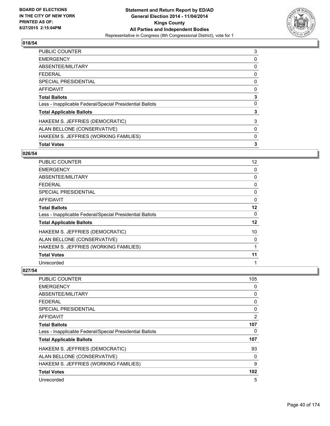

| 3 |
|---|
| 0 |
| 0 |
| 0 |
| 0 |
| 0 |
| 3 |
| 0 |
| 3 |
| 3 |
| 0 |
| 0 |
| 3 |
|   |

### **026/54**

| <b>PUBLIC COUNTER</b>                                    | 12 |
|----------------------------------------------------------|----|
| <b>EMERGENCY</b>                                         | 0  |
| ABSENTEE/MILITARY                                        | 0  |
| FEDERAL                                                  | 0  |
| <b>SPECIAL PRESIDENTIAL</b>                              | 0  |
| <b>AFFIDAVIT</b>                                         | 0  |
| <b>Total Ballots</b>                                     | 12 |
| Less - Inapplicable Federal/Special Presidential Ballots | 0  |
| <b>Total Applicable Ballots</b>                          | 12 |
| HAKEEM S. JEFFRIES (DEMOCRATIC)                          | 10 |
| ALAN BELLONE (CONSERVATIVE)                              | 0  |
| HAKEEM S. JEFFRIES (WORKING FAMILIES)                    | 1  |
| <b>Total Votes</b>                                       | 11 |
| Unrecorded                                               | 1  |

| <b>PUBLIC COUNTER</b>                                    | 105      |
|----------------------------------------------------------|----------|
| <b>EMERGENCY</b>                                         | 0        |
| ABSENTEE/MILITARY                                        | 0        |
| <b>FEDERAL</b>                                           | 0        |
| <b>SPECIAL PRESIDENTIAL</b>                              | $\Omega$ |
| AFFIDAVIT                                                | 2        |
| <b>Total Ballots</b>                                     | 107      |
| Less - Inapplicable Federal/Special Presidential Ballots | 0        |
| <b>Total Applicable Ballots</b>                          | 107      |
| HAKEEM S. JEFFRIES (DEMOCRATIC)                          | 93       |
| ALAN BELLONE (CONSERVATIVE)                              | 0        |
| HAKEEM S. JEFFRIES (WORKING FAMILIES)                    | 9        |
| <b>Total Votes</b>                                       | 102      |
| Unrecorded                                               | 5        |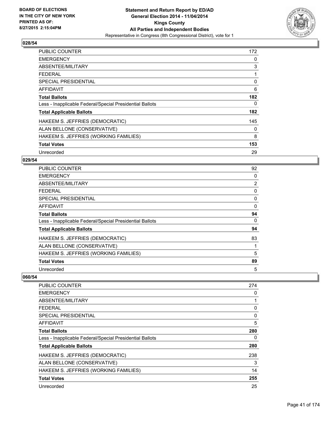

| <b>PUBLIC COUNTER</b>                                    | 172 |
|----------------------------------------------------------|-----|
| <b>EMERGENCY</b>                                         | 0   |
| ABSENTEE/MILITARY                                        | 3   |
| <b>FEDERAL</b>                                           |     |
| <b>SPECIAL PRESIDENTIAL</b>                              | 0   |
| <b>AFFIDAVIT</b>                                         | 6   |
| <b>Total Ballots</b>                                     | 182 |
| Less - Inapplicable Federal/Special Presidential Ballots | 0   |
| <b>Total Applicable Ballots</b>                          | 182 |
| HAKEEM S. JEFFRIES (DEMOCRATIC)                          | 145 |
| ALAN BELLONE (CONSERVATIVE)                              | 0   |
| HAKEEM S. JEFFRIES (WORKING FAMILIES)                    | 8   |
| <b>Total Votes</b>                                       | 153 |
| Unrecorded                                               | 29  |

## **029/54**

| PUBLIC COUNTER                                           | 92             |
|----------------------------------------------------------|----------------|
| <b>EMERGENCY</b>                                         | 0              |
| ABSENTEE/MILITARY                                        | $\overline{2}$ |
| <b>FEDERAL</b>                                           | 0              |
| <b>SPECIAL PRESIDENTIAL</b>                              | 0              |
| <b>AFFIDAVIT</b>                                         | 0              |
| <b>Total Ballots</b>                                     | 94             |
| Less - Inapplicable Federal/Special Presidential Ballots | 0              |
| <b>Total Applicable Ballots</b>                          | 94             |
| HAKEEM S. JEFFRIES (DEMOCRATIC)                          | 83             |
| ALAN BELLONE (CONSERVATIVE)                              |                |
| HAKEEM S. JEFFRIES (WORKING FAMILIES)                    | 5              |
| <b>Total Votes</b>                                       | 89             |
| Unrecorded                                               | 5              |

| <b>PUBLIC COUNTER</b>                                    | 274 |
|----------------------------------------------------------|-----|
| <b>EMERGENCY</b>                                         | 0   |
| ABSENTEE/MILITARY                                        |     |
| <b>FEDERAL</b>                                           | 0   |
| <b>SPECIAL PRESIDENTIAL</b>                              | 0   |
| AFFIDAVIT                                                | 5   |
| <b>Total Ballots</b>                                     | 280 |
| Less - Inapplicable Federal/Special Presidential Ballots | 0   |
| <b>Total Applicable Ballots</b>                          | 280 |
| HAKEEM S. JEFFRIES (DEMOCRATIC)                          | 238 |
| ALAN BELLONE (CONSERVATIVE)                              | 3   |
| HAKEEM S. JEFFRIES (WORKING FAMILIES)                    | 14  |
| <b>Total Votes</b>                                       | 255 |
| Unrecorded                                               | 25  |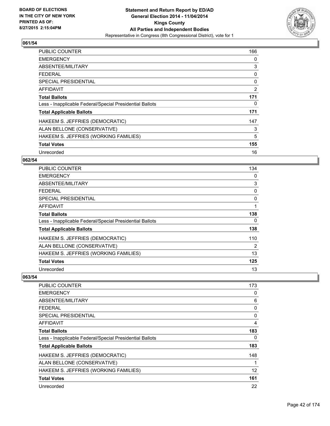

| <b>PUBLIC COUNTER</b>                                    | 166 |
|----------------------------------------------------------|-----|
| <b>EMERGENCY</b>                                         | 0   |
| ABSENTEE/MILITARY                                        | 3   |
| <b>FEDERAL</b>                                           | 0   |
| <b>SPECIAL PRESIDENTIAL</b>                              | 0   |
| AFFIDAVIT                                                | 2   |
| <b>Total Ballots</b>                                     | 171 |
| Less - Inapplicable Federal/Special Presidential Ballots | 0   |
| <b>Total Applicable Ballots</b>                          | 171 |
| HAKEEM S. JEFFRIES (DEMOCRATIC)                          | 147 |
| ALAN BELLONE (CONSERVATIVE)                              | 3   |
| HAKEEM S. JEFFRIES (WORKING FAMILIES)                    | 5   |
| <b>Total Votes</b>                                       | 155 |
| Unrecorded                                               | 16  |

# **062/54**

| <b>PUBLIC COUNTER</b>                                    | 134 |
|----------------------------------------------------------|-----|
| <b>EMERGENCY</b>                                         | 0   |
| ABSENTEE/MILITARY                                        | 3   |
| <b>FEDERAL</b>                                           | 0   |
| <b>SPECIAL PRESIDENTIAL</b>                              | 0   |
| AFFIDAVIT                                                | 1   |
| <b>Total Ballots</b>                                     | 138 |
| Less - Inapplicable Federal/Special Presidential Ballots | 0   |
| <b>Total Applicable Ballots</b>                          | 138 |
| HAKEEM S. JEFFRIES (DEMOCRATIC)                          | 110 |
| ALAN BELLONE (CONSERVATIVE)                              | 2   |
| HAKEEM S. JEFFRIES (WORKING FAMILIES)                    | 13  |
| <b>Total Votes</b>                                       | 125 |
| Unrecorded                                               | 13  |

| <b>PUBLIC COUNTER</b>                                    | 173 |
|----------------------------------------------------------|-----|
| <b>EMERGENCY</b>                                         | 0   |
| ABSENTEE/MILITARY                                        | 6   |
| FEDERAL                                                  | 0   |
| SPECIAL PRESIDENTIAL                                     | 0   |
| AFFIDAVIT                                                | 4   |
| <b>Total Ballots</b>                                     | 183 |
| Less - Inapplicable Federal/Special Presidential Ballots | 0   |
| <b>Total Applicable Ballots</b>                          | 183 |
| HAKEEM S. JEFFRIES (DEMOCRATIC)                          | 148 |
| ALAN BELLONE (CONSERVATIVE)                              | 1   |
| HAKEEM S. JEFFRIES (WORKING FAMILIES)                    | 12  |
| <b>Total Votes</b>                                       | 161 |
| Unrecorded                                               | 22  |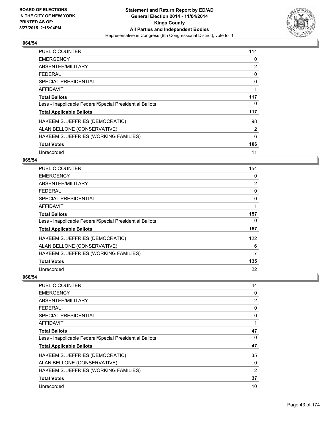

| <b>PUBLIC COUNTER</b>                                    | 114 |
|----------------------------------------------------------|-----|
| <b>EMERGENCY</b>                                         | 0   |
| ABSENTEE/MILITARY                                        | 2   |
| <b>FEDERAL</b>                                           | 0   |
| <b>SPECIAL PRESIDENTIAL</b>                              | 0   |
| AFFIDAVIT                                                | 1   |
| <b>Total Ballots</b>                                     | 117 |
| Less - Inapplicable Federal/Special Presidential Ballots | 0   |
| <b>Total Applicable Ballots</b>                          | 117 |
| HAKEEM S. JEFFRIES (DEMOCRATIC)                          | 98  |
| ALAN BELLONE (CONSERVATIVE)                              | 2   |
| HAKEEM S. JEFFRIES (WORKING FAMILIES)                    | 6   |
| <b>Total Votes</b>                                       | 106 |
| Unrecorded                                               | 11  |

# **065/54**

| <b>PUBLIC COUNTER</b>                                    | 154 |
|----------------------------------------------------------|-----|
| <b>EMERGENCY</b>                                         | 0   |
| ABSENTEE/MILITARY                                        | 2   |
| <b>FEDERAL</b>                                           | 0   |
| <b>SPECIAL PRESIDENTIAL</b>                              | 0   |
| <b>AFFIDAVIT</b>                                         | 1   |
| <b>Total Ballots</b>                                     | 157 |
| Less - Inapplicable Federal/Special Presidential Ballots | 0   |
| <b>Total Applicable Ballots</b>                          | 157 |
| HAKEEM S. JEFFRIES (DEMOCRATIC)                          | 122 |
| ALAN BELLONE (CONSERVATIVE)                              | 6   |
| HAKEEM S. JEFFRIES (WORKING FAMILIES)                    | 7   |
| <b>Total Votes</b>                                       | 135 |
| Unrecorded                                               | 22  |

| PUBLIC COUNTER                                           | 44 |
|----------------------------------------------------------|----|
| <b>EMERGENCY</b>                                         | 0  |
| ABSENTEE/MILITARY                                        | 2  |
| <b>FEDERAL</b>                                           | 0  |
| <b>SPECIAL PRESIDENTIAL</b>                              | 0  |
| AFFIDAVIT                                                |    |
| <b>Total Ballots</b>                                     | 47 |
| Less - Inapplicable Federal/Special Presidential Ballots | 0  |
| <b>Total Applicable Ballots</b>                          | 47 |
| HAKEEM S. JEFFRIES (DEMOCRATIC)                          | 35 |
| ALAN BELLONE (CONSERVATIVE)                              | 0  |
| HAKEEM S. JEFFRIES (WORKING FAMILIES)                    | 2  |
| <b>Total Votes</b>                                       | 37 |
| Unrecorded                                               | 10 |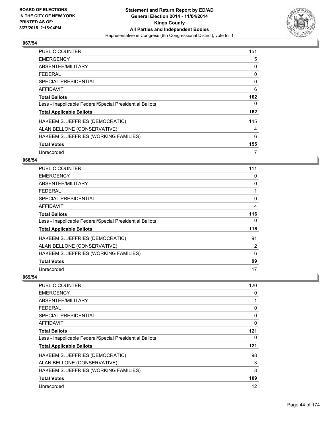

| <b>PUBLIC COUNTER</b>                                    | 151 |
|----------------------------------------------------------|-----|
| <b>EMERGENCY</b>                                         | 5   |
| ABSENTEE/MILITARY                                        | 0   |
| <b>FEDERAL</b>                                           | 0   |
| <b>SPECIAL PRESIDENTIAL</b>                              | 0   |
| <b>AFFIDAVIT</b>                                         | 6   |
| <b>Total Ballots</b>                                     | 162 |
| Less - Inapplicable Federal/Special Presidential Ballots | 0   |
| <b>Total Applicable Ballots</b>                          | 162 |
| HAKEEM S. JEFFRIES (DEMOCRATIC)                          | 145 |
| ALAN BELLONE (CONSERVATIVE)                              | 4   |
| HAKEEM S. JEFFRIES (WORKING FAMILIES)                    | 6   |
| <b>Total Votes</b>                                       | 155 |
| Unrecorded                                               | 7   |

## **068/54**

| PUBLIC COUNTER                                           | 111 |
|----------------------------------------------------------|-----|
| <b>EMERGENCY</b>                                         | 0   |
| ABSENTEE/MILITARY                                        | 0   |
| <b>FEDERAL</b>                                           |     |
| <b>SPECIAL PRESIDENTIAL</b>                              | 0   |
| <b>AFFIDAVIT</b>                                         | 4   |
| Total Ballots                                            | 116 |
| Less - Inapplicable Federal/Special Presidential Ballots | 0   |
| <b>Total Applicable Ballots</b>                          | 116 |
| HAKEEM S. JEFFRIES (DEMOCRATIC)                          | 91  |
| ALAN BELLONE (CONSERVATIVE)                              | 2   |
| HAKEEM S. JEFFRIES (WORKING FAMILIES)                    | 6   |
| <b>Total Votes</b>                                       | 99  |
| Unrecorded                                               | 17  |

| PUBLIC COUNTER                                           | 120 |
|----------------------------------------------------------|-----|
| <b>EMERGENCY</b>                                         | 0   |
| ABSENTEE/MILITARY                                        | 1   |
| <b>FEDERAL</b>                                           | 0   |
| <b>SPECIAL PRESIDENTIAL</b>                              | 0   |
| AFFIDAVIT                                                | 0   |
| <b>Total Ballots</b>                                     | 121 |
| Less - Inapplicable Federal/Special Presidential Ballots | 0   |
| <b>Total Applicable Ballots</b>                          | 121 |
| HAKEEM S. JEFFRIES (DEMOCRATIC)                          | 98  |
| ALAN BELLONE (CONSERVATIVE)                              | 3   |
| HAKEEM S. JEFFRIES (WORKING FAMILIES)                    | 8   |
| <b>Total Votes</b>                                       | 109 |
| Unrecorded                                               | 12  |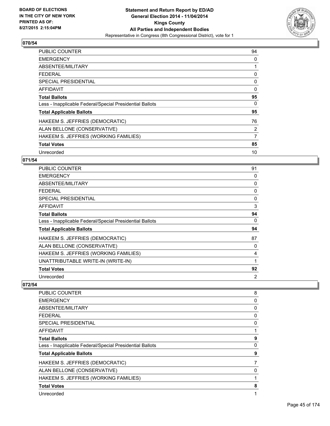

| <b>PUBLIC COUNTER</b>                                    | 94       |
|----------------------------------------------------------|----------|
| <b>EMERGENCY</b>                                         | 0        |
| ABSENTEE/MILITARY                                        | 1        |
| <b>FEDERAL</b>                                           | 0        |
| <b>SPECIAL PRESIDENTIAL</b>                              | 0        |
| AFFIDAVIT                                                | $\Omega$ |
| <b>Total Ballots</b>                                     | 95       |
| Less - Inapplicable Federal/Special Presidential Ballots | 0        |
| <b>Total Applicable Ballots</b>                          | 95       |
| HAKEEM S. JEFFRIES (DEMOCRATIC)                          | 76       |
| ALAN BELLONE (CONSERVATIVE)                              | 2        |
| HAKEEM S. JEFFRIES (WORKING FAMILIES)                    | 7        |
| <b>Total Votes</b>                                       | 85       |
| Unrecorded                                               | 10       |

# **071/54**

| <b>PUBLIC COUNTER</b>                                    | 91       |
|----------------------------------------------------------|----------|
| <b>EMERGENCY</b>                                         | 0        |
| <b>ABSENTEE/MILITARY</b>                                 | 0        |
| <b>FEDERAL</b>                                           | 0        |
| <b>SPECIAL PRESIDENTIAL</b>                              | 0        |
| <b>AFFIDAVIT</b>                                         | 3        |
| <b>Total Ballots</b>                                     | 94       |
| Less - Inapplicable Federal/Special Presidential Ballots | $\Omega$ |
| <b>Total Applicable Ballots</b>                          | 94       |
| HAKEEM S. JEFFRIES (DEMOCRATIC)                          | 87       |
| ALAN BELLONE (CONSERVATIVE)                              | 0        |
| HAKEEM S. JEFFRIES (WORKING FAMILIES)                    | 4        |
| UNATTRIBUTABLE WRITE-IN (WRITE-IN)                       | 1        |
| <b>Total Votes</b>                                       | 92       |
| Unrecorded                                               | 2        |

| PUBLIC COUNTER                                           | 8 |
|----------------------------------------------------------|---|
| <b>EMERGENCY</b>                                         | 0 |
| ABSENTEE/MILITARY                                        | 0 |
| <b>FEDERAL</b>                                           | 0 |
| <b>SPECIAL PRESIDENTIAL</b>                              | 0 |
| AFFIDAVIT                                                |   |
| <b>Total Ballots</b>                                     | 9 |
| Less - Inapplicable Federal/Special Presidential Ballots | 0 |
| <b>Total Applicable Ballots</b>                          | 9 |
| HAKEEM S. JEFFRIES (DEMOCRATIC)                          | 7 |
| ALAN BELLONE (CONSERVATIVE)                              | 0 |
| HAKEEM S. JEFFRIES (WORKING FAMILIES)                    | 1 |
| <b>Total Votes</b>                                       | 8 |
| Unrecorded                                               |   |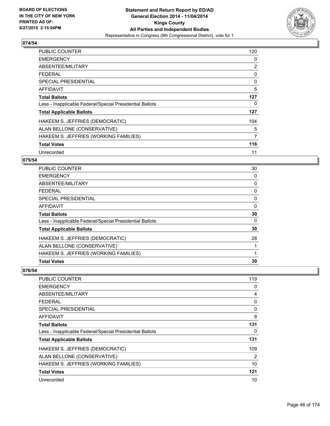

| <b>PUBLIC COUNTER</b>                                    | 120            |
|----------------------------------------------------------|----------------|
| <b>EMERGENCY</b>                                         | 0              |
| ABSENTEE/MILITARY                                        | 2              |
| <b>FEDERAL</b>                                           | 0              |
| <b>SPECIAL PRESIDENTIAL</b>                              | 0              |
| <b>AFFIDAVIT</b>                                         | 5              |
| <b>Total Ballots</b>                                     | 127            |
| Less - Inapplicable Federal/Special Presidential Ballots | 0              |
| <b>Total Applicable Ballots</b>                          | 127            |
| HAKEEM S. JEFFRIES (DEMOCRATIC)                          | 104            |
| ALAN BELLONE (CONSERVATIVE)                              | 5              |
| HAKEEM S. JEFFRIES (WORKING FAMILIES)                    | $\overline{7}$ |
| <b>Total Votes</b>                                       | 116            |
| Unrecorded                                               | 11             |

## **075/54**

| <b>Total Votes</b>                                       | 30 |
|----------------------------------------------------------|----|
| HAKEEM S. JEFFRIES (WORKING FAMILIES)                    | 1  |
| ALAN BELLONE (CONSERVATIVE)                              |    |
| HAKEEM S. JEFFRIES (DEMOCRATIC)                          | 28 |
| <b>Total Applicable Ballots</b>                          | 30 |
| Less - Inapplicable Federal/Special Presidential Ballots | 0  |
| <b>Total Ballots</b>                                     | 30 |
| <b>AFFIDAVIT</b>                                         | 0  |
| <b>SPECIAL PRESIDENTIAL</b>                              | 0  |
| <b>FEDERAL</b>                                           | 0  |
| ABSENTEE/MILITARY                                        | 0  |
| <b>EMERGENCY</b>                                         | 0  |
| PUBLIC COUNTER                                           | 30 |

| PUBLIC COUNTER                                           | 119 |
|----------------------------------------------------------|-----|
| <b>EMERGENCY</b>                                         | 0   |
| ABSENTEE/MILITARY                                        | 4   |
| <b>FEDERAL</b>                                           | 0   |
| <b>SPECIAL PRESIDENTIAL</b>                              | 0   |
| <b>AFFIDAVIT</b>                                         | 8   |
| <b>Total Ballots</b>                                     | 131 |
| Less - Inapplicable Federal/Special Presidential Ballots | 0   |
| <b>Total Applicable Ballots</b>                          | 131 |
| HAKEEM S. JEFFRIES (DEMOCRATIC)                          | 109 |
| ALAN BELLONE (CONSERVATIVE)                              | 2   |
| HAKEEM S. JEFFRIES (WORKING FAMILIES)                    | 10  |
| <b>Total Votes</b>                                       | 121 |
| Unrecorded                                               | 10  |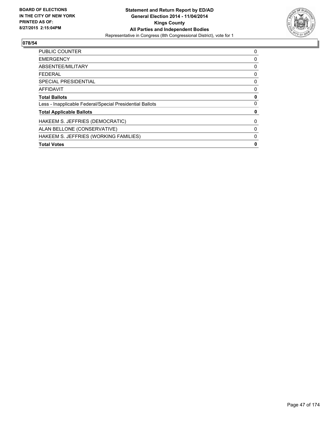

| <b>PUBLIC COUNTER</b>                                    | 0 |
|----------------------------------------------------------|---|
| <b>EMERGENCY</b>                                         | 0 |
| ABSENTEE/MILITARY                                        | 0 |
| <b>FEDERAL</b>                                           | 0 |
| <b>SPECIAL PRESIDENTIAL</b>                              | 0 |
| AFFIDAVIT                                                | 0 |
| <b>Total Ballots</b>                                     | 0 |
| Less - Inapplicable Federal/Special Presidential Ballots | 0 |
| <b>Total Applicable Ballots</b>                          | 0 |
| HAKEEM S. JEFFRIES (DEMOCRATIC)                          | 0 |
| ALAN BELLONE (CONSERVATIVE)                              | 0 |
| HAKEEM S. JEFFRIES (WORKING FAMILIES)                    | 0 |
| <b>Total Votes</b>                                       | 0 |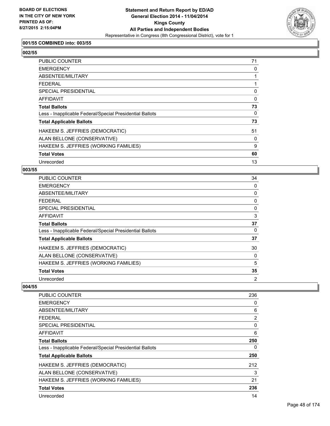

## **001/55 COMBINED into: 003/55**

| ۰.<br>۰,<br>۰.<br>×<br>۰,<br>× |
|--------------------------------|
|--------------------------------|

| PUBLIC COUNTER                                           | 71 |
|----------------------------------------------------------|----|
| <b>EMERGENCY</b>                                         | 0  |
| ABSENTEE/MILITARY                                        |    |
| <b>FEDERAL</b>                                           |    |
| SPECIAL PRESIDENTIAL                                     | 0  |
| AFFIDAVIT                                                | 0  |
| <b>Total Ballots</b>                                     | 73 |
| Less - Inapplicable Federal/Special Presidential Ballots | 0  |
| <b>Total Applicable Ballots</b>                          | 73 |
| HAKEEM S. JEFFRIES (DEMOCRATIC)                          | 51 |
| ALAN BELLONE (CONSERVATIVE)                              | 0  |
| HAKEEM S. JEFFRIES (WORKING FAMILIES)                    | 9  |
| <b>Total Votes</b>                                       | 60 |
| Unrecorded                                               | 13 |

#### **003/55**

| <b>PUBLIC COUNTER</b>                                    | 34             |
|----------------------------------------------------------|----------------|
| <b>EMERGENCY</b>                                         | 0              |
| ABSENTEE/MILITARY                                        | 0              |
| FEDERAL                                                  | 0              |
| SPECIAL PRESIDENTIAL                                     | 0              |
| AFFIDAVIT                                                | 3              |
| <b>Total Ballots</b>                                     | 37             |
| Less - Inapplicable Federal/Special Presidential Ballots | 0              |
| <b>Total Applicable Ballots</b>                          | 37             |
| HAKEEM S. JEFFRIES (DEMOCRATIC)                          | 30             |
| ALAN BELLONE (CONSERVATIVE)                              | 0              |
| HAKEEM S. JEFFRIES (WORKING FAMILIES)                    | 5              |
| <b>Total Votes</b>                                       | 35             |
| Unrecorded                                               | $\overline{2}$ |

| <b>PUBLIC COUNTER</b>                                    | 236 |
|----------------------------------------------------------|-----|
| <b>EMERGENCY</b>                                         | 0   |
| ABSENTEE/MILITARY                                        | 6   |
| <b>FEDERAL</b>                                           | 2   |
| <b>SPECIAL PRESIDENTIAL</b>                              | 0   |
| AFFIDAVIT                                                | 6   |
| <b>Total Ballots</b>                                     | 250 |
| Less - Inapplicable Federal/Special Presidential Ballots | 0   |
| <b>Total Applicable Ballots</b>                          | 250 |
| HAKEEM S. JEFFRIES (DEMOCRATIC)                          | 212 |
| ALAN BELLONE (CONSERVATIVE)                              | 3   |
| HAKEEM S. JEFFRIES (WORKING FAMILIES)                    | 21  |
| <b>Total Votes</b>                                       | 236 |
| Unrecorded                                               | 14  |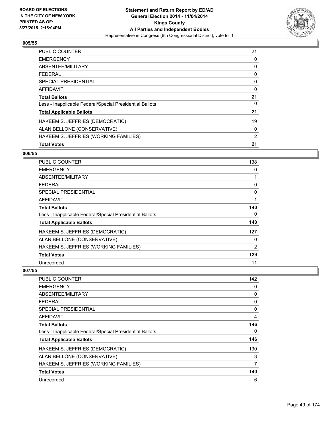

| <b>PUBLIC COUNTER</b>                                    | 21 |
|----------------------------------------------------------|----|
| <b>EMERGENCY</b>                                         | 0  |
| ABSENTEE/MILITARY                                        | 0  |
| <b>FEDERAL</b>                                           | 0  |
| <b>SPECIAL PRESIDENTIAL</b>                              | 0  |
| <b>AFFIDAVIT</b>                                         | 0  |
| <b>Total Ballots</b>                                     | 21 |
| Less - Inapplicable Federal/Special Presidential Ballots | 0  |
| <b>Total Applicable Ballots</b>                          | 21 |
| HAKEEM S. JEFFRIES (DEMOCRATIC)                          | 19 |
| ALAN BELLONE (CONSERVATIVE)                              | 0  |
| HAKEEM S. JEFFRIES (WORKING FAMILIES)                    | 2  |
| <b>Total Votes</b>                                       | 21 |

#### **006/55**

| PUBLIC COUNTER                                           | 138            |
|----------------------------------------------------------|----------------|
| <b>EMERGENCY</b>                                         | 0              |
| ABSENTEE/MILITARY                                        | 1              |
| <b>FEDERAL</b>                                           | 0              |
| <b>SPECIAL PRESIDENTIAL</b>                              | 0              |
| AFFIDAVIT                                                | 1              |
| <b>Total Ballots</b>                                     | 140            |
| Less - Inapplicable Federal/Special Presidential Ballots | 0              |
| <b>Total Applicable Ballots</b>                          | 140            |
| HAKEEM S. JEFFRIES (DEMOCRATIC)                          | 127            |
| ALAN BELLONE (CONSERVATIVE)                              | 0              |
| HAKEEM S. JEFFRIES (WORKING FAMILIES)                    | $\overline{2}$ |
| <b>Total Votes</b>                                       | 129            |
| Unrecorded                                               | 11             |

| <b>PUBLIC COUNTER</b>                                    | 142 |
|----------------------------------------------------------|-----|
| <b>EMERGENCY</b>                                         | 0   |
| ABSENTEE/MILITARY                                        | 0   |
| <b>FEDERAL</b>                                           | 0   |
| <b>SPECIAL PRESIDENTIAL</b>                              | 0   |
| AFFIDAVIT                                                | 4   |
| <b>Total Ballots</b>                                     | 146 |
| Less - Inapplicable Federal/Special Presidential Ballots | 0   |
| <b>Total Applicable Ballots</b>                          | 146 |
| HAKEEM S. JEFFRIES (DEMOCRATIC)                          | 130 |
| ALAN BELLONE (CONSERVATIVE)                              | 3   |
| HAKEEM S. JEFFRIES (WORKING FAMILIES)                    | 7   |
| <b>Total Votes</b>                                       | 140 |
| Unrecorded                                               | 6   |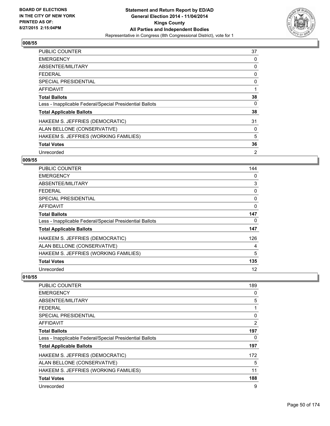

| <b>PUBLIC COUNTER</b>                                    | 37 |
|----------------------------------------------------------|----|
| <b>EMERGENCY</b>                                         | 0  |
| ABSENTEE/MILITARY                                        | 0  |
| <b>FEDERAL</b>                                           | 0  |
| <b>SPECIAL PRESIDENTIAL</b>                              | 0  |
| <b>AFFIDAVIT</b>                                         | 1  |
| <b>Total Ballots</b>                                     | 38 |
| Less - Inapplicable Federal/Special Presidential Ballots | 0  |
| <b>Total Applicable Ballots</b>                          | 38 |
| HAKEEM S. JEFFRIES (DEMOCRATIC)                          | 31 |
| ALAN BELLONE (CONSERVATIVE)                              | 0  |
| HAKEEM S. JEFFRIES (WORKING FAMILIES)                    | 5  |
| <b>Total Votes</b>                                       | 36 |
| Unrecorded                                               | 2  |

## **009/55**

| PUBLIC COUNTER                                           | 144 |
|----------------------------------------------------------|-----|
| <b>EMERGENCY</b>                                         | 0   |
| ABSENTEE/MILITARY                                        | 3   |
| <b>FEDERAL</b>                                           | 0   |
| <b>SPECIAL PRESIDENTIAL</b>                              | 0   |
| <b>AFFIDAVIT</b>                                         | 0   |
| Total Ballots                                            | 147 |
| Less - Inapplicable Federal/Special Presidential Ballots | 0   |
| <b>Total Applicable Ballots</b>                          | 147 |
| HAKEEM S. JEFFRIES (DEMOCRATIC)                          | 126 |
| ALAN BELLONE (CONSERVATIVE)                              | 4   |
| HAKEEM S. JEFFRIES (WORKING FAMILIES)                    | 5   |
| <b>Total Votes</b>                                       | 135 |
| Unrecorded                                               | 12  |

| <b>PUBLIC COUNTER</b>                                    | 189 |
|----------------------------------------------------------|-----|
| <b>EMERGENCY</b>                                         | 0   |
| ABSENTEE/MILITARY                                        | 5   |
| <b>FEDERAL</b>                                           | 1   |
| <b>SPECIAL PRESIDENTIAL</b>                              | 0   |
| AFFIDAVIT                                                | 2   |
| <b>Total Ballots</b>                                     | 197 |
| Less - Inapplicable Federal/Special Presidential Ballots | 0   |
| <b>Total Applicable Ballots</b>                          | 197 |
| HAKEEM S. JEFFRIES (DEMOCRATIC)                          | 172 |
| ALAN BELLONE (CONSERVATIVE)                              | 5   |
| HAKEEM S. JEFFRIES (WORKING FAMILIES)                    | 11  |
| <b>Total Votes</b>                                       | 188 |
| Unrecorded                                               | 9   |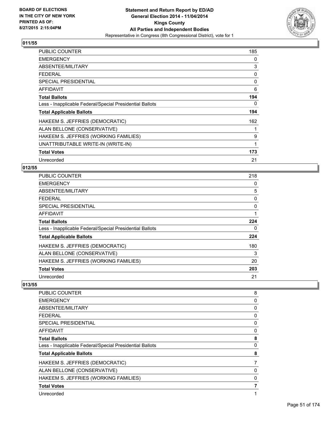

| <b>PUBLIC COUNTER</b>                                    | 185 |
|----------------------------------------------------------|-----|
| <b>EMERGENCY</b>                                         | 0   |
| ABSENTEE/MILITARY                                        | 3   |
| <b>FEDERAL</b>                                           | 0   |
| <b>SPECIAL PRESIDENTIAL</b>                              | 0   |
| <b>AFFIDAVIT</b>                                         | 6   |
| <b>Total Ballots</b>                                     | 194 |
| Less - Inapplicable Federal/Special Presidential Ballots | 0   |
| <b>Total Applicable Ballots</b>                          | 194 |
| HAKEEM S. JEFFRIES (DEMOCRATIC)                          | 162 |
| ALAN BELLONE (CONSERVATIVE)                              |     |
| HAKEEM S. JEFFRIES (WORKING FAMILIES)                    | 9   |
| UNATTRIBUTABLE WRITE-IN (WRITE-IN)                       | 1   |
| <b>Total Votes</b>                                       | 173 |
| Unrecorded                                               | 21  |

### **012/55**

| PUBLIC COUNTER                                           | 218 |
|----------------------------------------------------------|-----|
| <b>EMERGENCY</b>                                         | 0   |
| ABSENTEE/MILITARY                                        | 5   |
| <b>FEDERAL</b>                                           | 0   |
| <b>SPECIAL PRESIDENTIAL</b>                              | 0   |
| <b>AFFIDAVIT</b>                                         |     |
| <b>Total Ballots</b>                                     | 224 |
| Less - Inapplicable Federal/Special Presidential Ballots | 0   |
| <b>Total Applicable Ballots</b>                          | 224 |
| HAKEEM S. JEFFRIES (DEMOCRATIC)                          | 180 |
| ALAN BELLONE (CONSERVATIVE)                              | 3   |
| HAKEEM S. JEFFRIES (WORKING FAMILIES)                    | 20  |
| <b>Total Votes</b>                                       | 203 |
| Unrecorded                                               | 21  |

| PUBLIC COUNTER                                           | 8 |
|----------------------------------------------------------|---|
| <b>EMERGENCY</b>                                         | 0 |
| ABSENTEE/MILITARY                                        | 0 |
| <b>FEDERAL</b>                                           | 0 |
| <b>SPECIAL PRESIDENTIAL</b>                              | 0 |
| <b>AFFIDAVIT</b>                                         | 0 |
| <b>Total Ballots</b>                                     | 8 |
| Less - Inapplicable Federal/Special Presidential Ballots | 0 |
| <b>Total Applicable Ballots</b>                          | 8 |
| HAKEEM S. JEFFRIES (DEMOCRATIC)                          | 7 |
| ALAN BELLONE (CONSERVATIVE)                              | 0 |
| HAKEEM S. JEFFRIES (WORKING FAMILIES)                    | 0 |
| <b>Total Votes</b>                                       |   |
| Unrecorded                                               | 1 |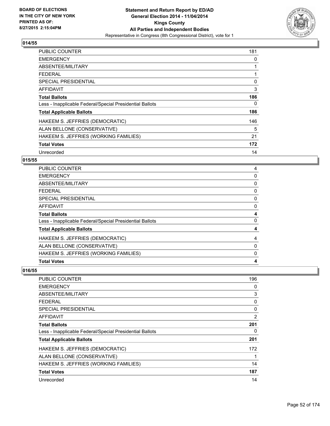

| <b>PUBLIC COUNTER</b>                                    | 181 |
|----------------------------------------------------------|-----|
| <b>EMERGENCY</b>                                         | 0   |
| ABSENTEE/MILITARY                                        |     |
| <b>FEDERAL</b>                                           |     |
| <b>SPECIAL PRESIDENTIAL</b>                              | 0   |
| <b>AFFIDAVIT</b>                                         | 3   |
| <b>Total Ballots</b>                                     | 186 |
| Less - Inapplicable Federal/Special Presidential Ballots | 0   |
| <b>Total Applicable Ballots</b>                          | 186 |
| HAKEEM S. JEFFRIES (DEMOCRATIC)                          | 146 |
| ALAN BELLONE (CONSERVATIVE)                              | 5   |
| HAKEEM S. JEFFRIES (WORKING FAMILIES)                    | 21  |
| <b>Total Votes</b>                                       | 172 |
| Unrecorded                                               | 14  |

## **015/55**

| <b>Total Votes</b>                                       | 4 |
|----------------------------------------------------------|---|
| HAKEEM S. JEFFRIES (WORKING FAMILIES)                    | 0 |
| ALAN BELLONE (CONSERVATIVE)                              | 0 |
| HAKEEM S. JEFFRIES (DEMOCRATIC)                          | 4 |
| <b>Total Applicable Ballots</b>                          | 4 |
| Less - Inapplicable Federal/Special Presidential Ballots | 0 |
| <b>Total Ballots</b>                                     |   |
| <b>AFFIDAVIT</b>                                         | 0 |
| SPECIAL PRESIDENTIAL                                     | 0 |
| <b>FEDERAL</b>                                           | 0 |
| ABSENTEE/MILITARY                                        | 0 |
| <b>EMERGENCY</b>                                         | 0 |
| <b>PUBLIC COUNTER</b>                                    | 4 |

| PUBLIC COUNTER                                           | 196 |
|----------------------------------------------------------|-----|
| <b>EMERGENCY</b>                                         | 0   |
| ABSENTEE/MILITARY                                        | 3   |
| <b>FEDERAL</b>                                           | 0   |
| <b>SPECIAL PRESIDENTIAL</b>                              | 0   |
| AFFIDAVIT                                                | 2   |
| <b>Total Ballots</b>                                     | 201 |
| Less - Inapplicable Federal/Special Presidential Ballots | 0   |
| <b>Total Applicable Ballots</b>                          | 201 |
| HAKEEM S. JEFFRIES (DEMOCRATIC)                          | 172 |
| ALAN BELLONE (CONSERVATIVE)                              | 1   |
| HAKEEM S. JEFFRIES (WORKING FAMILIES)                    | 14  |
| <b>Total Votes</b>                                       | 187 |
| Unrecorded                                               | 14  |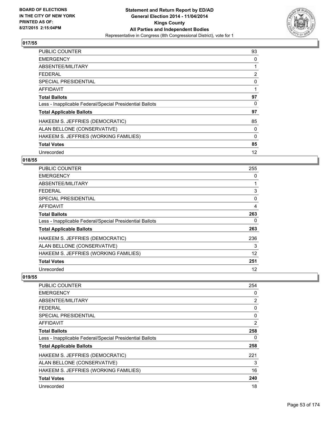

| <b>PUBLIC COUNTER</b>                                    | 93           |
|----------------------------------------------------------|--------------|
| <b>EMERGENCY</b>                                         | 0            |
| ABSENTEE/MILITARY                                        | 1            |
| <b>FEDERAL</b>                                           | 2            |
| <b>SPECIAL PRESIDENTIAL</b>                              | 0            |
| <b>AFFIDAVIT</b>                                         | $\mathbf{1}$ |
| <b>Total Ballots</b>                                     | 97           |
| Less - Inapplicable Federal/Special Presidential Ballots | 0            |
| <b>Total Applicable Ballots</b>                          | 97           |
| HAKEEM S. JEFFRIES (DEMOCRATIC)                          | 85           |
| ALAN BELLONE (CONSERVATIVE)                              | 0            |
| HAKEEM S. JEFFRIES (WORKING FAMILIES)                    | 0            |
| <b>Total Votes</b>                                       | 85           |
| Unrecorded                                               | 12           |

# **018/55**

| <b>PUBLIC COUNTER</b>                                    | 255 |
|----------------------------------------------------------|-----|
| <b>EMERGENCY</b>                                         | 0   |
| ABSENTEE/MILITARY                                        | 1   |
| <b>FEDERAL</b>                                           | 3   |
| <b>SPECIAL PRESIDENTIAL</b>                              | 0   |
| <b>AFFIDAVIT</b>                                         | 4   |
| <b>Total Ballots</b>                                     | 263 |
| Less - Inapplicable Federal/Special Presidential Ballots | 0   |
| <b>Total Applicable Ballots</b>                          | 263 |
| HAKEEM S. JEFFRIES (DEMOCRATIC)                          | 236 |
| ALAN BELLONE (CONSERVATIVE)                              | 3   |
| HAKEEM S. JEFFRIES (WORKING FAMILIES)                    | 12  |
| <b>Total Votes</b>                                       | 251 |
| Unrecorded                                               | 12  |

| PUBLIC COUNTER                                           | 254 |
|----------------------------------------------------------|-----|
| <b>EMERGENCY</b>                                         | 0   |
| ABSENTEE/MILITARY                                        | 2   |
| FEDERAL                                                  | 0   |
| SPECIAL PRESIDENTIAL                                     | 0   |
| AFFIDAVIT                                                | 2   |
| <b>Total Ballots</b>                                     | 258 |
| Less - Inapplicable Federal/Special Presidential Ballots | 0   |
| <b>Total Applicable Ballots</b>                          | 258 |
| HAKEEM S. JEFFRIES (DEMOCRATIC)                          | 221 |
| ALAN BELLONE (CONSERVATIVE)                              | 3   |
| HAKEEM S. JEFFRIES (WORKING FAMILIES)                    | 16  |
| <b>Total Votes</b>                                       | 240 |
| Unrecorded                                               | 18  |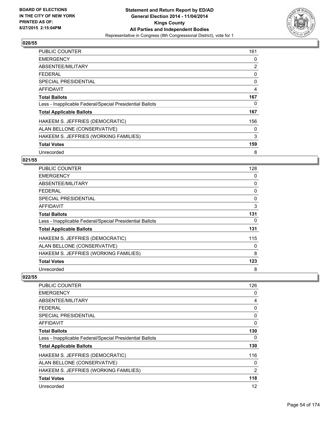

| <b>PUBLIC COUNTER</b>                                    | 161            |
|----------------------------------------------------------|----------------|
| <b>EMERGENCY</b>                                         | 0              |
| ABSENTEE/MILITARY                                        | $\overline{2}$ |
| FFDFRAI                                                  | 0              |
| <b>SPECIAL PRESIDENTIAL</b>                              | 0              |
| <b>AFFIDAVIT</b>                                         | $\overline{4}$ |
| <b>Total Ballots</b>                                     | 167            |
| Less - Inapplicable Federal/Special Presidential Ballots | 0              |
| <b>Total Applicable Ballots</b>                          | 167            |
| HAKEEM S. JEFFRIES (DEMOCRATIC)                          | 156            |
| ALAN BELLONE (CONSERVATIVE)                              | 0              |
| HAKEEM S. JEFFRIES (WORKING FAMILIES)                    | 3              |
| <b>Total Votes</b>                                       | 159            |
| Unrecorded                                               | 8              |

## **021/55**

| <b>PUBLIC COUNTER</b>                                    | 128 |
|----------------------------------------------------------|-----|
| <b>EMERGENCY</b>                                         | 0   |
| ABSENTEE/MILITARY                                        | 0   |
| <b>FEDERAL</b>                                           | 0   |
| <b>SPECIAL PRESIDENTIAL</b>                              | 0   |
| <b>AFFIDAVIT</b>                                         | 3   |
| <b>Total Ballots</b>                                     | 131 |
| Less - Inapplicable Federal/Special Presidential Ballots | 0   |
| <b>Total Applicable Ballots</b>                          | 131 |
| HAKEEM S. JEFFRIES (DEMOCRATIC)                          | 115 |
| ALAN BELLONE (CONSERVATIVE)                              | 0   |
| HAKEEM S. JEFFRIES (WORKING FAMILIES)                    | 8   |
| <b>Total Votes</b>                                       | 123 |
| Unrecorded                                               | 8   |

| PUBLIC COUNTER                                           | 126            |
|----------------------------------------------------------|----------------|
| <b>EMERGENCY</b>                                         | 0              |
| ABSENTEE/MILITARY                                        | 4              |
| FEDERAL                                                  | 0              |
| SPECIAL PRESIDENTIAL                                     | 0              |
| AFFIDAVIT                                                | 0              |
| <b>Total Ballots</b>                                     | 130            |
| Less - Inapplicable Federal/Special Presidential Ballots | 0              |
| <b>Total Applicable Ballots</b>                          | 130            |
| HAKEEM S. JEFFRIES (DEMOCRATIC)                          | 116            |
| ALAN BELLONE (CONSERVATIVE)                              | 0              |
| HAKEEM S. JEFFRIES (WORKING FAMILIES)                    | $\overline{2}$ |
| <b>Total Votes</b>                                       | 118            |
| Unrecorded                                               | 12             |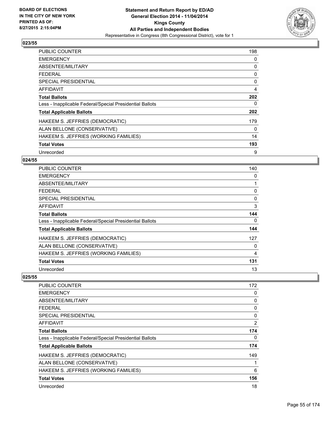

| <b>PUBLIC COUNTER</b>                                    | 198            |
|----------------------------------------------------------|----------------|
| <b>EMERGENCY</b>                                         | 0              |
| ABSENTEE/MILITARY                                        | 0              |
| FFDFRAI                                                  | 0              |
| <b>SPECIAL PRESIDENTIAL</b>                              | 0              |
| <b>AFFIDAVIT</b>                                         | $\overline{4}$ |
| <b>Total Ballots</b>                                     | 202            |
| Less - Inapplicable Federal/Special Presidential Ballots | 0              |
| <b>Total Applicable Ballots</b>                          | 202            |
| HAKEEM S. JEFFRIES (DEMOCRATIC)                          | 179            |
| ALAN BELLONE (CONSERVATIVE)                              | 0              |
| HAKEEM S. JEFFRIES (WORKING FAMILIES)                    | 14             |
| <b>Total Votes</b>                                       | 193            |
| Unrecorded                                               | 9              |

## **024/55**

| <b>PUBLIC COUNTER</b>                                    | 140      |
|----------------------------------------------------------|----------|
| <b>EMERGENCY</b>                                         | 0        |
| ABSENTEE/MILITARY                                        |          |
| <b>FEDERAL</b>                                           | 0        |
| <b>SPECIAL PRESIDENTIAL</b>                              | 0        |
| AFFIDAVIT                                                | 3        |
| <b>Total Ballots</b>                                     | 144      |
| Less - Inapplicable Federal/Special Presidential Ballots | $\Omega$ |
| <b>Total Applicable Ballots</b>                          | 144      |
| HAKEEM S. JEFFRIES (DEMOCRATIC)                          | 127      |
| ALAN BELLONE (CONSERVATIVE)                              | 0        |
| HAKEEM S. JEFFRIES (WORKING FAMILIES)                    | 4        |
| <b>Total Votes</b>                                       | 131      |
| Unrecorded                                               | 13       |

| PUBLIC COUNTER                                           | 172          |
|----------------------------------------------------------|--------------|
| <b>EMERGENCY</b>                                         | 0            |
| ABSENTEE/MILITARY                                        | 0            |
| FEDERAL                                                  | 0            |
| SPECIAL PRESIDENTIAL                                     | 0            |
| AFFIDAVIT                                                | 2            |
| <b>Total Ballots</b>                                     | 174          |
| Less - Inapplicable Federal/Special Presidential Ballots | 0            |
| <b>Total Applicable Ballots</b>                          | 174          |
| HAKEEM S. JEFFRIES (DEMOCRATIC)                          | 149          |
| ALAN BELLONE (CONSERVATIVE)                              | $\mathbf{1}$ |
| HAKEEM S. JEFFRIES (WORKING FAMILIES)                    | 6            |
| <b>Total Votes</b>                                       | 156          |
| Unrecorded                                               | 18           |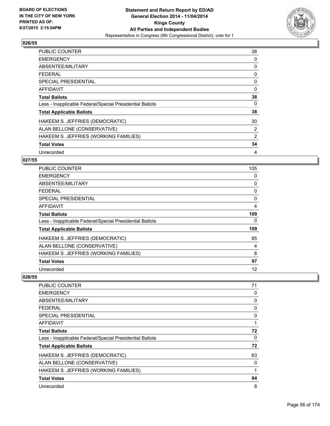

| <b>PUBLIC COUNTER</b>                                    | 38 |
|----------------------------------------------------------|----|
| <b>EMERGENCY</b>                                         | 0  |
| ABSENTEE/MILITARY                                        | 0  |
| <b>FEDERAL</b>                                           | 0  |
| <b>SPECIAL PRESIDENTIAL</b>                              | 0  |
| AFFIDAVIT                                                | 0  |
| <b>Total Ballots</b>                                     | 38 |
| Less - Inapplicable Federal/Special Presidential Ballots | 0  |
| <b>Total Applicable Ballots</b>                          | 38 |
| HAKEEM S. JEFFRIES (DEMOCRATIC)                          | 30 |
| ALAN BELLONE (CONSERVATIVE)                              | 2  |
| HAKEEM S. JEFFRIES (WORKING FAMILIES)                    | 2  |
| <b>Total Votes</b>                                       | 34 |
| Unrecorded                                               | 4  |

## **027/55**

| <b>PUBLIC COUNTER</b>                                    | 105 |
|----------------------------------------------------------|-----|
| <b>EMERGENCY</b>                                         | 0   |
| ABSENTEE/MILITARY                                        | 0   |
| <b>FEDERAL</b>                                           | 0   |
| <b>SPECIAL PRESIDENTIAL</b>                              | 0   |
| <b>AFFIDAVIT</b>                                         | 4   |
| <b>Total Ballots</b>                                     | 109 |
| Less - Inapplicable Federal/Special Presidential Ballots | 0   |
| <b>Total Applicable Ballots</b>                          | 109 |
| HAKEEM S. JEFFRIES (DEMOCRATIC)                          | 85  |
| ALAN BELLONE (CONSERVATIVE)                              | 4   |
| HAKEEM S. JEFFRIES (WORKING FAMILIES)                    | 8   |
| <b>Total Votes</b>                                       | 97  |
| Unrecorded                                               | 12  |

| <b>PUBLIC COUNTER</b>                                    | 71           |
|----------------------------------------------------------|--------------|
| <b>EMERGENCY</b>                                         | 0            |
| ABSENTEE/MILITARY                                        | 0            |
| <b>FEDERAL</b>                                           | 0            |
| <b>SPECIAL PRESIDENTIAL</b>                              | 0            |
| AFFIDAVIT                                                | 1            |
| <b>Total Ballots</b>                                     | 72           |
| Less - Inapplicable Federal/Special Presidential Ballots | 0            |
| <b>Total Applicable Ballots</b>                          | 72           |
| HAKEEM S. JEFFRIES (DEMOCRATIC)                          | 63           |
| ALAN BELLONE (CONSERVATIVE)                              | 0            |
| HAKEEM S. JEFFRIES (WORKING FAMILIES)                    | $\mathbf{1}$ |
| <b>Total Votes</b>                                       | 64           |
| Unrecorded                                               | 8            |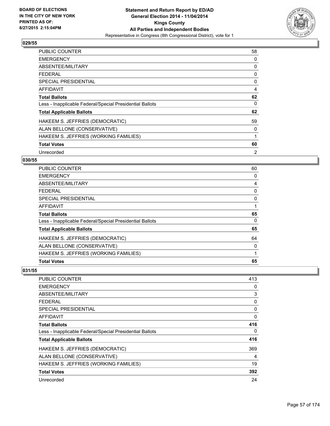

| <b>PUBLIC COUNTER</b>                                    | 58 |
|----------------------------------------------------------|----|
| <b>EMERGENCY</b>                                         | 0  |
| ABSENTEE/MILITARY                                        | 0  |
| <b>FEDERAL</b>                                           | 0  |
| <b>SPECIAL PRESIDENTIAL</b>                              | 0  |
| <b>AFFIDAVIT</b>                                         | 4  |
| <b>Total Ballots</b>                                     | 62 |
| Less - Inapplicable Federal/Special Presidential Ballots | 0  |
| <b>Total Applicable Ballots</b>                          | 62 |
| HAKEEM S. JEFFRIES (DEMOCRATIC)                          | 59 |
| ALAN BELLONE (CONSERVATIVE)                              | 0  |
| HAKEEM S. JEFFRIES (WORKING FAMILIES)                    | 1  |
| <b>Total Votes</b>                                       | 60 |
| Unrecorded                                               | 2  |

## **030/55**

| <b>PUBLIC COUNTER</b>                                    | 60 |
|----------------------------------------------------------|----|
| <b>EMERGENCY</b>                                         | 0  |
| ABSENTEE/MILITARY                                        | 4  |
| <b>FEDERAL</b>                                           | 0  |
| SPECIAL PRESIDENTIAL                                     | 0  |
| <b>AFFIDAVIT</b>                                         |    |
| <b>Total Ballots</b>                                     | 65 |
| Less - Inapplicable Federal/Special Presidential Ballots | 0  |
| <b>Total Applicable Ballots</b>                          | 65 |
| HAKEEM S. JEFFRIES (DEMOCRATIC)                          | 64 |
| ALAN BELLONE (CONSERVATIVE)                              | 0  |
| HAKEEM S. JEFFRIES (WORKING FAMILIES)                    | 1  |
| <b>Total Votes</b>                                       | 65 |

| PUBLIC COUNTER                                           | 413 |
|----------------------------------------------------------|-----|
| <b>EMERGENCY</b>                                         | 0   |
| ABSENTEE/MILITARY                                        | 3   |
| FEDERAL                                                  | 0   |
| <b>SPECIAL PRESIDENTIAL</b>                              | 0   |
| AFFIDAVIT                                                | 0   |
| <b>Total Ballots</b>                                     | 416 |
| Less - Inapplicable Federal/Special Presidential Ballots | 0   |
| <b>Total Applicable Ballots</b>                          | 416 |
| HAKEEM S. JEFFRIES (DEMOCRATIC)                          | 369 |
| ALAN BELLONE (CONSERVATIVE)                              | 4   |
| HAKEEM S. JEFFRIES (WORKING FAMILIES)                    | 19  |
| <b>Total Votes</b>                                       | 392 |
| Unrecorded                                               | 24  |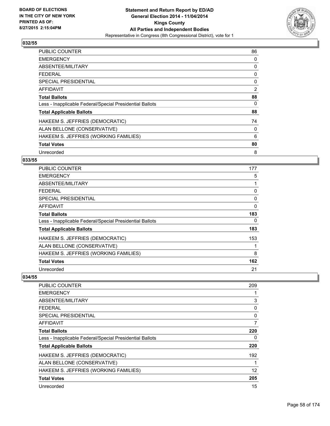

| <b>PUBLIC COUNTER</b>                                    | 86 |
|----------------------------------------------------------|----|
| <b>EMERGENCY</b>                                         | 0  |
| ABSENTEE/MILITARY                                        | 0  |
| <b>FEDERAL</b>                                           | 0  |
| <b>SPECIAL PRESIDENTIAL</b>                              | 0  |
| <b>AFFIDAVIT</b>                                         | 2  |
| <b>Total Ballots</b>                                     | 88 |
| Less - Inapplicable Federal/Special Presidential Ballots | 0  |
| <b>Total Applicable Ballots</b>                          | 88 |
| HAKEEM S. JEFFRIES (DEMOCRATIC)                          | 74 |
| ALAN BELLONE (CONSERVATIVE)                              | 0  |
| HAKEEM S. JEFFRIES (WORKING FAMILIES)                    | 6  |
| <b>Total Votes</b>                                       | 80 |
| Unrecorded                                               | 8  |

# **033/55**

| PUBLIC COUNTER                                           | 177 |
|----------------------------------------------------------|-----|
| <b>EMERGENCY</b>                                         | 5   |
| ABSENTEE/MILITARY                                        |     |
| <b>FEDERAL</b>                                           | 0   |
| <b>SPECIAL PRESIDENTIAL</b>                              | 0   |
| AFFIDAVIT                                                | 0   |
| <b>Total Ballots</b>                                     | 183 |
| Less - Inapplicable Federal/Special Presidential Ballots | 0   |
| <b>Total Applicable Ballots</b>                          | 183 |
| HAKEEM S. JEFFRIES (DEMOCRATIC)                          | 153 |
| ALAN BELLONE (CONSERVATIVE)                              |     |
| HAKEEM S. JEFFRIES (WORKING FAMILIES)                    | 8   |
| <b>Total Votes</b>                                       | 162 |
| Unrecorded                                               | 21  |

| PUBLIC COUNTER                                           | 209      |
|----------------------------------------------------------|----------|
| <b>EMERGENCY</b>                                         |          |
| ABSENTEE/MILITARY                                        | 3        |
| FEDERAL                                                  | 0        |
| <b>SPECIAL PRESIDENTIAL</b>                              | $\Omega$ |
| AFFIDAVIT                                                | 7        |
| <b>Total Ballots</b>                                     | 220      |
| Less - Inapplicable Federal/Special Presidential Ballots | 0        |
| <b>Total Applicable Ballots</b>                          | 220      |
| HAKEEM S. JEFFRIES (DEMOCRATIC)                          | 192      |
| ALAN BELLONE (CONSERVATIVE)                              |          |
| HAKEEM S. JEFFRIES (WORKING FAMILIES)                    | 12       |
| <b>Total Votes</b>                                       | 205      |
| Unrecorded                                               | 15       |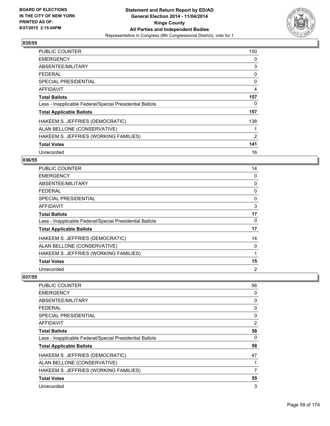

| <b>PUBLIC COUNTER</b>                                    | 150 |
|----------------------------------------------------------|-----|
| <b>EMERGENCY</b>                                         | 0   |
| ABSENTEE/MILITARY                                        | 3   |
| <b>FEDERAL</b>                                           | 0   |
| <b>SPECIAL PRESIDENTIAL</b>                              | 0   |
| AFFIDAVIT                                                | 4   |
| <b>Total Ballots</b>                                     | 157 |
| Less - Inapplicable Federal/Special Presidential Ballots | 0   |
| <b>Total Applicable Ballots</b>                          | 157 |
| HAKEEM S. JEFFRIES (DEMOCRATIC)                          | 138 |
| ALAN BELLONE (CONSERVATIVE)                              | 1   |
| HAKEEM S. JEFFRIES (WORKING FAMILIES)                    | 2   |
| <b>Total Votes</b>                                       | 141 |
| Unrecorded                                               | 16  |

## **036/55**

| <b>PUBLIC COUNTER</b>                                    | 14 |
|----------------------------------------------------------|----|
| <b>EMERGENCY</b>                                         | 0  |
| ABSENTEE/MILITARY                                        | 0  |
| <b>FEDERAL</b>                                           | 0  |
| <b>SPECIAL PRESIDENTIAL</b>                              | 0  |
| <b>AFFIDAVIT</b>                                         | 3  |
| <b>Total Ballots</b>                                     | 17 |
| Less - Inapplicable Federal/Special Presidential Ballots | 0  |
| <b>Total Applicable Ballots</b>                          | 17 |
| HAKEEM S. JEFFRIES (DEMOCRATIC)                          | 14 |
| ALAN BELLONE (CONSERVATIVE)                              | 0  |
| HAKEEM S. JEFFRIES (WORKING FAMILIES)                    | 1  |
| <b>Total Votes</b>                                       | 15 |
| Unrecorded                                               | 2  |

| PUBLIC COUNTER                                           | 56 |
|----------------------------------------------------------|----|
| <b>EMERGENCY</b>                                         | 0  |
| ABSENTEE/MILITARY                                        | 0  |
| <b>FEDERAL</b>                                           | 0  |
| <b>SPECIAL PRESIDENTIAL</b>                              | 0  |
| AFFIDAVIT                                                | 2  |
| <b>Total Ballots</b>                                     | 58 |
| Less - Inapplicable Federal/Special Presidential Ballots | 0  |
| <b>Total Applicable Ballots</b>                          | 58 |
| HAKEEM S. JEFFRIES (DEMOCRATIC)                          | 47 |
| ALAN BELLONE (CONSERVATIVE)                              | 1  |
| HAKEEM S. JEFFRIES (WORKING FAMILIES)                    | 7  |
| <b>Total Votes</b>                                       | 55 |
| Unrecorded                                               | 3  |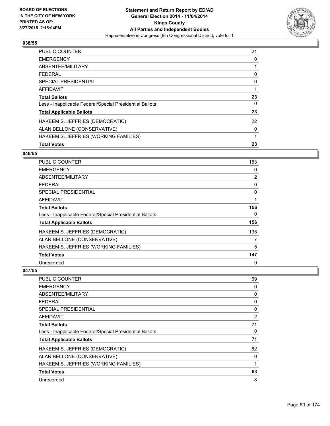

| <b>Total Votes</b>                                       | 23 |
|----------------------------------------------------------|----|
| HAKEEM S. JEFFRIES (WORKING FAMILIES)                    | 1  |
| ALAN BELLONE (CONSERVATIVE)                              | 0  |
| HAKEEM S. JEFFRIES (DEMOCRATIC)                          | 22 |
| <b>Total Applicable Ballots</b>                          | 23 |
| Less - Inapplicable Federal/Special Presidential Ballots | 0  |
| <b>Total Ballots</b>                                     | 23 |
| <b>AFFIDAVIT</b>                                         |    |
| <b>SPECIAL PRESIDENTIAL</b>                              | 0  |
| <b>FEDERAL</b>                                           | 0  |
| ABSENTEE/MILITARY                                        |    |
| <b>EMERGENCY</b>                                         | 0  |
| <b>PUBLIC COUNTER</b>                                    | 21 |

#### **046/55**

| <b>PUBLIC COUNTER</b>                                    | 153            |
|----------------------------------------------------------|----------------|
| <b>EMERGENCY</b>                                         | 0              |
| ABSENTEE/MILITARY                                        | $\overline{2}$ |
| <b>FEDERAL</b>                                           | 0              |
| SPECIAL PRESIDENTIAL                                     | 0              |
| AFFIDAVIT                                                | 1              |
| <b>Total Ballots</b>                                     | 156            |
| Less - Inapplicable Federal/Special Presidential Ballots | 0              |
| <b>Total Applicable Ballots</b>                          | 156            |
| HAKEEM S. JEFFRIES (DEMOCRATIC)                          | 135            |
| ALAN BELLONE (CONSERVATIVE)                              | 7              |
| HAKEEM S. JEFFRIES (WORKING FAMILIES)                    | 5              |
| <b>Total Votes</b>                                       | 147            |
| Unrecorded                                               | 9              |

| <b>PUBLIC COUNTER</b>                                    | 69       |
|----------------------------------------------------------|----------|
| <b>EMERGENCY</b>                                         | 0        |
| ABSENTEE/MILITARY                                        | 0        |
| FEDERAL                                                  | 0        |
| <b>SPECIAL PRESIDENTIAL</b>                              | $\Omega$ |
| AFFIDAVIT                                                | 2        |
| <b>Total Ballots</b>                                     | 71       |
| Less - Inapplicable Federal/Special Presidential Ballots | 0        |
| <b>Total Applicable Ballots</b>                          | 71       |
| HAKEEM S. JEFFRIES (DEMOCRATIC)                          | 62       |
| ALAN BELLONE (CONSERVATIVE)                              | 0        |
| HAKEEM S. JEFFRIES (WORKING FAMILIES)                    |          |
| <b>Total Votes</b>                                       | 63       |
| Unrecorded                                               | 8        |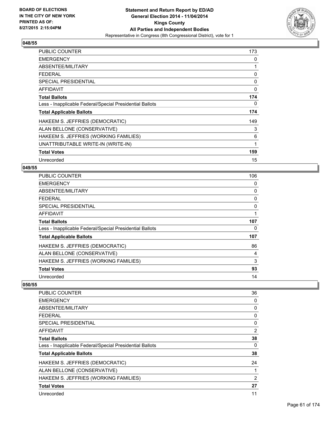

| PUBLIC COUNTER                                           | 173 |
|----------------------------------------------------------|-----|
| <b>EMERGENCY</b>                                         | 0   |
| ABSENTEE/MILITARY                                        | 1   |
| <b>FEDERAL</b>                                           | 0   |
| <b>SPECIAL PRESIDENTIAL</b>                              | 0   |
| AFFIDAVIT                                                | 0   |
| <b>Total Ballots</b>                                     | 174 |
| Less - Inapplicable Federal/Special Presidential Ballots | 0   |
| <b>Total Applicable Ballots</b>                          | 174 |
| HAKEEM S. JEFFRIES (DEMOCRATIC)                          | 149 |
| ALAN BELLONE (CONSERVATIVE)                              | 3   |
| HAKEEM S. JEFFRIES (WORKING FAMILIES)                    | 6   |
| UNATTRIBUTABLE WRITE-IN (WRITE-IN)                       | 1   |
| <b>Total Votes</b>                                       | 159 |
| Unrecorded                                               | 15  |

#### **049/55**

| <b>PUBLIC COUNTER</b>                                    | 106 |
|----------------------------------------------------------|-----|
| <b>EMERGENCY</b>                                         | 0   |
| ABSENTEE/MILITARY                                        | 0   |
| <b>FEDERAL</b>                                           | 0   |
| <b>SPECIAL PRESIDENTIAL</b>                              | 0   |
| <b>AFFIDAVIT</b>                                         |     |
| <b>Total Ballots</b>                                     | 107 |
| Less - Inapplicable Federal/Special Presidential Ballots | 0   |
| <b>Total Applicable Ballots</b>                          | 107 |
| HAKEEM S. JEFFRIES (DEMOCRATIC)                          | 86  |
| ALAN BELLONE (CONSERVATIVE)                              | 4   |
| HAKEEM S. JEFFRIES (WORKING FAMILIES)                    | 3   |
| <b>Total Votes</b>                                       | 93  |
| Unrecorded                                               | 14  |

| <b>PUBLIC COUNTER</b>                                    | 36             |
|----------------------------------------------------------|----------------|
| <b>EMERGENCY</b>                                         | 0              |
| ABSENTEE/MILITARY                                        | 0              |
| FEDERAL                                                  | 0              |
| SPECIAL PRESIDENTIAL                                     | $\Omega$       |
| AFFIDAVIT                                                | $\overline{2}$ |
| <b>Total Ballots</b>                                     | 38             |
| Less - Inapplicable Federal/Special Presidential Ballots | 0              |
| <b>Total Applicable Ballots</b>                          | 38             |
| HAKEEM S. JEFFRIES (DEMOCRATIC)                          | 24             |
| ALAN BELLONE (CONSERVATIVE)                              |                |
| HAKEEM S. JEFFRIES (WORKING FAMILIES)                    | $\overline{2}$ |
| <b>Total Votes</b>                                       | 27             |
| Unrecorded                                               | 11             |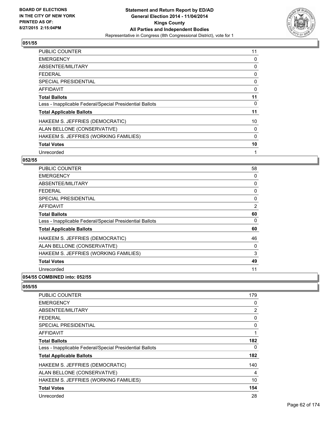

| <b>PUBLIC COUNTER</b>                                    | 11 |
|----------------------------------------------------------|----|
| <b>EMERGENCY</b>                                         | 0  |
| ABSENTEE/MILITARY                                        | 0  |
| <b>FEDERAL</b>                                           | 0  |
| <b>SPECIAL PRESIDENTIAL</b>                              | 0  |
| AFFIDAVIT                                                | 0  |
| <b>Total Ballots</b>                                     | 11 |
| Less - Inapplicable Federal/Special Presidential Ballots | 0  |
| <b>Total Applicable Ballots</b>                          | 11 |
| HAKEEM S. JEFFRIES (DEMOCRATIC)                          | 10 |
| ALAN BELLONE (CONSERVATIVE)                              | 0  |
| HAKEEM S. JEFFRIES (WORKING FAMILIES)                    | 0  |
| <b>Total Votes</b>                                       | 10 |
| Unrecorded                                               | 1  |

## **052/55**

| PUBLIC COUNTER                                           | 58             |
|----------------------------------------------------------|----------------|
| <b>EMERGENCY</b>                                         | 0              |
| ABSENTEE/MILITARY                                        | 0              |
| <b>FEDERAL</b>                                           | 0              |
| <b>SPECIAL PRESIDENTIAL</b>                              | 0              |
| <b>AFFIDAVIT</b>                                         | $\overline{2}$ |
| <b>Total Ballots</b>                                     | 60             |
| Less - Inapplicable Federal/Special Presidential Ballots | 0              |
| <b>Total Applicable Ballots</b>                          | 60             |
| HAKEEM S. JEFFRIES (DEMOCRATIC)                          | 46             |
| ALAN BELLONE (CONSERVATIVE)                              | 0              |
| HAKEEM S. JEFFRIES (WORKING FAMILIES)                    | 3              |
| <b>Total Votes</b>                                       | 49             |
| Unrecorded                                               | 11             |
| A                                                        |                |

### **054/55 COMBINED into: 052/55**

| <b>PUBLIC COUNTER</b>                                    | 179 |
|----------------------------------------------------------|-----|
| <b>EMERGENCY</b>                                         | 0   |
| ABSENTEE/MILITARY                                        | 2   |
| <b>FEDERAL</b>                                           | 0   |
| <b>SPECIAL PRESIDENTIAL</b>                              | 0   |
| AFFIDAVIT                                                | 1   |
| <b>Total Ballots</b>                                     | 182 |
| Less - Inapplicable Federal/Special Presidential Ballots | 0   |
| <b>Total Applicable Ballots</b>                          | 182 |
| HAKEEM S. JEFFRIES (DEMOCRATIC)                          | 140 |
| ALAN BELLONE (CONSERVATIVE)                              | 4   |
| HAKEEM S. JEFFRIES (WORKING FAMILIES)                    | 10  |
| <b>Total Votes</b>                                       | 154 |
| Unrecorded                                               | 28  |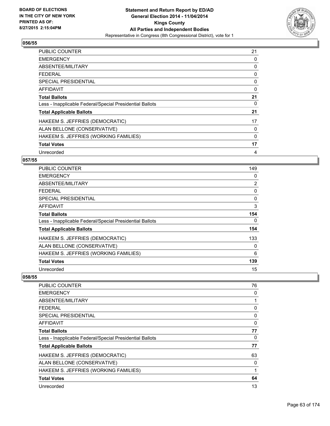

| <b>PUBLIC COUNTER</b>                                    | 21 |
|----------------------------------------------------------|----|
| <b>EMERGENCY</b>                                         | 0  |
| ABSENTEE/MILITARY                                        | 0  |
| <b>FEDERAL</b>                                           | 0  |
| <b>SPECIAL PRESIDENTIAL</b>                              | 0  |
| AFFIDAVIT                                                | 0  |
| <b>Total Ballots</b>                                     | 21 |
| Less - Inapplicable Federal/Special Presidential Ballots | 0  |
| <b>Total Applicable Ballots</b>                          | 21 |
| HAKEEM S. JEFFRIES (DEMOCRATIC)                          | 17 |
| ALAN BELLONE (CONSERVATIVE)                              | 0  |
| HAKEEM S. JEFFRIES (WORKING FAMILIES)                    | 0  |
| <b>Total Votes</b>                                       | 17 |
| Unrecorded                                               | 4  |

## **057/55**

| <b>PUBLIC COUNTER</b>                                    | 149            |
|----------------------------------------------------------|----------------|
| <b>EMERGENCY</b>                                         | 0              |
| ABSENTEE/MILITARY                                        | $\overline{2}$ |
| <b>FEDERAL</b>                                           | 0              |
| <b>SPECIAL PRESIDENTIAL</b>                              | $\Omega$       |
| <b>AFFIDAVIT</b>                                         | 3              |
| <b>Total Ballots</b>                                     | 154            |
| Less - Inapplicable Federal/Special Presidential Ballots | 0              |
| <b>Total Applicable Ballots</b>                          | 154            |
| HAKEEM S. JEFFRIES (DEMOCRATIC)                          | 133            |
| ALAN BELLONE (CONSERVATIVE)                              | 0              |
| HAKEEM S. JEFFRIES (WORKING FAMILIES)                    | 6              |
| <b>Total Votes</b>                                       | 139            |
| Unrecorded                                               | 15             |

| PUBLIC COUNTER                                           | 76           |
|----------------------------------------------------------|--------------|
| <b>EMERGENCY</b>                                         | 0            |
| ABSENTEE/MILITARY                                        | 1            |
| FEDERAL                                                  | 0            |
| SPECIAL PRESIDENTIAL                                     | 0            |
| AFFIDAVIT                                                | 0            |
| <b>Total Ballots</b>                                     | 77           |
| Less - Inapplicable Federal/Special Presidential Ballots | 0            |
| <b>Total Applicable Ballots</b>                          | 77           |
| HAKEEM S. JEFFRIES (DEMOCRATIC)                          | 63           |
| ALAN BELLONE (CONSERVATIVE)                              | 0            |
| HAKEEM S. JEFFRIES (WORKING FAMILIES)                    | $\mathbf{1}$ |
| <b>Total Votes</b>                                       | 64           |
| Unrecorded                                               | 13           |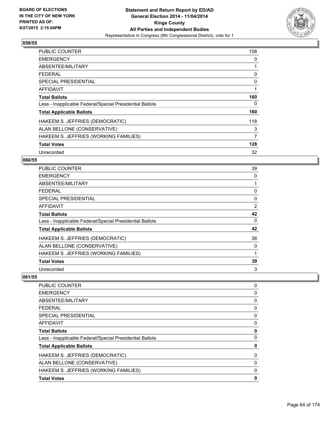

| <b>PUBLIC COUNTER</b>                                    | 158 |
|----------------------------------------------------------|-----|
| <b>EMERGENCY</b>                                         | 0   |
| ABSENTEE/MILITARY                                        |     |
| <b>FEDERAL</b>                                           | 0   |
| <b>SPECIAL PRESIDENTIAL</b>                              | 0   |
| <b>AFFIDAVIT</b>                                         | 1   |
| <b>Total Ballots</b>                                     | 160 |
| Less - Inapplicable Federal/Special Presidential Ballots | 0   |
| <b>Total Applicable Ballots</b>                          | 160 |
| HAKEEM S. JEFFRIES (DEMOCRATIC)                          | 118 |
| ALAN BELLONE (CONSERVATIVE)                              | 3   |
| HAKEEM S. JEFFRIES (WORKING FAMILIES)                    | 7   |
| <b>Total Votes</b>                                       | 128 |
| Unrecorded                                               | 32  |

# **060/55**

| PUBLIC COUNTER                                           | 39       |
|----------------------------------------------------------|----------|
| <b>EMERGENCY</b>                                         | 0        |
| ABSENTEE/MILITARY                                        |          |
| <b>FEDERAL</b>                                           | 0        |
| <b>SPECIAL PRESIDENTIAL</b>                              | 0        |
| <b>AFFIDAVIT</b>                                         | 2        |
| <b>Total Ballots</b>                                     | 42       |
| Less - Inapplicable Federal/Special Presidential Ballots | $\Omega$ |
| <b>Total Applicable Ballots</b>                          | 42       |
| HAKEEM S. JEFFRIES (DEMOCRATIC)                          | 38       |
| ALAN BELLONE (CONSERVATIVE)                              | 0        |
| HAKEEM S. JEFFRIES (WORKING FAMILIES)                    | 1        |
| <b>Total Votes</b>                                       | 39       |
| Unrecorded                                               | 3        |

| PUBLIC COUNTER                                           | 0 |
|----------------------------------------------------------|---|
| <b>EMERGENCY</b>                                         | 0 |
| ABSENTEE/MILITARY                                        | 0 |
| <b>FEDERAL</b>                                           | 0 |
| <b>SPECIAL PRESIDENTIAL</b>                              | 0 |
| <b>AFFIDAVIT</b>                                         | 0 |
| <b>Total Ballots</b>                                     | 0 |
| Less - Inapplicable Federal/Special Presidential Ballots | 0 |
| <b>Total Applicable Ballots</b>                          | 0 |
| HAKEEM S. JEFFRIES (DEMOCRATIC)                          | 0 |
| ALAN BELLONE (CONSERVATIVE)                              | 0 |
| HAKEEM S. JEFFRIES (WORKING FAMILIES)                    | 0 |
| <b>Total Votes</b>                                       | 0 |
|                                                          |   |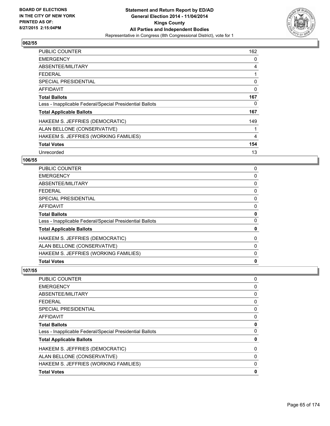

| <b>PUBLIC COUNTER</b>                                    | 162            |
|----------------------------------------------------------|----------------|
| <b>EMERGENCY</b>                                         | 0              |
| ABSENTEE/MILITARY                                        | 4              |
| <b>FEDERAL</b>                                           | 1              |
| <b>SPECIAL PRESIDENTIAL</b>                              | 0              |
| <b>AFFIDAVIT</b>                                         | 0              |
| <b>Total Ballots</b>                                     | 167            |
| Less - Inapplicable Federal/Special Presidential Ballots | 0              |
| <b>Total Applicable Ballots</b>                          | 167            |
| HAKEEM S. JEFFRIES (DEMOCRATIC)                          | 149            |
| ALAN BELLONE (CONSERVATIVE)                              | 1              |
| HAKEEM S. JEFFRIES (WORKING FAMILIES)                    | $\overline{4}$ |
| <b>Total Votes</b>                                       | 154            |
| Unrecorded                                               | 13             |

# **106/55**

| <b>Total Votes</b>                                       | $\mathbf 0$ |
|----------------------------------------------------------|-------------|
| HAKEEM S. JEFFRIES (WORKING FAMILIES)                    | 0           |
| ALAN BELLONE (CONSERVATIVE)                              | 0           |
| HAKEEM S. JEFFRIES (DEMOCRATIC)                          | 0           |
| <b>Total Applicable Ballots</b>                          | 0           |
| Less - Inapplicable Federal/Special Presidential Ballots | 0           |
| <b>Total Ballots</b>                                     | 0           |
| AFFIDAVIT                                                | 0           |
| SPECIAL PRESIDENTIAL                                     | 0           |
| FEDERAL                                                  | 0           |
| <b>ABSENTEE/MILITARY</b>                                 | 0           |
| <b>EMERGENCY</b>                                         | 0           |
| <b>PUBLIC COUNTER</b>                                    | 0           |

| <b>Total Votes</b>                                       | 0 |
|----------------------------------------------------------|---|
| HAKEEM S. JEFFRIES (WORKING FAMILIES)                    | 0 |
| ALAN BELLONE (CONSERVATIVE)                              | 0 |
| HAKEEM S. JEFFRIES (DEMOCRATIC)                          | 0 |
| <b>Total Applicable Ballots</b>                          | 0 |
| Less - Inapplicable Federal/Special Presidential Ballots | 0 |
| <b>Total Ballots</b>                                     | 0 |
| <b>AFFIDAVIT</b>                                         | 0 |
| SPECIAL PRESIDENTIAL                                     | 0 |
| FEDERAL                                                  | 0 |
| ABSENTEE/MILITARY                                        | 0 |
| <b>EMERGENCY</b>                                         | 0 |
| <b>PUBLIC COUNTER</b>                                    | 0 |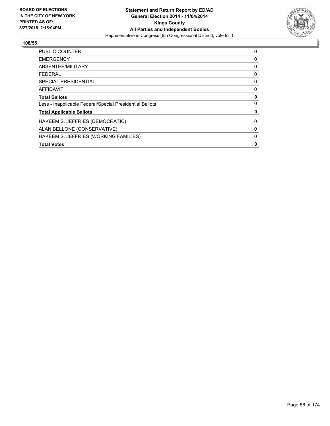

| 0 |
|---|
| 0 |
| 0 |
| 0 |
| 0 |
| 0 |
| 0 |
| 0 |
| 0 |
| 0 |
| 0 |
| 0 |
| 0 |
|   |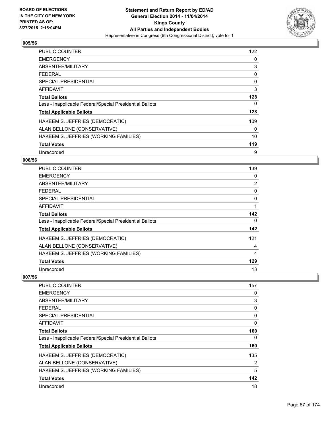

| <b>PUBLIC COUNTER</b>                                    | 122 |
|----------------------------------------------------------|-----|
| <b>EMERGENCY</b>                                         | 0   |
| ABSENTEE/MILITARY                                        | 3   |
| <b>FEDERAL</b>                                           | 0   |
| <b>SPECIAL PRESIDENTIAL</b>                              | 0   |
| <b>AFFIDAVIT</b>                                         | 3   |
| <b>Total Ballots</b>                                     | 128 |
| Less - Inapplicable Federal/Special Presidential Ballots | 0   |
| <b>Total Applicable Ballots</b>                          | 128 |
| HAKEEM S. JEFFRIES (DEMOCRATIC)                          | 109 |
| ALAN BELLONE (CONSERVATIVE)                              | 0   |
| HAKEEM S. JEFFRIES (WORKING FAMILIES)                    | 10  |
| <b>Total Votes</b>                                       | 119 |
| Unrecorded                                               | 9   |

# **006/56**

| PUBLIC COUNTER                                           | 139            |
|----------------------------------------------------------|----------------|
| <b>EMERGENCY</b>                                         | 0              |
| ABSENTEE/MILITARY                                        | $\overline{2}$ |
| <b>FEDERAL</b>                                           | 0              |
| <b>SPECIAL PRESIDENTIAL</b>                              | 0              |
| <b>AFFIDAVIT</b>                                         | 1              |
| <b>Total Ballots</b>                                     | 142            |
| Less - Inapplicable Federal/Special Presidential Ballots | 0              |
| <b>Total Applicable Ballots</b>                          | 142            |
| HAKEEM S. JEFFRIES (DEMOCRATIC)                          | 121            |
| ALAN BELLONE (CONSERVATIVE)                              | 4              |
| HAKEEM S. JEFFRIES (WORKING FAMILIES)                    | 4              |
| <b>Total Votes</b>                                       | 129            |
| Unrecorded                                               | 13             |

| PUBLIC COUNTER                                           | 157 |
|----------------------------------------------------------|-----|
| <b>EMERGENCY</b>                                         | 0   |
| ABSENTEE/MILITARY                                        | 3   |
| FEDERAL                                                  | 0   |
| <b>SPECIAL PRESIDENTIAL</b>                              | 0   |
| AFFIDAVIT                                                | 0   |
| <b>Total Ballots</b>                                     | 160 |
| Less - Inapplicable Federal/Special Presidential Ballots | 0   |
| <b>Total Applicable Ballots</b>                          | 160 |
| HAKEEM S. JEFFRIES (DEMOCRATIC)                          | 135 |
| ALAN BELLONE (CONSERVATIVE)                              | 2   |
| HAKEEM S. JEFFRIES (WORKING FAMILIES)                    | 5   |
| <b>Total Votes</b>                                       | 142 |
| Unrecorded                                               | 18  |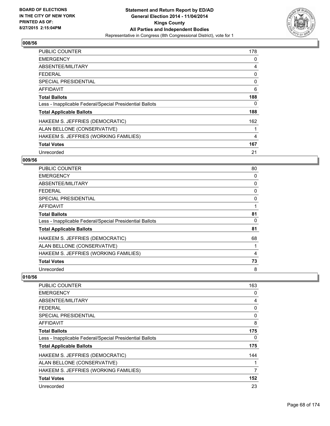

| <b>PUBLIC COUNTER</b>                                    | 178 |
|----------------------------------------------------------|-----|
| <b>EMERGENCY</b>                                         | 0   |
| ABSENTEE/MILITARY                                        | 4   |
| FEDERAL                                                  | 0   |
| <b>SPECIAL PRESIDENTIAL</b>                              | 0   |
| AFFIDAVIT                                                | 6   |
| <b>Total Ballots</b>                                     | 188 |
| Less - Inapplicable Federal/Special Presidential Ballots | 0   |
| <b>Total Applicable Ballots</b>                          | 188 |
| HAKEEM S. JEFFRIES (DEMOCRATIC)                          | 162 |
| ALAN BELLONE (CONSERVATIVE)                              | 1   |
| HAKEEM S. JEFFRIES (WORKING FAMILIES)                    | 4   |
| <b>Total Votes</b>                                       | 167 |
| Unrecorded                                               | 21  |

# **009/56**

| <b>PUBLIC COUNTER</b>                                    | 80 |
|----------------------------------------------------------|----|
| <b>EMERGENCY</b>                                         | 0  |
| ABSENTEE/MILITARY                                        | 0  |
| <b>FEDERAL</b>                                           | 0  |
| <b>SPECIAL PRESIDENTIAL</b>                              | 0  |
| <b>AFFIDAVIT</b>                                         |    |
| <b>Total Ballots</b>                                     | 81 |
| Less - Inapplicable Federal/Special Presidential Ballots | 0  |
| <b>Total Applicable Ballots</b>                          | 81 |
| HAKEEM S. JEFFRIES (DEMOCRATIC)                          | 68 |
| ALAN BELLONE (CONSERVATIVE)                              |    |
| HAKEEM S. JEFFRIES (WORKING FAMILIES)                    | 4  |
| <b>Total Votes</b>                                       | 73 |
| Unrecorded                                               | 8  |

| PUBLIC COUNTER                                           | 163 |
|----------------------------------------------------------|-----|
| <b>EMERGENCY</b>                                         | 0   |
| ABSENTEE/MILITARY                                        | 4   |
| FEDERAL                                                  | 0   |
| <b>SPECIAL PRESIDENTIAL</b>                              | 0   |
| AFFIDAVIT                                                | 8   |
| <b>Total Ballots</b>                                     | 175 |
| Less - Inapplicable Federal/Special Presidential Ballots | 0   |
| <b>Total Applicable Ballots</b>                          | 175 |
| HAKEEM S. JEFFRIES (DEMOCRATIC)                          | 144 |
| ALAN BELLONE (CONSERVATIVE)                              |     |
| HAKEEM S. JEFFRIES (WORKING FAMILIES)                    | 7   |
| <b>Total Votes</b>                                       | 152 |
| Unrecorded                                               | 23  |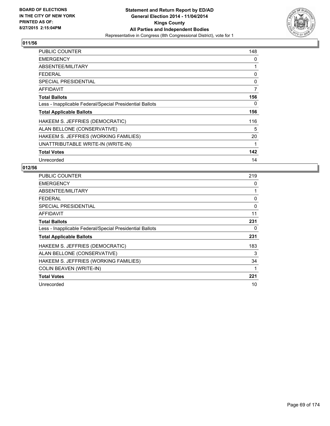

| PUBLIC COUNTER                                           | 148 |
|----------------------------------------------------------|-----|
| <b>EMERGENCY</b>                                         | 0   |
| ABSENTEE/MILITARY                                        | 1   |
| <b>FEDERAL</b>                                           | 0   |
| <b>SPECIAL PRESIDENTIAL</b>                              | 0   |
| AFFIDAVIT                                                | 7   |
| <b>Total Ballots</b>                                     | 156 |
| Less - Inapplicable Federal/Special Presidential Ballots | 0   |
| <b>Total Applicable Ballots</b>                          | 156 |
| HAKEEM S. JEFFRIES (DEMOCRATIC)                          | 116 |
| ALAN BELLONE (CONSERVATIVE)                              | 5   |
| HAKEEM S. JEFFRIES (WORKING FAMILIES)                    | 20  |
| UNATTRIBUTABLE WRITE-IN (WRITE-IN)                       | 1   |
| <b>Total Votes</b>                                       | 142 |
| Unrecorded                                               | 14  |

| <b>PUBLIC COUNTER</b>                                    | 219 |
|----------------------------------------------------------|-----|
| <b>EMERGENCY</b>                                         | 0   |
| ABSENTEE/MILITARY                                        | 1   |
| <b>FEDERAL</b>                                           | 0   |
| SPECIAL PRESIDENTIAL                                     | 0   |
| <b>AFFIDAVIT</b>                                         | 11  |
| <b>Total Ballots</b>                                     | 231 |
| Less - Inapplicable Federal/Special Presidential Ballots | 0   |
| <b>Total Applicable Ballots</b>                          | 231 |
| HAKEEM S. JEFFRIES (DEMOCRATIC)                          | 183 |
| ALAN BELLONE (CONSERVATIVE)                              | 3   |
| HAKEEM S. JEFFRIES (WORKING FAMILIES)                    | 34  |
| <b>COLIN BEAVEN (WRITE-IN)</b>                           | 1   |
| <b>Total Votes</b>                                       | 221 |
| Unrecorded                                               | 10  |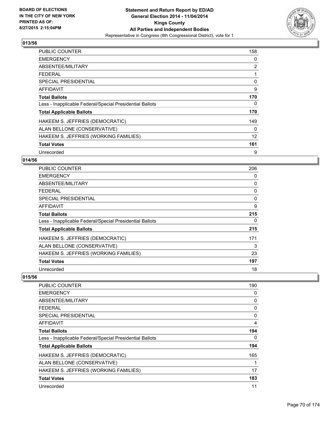

| <b>PUBLIC COUNTER</b>                                    | 158 |
|----------------------------------------------------------|-----|
| <b>EMERGENCY</b>                                         | 0   |
| ABSENTEE/MILITARY                                        | 2   |
| <b>FEDERAL</b>                                           |     |
| <b>SPECIAL PRESIDENTIAL</b>                              | 0   |
| <b>AFFIDAVIT</b>                                         | 9   |
| <b>Total Ballots</b>                                     | 170 |
| Less - Inapplicable Federal/Special Presidential Ballots | 0   |
| <b>Total Applicable Ballots</b>                          | 170 |
| HAKEEM S. JEFFRIES (DEMOCRATIC)                          | 149 |
| ALAN BELLONE (CONSERVATIVE)                              | 0   |
| HAKEEM S. JEFFRIES (WORKING FAMILIES)                    | 12  |
| <b>Total Votes</b>                                       | 161 |
| Unrecorded                                               | 9   |

## **014/56**

| <b>PUBLIC COUNTER</b>                                    | 206      |
|----------------------------------------------------------|----------|
| <b>EMERGENCY</b>                                         | 0        |
| ABSENTEE/MILITARY                                        | 0        |
| <b>FEDERAL</b>                                           | 0        |
| <b>SPECIAL PRESIDENTIAL</b>                              | $\Omega$ |
| <b>AFFIDAVIT</b>                                         | 9        |
| <b>Total Ballots</b>                                     | 215      |
| Less - Inapplicable Federal/Special Presidential Ballots | 0        |
| <b>Total Applicable Ballots</b>                          | 215      |
| HAKEEM S. JEFFRIES (DEMOCRATIC)                          | 171      |
| ALAN BELLONE (CONSERVATIVE)                              | 3        |
| HAKEEM S. JEFFRIES (WORKING FAMILIES)                    | 23       |
| <b>Total Votes</b>                                       | 197      |
| Unrecorded                                               | 18       |

| <b>PUBLIC COUNTER</b>                                    | 190 |
|----------------------------------------------------------|-----|
| <b>EMERGENCY</b>                                         | 0   |
| ABSENTEE/MILITARY                                        | 0   |
| <b>FEDERAL</b>                                           | 0   |
| SPECIAL PRESIDENTIAL                                     | 0   |
| AFFIDAVIT                                                | 4   |
| <b>Total Ballots</b>                                     | 194 |
| Less - Inapplicable Federal/Special Presidential Ballots | 0   |
| <b>Total Applicable Ballots</b>                          | 194 |
| HAKEEM S. JEFFRIES (DEMOCRATIC)                          | 165 |
| ALAN BELLONE (CONSERVATIVE)                              |     |
| HAKEEM S. JEFFRIES (WORKING FAMILIES)                    | 17  |
| <b>Total Votes</b>                                       | 183 |
| Unrecorded                                               | 11  |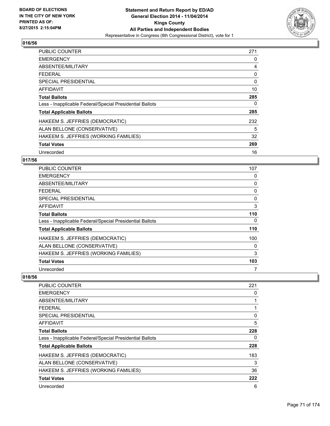

| <b>PUBLIC COUNTER</b>                                    | 271 |
|----------------------------------------------------------|-----|
| <b>EMERGENCY</b>                                         | 0   |
| ABSENTEE/MILITARY                                        | 4   |
| <b>FEDERAL</b>                                           | 0   |
| <b>SPECIAL PRESIDENTIAL</b>                              | 0   |
| <b>AFFIDAVIT</b>                                         | 10  |
| <b>Total Ballots</b>                                     | 285 |
| Less - Inapplicable Federal/Special Presidential Ballots | 0   |
| <b>Total Applicable Ballots</b>                          | 285 |
| HAKEEM S. JEFFRIES (DEMOCRATIC)                          | 232 |
| ALAN BELLONE (CONSERVATIVE)                              | 5   |
| HAKEEM S. JEFFRIES (WORKING FAMILIES)                    | 32  |
| <b>Total Votes</b>                                       | 269 |
| Unrecorded                                               | 16  |

# **017/56**

| <b>PUBLIC COUNTER</b>                                    | 107 |
|----------------------------------------------------------|-----|
| <b>EMERGENCY</b>                                         | 0   |
| ABSENTEE/MILITARY                                        | 0   |
| <b>FEDERAL</b>                                           | 0   |
| <b>SPECIAL PRESIDENTIAL</b>                              | 0   |
| AFFIDAVIT                                                | 3   |
| <b>Total Ballots</b>                                     | 110 |
| Less - Inapplicable Federal/Special Presidential Ballots | 0   |
| <b>Total Applicable Ballots</b>                          | 110 |
| HAKEEM S. JEFFRIES (DEMOCRATIC)                          | 100 |
| ALAN BELLONE (CONSERVATIVE)                              | 0   |
| HAKEEM S. JEFFRIES (WORKING FAMILIES)                    | 3   |
| <b>Total Votes</b>                                       | 103 |
| Unrecorded                                               | 7   |

| PUBLIC COUNTER                                           | 221 |
|----------------------------------------------------------|-----|
| <b>EMERGENCY</b>                                         | 0   |
| ABSENTEE/MILITARY                                        | 1   |
| FEDERAL                                                  | 1   |
| SPECIAL PRESIDENTIAL                                     | 0   |
| AFFIDAVIT                                                | 5   |
| <b>Total Ballots</b>                                     | 228 |
| Less - Inapplicable Federal/Special Presidential Ballots | 0   |
| <b>Total Applicable Ballots</b>                          | 228 |
| HAKEEM S. JEFFRIES (DEMOCRATIC)                          | 183 |
| ALAN BELLONE (CONSERVATIVE)                              | 3   |
| HAKEEM S. JEFFRIES (WORKING FAMILIES)                    | 36  |
| <b>Total Votes</b>                                       | 222 |
| Unrecorded                                               | 6   |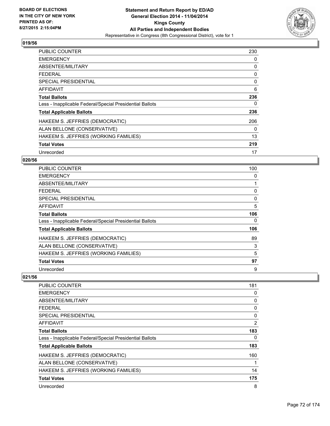

| <b>PUBLIC COUNTER</b>                                    | 230 |
|----------------------------------------------------------|-----|
| <b>EMERGENCY</b>                                         | 0   |
| ABSENTEE/MILITARY                                        | 0   |
| <b>FEDERAL</b>                                           | 0   |
| <b>SPECIAL PRESIDENTIAL</b>                              | 0   |
| <b>AFFIDAVIT</b>                                         | 6   |
| <b>Total Ballots</b>                                     | 236 |
| Less - Inapplicable Federal/Special Presidential Ballots | 0   |
| <b>Total Applicable Ballots</b>                          | 236 |
| HAKEEM S. JEFFRIES (DEMOCRATIC)                          | 206 |
| ALAN BELLONE (CONSERVATIVE)                              | 0   |
| HAKEEM S. JEFFRIES (WORKING FAMILIES)                    | 13  |
| <b>Total Votes</b>                                       | 219 |
| Unrecorded                                               | 17  |

# **020/56**

| PUBLIC COUNTER                                           | 100 |
|----------------------------------------------------------|-----|
| <b>EMERGENCY</b>                                         | 0   |
| ABSENTEE/MILITARY                                        |     |
| <b>FEDERAL</b>                                           | 0   |
| <b>SPECIAL PRESIDENTIAL</b>                              | 0   |
| <b>AFFIDAVIT</b>                                         | 5   |
| <b>Total Ballots</b>                                     | 106 |
| Less - Inapplicable Federal/Special Presidential Ballots | 0   |
| <b>Total Applicable Ballots</b>                          | 106 |
| HAKEEM S. JEFFRIES (DEMOCRATIC)                          | 89  |
| ALAN BELLONE (CONSERVATIVE)                              | 3   |
| HAKEEM S. JEFFRIES (WORKING FAMILIES)                    | 5   |
| <b>Total Votes</b>                                       | 97  |
| Unrecorded                                               | 9   |

| <b>PUBLIC COUNTER</b>                                    | 181 |
|----------------------------------------------------------|-----|
| <b>EMERGENCY</b>                                         | 0   |
| ABSENTEE/MILITARY                                        | 0   |
| FEDERAL                                                  | 0   |
| <b>SPECIAL PRESIDENTIAL</b>                              | 0   |
| AFFIDAVIT                                                | 2   |
| <b>Total Ballots</b>                                     | 183 |
| Less - Inapplicable Federal/Special Presidential Ballots | 0   |
| <b>Total Applicable Ballots</b>                          | 183 |
| HAKEEM S. JEFFRIES (DEMOCRATIC)                          | 160 |
| ALAN BELLONE (CONSERVATIVE)                              | 1   |
| HAKEEM S. JEFFRIES (WORKING FAMILIES)                    | 14  |
| <b>Total Votes</b>                                       | 175 |
| Unrecorded                                               | 8   |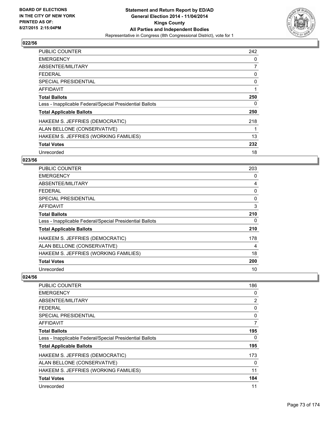

| PUBLIC COUNTER                                           | 242 |
|----------------------------------------------------------|-----|
| <b>EMERGENCY</b>                                         | 0   |
| ABSENTEE/MILITARY                                        | 7   |
| <b>FEDERAL</b>                                           | 0   |
| <b>SPECIAL PRESIDENTIAL</b>                              | 0   |
| AFFIDAVIT                                                | 1   |
| <b>Total Ballots</b>                                     | 250 |
| Less - Inapplicable Federal/Special Presidential Ballots | 0   |
| <b>Total Applicable Ballots</b>                          | 250 |
| HAKEEM S. JEFFRIES (DEMOCRATIC)                          | 218 |
| ALAN BELLONE (CONSERVATIVE)                              | 1   |
| HAKEEM S. JEFFRIES (WORKING FAMILIES)                    | 13  |
| <b>Total Votes</b>                                       | 232 |
| Unrecorded                                               | 18  |

# **023/56**

| <b>PUBLIC COUNTER</b>                                    | 203 |
|----------------------------------------------------------|-----|
| <b>EMERGENCY</b>                                         | 0   |
| ABSENTEE/MILITARY                                        | 4   |
| <b>FEDERAL</b>                                           | 0   |
| <b>SPECIAL PRESIDENTIAL</b>                              | 0   |
| AFFIDAVIT                                                | 3   |
| <b>Total Ballots</b>                                     | 210 |
| Less - Inapplicable Federal/Special Presidential Ballots | 0   |
| <b>Total Applicable Ballots</b>                          | 210 |
| HAKEEM S. JEFFRIES (DEMOCRATIC)                          | 178 |
| ALAN BELLONE (CONSERVATIVE)                              | 4   |
| HAKEEM S. JEFFRIES (WORKING FAMILIES)                    | 18  |
| <b>Total Votes</b>                                       | 200 |
| Unrecorded                                               | 10  |

| <b>PUBLIC COUNTER</b>                                    | 186            |
|----------------------------------------------------------|----------------|
| <b>EMERGENCY</b>                                         | 0              |
| ABSENTEE/MILITARY                                        | $\overline{2}$ |
| <b>FEDERAL</b>                                           | 0              |
| SPECIAL PRESIDENTIAL                                     | 0              |
| <b>AFFIDAVIT</b>                                         | 7              |
| <b>Total Ballots</b>                                     | 195            |
| Less - Inapplicable Federal/Special Presidential Ballots | 0              |
| <b>Total Applicable Ballots</b>                          | 195            |
| HAKEEM S. JEFFRIES (DEMOCRATIC)                          | 173            |
| ALAN BELLONE (CONSERVATIVE)                              | 0              |
| HAKEEM S. JEFFRIES (WORKING FAMILIES)                    | 11             |
| <b>Total Votes</b>                                       | 184            |
| Unrecorded                                               | 11             |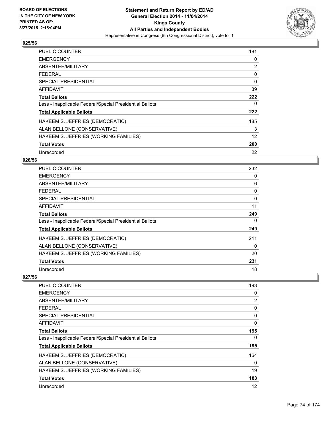

| <b>PUBLIC COUNTER</b>                                    | 181            |
|----------------------------------------------------------|----------------|
| <b>EMERGENCY</b>                                         | 0              |
| ABSENTEE/MILITARY                                        | $\overline{2}$ |
| <b>FEDERAL</b>                                           | 0              |
| <b>SPECIAL PRESIDENTIAL</b>                              | 0              |
| AFFIDAVIT                                                | 39             |
| <b>Total Ballots</b>                                     | 222            |
| Less - Inapplicable Federal/Special Presidential Ballots | 0              |
| <b>Total Applicable Ballots</b>                          | 222            |
| HAKEEM S. JEFFRIES (DEMOCRATIC)                          | 185            |
| ALAN BELLONE (CONSERVATIVE)                              | 3              |
| HAKEEM S. JEFFRIES (WORKING FAMILIES)                    | 12             |
| <b>Total Votes</b>                                       | 200            |
| Unrecorded                                               | 22             |

# **026/56**

| PUBLIC COUNTER                                           | 232 |
|----------------------------------------------------------|-----|
| <b>EMERGENCY</b>                                         | 0   |
| ABSENTEE/MILITARY                                        | 6   |
| <b>FEDERAL</b>                                           | 0   |
| SPECIAL PRESIDENTIAL                                     | 0   |
| <b>AFFIDAVIT</b>                                         | 11  |
| <b>Total Ballots</b>                                     | 249 |
| Less - Inapplicable Federal/Special Presidential Ballots | 0   |
| <b>Total Applicable Ballots</b>                          | 249 |
| HAKEEM S. JEFFRIES (DEMOCRATIC)                          | 211 |
| ALAN BELLONE (CONSERVATIVE)                              | 0   |
| HAKEEM S. JEFFRIES (WORKING FAMILIES)                    | 20  |
| <b>Total Votes</b>                                       | 231 |
| Unrecorded                                               | 18  |

| PUBLIC COUNTER                                           | 193 |
|----------------------------------------------------------|-----|
| <b>EMERGENCY</b>                                         | 0   |
| ABSENTEE/MILITARY                                        | 2   |
| <b>FEDERAL</b>                                           | 0   |
| SPECIAL PRESIDENTIAL                                     | 0   |
| AFFIDAVIT                                                | 0   |
| <b>Total Ballots</b>                                     | 195 |
| Less - Inapplicable Federal/Special Presidential Ballots | 0   |
| <b>Total Applicable Ballots</b>                          | 195 |
| HAKEEM S. JEFFRIES (DEMOCRATIC)                          | 164 |
| ALAN BELLONE (CONSERVATIVE)                              | 0   |
| HAKEEM S. JEFFRIES (WORKING FAMILIES)                    | 19  |
| <b>Total Votes</b>                                       | 183 |
| Unrecorded                                               | 12  |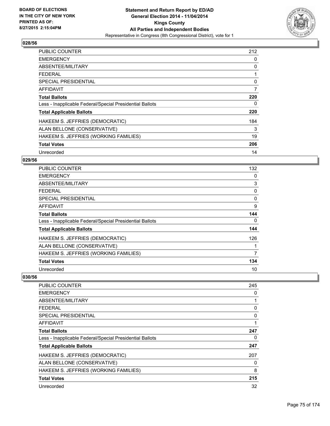

| <b>PUBLIC COUNTER</b>                                    | 212 |
|----------------------------------------------------------|-----|
| <b>EMERGENCY</b>                                         | 0   |
| ABSENTEE/MILITARY                                        | 0   |
| <b>FEDERAL</b>                                           | 1   |
| <b>SPECIAL PRESIDENTIAL</b>                              | 0   |
| <b>AFFIDAVIT</b>                                         | 7   |
| <b>Total Ballots</b>                                     | 220 |
| Less - Inapplicable Federal/Special Presidential Ballots | 0   |
| <b>Total Applicable Ballots</b>                          | 220 |
| HAKEEM S. JEFFRIES (DEMOCRATIC)                          | 184 |
| ALAN BELLONE (CONSERVATIVE)                              | 3   |
| HAKEEM S. JEFFRIES (WORKING FAMILIES)                    | 19  |
| <b>Total Votes</b>                                       | 206 |
| Unrecorded                                               | 14  |

# **029/56**

| PUBLIC COUNTER                                           | 132 |
|----------------------------------------------------------|-----|
| <b>EMERGENCY</b>                                         | 0   |
| ABSENTEE/MILITARY                                        | 3   |
| <b>FEDERAL</b>                                           | 0   |
| <b>SPECIAL PRESIDENTIAL</b>                              | 0   |
| <b>AFFIDAVIT</b>                                         | 9   |
| <b>Total Ballots</b>                                     | 144 |
| Less - Inapplicable Federal/Special Presidential Ballots | 0   |
| <b>Total Applicable Ballots</b>                          | 144 |
| HAKEEM S. JEFFRIES (DEMOCRATIC)                          | 126 |
| ALAN BELLONE (CONSERVATIVE)                              |     |
| HAKEEM S. JEFFRIES (WORKING FAMILIES)                    | 7   |
| <b>Total Votes</b>                                       | 134 |
| Unrecorded                                               | 10  |

| <b>PUBLIC COUNTER</b>                                    | 245 |
|----------------------------------------------------------|-----|
| <b>EMERGENCY</b>                                         | 0   |
| ABSENTEE/MILITARY                                        | 1   |
| <b>FEDERAL</b>                                           | 0   |
| <b>SPECIAL PRESIDENTIAL</b>                              | 0   |
| AFFIDAVIT                                                | 1   |
| <b>Total Ballots</b>                                     | 247 |
| Less - Inapplicable Federal/Special Presidential Ballots | 0   |
| <b>Total Applicable Ballots</b>                          | 247 |
| HAKEEM S. JEFFRIES (DEMOCRATIC)                          | 207 |
| ALAN BELLONE (CONSERVATIVE)                              | 0   |
| HAKEEM S. JEFFRIES (WORKING FAMILIES)                    | 8   |
| <b>Total Votes</b>                                       | 215 |
| Unrecorded                                               | 32  |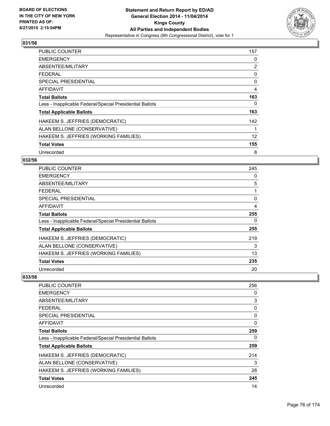

| <b>PUBLIC COUNTER</b>                                    | 157               |
|----------------------------------------------------------|-------------------|
| <b>EMERGENCY</b>                                         | 0                 |
| ABSENTEE/MILITARY                                        | 2                 |
| <b>FEDERAL</b>                                           | 0                 |
| SPECIAL PRESIDENTIAL                                     | 0                 |
| <b>AFFIDAVIT</b>                                         | 4                 |
| <b>Total Ballots</b>                                     | 163               |
| Less - Inapplicable Federal/Special Presidential Ballots | 0                 |
| <b>Total Applicable Ballots</b>                          | 163               |
| HAKEEM S. JEFFRIES (DEMOCRATIC)                          | 142               |
| ALAN BELLONE (CONSERVATIVE)                              | 1                 |
| HAKEEM S. JEFFRIES (WORKING FAMILIES)                    | $12 \overline{ }$ |
| <b>Total Votes</b>                                       | 155               |
| Unrecorded                                               | 8                 |

# **032/56**

| PUBLIC COUNTER                                           | 245 |
|----------------------------------------------------------|-----|
| <b>EMERGENCY</b>                                         | 0   |
| ABSENTEE/MILITARY                                        | 5   |
| <b>FEDERAL</b>                                           |     |
| <b>SPECIAL PRESIDENTIAL</b>                              | 0   |
| AFFIDAVIT                                                | 4   |
| <b>Total Ballots</b>                                     | 255 |
| Less - Inapplicable Federal/Special Presidential Ballots | 0   |
| <b>Total Applicable Ballots</b>                          | 255 |
| HAKEEM S. JEFFRIES (DEMOCRATIC)                          | 219 |
| ALAN BELLONE (CONSERVATIVE)                              | 3   |
| HAKEEM S. JEFFRIES (WORKING FAMILIES)                    | 13  |
| <b>Total Votes</b>                                       | 235 |
| Unrecorded                                               | 20  |

| <b>PUBLIC COUNTER</b>                                    | 256 |
|----------------------------------------------------------|-----|
| <b>EMERGENCY</b>                                         | 0   |
| ABSENTEE/MILITARY                                        | 3   |
| <b>FEDERAL</b>                                           | 0   |
| <b>SPECIAL PRESIDENTIAL</b>                              | 0   |
| AFFIDAVIT                                                | 0   |
| <b>Total Ballots</b>                                     | 259 |
| Less - Inapplicable Federal/Special Presidential Ballots | 0   |
| <b>Total Applicable Ballots</b>                          | 259 |
| HAKEEM S. JEFFRIES (DEMOCRATIC)                          | 214 |
| ALAN BELLONE (CONSERVATIVE)                              | 3   |
| HAKEEM S. JEFFRIES (WORKING FAMILIES)                    | 28  |
| <b>Total Votes</b>                                       | 245 |
| Unrecorded                                               | 14  |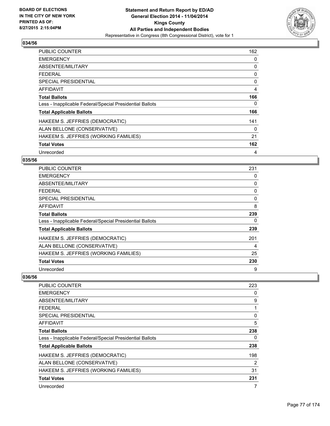

| <b>PUBLIC COUNTER</b>                                    | 162 |
|----------------------------------------------------------|-----|
| <b>EMERGENCY</b>                                         | 0   |
| ABSENTEE/MILITARY                                        | 0   |
| <b>FEDERAL</b>                                           | 0   |
| SPECIAL PRESIDENTIAL                                     | 0   |
| <b>AFFIDAVIT</b>                                         | 4   |
| <b>Total Ballots</b>                                     | 166 |
| Less - Inapplicable Federal/Special Presidential Ballots | 0   |
| <b>Total Applicable Ballots</b>                          | 166 |
| HAKEEM S. JEFFRIES (DEMOCRATIC)                          | 141 |
| ALAN BELLONE (CONSERVATIVE)                              | 0   |
| HAKEEM S. JEFFRIES (WORKING FAMILIES)                    | 21  |
| <b>Total Votes</b>                                       | 162 |
| Unrecorded                                               | 4   |

# **035/56**

| PUBLIC COUNTER                                           | 231      |
|----------------------------------------------------------|----------|
| <b>EMERGENCY</b>                                         | 0        |
| ABSENTEE/MILITARY                                        | 0        |
| <b>FEDERAL</b>                                           | 0        |
| <b>SPECIAL PRESIDENTIAL</b>                              | $\Omega$ |
| <b>AFFIDAVIT</b>                                         | 8        |
| <b>Total Ballots</b>                                     | 239      |
| Less - Inapplicable Federal/Special Presidential Ballots | 0        |
| <b>Total Applicable Ballots</b>                          | 239      |
| HAKEEM S. JEFFRIES (DEMOCRATIC)                          | 201      |
| ALAN BELLONE (CONSERVATIVE)                              | 4        |
| HAKEEM S. JEFFRIES (WORKING FAMILIES)                    | 25       |
| <b>Total Votes</b>                                       | 230      |
| Unrecorded                                               | 9        |

| <b>PUBLIC COUNTER</b>                                    | 223 |
|----------------------------------------------------------|-----|
| <b>EMERGENCY</b>                                         | 0   |
| ABSENTEE/MILITARY                                        | 9   |
| <b>FEDERAL</b>                                           | 1   |
| <b>SPECIAL PRESIDENTIAL</b>                              | 0   |
| AFFIDAVIT                                                | 5   |
| <b>Total Ballots</b>                                     | 238 |
| Less - Inapplicable Federal/Special Presidential Ballots | 0   |
| <b>Total Applicable Ballots</b>                          | 238 |
| HAKEEM S. JEFFRIES (DEMOCRATIC)                          | 198 |
| ALAN BELLONE (CONSERVATIVE)                              | 2   |
| HAKEEM S. JEFFRIES (WORKING FAMILIES)                    | 31  |
| <b>Total Votes</b>                                       | 231 |
| Unrecorded                                               | 7   |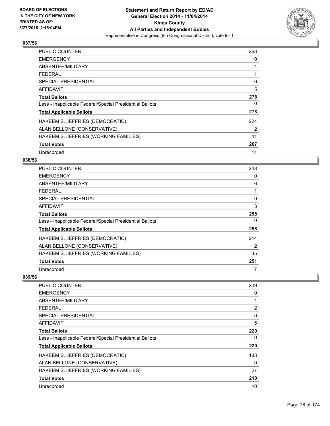

| <b>PUBLIC COUNTER</b>                                    | 268 |
|----------------------------------------------------------|-----|
| <b>EMERGENCY</b>                                         | 0   |
| ABSENTEE/MILITARY                                        | 4   |
| <b>FEDERAL</b>                                           | 1   |
| <b>SPECIAL PRESIDENTIAL</b>                              | 0   |
| <b>AFFIDAVIT</b>                                         | 5   |
| <b>Total Ballots</b>                                     | 278 |
| Less - Inapplicable Federal/Special Presidential Ballots | 0   |
| <b>Total Applicable Ballots</b>                          | 278 |
| HAKEEM S. JEFFRIES (DEMOCRATIC)                          | 224 |
| ALAN BELLONE (CONSERVATIVE)                              | 2   |
| HAKEEM S. JEFFRIES (WORKING FAMILIES)                    | 41  |
| <b>Total Votes</b>                                       | 267 |
| Unrecorded                                               | 11  |

# **038/56**

| PUBLIC COUNTER                                           | 248 |
|----------------------------------------------------------|-----|
| <b>EMERGENCY</b>                                         | 0   |
| ABSENTEE/MILITARY                                        | 6   |
| <b>FEDERAL</b>                                           |     |
| <b>SPECIAL PRESIDENTIAL</b>                              | 0   |
| <b>AFFIDAVIT</b>                                         | 3   |
| <b>Total Ballots</b>                                     | 258 |
| Less - Inapplicable Federal/Special Presidential Ballots | 0   |
| <b>Total Applicable Ballots</b>                          | 258 |
| HAKEEM S. JEFFRIES (DEMOCRATIC)                          | 214 |
| ALAN BELLONE (CONSERVATIVE)                              | 2   |
| HAKEEM S. JEFFRIES (WORKING FAMILIES)                    | 35  |
| <b>Total Votes</b>                                       | 251 |
| Unrecorded                                               | 7   |

| <b>PUBLIC COUNTER</b>                                    | 209            |
|----------------------------------------------------------|----------------|
| <b>EMERGENCY</b>                                         | 0              |
| ABSENTEE/MILITARY                                        | 4              |
| <b>FEDERAL</b>                                           | $\overline{2}$ |
| <b>SPECIAL PRESIDENTIAL</b>                              | 0              |
| AFFIDAVIT                                                | 5              |
| <b>Total Ballots</b>                                     | 220            |
| Less - Inapplicable Federal/Special Presidential Ballots | 0              |
| <b>Total Applicable Ballots</b>                          | 220            |
| HAKEEM S. JEFFRIES (DEMOCRATIC)                          | 183            |
| ALAN BELLONE (CONSERVATIVE)                              | 0              |
| HAKEEM S. JEFFRIES (WORKING FAMILIES)                    | 27             |
| <b>Total Votes</b>                                       | 210            |
| Unrecorded                                               | 10             |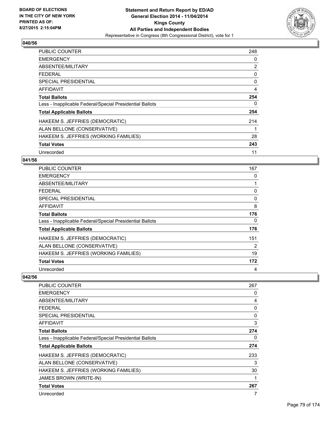

| <b>PUBLIC COUNTER</b>                                    | 248            |
|----------------------------------------------------------|----------------|
| <b>EMERGENCY</b>                                         | 0              |
| ABSENTEE/MILITARY                                        | $\overline{2}$ |
| <b>FEDERAL</b>                                           | 0              |
| <b>SPECIAL PRESIDENTIAL</b>                              | 0              |
| <b>AFFIDAVIT</b>                                         | $\overline{4}$ |
| <b>Total Ballots</b>                                     | 254            |
| Less - Inapplicable Federal/Special Presidential Ballots | 0              |
| <b>Total Applicable Ballots</b>                          | 254            |
| HAKEEM S. JEFFRIES (DEMOCRATIC)                          | 214            |
| ALAN BELLONE (CONSERVATIVE)                              | 1              |
| HAKEEM S. JEFFRIES (WORKING FAMILIES)                    | 28             |
| <b>Total Votes</b>                                       | 243            |
| Unrecorded                                               | 11             |

# **041/56**

| PUBLIC COUNTER                                           | 167 |
|----------------------------------------------------------|-----|
| <b>EMERGENCY</b>                                         | 0   |
| ABSENTEE/MILITARY                                        |     |
| <b>FEDERAL</b>                                           | 0   |
| SPECIAL PRESIDENTIAL                                     | 0   |
| AFFIDAVIT                                                | 8   |
| <b>Total Ballots</b>                                     | 176 |
| Less - Inapplicable Federal/Special Presidential Ballots | 0   |
| <b>Total Applicable Ballots</b>                          | 176 |
| HAKEEM S. JEFFRIES (DEMOCRATIC)                          | 151 |
| ALAN BELLONE (CONSERVATIVE)                              | 2   |
| HAKEEM S. JEFFRIES (WORKING FAMILIES)                    | 19  |
| <b>Total Votes</b>                                       | 172 |
| Unrecorded                                               | 4   |

| PUBLIC COUNTER                                           | 267 |
|----------------------------------------------------------|-----|
| <b>EMERGENCY</b>                                         | 0   |
| ABSENTEE/MILITARY                                        | 4   |
| <b>FEDERAL</b>                                           | 0   |
| <b>SPECIAL PRESIDENTIAL</b>                              | 0   |
| AFFIDAVIT                                                | 3   |
| <b>Total Ballots</b>                                     | 274 |
| Less - Inapplicable Federal/Special Presidential Ballots | 0   |
| <b>Total Applicable Ballots</b>                          | 274 |
| HAKEEM S. JEFFRIES (DEMOCRATIC)                          | 233 |
| ALAN BELLONE (CONSERVATIVE)                              | 3   |
| HAKEEM S. JEFFRIES (WORKING FAMILIES)                    | 30  |
| JAMES BROWN (WRITE-IN)                                   | 1   |
| <b>Total Votes</b>                                       | 267 |
| Unrecorded                                               | 7   |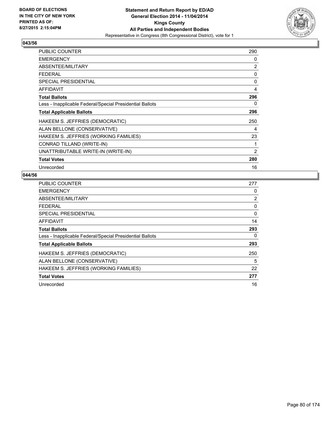

| <b>PUBLIC COUNTER</b>                                    | 290            |
|----------------------------------------------------------|----------------|
| <b>EMERGENCY</b>                                         | 0              |
| ABSENTEE/MILITARY                                        | $\overline{2}$ |
| <b>FEDERAL</b>                                           | 0              |
| <b>SPECIAL PRESIDENTIAL</b>                              | 0              |
| <b>AFFIDAVIT</b>                                         | 4              |
| <b>Total Ballots</b>                                     | 296            |
| Less - Inapplicable Federal/Special Presidential Ballots | 0              |
| <b>Total Applicable Ballots</b>                          | 296            |
| HAKEEM S. JEFFRIES (DEMOCRATIC)                          | 250            |
| ALAN BELLONE (CONSERVATIVE)                              | 4              |
| HAKEEM S. JEFFRIES (WORKING FAMILIES)                    | 23             |
| CONRAD TILLAND (WRITE-IN)                                | 1              |
| UNATTRIBUTABLE WRITE-IN (WRITE-IN)                       | $\overline{2}$ |
| <b>Total Votes</b>                                       | 280            |
| Unrecorded                                               | 16             |

| <b>PUBLIC COUNTER</b>                                    | 277 |
|----------------------------------------------------------|-----|
| <b>EMERGENCY</b>                                         | 0   |
| ABSENTEE/MILITARY                                        | 2   |
| <b>FEDERAL</b>                                           | 0   |
| <b>SPECIAL PRESIDENTIAL</b>                              | 0   |
| AFFIDAVIT                                                | 14  |
| <b>Total Ballots</b>                                     | 293 |
| Less - Inapplicable Federal/Special Presidential Ballots | 0   |
| <b>Total Applicable Ballots</b>                          | 293 |
| HAKEEM S. JEFFRIES (DEMOCRATIC)                          | 250 |
| ALAN BELLONE (CONSERVATIVE)                              | 5   |
| HAKEEM S. JEFFRIES (WORKING FAMILIES)                    | 22  |
| <b>Total Votes</b>                                       | 277 |
| Unrecorded                                               | 16  |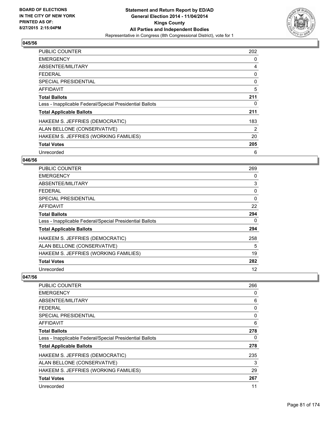

| <b>PUBLIC COUNTER</b>                                    | 202 |
|----------------------------------------------------------|-----|
| <b>EMERGENCY</b>                                         | 0   |
| ABSENTEE/MILITARY                                        | 4   |
| FFDFRAI                                                  | 0   |
| SPECIAL PRESIDENTIAL                                     | 0   |
| <b>AFFIDAVIT</b>                                         | 5   |
| <b>Total Ballots</b>                                     | 211 |
| Less - Inapplicable Federal/Special Presidential Ballots | 0   |
| <b>Total Applicable Ballots</b>                          | 211 |
| HAKEEM S. JEFFRIES (DEMOCRATIC)                          | 183 |
| ALAN BELLONE (CONSERVATIVE)                              | 2   |
| HAKEEM S. JEFFRIES (WORKING FAMILIES)                    | 20  |
| <b>Total Votes</b>                                       | 205 |
| Unrecorded                                               | 6   |

### **046/56**

| <b>PUBLIC COUNTER</b>                                    | 269 |
|----------------------------------------------------------|-----|
| <b>EMERGENCY</b>                                         | 0   |
| ABSENTEE/MILITARY                                        | 3   |
| <b>FEDERAL</b>                                           | 0   |
| <b>SPECIAL PRESIDENTIAL</b>                              | 0   |
| AFFIDAVIT                                                | 22  |
| <b>Total Ballots</b>                                     | 294 |
| Less - Inapplicable Federal/Special Presidential Ballots | 0   |
| <b>Total Applicable Ballots</b>                          | 294 |
| HAKEEM S. JEFFRIES (DEMOCRATIC)                          | 258 |
| ALAN BELLONE (CONSERVATIVE)                              | 5   |
| HAKEEM S. JEFFRIES (WORKING FAMILIES)                    | 19  |
| <b>Total Votes</b>                                       | 282 |
| Unrecorded                                               | 12  |

| <b>PUBLIC COUNTER</b>                                    | 266 |
|----------------------------------------------------------|-----|
| <b>EMERGENCY</b>                                         | 0   |
| ABSENTEE/MILITARY                                        | 6   |
| <b>FEDERAL</b>                                           | 0   |
| <b>SPECIAL PRESIDENTIAL</b>                              | 0   |
| <b>AFFIDAVIT</b>                                         | 6   |
| <b>Total Ballots</b>                                     | 278 |
| Less - Inapplicable Federal/Special Presidential Ballots | 0   |
| <b>Total Applicable Ballots</b>                          | 278 |
| HAKEEM S. JEFFRIES (DEMOCRATIC)                          | 235 |
| ALAN BELLONE (CONSERVATIVE)                              | 3   |
| HAKEEM S. JEFFRIES (WORKING FAMILIES)                    | 29  |
| <b>Total Votes</b>                                       | 267 |
| Unrecorded                                               | 11  |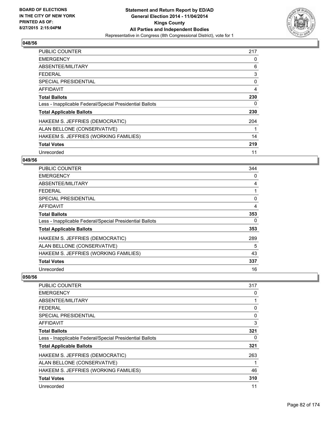

| <b>PUBLIC COUNTER</b>                                    | 217 |
|----------------------------------------------------------|-----|
| <b>EMERGENCY</b>                                         | 0   |
| ABSENTEE/MILITARY                                        | 6   |
| <b>FEDERAL</b>                                           | 3   |
| <b>SPECIAL PRESIDENTIAL</b>                              | 0   |
| <b>AFFIDAVIT</b>                                         | 4   |
| <b>Total Ballots</b>                                     | 230 |
| Less - Inapplicable Federal/Special Presidential Ballots | 0   |
| <b>Total Applicable Ballots</b>                          | 230 |
| HAKEEM S. JEFFRIES (DEMOCRATIC)                          | 204 |
| ALAN BELLONE (CONSERVATIVE)                              | 1   |
| HAKEEM S. JEFFRIES (WORKING FAMILIES)                    | 14  |
| <b>Total Votes</b>                                       | 219 |
| Unrecorded                                               | 11  |

# **049/56**

| <b>PUBLIC COUNTER</b>                                    | 344 |
|----------------------------------------------------------|-----|
| <b>EMERGENCY</b>                                         | 0   |
| ABSENTEE/MILITARY                                        | 4   |
| <b>FEDERAL</b>                                           |     |
| <b>SPECIAL PRESIDENTIAL</b>                              | 0   |
| AFFIDAVIT                                                | 4   |
| <b>Total Ballots</b>                                     | 353 |
| Less - Inapplicable Federal/Special Presidential Ballots | 0   |
| <b>Total Applicable Ballots</b>                          | 353 |
| HAKEEM S. JEFFRIES (DEMOCRATIC)                          | 289 |
| ALAN BELLONE (CONSERVATIVE)                              | 5   |
| HAKEEM S. JEFFRIES (WORKING FAMILIES)                    | 43  |
| <b>Total Votes</b>                                       | 337 |
| Unrecorded                                               | 16  |

| PUBLIC COUNTER                                           | 317 |
|----------------------------------------------------------|-----|
| <b>EMERGENCY</b>                                         | 0   |
| ABSENTEE/MILITARY                                        |     |
| <b>FEDERAL</b>                                           | 0   |
| SPECIAL PRESIDENTIAL                                     | 0   |
| AFFIDAVIT                                                | 3   |
| <b>Total Ballots</b>                                     | 321 |
| Less - Inapplicable Federal/Special Presidential Ballots | 0   |
| <b>Total Applicable Ballots</b>                          | 321 |
| HAKEEM S. JEFFRIES (DEMOCRATIC)                          | 263 |
| ALAN BELLONE (CONSERVATIVE)                              |     |
| HAKEEM S. JEFFRIES (WORKING FAMILIES)                    | 46  |
| <b>Total Votes</b>                                       | 310 |
| Unrecorded                                               | 11  |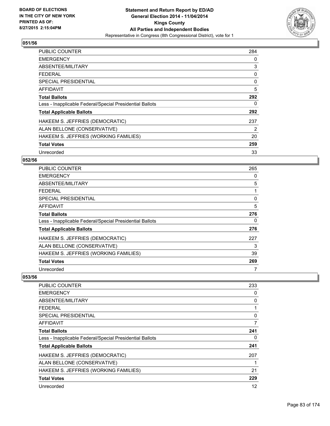

| <b>PUBLIC COUNTER</b>                                    | 284 |
|----------------------------------------------------------|-----|
| <b>EMERGENCY</b>                                         | 0   |
| ABSENTEE/MILITARY                                        | 3   |
| <b>FEDERAL</b>                                           | 0   |
| <b>SPECIAL PRESIDENTIAL</b>                              | 0   |
| <b>AFFIDAVIT</b>                                         | 5   |
| <b>Total Ballots</b>                                     | 292 |
| Less - Inapplicable Federal/Special Presidential Ballots | 0   |
| <b>Total Applicable Ballots</b>                          | 292 |
| HAKEEM S. JEFFRIES (DEMOCRATIC)                          | 237 |
| ALAN BELLONE (CONSERVATIVE)                              | 2   |
| HAKEEM S. JEFFRIES (WORKING FAMILIES)                    | 20  |
| <b>Total Votes</b>                                       | 259 |
| Unrecorded                                               | 33  |

# **052/56**

| PUBLIC COUNTER                                           | 265 |
|----------------------------------------------------------|-----|
| <b>EMERGENCY</b>                                         | 0   |
| ABSENTEE/MILITARY                                        | 5   |
| <b>FEDERAL</b>                                           |     |
| <b>SPECIAL PRESIDENTIAL</b>                              | 0   |
| <b>AFFIDAVIT</b>                                         | 5   |
| <b>Total Ballots</b>                                     | 276 |
| Less - Inapplicable Federal/Special Presidential Ballots | 0   |
| <b>Total Applicable Ballots</b>                          | 276 |
| HAKEEM S. JEFFRIES (DEMOCRATIC)                          | 227 |
| ALAN BELLONE (CONSERVATIVE)                              | 3   |
| HAKEEM S. JEFFRIES (WORKING FAMILIES)                    | 39  |
| <b>Total Votes</b>                                       | 269 |
| Unrecorded                                               | 7   |

| <b>PUBLIC COUNTER</b>                                    | 233 |
|----------------------------------------------------------|-----|
| <b>EMERGENCY</b>                                         | 0   |
| ABSENTEE/MILITARY                                        | 0   |
| <b>FEDERAL</b>                                           |     |
| <b>SPECIAL PRESIDENTIAL</b>                              | 0   |
| AFFIDAVIT                                                | 7   |
| <b>Total Ballots</b>                                     | 241 |
| Less - Inapplicable Federal/Special Presidential Ballots | 0   |
| <b>Total Applicable Ballots</b>                          | 241 |
| HAKEEM S. JEFFRIES (DEMOCRATIC)                          | 207 |
| ALAN BELLONE (CONSERVATIVE)                              |     |
| HAKEEM S. JEFFRIES (WORKING FAMILIES)                    | 21  |
| <b>Total Votes</b>                                       | 229 |
| Unrecorded                                               | 12  |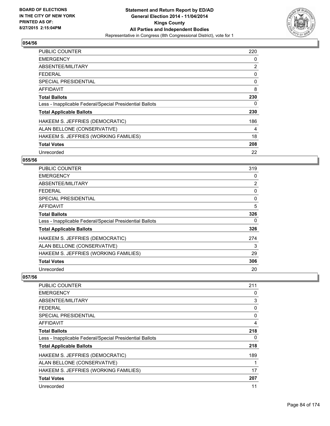

| <b>PUBLIC COUNTER</b>                                    | 220 |
|----------------------------------------------------------|-----|
| <b>EMERGENCY</b>                                         | 0   |
| ABSENTEE/MILITARY                                        | 2   |
| <b>FEDERAL</b>                                           | 0   |
| <b>SPECIAL PRESIDENTIAL</b>                              | 0   |
| AFFIDAVIT                                                | 8   |
| <b>Total Ballots</b>                                     | 230 |
| Less - Inapplicable Federal/Special Presidential Ballots | 0   |
| <b>Total Applicable Ballots</b>                          | 230 |
| HAKEEM S. JEFFRIES (DEMOCRATIC)                          | 186 |
| ALAN BELLONE (CONSERVATIVE)                              | 4   |
| HAKEEM S. JEFFRIES (WORKING FAMILIES)                    | 18  |
| <b>Total Votes</b>                                       | 208 |
| Unrecorded                                               | 22  |

# **055/56**

| PUBLIC COUNTER                                           | 319 |
|----------------------------------------------------------|-----|
| <b>EMERGENCY</b>                                         | 0   |
| ABSENTEE/MILITARY                                        | 2   |
| <b>FEDERAL</b>                                           | 0   |
| <b>SPECIAL PRESIDENTIAL</b>                              | 0   |
| <b>AFFIDAVIT</b>                                         | 5   |
| <b>Total Ballots</b>                                     | 326 |
| Less - Inapplicable Federal/Special Presidential Ballots | 0   |
| <b>Total Applicable Ballots</b>                          | 326 |
| HAKEEM S. JEFFRIES (DEMOCRATIC)                          | 274 |
| ALAN BELLONE (CONSERVATIVE)                              | 3   |
| HAKEEM S. JEFFRIES (WORKING FAMILIES)                    | 29  |
| <b>Total Votes</b>                                       | 306 |
| Unrecorded                                               | 20  |

| PUBLIC COUNTER                                           | 211 |
|----------------------------------------------------------|-----|
| <b>EMERGENCY</b>                                         | 0   |
| ABSENTEE/MILITARY                                        | 3   |
| <b>FEDERAL</b>                                           | 0   |
| <b>SPECIAL PRESIDENTIAL</b>                              | 0   |
| AFFIDAVIT                                                | 4   |
| <b>Total Ballots</b>                                     | 218 |
| Less - Inapplicable Federal/Special Presidential Ballots | 0   |
| <b>Total Applicable Ballots</b>                          | 218 |
| HAKEEM S. JEFFRIES (DEMOCRATIC)                          | 189 |
| ALAN BELLONE (CONSERVATIVE)                              | 1   |
| HAKEEM S. JEFFRIES (WORKING FAMILIES)                    | 17  |
| <b>Total Votes</b>                                       | 207 |
| Unrecorded                                               | 11  |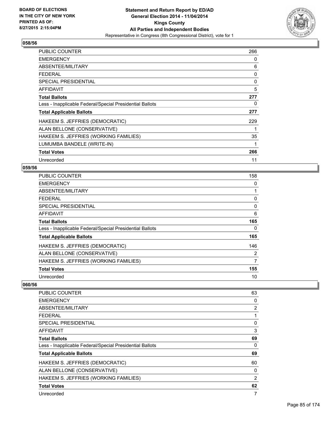

| PUBLIC COUNTER                                           | 266 |
|----------------------------------------------------------|-----|
| <b>EMERGENCY</b>                                         | 0   |
| ABSENTEE/MILITARY                                        | 6   |
| <b>FEDERAL</b>                                           | 0   |
| <b>SPECIAL PRESIDENTIAL</b>                              | 0   |
| AFFIDAVIT                                                | 5   |
| <b>Total Ballots</b>                                     | 277 |
| Less - Inapplicable Federal/Special Presidential Ballots | 0   |
| <b>Total Applicable Ballots</b>                          | 277 |
| HAKEEM S. JEFFRIES (DEMOCRATIC)                          | 229 |
| ALAN BELLONE (CONSERVATIVE)                              | 1   |
| HAKEEM S. JEFFRIES (WORKING FAMILIES)                    | 35  |
| LUMUMBA BANDELE (WRITE-IN)                               | 1   |
| <b>Total Votes</b>                                       | 266 |
| Unrecorded                                               | 11  |

### **059/56**

| <b>PUBLIC COUNTER</b>                                    | 158 |
|----------------------------------------------------------|-----|
| <b>EMERGENCY</b>                                         | 0   |
| ABSENTEE/MILITARY                                        | 1   |
| <b>FEDERAL</b>                                           | 0   |
| <b>SPECIAL PRESIDENTIAL</b>                              | 0   |
| AFFIDAVIT                                                | 6   |
| <b>Total Ballots</b>                                     | 165 |
| Less - Inapplicable Federal/Special Presidential Ballots | 0   |
| <b>Total Applicable Ballots</b>                          | 165 |
| HAKEEM S. JEFFRIES (DEMOCRATIC)                          | 146 |
| ALAN BELLONE (CONSERVATIVE)                              | 2   |
| HAKEEM S. JEFFRIES (WORKING FAMILIES)                    | 7   |
| <b>Total Votes</b>                                       | 155 |
| Unrecorded                                               | 10  |

| <b>PUBLIC COUNTER</b>                                    | 63             |
|----------------------------------------------------------|----------------|
| <b>EMERGENCY</b>                                         | 0              |
| ABSENTEE/MILITARY                                        | $\overline{2}$ |
| <b>FEDERAL</b>                                           |                |
| <b>SPECIAL PRESIDENTIAL</b>                              | 0              |
| AFFIDAVIT                                                | 3              |
| <b>Total Ballots</b>                                     | 69             |
| Less - Inapplicable Federal/Special Presidential Ballots | 0              |
| <b>Total Applicable Ballots</b>                          | 69             |
| HAKEEM S. JEFFRIES (DEMOCRATIC)                          | 60             |
| ALAN BELLONE (CONSERVATIVE)                              | 0              |
| HAKEEM S. JEFFRIES (WORKING FAMILIES)                    | 2              |
| <b>Total Votes</b>                                       | 62             |
| Unrecorded                                               | 7              |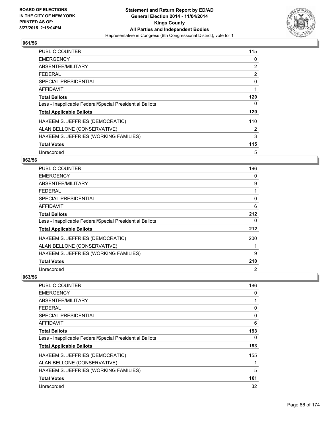

| <b>PUBLIC COUNTER</b>                                    | 115 |
|----------------------------------------------------------|-----|
| <b>EMERGENCY</b>                                         | 0   |
| ABSENTEE/MILITARY                                        | 2   |
| FFDFRAI                                                  | 2   |
| <b>SPECIAL PRESIDENTIAL</b>                              | 0   |
| <b>AFFIDAVIT</b>                                         | 1   |
| <b>Total Ballots</b>                                     | 120 |
| Less - Inapplicable Federal/Special Presidential Ballots | 0   |
| <b>Total Applicable Ballots</b>                          | 120 |
| HAKEEM S. JEFFRIES (DEMOCRATIC)                          | 110 |
| ALAN BELLONE (CONSERVATIVE)                              | 2   |
| HAKEEM S. JEFFRIES (WORKING FAMILIES)                    | 3   |
| <b>Total Votes</b>                                       | 115 |
| Unrecorded                                               | 5   |

# **062/56**

| PUBLIC COUNTER                                           | 196 |
|----------------------------------------------------------|-----|
| <b>EMERGENCY</b>                                         | 0   |
| ABSENTEE/MILITARY                                        | 9   |
| <b>FEDERAL</b>                                           |     |
| <b>SPECIAL PRESIDENTIAL</b>                              | 0   |
| <b>AFFIDAVIT</b>                                         | 6   |
| <b>Total Ballots</b>                                     | 212 |
| Less - Inapplicable Federal/Special Presidential Ballots | 0   |
| <b>Total Applicable Ballots</b>                          | 212 |
| HAKEEM S. JEFFRIES (DEMOCRATIC)                          | 200 |
| ALAN BELLONE (CONSERVATIVE)                              |     |
| HAKEEM S. JEFFRIES (WORKING FAMILIES)                    | 9   |
| <b>Total Votes</b>                                       | 210 |
| Unrecorded                                               | 2   |

| PUBLIC COUNTER                                           | 186          |
|----------------------------------------------------------|--------------|
| <b>EMERGENCY</b>                                         | 0            |
| ABSENTEE/MILITARY                                        | $\mathbf{1}$ |
| <b>FEDERAL</b>                                           | 0            |
| <b>SPECIAL PRESIDENTIAL</b>                              | 0            |
| AFFIDAVIT                                                | 6            |
| <b>Total Ballots</b>                                     | 193          |
| Less - Inapplicable Federal/Special Presidential Ballots | 0            |
| <b>Total Applicable Ballots</b>                          | 193          |
| HAKEEM S. JEFFRIES (DEMOCRATIC)                          | 155          |
| ALAN BELLONE (CONSERVATIVE)                              | 1            |
| HAKEEM S. JEFFRIES (WORKING FAMILIES)                    | 5            |
| <b>Total Votes</b>                                       | 161          |
| Unrecorded                                               | 32           |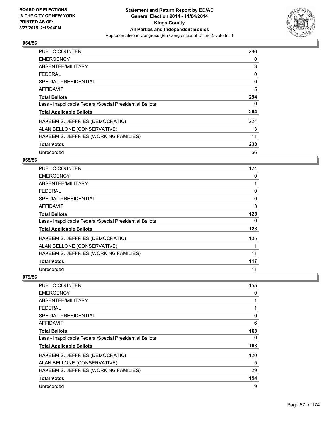

| <b>PUBLIC COUNTER</b>                                    | 286 |
|----------------------------------------------------------|-----|
| <b>EMERGENCY</b>                                         | 0   |
| ABSENTEE/MILITARY                                        | 3   |
| <b>FEDERAL</b>                                           | 0   |
| SPECIAL PRESIDENTIAL                                     | 0   |
| AFFIDAVIT                                                | 5   |
| <b>Total Ballots</b>                                     | 294 |
| Less - Inapplicable Federal/Special Presidential Ballots | 0   |
| <b>Total Applicable Ballots</b>                          | 294 |
| HAKEEM S. JEFFRIES (DEMOCRATIC)                          | 224 |
| ALAN BELLONE (CONSERVATIVE)                              | 3   |
| HAKEEM S. JEFFRIES (WORKING FAMILIES)                    | 11  |
| <b>Total Votes</b>                                       | 238 |
| Unrecorded                                               | 56  |

# **065/56**

| PUBLIC COUNTER                                           | 124 |
|----------------------------------------------------------|-----|
| <b>EMERGENCY</b>                                         | 0   |
| ABSENTEE/MILITARY                                        | 1   |
| <b>FEDERAL</b>                                           | 0   |
| <b>SPECIAL PRESIDENTIAL</b>                              | 0   |
| <b>AFFIDAVIT</b>                                         | 3   |
| <b>Total Ballots</b>                                     | 128 |
| Less - Inapplicable Federal/Special Presidential Ballots | 0   |
| <b>Total Applicable Ballots</b>                          | 128 |
| HAKEEM S. JEFFRIES (DEMOCRATIC)                          | 105 |
| ALAN BELLONE (CONSERVATIVE)                              |     |
| HAKEEM S. JEFFRIES (WORKING FAMILIES)                    | 11  |
| <b>Total Votes</b>                                       | 117 |
| Unrecorded                                               | 11  |

| <b>PUBLIC COUNTER</b>                                    | 155 |
|----------------------------------------------------------|-----|
| <b>EMERGENCY</b>                                         | 0   |
| ABSENTEE/MILITARY                                        |     |
| <b>FEDERAL</b>                                           |     |
| <b>SPECIAL PRESIDENTIAL</b>                              | 0   |
| AFFIDAVIT                                                | 6   |
| <b>Total Ballots</b>                                     | 163 |
| Less - Inapplicable Federal/Special Presidential Ballots | 0   |
| <b>Total Applicable Ballots</b>                          | 163 |
| HAKEEM S. JEFFRIES (DEMOCRATIC)                          | 120 |
| ALAN BELLONE (CONSERVATIVE)                              | 5   |
| HAKEEM S. JEFFRIES (WORKING FAMILIES)                    | 29  |
| <b>Total Votes</b>                                       | 154 |
| Unrecorded                                               | 9   |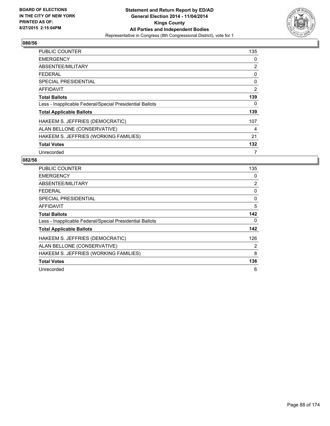

| <b>PUBLIC COUNTER</b>                                    | 135 |
|----------------------------------------------------------|-----|
| <b>EMERGENCY</b>                                         | 0   |
| ABSENTEE/MILITARY                                        | 2   |
| <b>FEDERAL</b>                                           | 0   |
| <b>SPECIAL PRESIDENTIAL</b>                              | 0   |
| <b>AFFIDAVIT</b>                                         | 2   |
| <b>Total Ballots</b>                                     | 139 |
| Less - Inapplicable Federal/Special Presidential Ballots | 0   |
| <b>Total Applicable Ballots</b>                          | 139 |
| HAKEEM S. JEFFRIES (DEMOCRATIC)                          | 107 |
| ALAN BELLONE (CONSERVATIVE)                              | 4   |
| HAKEEM S. JEFFRIES (WORKING FAMILIES)                    | 21  |
| <b>Total Votes</b>                                       | 132 |
| Unrecorded                                               | 7   |

| <b>PUBLIC COUNTER</b>                                    | 135            |
|----------------------------------------------------------|----------------|
| <b>EMERGENCY</b>                                         | 0              |
| ABSENTEE/MILITARY                                        | $\overline{2}$ |
| <b>FEDERAL</b>                                           | 0              |
| <b>SPECIAL PRESIDENTIAL</b>                              | 0              |
| <b>AFFIDAVIT</b>                                         | 5              |
| <b>Total Ballots</b>                                     | 142            |
| Less - Inapplicable Federal/Special Presidential Ballots | 0              |
| <b>Total Applicable Ballots</b>                          | 142            |
| HAKEEM S. JEFFRIES (DEMOCRATIC)                          | 126            |
| ALAN BELLONE (CONSERVATIVE)                              | 2              |
| HAKEEM S. JEFFRIES (WORKING FAMILIES)                    | 8              |
| <b>Total Votes</b>                                       | 136            |
| Unrecorded                                               | 6              |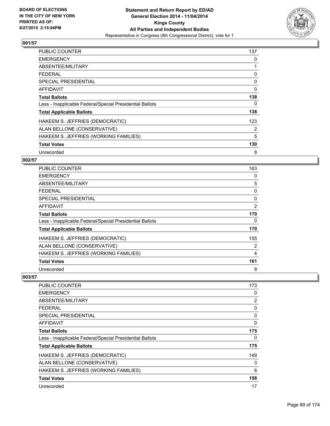

| <b>PUBLIC COUNTER</b>                                    | 137 |
|----------------------------------------------------------|-----|
| <b>EMERGENCY</b>                                         | 0   |
| ABSENTEE/MILITARY                                        |     |
| <b>FEDERAL</b>                                           | 0   |
| SPECIAL PRESIDENTIAL                                     | 0   |
| <b>AFFIDAVIT</b>                                         | 0   |
| <b>Total Ballots</b>                                     | 138 |
| Less - Inapplicable Federal/Special Presidential Ballots | 0   |
| <b>Total Applicable Ballots</b>                          | 138 |
| HAKEEM S. JEFFRIES (DEMOCRATIC)                          | 123 |
| ALAN BELLONE (CONSERVATIVE)                              | 2   |
| HAKEEM S. JEFFRIES (WORKING FAMILIES)                    | 5   |
| <b>Total Votes</b>                                       | 130 |
| Unrecorded                                               | 8   |

# **002/57**

| <b>PUBLIC COUNTER</b>                                    | 163 |
|----------------------------------------------------------|-----|
| <b>EMERGENCY</b>                                         | 0   |
| ABSENTEE/MILITARY                                        | 5   |
| <b>FEDERAL</b>                                           | 0   |
| <b>SPECIAL PRESIDENTIAL</b>                              | 0   |
| <b>AFFIDAVIT</b>                                         | 2   |
| <b>Total Ballots</b>                                     | 170 |
| Less - Inapplicable Federal/Special Presidential Ballots | 0   |
| <b>Total Applicable Ballots</b>                          | 170 |
| HAKEEM S. JEFFRIES (DEMOCRATIC)                          | 155 |
| ALAN BELLONE (CONSERVATIVE)                              | 2   |
| HAKEEM S. JEFFRIES (WORKING FAMILIES)                    | 4   |
| <b>Total Votes</b>                                       | 161 |
| Unrecorded                                               | 9   |

| PUBLIC COUNTER                                           | 173 |
|----------------------------------------------------------|-----|
| <b>EMERGENCY</b>                                         | 0   |
| ABSENTEE/MILITARY                                        | 2   |
| <b>FEDERAL</b>                                           | 0   |
| SPECIAL PRESIDENTIAL                                     | 0   |
| AFFIDAVIT                                                | 0   |
| <b>Total Ballots</b>                                     | 175 |
| Less - Inapplicable Federal/Special Presidential Ballots | 0   |
| <b>Total Applicable Ballots</b>                          | 175 |
| HAKEEM S. JEFFRIES (DEMOCRATIC)                          | 149 |
| ALAN BELLONE (CONSERVATIVE)                              | 3   |
| HAKEEM S. JEFFRIES (WORKING FAMILIES)                    | 6   |
| <b>Total Votes</b>                                       | 158 |
| Unrecorded                                               | 17  |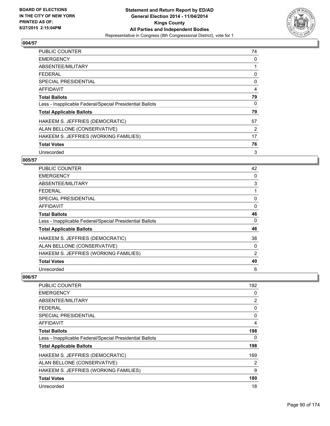

| <b>PUBLIC COUNTER</b>                                    | 74 |
|----------------------------------------------------------|----|
| <b>EMERGENCY</b>                                         | 0  |
| ABSENTEE/MILITARY                                        |    |
| <b>FEDERAL</b>                                           | 0  |
| SPECIAL PRESIDENTIAL                                     | 0  |
| <b>AFFIDAVIT</b>                                         | 4  |
| <b>Total Ballots</b>                                     | 79 |
| Less - Inapplicable Federal/Special Presidential Ballots | 0  |
| <b>Total Applicable Ballots</b>                          | 79 |
| HAKEEM S. JEFFRIES (DEMOCRATIC)                          | 57 |
| ALAN BELLONE (CONSERVATIVE)                              | 2  |
| HAKEEM S. JEFFRIES (WORKING FAMILIES)                    | 17 |
| <b>Total Votes</b>                                       | 76 |
| Unrecorded                                               | 3  |

# **005/57**

| <b>PUBLIC COUNTER</b>                                    | 42 |
|----------------------------------------------------------|----|
| <b>EMERGENCY</b>                                         | 0  |
| ABSENTEE/MILITARY                                        | 3  |
| <b>FEDERAL</b>                                           |    |
| <b>SPECIAL PRESIDENTIAL</b>                              | 0  |
| <b>AFFIDAVIT</b>                                         | 0  |
| <b>Total Ballots</b>                                     | 46 |
| Less - Inapplicable Federal/Special Presidential Ballots | 0  |
| <b>Total Applicable Ballots</b>                          | 46 |
| HAKEEM S. JEFFRIES (DEMOCRATIC)                          | 38 |
| ALAN BELLONE (CONSERVATIVE)                              | 0  |
| HAKEEM S. JEFFRIES (WORKING FAMILIES)                    | 2  |
| <b>Total Votes</b>                                       | 40 |
| Unrecorded                                               | 6  |

| <b>PUBLIC COUNTER</b>                                    | 192 |
|----------------------------------------------------------|-----|
| <b>EMERGENCY</b>                                         | 0   |
| ABSENTEE/MILITARY                                        | 2   |
| <b>FEDERAL</b>                                           | 0   |
| <b>SPECIAL PRESIDENTIAL</b>                              | 0   |
| AFFIDAVIT                                                | 4   |
| <b>Total Ballots</b>                                     | 198 |
| Less - Inapplicable Federal/Special Presidential Ballots | 0   |
| <b>Total Applicable Ballots</b>                          | 198 |
| HAKEEM S. JEFFRIES (DEMOCRATIC)                          | 169 |
| ALAN BELLONE (CONSERVATIVE)                              | 2   |
| HAKEEM S. JEFFRIES (WORKING FAMILIES)                    | 9   |
| <b>Total Votes</b>                                       | 180 |
| Unrecorded                                               | 18  |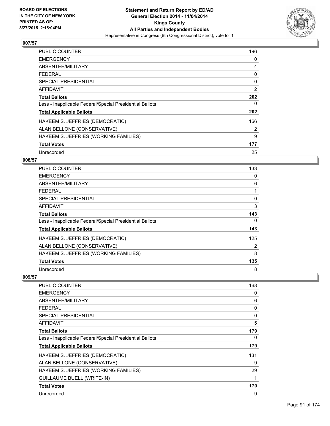

| <b>PUBLIC COUNTER</b>                                    | 196 |
|----------------------------------------------------------|-----|
| <b>EMERGENCY</b>                                         | 0   |
| ABSENTEE/MILITARY                                        | 4   |
| <b>FEDERAL</b>                                           | 0   |
| SPECIAL PRESIDENTIAL                                     | 0   |
| <b>AFFIDAVIT</b>                                         | 2   |
| <b>Total Ballots</b>                                     | 202 |
| Less - Inapplicable Federal/Special Presidential Ballots | 0   |
| <b>Total Applicable Ballots</b>                          | 202 |
| HAKEEM S. JEFFRIES (DEMOCRATIC)                          | 166 |
| ALAN BELLONE (CONSERVATIVE)                              | 2   |
| HAKEEM S. JEFFRIES (WORKING FAMILIES)                    | 9   |
| <b>Total Votes</b>                                       | 177 |
| Unrecorded                                               | 25  |

# **008/57**

| PUBLIC COUNTER                                           | 133 |
|----------------------------------------------------------|-----|
| <b>EMERGENCY</b>                                         | 0   |
| ABSENTEE/MILITARY                                        | 6   |
| <b>FEDERAL</b>                                           |     |
| <b>SPECIAL PRESIDENTIAL</b>                              | 0   |
| AFFIDAVIT                                                | 3   |
| <b>Total Ballots</b>                                     | 143 |
| Less - Inapplicable Federal/Special Presidential Ballots | 0   |
| <b>Total Applicable Ballots</b>                          | 143 |
| HAKEEM S. JEFFRIES (DEMOCRATIC)                          | 125 |
| ALAN BELLONE (CONSERVATIVE)                              | 2   |
| HAKEEM S. JEFFRIES (WORKING FAMILIES)                    | 8   |
| <b>Total Votes</b>                                       | 135 |
| Unrecorded                                               | 8   |

| <b>PUBLIC COUNTER</b>                                    | 168 |
|----------------------------------------------------------|-----|
| <b>EMERGENCY</b>                                         | 0   |
| ABSENTEE/MILITARY                                        | 6   |
| <b>FEDERAL</b>                                           | 0   |
| <b>SPECIAL PRESIDENTIAL</b>                              | 0   |
| AFFIDAVIT                                                | 5   |
| <b>Total Ballots</b>                                     | 179 |
| Less - Inapplicable Federal/Special Presidential Ballots | 0   |
| <b>Total Applicable Ballots</b>                          | 179 |
| HAKEEM S. JEFFRIES (DEMOCRATIC)                          | 131 |
| ALAN BELLONE (CONSERVATIVE)                              | 9   |
| HAKEEM S. JEFFRIES (WORKING FAMILIES)                    | 29  |
| <b>GUILLAUME BUELL (WRITE-IN)</b>                        | 1   |
| <b>Total Votes</b>                                       | 170 |
| Unrecorded                                               | 9   |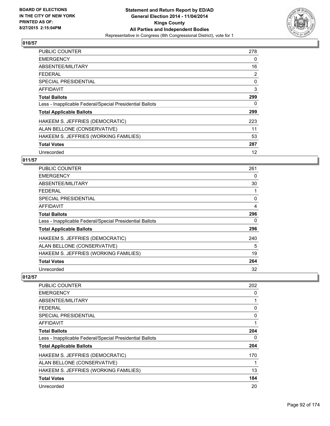

| <b>PUBLIC COUNTER</b>                                    | 278 |
|----------------------------------------------------------|-----|
| <b>EMERGENCY</b>                                         | 0   |
| ABSENTEE/MILITARY                                        | 16  |
| <b>FEDERAL</b>                                           | 2   |
| SPECIAL PRESIDENTIAL                                     | 0   |
| <b>AFFIDAVIT</b>                                         | 3   |
| <b>Total Ballots</b>                                     | 299 |
| Less - Inapplicable Federal/Special Presidential Ballots | 0   |
| <b>Total Applicable Ballots</b>                          | 299 |
| HAKEEM S. JEFFRIES (DEMOCRATIC)                          | 223 |
| ALAN BELLONE (CONSERVATIVE)                              | 11  |
| HAKEEM S. JEFFRIES (WORKING FAMILIES)                    | 53  |
| <b>Total Votes</b>                                       | 287 |
| Unrecorded                                               | 12  |

# **011/57**

| <b>PUBLIC COUNTER</b>                                    | 261 |
|----------------------------------------------------------|-----|
| <b>EMERGENCY</b>                                         | 0   |
| ABSENTEE/MILITARY                                        | 30  |
| <b>FEDERAL</b>                                           |     |
| <b>SPECIAL PRESIDENTIAL</b>                              | 0   |
| <b>AFFIDAVIT</b>                                         | 4   |
| <b>Total Ballots</b>                                     | 296 |
| Less - Inapplicable Federal/Special Presidential Ballots | 0   |
| <b>Total Applicable Ballots</b>                          | 296 |
| HAKEEM S. JEFFRIES (DEMOCRATIC)                          | 240 |
| ALAN BELLONE (CONSERVATIVE)                              | 5   |
| HAKEEM S. JEFFRIES (WORKING FAMILIES)                    | 19  |
| <b>Total Votes</b>                                       | 264 |
| Unrecorded                                               | 32  |

| PUBLIC COUNTER                                           | 202 |
|----------------------------------------------------------|-----|
| <b>EMERGENCY</b>                                         | 0   |
| ABSENTEE/MILITARY                                        |     |
| <b>FEDERAL</b>                                           | 0   |
| SPECIAL PRESIDENTIAL                                     | 0   |
| AFFIDAVIT                                                |     |
| <b>Total Ballots</b>                                     | 204 |
| Less - Inapplicable Federal/Special Presidential Ballots | 0   |
| <b>Total Applicable Ballots</b>                          | 204 |
| HAKEEM S. JEFFRIES (DEMOCRATIC)                          | 170 |
| ALAN BELLONE (CONSERVATIVE)                              |     |
| HAKEEM S. JEFFRIES (WORKING FAMILIES)                    | 13  |
| <b>Total Votes</b>                                       | 184 |
| Unrecorded                                               | 20  |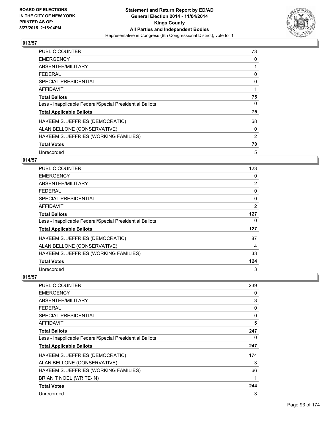

| <b>PUBLIC COUNTER</b>                                    | 73 |
|----------------------------------------------------------|----|
| <b>EMERGENCY</b>                                         | 0  |
| ABSENTEE/MILITARY                                        |    |
| <b>FEDERAL</b>                                           | 0  |
| <b>SPECIAL PRESIDENTIAL</b>                              | 0  |
| <b>AFFIDAVIT</b>                                         | 1  |
| <b>Total Ballots</b>                                     | 75 |
| Less - Inapplicable Federal/Special Presidential Ballots | 0  |
| <b>Total Applicable Ballots</b>                          | 75 |
| HAKEEM S. JEFFRIES (DEMOCRATIC)                          | 68 |
| ALAN BELLONE (CONSERVATIVE)                              | 0  |
| HAKEEM S. JEFFRIES (WORKING FAMILIES)                    | 2  |
| <b>Total Votes</b>                                       | 70 |
| Unrecorded                                               | 5  |

## **014/57**

| <b>PUBLIC COUNTER</b>                                    | 123            |
|----------------------------------------------------------|----------------|
| <b>EMERGENCY</b>                                         | 0              |
| ABSENTEE/MILITARY                                        | $\overline{2}$ |
| <b>FEDERAL</b>                                           | 0              |
| <b>SPECIAL PRESIDENTIAL</b>                              | 0              |
| <b>AFFIDAVIT</b>                                         | 2              |
| <b>Total Ballots</b>                                     | 127            |
| Less - Inapplicable Federal/Special Presidential Ballots | 0              |
| <b>Total Applicable Ballots</b>                          | 127            |
| HAKEEM S. JEFFRIES (DEMOCRATIC)                          | 87             |
| ALAN BELLONE (CONSERVATIVE)                              | 4              |
| HAKEEM S. JEFFRIES (WORKING FAMILIES)                    | 33             |
| <b>Total Votes</b>                                       | 124            |
| Unrecorded                                               | 3              |

| PUBLIC COUNTER                                           | 239 |
|----------------------------------------------------------|-----|
| <b>EMERGENCY</b>                                         | 0   |
| ABSENTEE/MILITARY                                        | 3   |
| <b>FEDERAL</b>                                           | 0   |
| <b>SPECIAL PRESIDENTIAL</b>                              | 0   |
| AFFIDAVIT                                                | 5   |
| <b>Total Ballots</b>                                     | 247 |
| Less - Inapplicable Federal/Special Presidential Ballots | 0   |
| <b>Total Applicable Ballots</b>                          | 247 |
| HAKEEM S. JEFFRIES (DEMOCRATIC)                          | 174 |
| ALAN BELLONE (CONSERVATIVE)                              | 3   |
| HAKEEM S. JEFFRIES (WORKING FAMILIES)                    | 66  |
| BRIAN T NOEL (WRITE-IN)                                  | 1   |
| <b>Total Votes</b>                                       | 244 |
| Unrecorded                                               | 3   |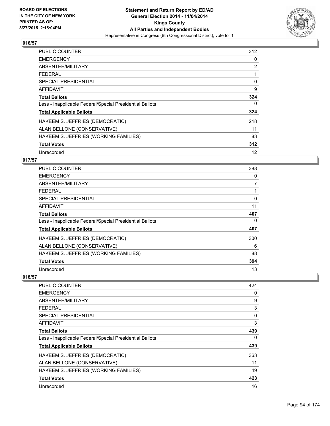

| <b>PUBLIC COUNTER</b>                                    | 312 |
|----------------------------------------------------------|-----|
| <b>EMERGENCY</b>                                         | 0   |
| ABSENTEE/MILITARY                                        | 2   |
| <b>FEDERAL</b>                                           | 1   |
| SPECIAL PRESIDENTIAL                                     | 0   |
| <b>AFFIDAVIT</b>                                         | 9   |
| <b>Total Ballots</b>                                     | 324 |
| Less - Inapplicable Federal/Special Presidential Ballots | 0   |
| <b>Total Applicable Ballots</b>                          | 324 |
| HAKEEM S. JEFFRIES (DEMOCRATIC)                          | 218 |
| ALAN BELLONE (CONSERVATIVE)                              | 11  |
| HAKEEM S. JEFFRIES (WORKING FAMILIES)                    | 83  |
| <b>Total Votes</b>                                       | 312 |
| Unrecorded                                               | 12  |

# **017/57**

| <b>PUBLIC COUNTER</b>                                    | 388            |
|----------------------------------------------------------|----------------|
| <b>EMERGENCY</b>                                         | 0              |
| ABSENTEE/MILITARY                                        | $\overline{7}$ |
| <b>FEDERAL</b>                                           |                |
| <b>SPECIAL PRESIDENTIAL</b>                              | 0              |
| <b>AFFIDAVIT</b>                                         | 11             |
| <b>Total Ballots</b>                                     | 407            |
| Less - Inapplicable Federal/Special Presidential Ballots | 0              |
| <b>Total Applicable Ballots</b>                          | 407            |
| HAKEEM S. JEFFRIES (DEMOCRATIC)                          | 300            |
| ALAN BELLONE (CONSERVATIVE)                              | 6              |
| HAKEEM S. JEFFRIES (WORKING FAMILIES)                    | 88             |
| <b>Total Votes</b>                                       | 394            |
| Unrecorded                                               | 13             |

| PUBLIC COUNTER                                           | 424 |
|----------------------------------------------------------|-----|
| <b>EMERGENCY</b>                                         | 0   |
| ABSENTEE/MILITARY                                        | 9   |
| <b>FEDERAL</b>                                           | 3   |
| SPECIAL PRESIDENTIAL                                     | 0   |
| AFFIDAVIT                                                | 3   |
| <b>Total Ballots</b>                                     | 439 |
| Less - Inapplicable Federal/Special Presidential Ballots | 0   |
| <b>Total Applicable Ballots</b>                          | 439 |
| HAKEEM S. JEFFRIES (DEMOCRATIC)                          | 363 |
| ALAN BELLONE (CONSERVATIVE)                              | 11  |
| HAKEEM S. JEFFRIES (WORKING FAMILIES)                    | 49  |
| <b>Total Votes</b>                                       | 423 |
| Unrecorded                                               | 16  |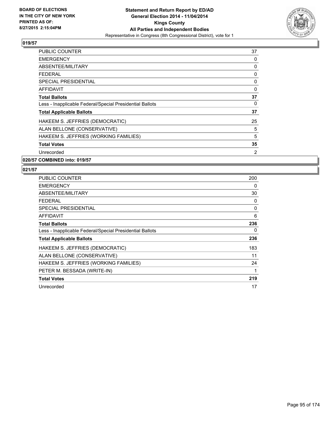

| PUBLIC COUNTER                                           | 37 |
|----------------------------------------------------------|----|
| <b>EMERGENCY</b>                                         | 0  |
| ABSENTEE/MILITARY                                        | 0  |
| <b>FEDERAL</b>                                           | 0  |
| <b>SPECIAL PRESIDENTIAL</b>                              | 0  |
| AFFIDAVIT                                                | 0  |
| <b>Total Ballots</b>                                     | 37 |
| Less - Inapplicable Federal/Special Presidential Ballots | 0  |
| <b>Total Applicable Ballots</b>                          | 37 |
| HAKEEM S. JEFFRIES (DEMOCRATIC)                          | 25 |
| ALAN BELLONE (CONSERVATIVE)                              | 5  |
| HAKEEM S. JEFFRIES (WORKING FAMILIES)                    | 5  |
| <b>Total Votes</b>                                       | 35 |
| Unrecorded                                               | 2  |
|                                                          |    |

**020/57 COMBINED into: 019/57**

| <b>PUBLIC COUNTER</b>                                    | 200 |
|----------------------------------------------------------|-----|
| <b>EMERGENCY</b>                                         | 0   |
| ABSENTEE/MILITARY                                        | 30  |
| <b>FEDERAL</b>                                           | 0   |
| SPECIAL PRESIDENTIAL                                     | 0   |
| AFFIDAVIT                                                | 6   |
| <b>Total Ballots</b>                                     | 236 |
| Less - Inapplicable Federal/Special Presidential Ballots | 0   |
| <b>Total Applicable Ballots</b>                          | 236 |
| HAKEEM S. JEFFRIES (DEMOCRATIC)                          | 183 |
| ALAN BELLONE (CONSERVATIVE)                              | 11  |
| HAKEEM S. JEFFRIES (WORKING FAMILIES)                    | 24  |
| PETER M. BESSADA (WRITE-IN)                              | 1   |
| <b>Total Votes</b>                                       | 219 |
| Unrecorded                                               | 17  |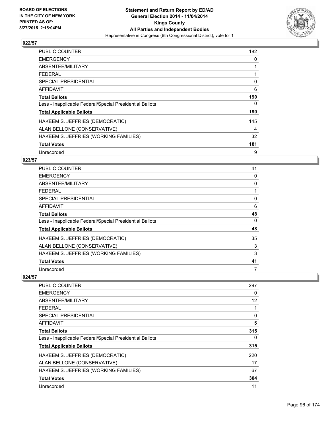

| <b>PUBLIC COUNTER</b>                                    | 182 |
|----------------------------------------------------------|-----|
| <b>EMERGENCY</b>                                         | 0   |
| ABSENTEE/MILITARY                                        | 1   |
| <b>FEDERAL</b>                                           |     |
| SPECIAL PRESIDENTIAL                                     | 0   |
| <b>AFFIDAVIT</b>                                         | 6   |
| <b>Total Ballots</b>                                     | 190 |
| Less - Inapplicable Federal/Special Presidential Ballots | 0   |
| <b>Total Applicable Ballots</b>                          | 190 |
| HAKEEM S. JEFFRIES (DEMOCRATIC)                          | 145 |
| ALAN BELLONE (CONSERVATIVE)                              | 4   |
| HAKEEM S. JEFFRIES (WORKING FAMILIES)                    | 32  |
| <b>Total Votes</b>                                       | 181 |
| Unrecorded                                               | 9   |

#### **023/57**

| PUBLIC COUNTER                                           | 41 |
|----------------------------------------------------------|----|
| <b>EMERGENCY</b>                                         | 0  |
| ABSENTEE/MILITARY                                        | 0  |
| <b>FEDERAL</b>                                           |    |
| <b>SPECIAL PRESIDENTIAL</b>                              | 0  |
| <b>AFFIDAVIT</b>                                         | 6  |
| <b>Total Ballots</b>                                     | 48 |
| Less - Inapplicable Federal/Special Presidential Ballots | 0  |
| <b>Total Applicable Ballots</b>                          | 48 |
| HAKEEM S. JEFFRIES (DEMOCRATIC)                          | 35 |
| ALAN BELLONE (CONSERVATIVE)                              | 3  |
| HAKEEM S. JEFFRIES (WORKING FAMILIES)                    | 3  |
| <b>Total Votes</b>                                       | 41 |
| Unrecorded                                               | 7  |

| PUBLIC COUNTER                                           | 297 |
|----------------------------------------------------------|-----|
| <b>EMERGENCY</b>                                         | 0   |
| ABSENTEE/MILITARY                                        | 12  |
| <b>FEDERAL</b>                                           |     |
| SPECIAL PRESIDENTIAL                                     | 0   |
| AFFIDAVIT                                                | 5   |
| <b>Total Ballots</b>                                     | 315 |
| Less - Inapplicable Federal/Special Presidential Ballots | 0   |
| <b>Total Applicable Ballots</b>                          | 315 |
| HAKEEM S. JEFFRIES (DEMOCRATIC)                          | 220 |
| ALAN BELLONE (CONSERVATIVE)                              | 17  |
| HAKEEM S. JEFFRIES (WORKING FAMILIES)                    | 67  |
| <b>Total Votes</b>                                       | 304 |
| Unrecorded                                               | 11  |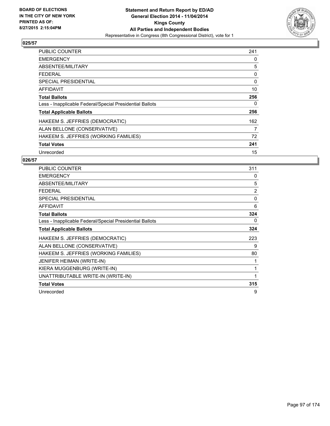

| <b>PUBLIC COUNTER</b>                                    | 241 |
|----------------------------------------------------------|-----|
| <b>EMERGENCY</b>                                         | 0   |
| ABSENTEE/MILITARY                                        | 5   |
| FFDFRAI                                                  | 0   |
| <b>SPECIAL PRESIDENTIAL</b>                              | 0   |
| <b>AFFIDAVIT</b>                                         | 10  |
| <b>Total Ballots</b>                                     | 256 |
| Less - Inapplicable Federal/Special Presidential Ballots | 0   |
| <b>Total Applicable Ballots</b>                          | 256 |
| HAKEEM S. JEFFRIES (DEMOCRATIC)                          | 162 |
| ALAN BELLONE (CONSERVATIVE)                              | 7   |
| HAKEEM S. JEFFRIES (WORKING FAMILIES)                    | 72  |
| <b>Total Votes</b>                                       | 241 |
| Unrecorded                                               | 15  |

| <b>PUBLIC COUNTER</b>                                    | 311            |
|----------------------------------------------------------|----------------|
| <b>EMERGENCY</b>                                         | 0              |
| ABSENTEE/MILITARY                                        | 5              |
| <b>FEDERAL</b>                                           | $\overline{2}$ |
| SPECIAL PRESIDENTIAL                                     | 0              |
| <b>AFFIDAVIT</b>                                         | 6              |
| <b>Total Ballots</b>                                     | 324            |
| Less - Inapplicable Federal/Special Presidential Ballots | 0              |
| <b>Total Applicable Ballots</b>                          | 324            |
| HAKEEM S. JEFFRIES (DEMOCRATIC)                          | 223            |
| ALAN BELLONE (CONSERVATIVE)                              | 9              |
| HAKEEM S. JEFFRIES (WORKING FAMILIES)                    | 80             |
| <b>JENIFER HEIMAN (WRITE-IN)</b>                         | 1              |
| KIERA MUGGENBURG (WRITE-IN)                              | 1              |
| UNATTRIBUTABLE WRITE-IN (WRITE-IN)                       | 1              |
| <b>Total Votes</b>                                       | 315            |
| Unrecorded                                               | 9              |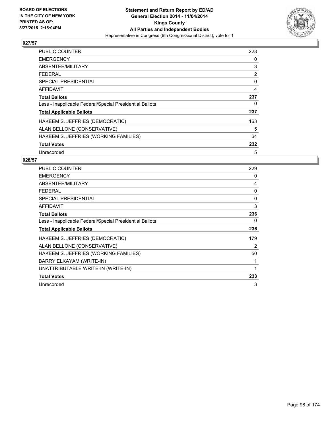

| <b>PUBLIC COUNTER</b>                                    | 228 |
|----------------------------------------------------------|-----|
| <b>EMERGENCY</b>                                         | 0   |
| ABSENTEE/MILITARY                                        | 3   |
| <b>FEDERAL</b>                                           | 2   |
| <b>SPECIAL PRESIDENTIAL</b>                              | 0   |
| AFFIDAVIT                                                | 4   |
| <b>Total Ballots</b>                                     | 237 |
| Less - Inapplicable Federal/Special Presidential Ballots | 0   |
| <b>Total Applicable Ballots</b>                          | 237 |
| HAKEEM S. JEFFRIES (DEMOCRATIC)                          | 163 |
| ALAN BELLONE (CONSERVATIVE)                              | 5   |
| HAKEEM S. JEFFRIES (WORKING FAMILIES)                    | 64  |
| <b>Total Votes</b>                                       | 232 |
| Unrecorded                                               | 5   |

| <b>PUBLIC COUNTER</b>                                    | 229 |
|----------------------------------------------------------|-----|
| <b>EMERGENCY</b>                                         | 0   |
| ABSENTEE/MILITARY                                        | 4   |
| <b>FEDERAL</b>                                           | 0   |
| <b>SPECIAL PRESIDENTIAL</b>                              | 0   |
| AFFIDAVIT                                                | 3   |
| <b>Total Ballots</b>                                     | 236 |
| Less - Inapplicable Federal/Special Presidential Ballots | 0   |
| <b>Total Applicable Ballots</b>                          | 236 |
| HAKEEM S. JEFFRIES (DEMOCRATIC)                          | 179 |
| ALAN BELLONE (CONSERVATIVE)                              | 2   |
| HAKEEM S. JEFFRIES (WORKING FAMILIES)                    | 50  |
| BARRY ELKAYAM (WRITE-IN)                                 |     |
| UNATTRIBUTABLE WRITE-IN (WRITE-IN)                       | 1   |
| <b>Total Votes</b>                                       | 233 |
| Unrecorded                                               | 3   |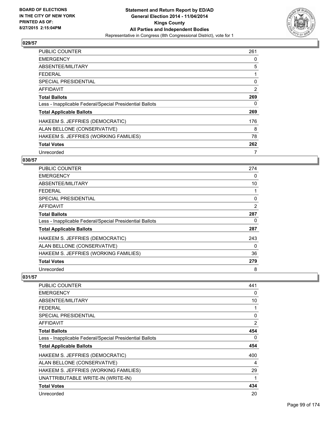

| <b>PUBLIC COUNTER</b>                                    | 261 |
|----------------------------------------------------------|-----|
| <b>EMERGENCY</b>                                         | 0   |
| ABSENTEE/MILITARY                                        | 5   |
| <b>FEDERAL</b>                                           | 1   |
| SPECIAL PRESIDENTIAL                                     | 0   |
| <b>AFFIDAVIT</b>                                         | 2   |
| <b>Total Ballots</b>                                     | 269 |
| Less - Inapplicable Federal/Special Presidential Ballots | 0   |
| <b>Total Applicable Ballots</b>                          | 269 |
| HAKEEM S. JEFFRIES (DEMOCRATIC)                          | 176 |
| ALAN BELLONE (CONSERVATIVE)                              | 8   |
| HAKEEM S. JEFFRIES (WORKING FAMILIES)                    | 78  |
| <b>Total Votes</b>                                       | 262 |
| Unrecorded                                               | 7   |

# **030/57**

| <b>PUBLIC COUNTER</b>                                    | 274            |
|----------------------------------------------------------|----------------|
| <b>EMERGENCY</b>                                         | 0              |
| ABSENTEE/MILITARY                                        | 10             |
| <b>FEDERAL</b>                                           |                |
| <b>SPECIAL PRESIDENTIAL</b>                              | 0              |
| <b>AFFIDAVIT</b>                                         | $\overline{2}$ |
| <b>Total Ballots</b>                                     | 287            |
| Less - Inapplicable Federal/Special Presidential Ballots | 0              |
| <b>Total Applicable Ballots</b>                          | 287            |
| HAKEEM S. JEFFRIES (DEMOCRATIC)                          | 243            |
| ALAN BELLONE (CONSERVATIVE)                              | 0              |
| HAKEEM S. JEFFRIES (WORKING FAMILIES)                    | 36             |
| <b>Total Votes</b>                                       | 279            |
| Unrecorded                                               | 8              |

| <b>PUBLIC COUNTER</b>                                    | 441            |
|----------------------------------------------------------|----------------|
| <b>EMERGENCY</b>                                         | 0              |
| ABSENTEE/MILITARY                                        | 10             |
| <b>FEDERAL</b>                                           | 1              |
| <b>SPECIAL PRESIDENTIAL</b>                              | 0              |
| <b>AFFIDAVIT</b>                                         | $\overline{2}$ |
| <b>Total Ballots</b>                                     | 454            |
| Less - Inapplicable Federal/Special Presidential Ballots | 0              |
| <b>Total Applicable Ballots</b>                          | 454            |
| HAKEEM S. JEFFRIES (DEMOCRATIC)                          | 400            |
| ALAN BELLONE (CONSERVATIVE)                              | 4              |
| HAKEEM S. JEFFRIES (WORKING FAMILIES)                    | 29             |
| UNATTRIBUTABLE WRITE-IN (WRITE-IN)                       | 1              |
| <b>Total Votes</b>                                       | 434            |
| Unrecorded                                               | 20             |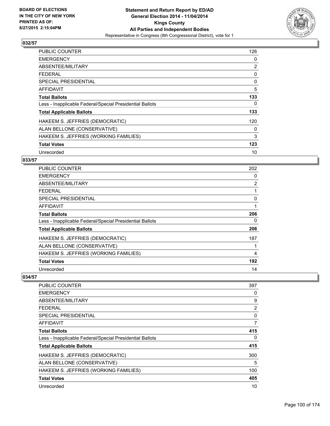

| <b>PUBLIC COUNTER</b>                                    | 126 |
|----------------------------------------------------------|-----|
| <b>EMERGENCY</b>                                         | 0   |
| ABSENTEE/MILITARY                                        | 2   |
| <b>FEDERAL</b>                                           | 0   |
| SPECIAL PRESIDENTIAL                                     | 0   |
| <b>AFFIDAVIT</b>                                         | 5   |
| <b>Total Ballots</b>                                     | 133 |
| Less - Inapplicable Federal/Special Presidential Ballots | 0   |
| <b>Total Applicable Ballots</b>                          | 133 |
| HAKEEM S. JEFFRIES (DEMOCRATIC)                          | 120 |
| ALAN BELLONE (CONSERVATIVE)                              | 0   |
| HAKEEM S. JEFFRIES (WORKING FAMILIES)                    | 3   |
| <b>Total Votes</b>                                       | 123 |
| Unrecorded                                               | 10  |

# **033/57**

| <b>PUBLIC COUNTER</b>                                    | 202            |
|----------------------------------------------------------|----------------|
| <b>EMERGENCY</b>                                         | 0              |
| ABSENTEE/MILITARY                                        | $\overline{2}$ |
| <b>FEDERAL</b>                                           |                |
| <b>SPECIAL PRESIDENTIAL</b>                              | 0              |
| <b>AFFIDAVIT</b>                                         | 1              |
| <b>Total Ballots</b>                                     | 206            |
| Less - Inapplicable Federal/Special Presidential Ballots | 0              |
| <b>Total Applicable Ballots</b>                          | 206            |
| HAKEEM S. JEFFRIES (DEMOCRATIC)                          | 187            |
| ALAN BELLONE (CONSERVATIVE)                              |                |
| HAKEEM S. JEFFRIES (WORKING FAMILIES)                    | 4              |
| <b>Total Votes</b>                                       | 192            |
| Unrecorded                                               | 14             |

| PUBLIC COUNTER                                           | 397 |
|----------------------------------------------------------|-----|
| <b>EMERGENCY</b>                                         | 0   |
| ABSENTEE/MILITARY                                        | 9   |
| <b>FEDERAL</b>                                           | 2   |
| SPECIAL PRESIDENTIAL                                     | 0   |
| AFFIDAVIT                                                | 7   |
| <b>Total Ballots</b>                                     | 415 |
| Less - Inapplicable Federal/Special Presidential Ballots | 0   |
| <b>Total Applicable Ballots</b>                          | 415 |
| HAKEEM S. JEFFRIES (DEMOCRATIC)                          | 300 |
| ALAN BELLONE (CONSERVATIVE)                              | 5   |
| HAKEEM S. JEFFRIES (WORKING FAMILIES)                    | 100 |
| <b>Total Votes</b>                                       | 405 |
| Unrecorded                                               | 10  |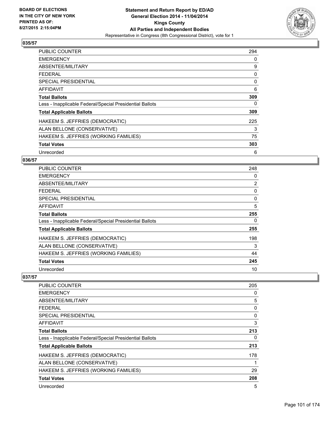

| <b>PUBLIC COUNTER</b>                                    | 294 |
|----------------------------------------------------------|-----|
| <b>EMERGENCY</b>                                         | 0   |
| ABSENTEE/MILITARY                                        | 9   |
| <b>FEDERAL</b>                                           | 0   |
| SPECIAL PRESIDENTIAL                                     | 0   |
| <b>AFFIDAVIT</b>                                         | 6   |
| <b>Total Ballots</b>                                     | 309 |
| Less - Inapplicable Federal/Special Presidential Ballots | 0   |
| <b>Total Applicable Ballots</b>                          | 309 |
| HAKEEM S. JEFFRIES (DEMOCRATIC)                          | 225 |
| ALAN BELLONE (CONSERVATIVE)                              | 3   |
| HAKEEM S. JEFFRIES (WORKING FAMILIES)                    | 75  |
| <b>Total Votes</b>                                       | 303 |
| Unrecorded                                               | 6   |

## **036/57**

| PUBLIC COUNTER                                           | 248 |
|----------------------------------------------------------|-----|
| <b>EMERGENCY</b>                                         | 0   |
| ABSENTEE/MILITARY                                        | 2   |
| <b>FEDERAL</b>                                           | 0   |
| <b>SPECIAL PRESIDENTIAL</b>                              | 0   |
| <b>AFFIDAVIT</b>                                         | 5   |
| <b>Total Ballots</b>                                     | 255 |
| Less - Inapplicable Federal/Special Presidential Ballots | 0   |
| <b>Total Applicable Ballots</b>                          | 255 |
| HAKEEM S. JEFFRIES (DEMOCRATIC)                          | 198 |
| ALAN BELLONE (CONSERVATIVE)                              | 3   |
| HAKEEM S. JEFFRIES (WORKING FAMILIES)                    | 44  |
| <b>Total Votes</b>                                       | 245 |
| Unrecorded                                               | 10  |

| PUBLIC COUNTER                                           | 205 |
|----------------------------------------------------------|-----|
| <b>EMERGENCY</b>                                         | 0   |
| ABSENTEE/MILITARY                                        | 5   |
| <b>FEDERAL</b>                                           | 0   |
| <b>SPECIAL PRESIDENTIAL</b>                              | 0   |
| AFFIDAVIT                                                | 3   |
| <b>Total Ballots</b>                                     | 213 |
| Less - Inapplicable Federal/Special Presidential Ballots | 0   |
| <b>Total Applicable Ballots</b>                          | 213 |
| HAKEEM S. JEFFRIES (DEMOCRATIC)                          | 178 |
| ALAN BELLONE (CONSERVATIVE)                              |     |
| HAKEEM S. JEFFRIES (WORKING FAMILIES)                    | 29  |
| <b>Total Votes</b>                                       | 208 |
| Unrecorded                                               | 5   |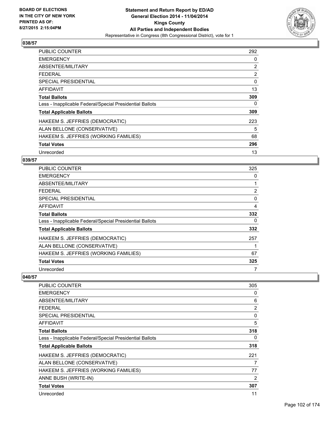

| <b>PUBLIC COUNTER</b>                                    | 292            |
|----------------------------------------------------------|----------------|
| <b>EMERGENCY</b>                                         | 0              |
| ABSENTEE/MILITARY                                        | $\overline{2}$ |
| <b>FEDERAL</b>                                           | 2              |
| SPECIAL PRESIDENTIAL                                     | 0              |
| AFFIDAVIT                                                | 13             |
| <b>Total Ballots</b>                                     | 309            |
| Less - Inapplicable Federal/Special Presidential Ballots | 0              |
| <b>Total Applicable Ballots</b>                          | 309            |
| HAKEEM S. JEFFRIES (DEMOCRATIC)                          | 223            |
| ALAN BELLONE (CONSERVATIVE)                              | 5              |
| HAKEEM S. JEFFRIES (WORKING FAMILIES)                    | 68             |
| <b>Total Votes</b>                                       | 296            |
| Unrecorded                                               | 13             |

# **039/57**

| <b>PUBLIC COUNTER</b>                                    | 325            |
|----------------------------------------------------------|----------------|
| <b>EMERGENCY</b>                                         | 0              |
| ABSENTEE/MILITARY                                        |                |
| <b>FEDERAL</b>                                           | $\overline{2}$ |
| <b>SPECIAL PRESIDENTIAL</b>                              | 0              |
| <b>AFFIDAVIT</b>                                         | 4              |
| <b>Total Ballots</b>                                     | 332            |
| Less - Inapplicable Federal/Special Presidential Ballots | 0              |
| <b>Total Applicable Ballots</b>                          | 332            |
| HAKEEM S. JEFFRIES (DEMOCRATIC)                          | 257            |
| ALAN BELLONE (CONSERVATIVE)                              |                |
| HAKEEM S. JEFFRIES (WORKING FAMILIES)                    | 67             |
| <b>Total Votes</b>                                       | 325            |
| Unrecorded                                               | 7              |

| <b>PUBLIC COUNTER</b>                                    | 305 |
|----------------------------------------------------------|-----|
| <b>EMERGENCY</b>                                         | 0   |
| ABSENTEE/MILITARY                                        | 6   |
| <b>FEDERAL</b>                                           | 2   |
| <b>SPECIAL PRESIDENTIAL</b>                              | 0   |
| AFFIDAVIT                                                | 5   |
| <b>Total Ballots</b>                                     | 318 |
| Less - Inapplicable Federal/Special Presidential Ballots | 0   |
| <b>Total Applicable Ballots</b>                          | 318 |
| HAKEEM S. JEFFRIES (DEMOCRATIC)                          | 221 |
| ALAN BELLONE (CONSERVATIVE)                              | 7   |
| HAKEEM S. JEFFRIES (WORKING FAMILIES)                    | 77  |
| ANNE BUSH (WRITE-IN)                                     | 2   |
| <b>Total Votes</b>                                       | 307 |
| Unrecorded                                               | 11  |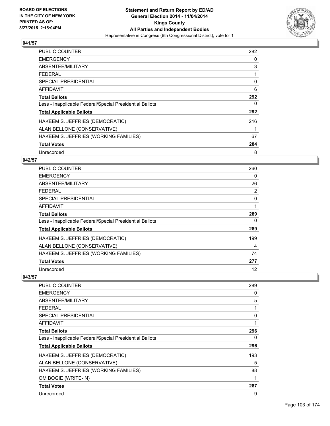

| <b>PUBLIC COUNTER</b>                                    | 282 |
|----------------------------------------------------------|-----|
| <b>EMERGENCY</b>                                         | 0   |
| ABSENTEE/MILITARY                                        | 3   |
| <b>FEDERAL</b>                                           | 1   |
| SPECIAL PRESIDENTIAL                                     | 0   |
| <b>AFFIDAVIT</b>                                         | 6   |
| <b>Total Ballots</b>                                     | 292 |
| Less - Inapplicable Federal/Special Presidential Ballots | 0   |
| <b>Total Applicable Ballots</b>                          | 292 |
| HAKEEM S. JEFFRIES (DEMOCRATIC)                          | 216 |
| ALAN BELLONE (CONSERVATIVE)                              |     |
| HAKEEM S. JEFFRIES (WORKING FAMILIES)                    | 67  |
| <b>Total Votes</b>                                       | 284 |
| Unrecorded                                               | 8   |

#### **042/57**

| PUBLIC COUNTER                                           | 260 |
|----------------------------------------------------------|-----|
| <b>EMERGENCY</b>                                         | 0   |
| ABSENTEE/MILITARY                                        | 26  |
| <b>FEDERAL</b>                                           | 2   |
| <b>SPECIAL PRESIDENTIAL</b>                              | 0   |
| AFFIDAVIT                                                | 1   |
| <b>Total Ballots</b>                                     | 289 |
| Less - Inapplicable Federal/Special Presidential Ballots | 0   |
| <b>Total Applicable Ballots</b>                          | 289 |
| HAKEEM S. JEFFRIES (DEMOCRATIC)                          | 199 |
| ALAN BELLONE (CONSERVATIVE)                              | 4   |
| HAKEEM S. JEFFRIES (WORKING FAMILIES)                    | 74  |
| <b>Total Votes</b>                                       | 277 |
| Unrecorded                                               | 12  |

| <b>PUBLIC COUNTER</b>                                    | 289 |
|----------------------------------------------------------|-----|
| <b>EMERGENCY</b>                                         | 0   |
| ABSENTEE/MILITARY                                        | 5   |
| <b>FEDERAL</b>                                           | 1   |
| <b>SPECIAL PRESIDENTIAL</b>                              | 0   |
| AFFIDAVIT                                                | 1   |
| <b>Total Ballots</b>                                     | 296 |
| Less - Inapplicable Federal/Special Presidential Ballots | 0   |
| <b>Total Applicable Ballots</b>                          | 296 |
| HAKEEM S. JEFFRIES (DEMOCRATIC)                          | 193 |
| ALAN BELLONE (CONSERVATIVE)                              | 5   |
| HAKEEM S. JEFFRIES (WORKING FAMILIES)                    | 88  |
| OM BOGIE (WRITE-IN)                                      | 1   |
| <b>Total Votes</b>                                       | 287 |
| Unrecorded                                               | 9   |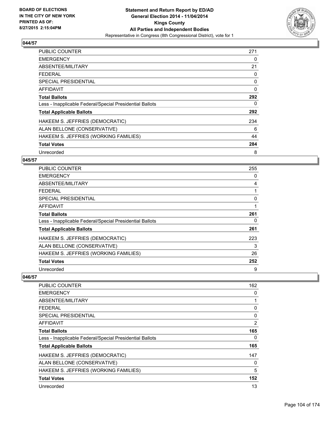

| <b>PUBLIC COUNTER</b>                                    | 271      |
|----------------------------------------------------------|----------|
| <b>EMERGENCY</b>                                         | 0        |
| ABSENTEE/MILITARY                                        | 21       |
| <b>FEDERAL</b>                                           | 0        |
| SPECIAL PRESIDENTIAL                                     | 0        |
| <b>AFFIDAVIT</b>                                         | $\Omega$ |
| <b>Total Ballots</b>                                     | 292      |
| Less - Inapplicable Federal/Special Presidential Ballots | 0        |
| <b>Total Applicable Ballots</b>                          | 292      |
| HAKEEM S. JEFFRIES (DEMOCRATIC)                          | 234      |
| ALAN BELLONE (CONSERVATIVE)                              | 6        |
| HAKEEM S. JEFFRIES (WORKING FAMILIES)                    | 44       |
| <b>Total Votes</b>                                       | 284      |
| Unrecorded                                               | 8        |

#### **045/57**

| <b>PUBLIC COUNTER</b>                                    | 255 |
|----------------------------------------------------------|-----|
| <b>EMERGENCY</b>                                         | 0   |
| ABSENTEE/MILITARY                                        | 4   |
| <b>FEDERAL</b>                                           |     |
| <b>SPECIAL PRESIDENTIAL</b>                              | 0   |
| <b>AFFIDAVIT</b>                                         | 1   |
| <b>Total Ballots</b>                                     | 261 |
| Less - Inapplicable Federal/Special Presidential Ballots | 0   |
| <b>Total Applicable Ballots</b>                          | 261 |
| HAKEEM S. JEFFRIES (DEMOCRATIC)                          | 223 |
| ALAN BELLONE (CONSERVATIVE)                              | 3   |
| HAKEEM S. JEFFRIES (WORKING FAMILIES)                    | 26  |
| <b>Total Votes</b>                                       | 252 |
| Unrecorded                                               | 9   |

| PUBLIC COUNTER                                           | 162 |
|----------------------------------------------------------|-----|
| <b>EMERGENCY</b>                                         | 0   |
| ABSENTEE/MILITARY                                        |     |
| <b>FEDERAL</b>                                           | 0   |
| SPECIAL PRESIDENTIAL                                     | 0   |
| AFFIDAVIT                                                | 2   |
| <b>Total Ballots</b>                                     | 165 |
| Less - Inapplicable Federal/Special Presidential Ballots | 0   |
| <b>Total Applicable Ballots</b>                          | 165 |
| HAKEEM S. JEFFRIES (DEMOCRATIC)                          | 147 |
| ALAN BELLONE (CONSERVATIVE)                              | 0   |
| HAKEEM S. JEFFRIES (WORKING FAMILIES)                    | 5   |
| <b>Total Votes</b>                                       | 152 |
| Unrecorded                                               | 13  |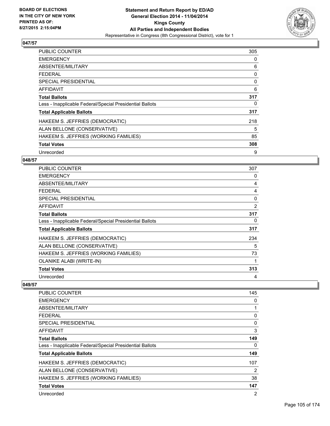

| <b>PUBLIC COUNTER</b>                                    | 305 |
|----------------------------------------------------------|-----|
| <b>EMERGENCY</b>                                         | 0   |
| ABSENTEE/MILITARY                                        | 6   |
| <b>FEDERAL</b>                                           | 0   |
| SPECIAL PRESIDENTIAL                                     | 0   |
| <b>AFFIDAVIT</b>                                         | 6   |
| <b>Total Ballots</b>                                     | 317 |
| Less - Inapplicable Federal/Special Presidential Ballots | 0   |
| <b>Total Applicable Ballots</b>                          | 317 |
| HAKEEM S. JEFFRIES (DEMOCRATIC)                          | 218 |
| ALAN BELLONE (CONSERVATIVE)                              | 5   |
| HAKEEM S. JEFFRIES (WORKING FAMILIES)                    | 85  |
| <b>Total Votes</b>                                       | 308 |
| Unrecorded                                               | 9   |

### **048/57**

| <b>PUBLIC COUNTER</b>                                    | 307 |
|----------------------------------------------------------|-----|
| <b>EMERGENCY</b>                                         | 0   |
| ABSENTEE/MILITARY                                        | 4   |
| <b>FEDERAL</b>                                           | 4   |
| <b>SPECIAL PRESIDENTIAL</b>                              | 0   |
| <b>AFFIDAVIT</b>                                         | 2   |
| <b>Total Ballots</b>                                     | 317 |
| Less - Inapplicable Federal/Special Presidential Ballots | 0   |
| <b>Total Applicable Ballots</b>                          | 317 |
| HAKEEM S. JEFFRIES (DEMOCRATIC)                          | 234 |
| ALAN BELLONE (CONSERVATIVE)                              | 5   |
| HAKEEM S. JEFFRIES (WORKING FAMILIES)                    | 73  |
| <b>OLANIKE ALABI (WRITE-IN)</b>                          | 1   |
| <b>Total Votes</b>                                       | 313 |
| Unrecorded                                               | 4   |

| <b>PUBLIC COUNTER</b>                                    | 145            |
|----------------------------------------------------------|----------------|
| <b>EMERGENCY</b>                                         | 0              |
| ABSENTEE/MILITARY                                        |                |
| <b>FEDERAL</b>                                           | 0              |
| <b>SPECIAL PRESIDENTIAL</b>                              | 0              |
| AFFIDAVIT                                                | 3              |
| <b>Total Ballots</b>                                     | 149            |
| Less - Inapplicable Federal/Special Presidential Ballots | 0              |
| <b>Total Applicable Ballots</b>                          | 149            |
| HAKEEM S. JEFFRIES (DEMOCRATIC)                          | 107            |
| ALAN BELLONE (CONSERVATIVE)                              | $\overline{2}$ |
| HAKEEM S. JEFFRIES (WORKING FAMILIES)                    | 38             |
| <b>Total Votes</b>                                       | 147            |
| Unrecorded                                               | $\overline{2}$ |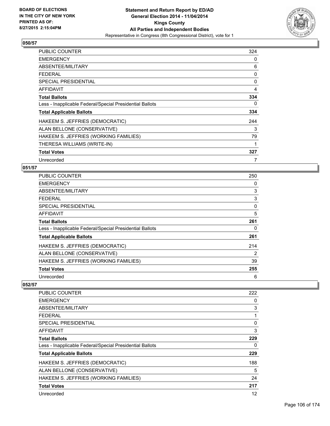

| <b>PUBLIC COUNTER</b>                                    | 324 |
|----------------------------------------------------------|-----|
| <b>EMERGENCY</b>                                         | 0   |
| ABSENTEE/MILITARY                                        | 6   |
| <b>FEDERAL</b>                                           | 0   |
| <b>SPECIAL PRESIDENTIAL</b>                              | 0   |
| AFFIDAVIT                                                | 4   |
| <b>Total Ballots</b>                                     | 334 |
| Less - Inapplicable Federal/Special Presidential Ballots | 0   |
| <b>Total Applicable Ballots</b>                          | 334 |
| HAKEEM S. JEFFRIES (DEMOCRATIC)                          | 244 |
| ALAN BELLONE (CONSERVATIVE)                              | 3   |
| HAKEEM S. JEFFRIES (WORKING FAMILIES)                    | 79  |
| THERESA WILLIAMS (WRITE-IN)                              | 1   |
| <b>Total Votes</b>                                       | 327 |
| Unrecorded                                               | 7   |

### **051/57**

| PUBLIC COUNTER                                           | 250 |
|----------------------------------------------------------|-----|
| <b>EMERGENCY</b>                                         | 0   |
| ABSENTEE/MILITARY                                        | 3   |
| <b>FEDERAL</b>                                           | 3   |
| <b>SPECIAL PRESIDENTIAL</b>                              | 0   |
| <b>AFFIDAVIT</b>                                         | 5   |
| <b>Total Ballots</b>                                     | 261 |
| Less - Inapplicable Federal/Special Presidential Ballots | 0   |
| <b>Total Applicable Ballots</b>                          | 261 |
| HAKEEM S. JEFFRIES (DEMOCRATIC)                          | 214 |
| ALAN BELLONE (CONSERVATIVE)                              | 2   |
| HAKEEM S. JEFFRIES (WORKING FAMILIES)                    | 39  |
| <b>Total Votes</b>                                       | 255 |
| Unrecorded                                               | 6   |

| <b>PUBLIC COUNTER</b>                                    | 222 |
|----------------------------------------------------------|-----|
| <b>EMERGENCY</b>                                         | 0   |
| ABSENTEE/MILITARY                                        | 3   |
| <b>FEDERAL</b>                                           | 1   |
| SPECIAL PRESIDENTIAL                                     | 0   |
| AFFIDAVIT                                                | 3   |
| <b>Total Ballots</b>                                     | 229 |
| Less - Inapplicable Federal/Special Presidential Ballots | 0   |
| <b>Total Applicable Ballots</b>                          | 229 |
| HAKEEM S. JEFFRIES (DEMOCRATIC)                          | 188 |
| ALAN BELLONE (CONSERVATIVE)                              | 5   |
| HAKEEM S. JEFFRIES (WORKING FAMILIES)                    | 24  |
| <b>Total Votes</b>                                       | 217 |
| Unrecorded                                               | 12  |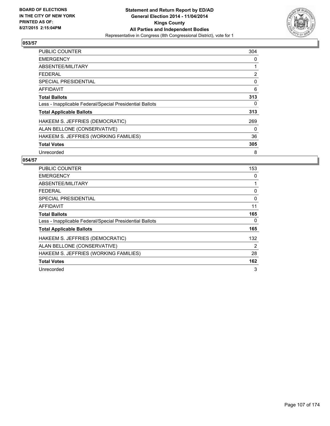

| <b>PUBLIC COUNTER</b>                                    | 304 |
|----------------------------------------------------------|-----|
| <b>EMERGENCY</b>                                         | 0   |
| ABSENTEE/MILITARY                                        | 1   |
| <b>FEDERAL</b>                                           | 2   |
| <b>SPECIAL PRESIDENTIAL</b>                              | 0   |
| AFFIDAVIT                                                | 6   |
| <b>Total Ballots</b>                                     | 313 |
| Less - Inapplicable Federal/Special Presidential Ballots | 0   |
| <b>Total Applicable Ballots</b>                          | 313 |
| HAKEEM S. JEFFRIES (DEMOCRATIC)                          | 269 |
| ALAN BELLONE (CONSERVATIVE)                              | 0   |
| HAKEEM S. JEFFRIES (WORKING FAMILIES)                    | 36  |
| <b>Total Votes</b>                                       | 305 |
| Unrecorded                                               | 8   |

| <b>PUBLIC COUNTER</b>                                    | 153 |
|----------------------------------------------------------|-----|
| <b>EMERGENCY</b>                                         | 0   |
| ABSENTEE/MILITARY                                        |     |
| <b>FEDERAL</b>                                           | 0   |
| SPECIAL PRESIDENTIAL                                     | 0   |
| AFFIDAVIT                                                | 11  |
| <b>Total Ballots</b>                                     | 165 |
| Less - Inapplicable Federal/Special Presidential Ballots | 0   |
| <b>Total Applicable Ballots</b>                          | 165 |
| HAKEEM S. JEFFRIES (DEMOCRATIC)                          | 132 |
| ALAN BELLONE (CONSERVATIVE)                              | 2   |
| HAKEEM S. JEFFRIES (WORKING FAMILIES)                    | 28  |
| <b>Total Votes</b>                                       | 162 |
| Unrecorded                                               | 3   |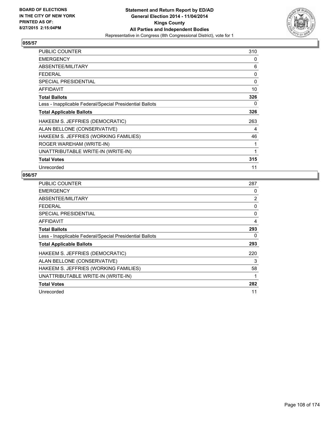

| <b>PUBLIC COUNTER</b>                                    | 310 |
|----------------------------------------------------------|-----|
| <b>EMERGENCY</b>                                         | 0   |
| ABSENTEE/MILITARY                                        | 6   |
| <b>FEDERAL</b>                                           | 0   |
| <b>SPECIAL PRESIDENTIAL</b>                              | 0   |
| <b>AFFIDAVIT</b>                                         | 10  |
| <b>Total Ballots</b>                                     | 326 |
| Less - Inapplicable Federal/Special Presidential Ballots | 0   |
| <b>Total Applicable Ballots</b>                          | 326 |
| HAKEEM S. JEFFRIES (DEMOCRATIC)                          | 263 |
| ALAN BELLONE (CONSERVATIVE)                              | 4   |
| HAKEEM S. JEFFRIES (WORKING FAMILIES)                    | 46  |
| ROGER WAREHAM (WRITE-IN)                                 | 1   |
| UNATTRIBUTABLE WRITE-IN (WRITE-IN)                       | 1   |
| <b>Total Votes</b>                                       | 315 |
| Unrecorded                                               | 11  |

| PUBLIC COUNTER                                           | 287            |
|----------------------------------------------------------|----------------|
| <b>EMERGENCY</b>                                         | 0              |
| ABSENTEE/MILITARY                                        | $\overline{2}$ |
| <b>FEDERAL</b>                                           | 0              |
| <b>SPECIAL PRESIDENTIAL</b>                              | 0              |
| <b>AFFIDAVIT</b>                                         | 4              |
| <b>Total Ballots</b>                                     | 293            |
| Less - Inapplicable Federal/Special Presidential Ballots | 0              |
| <b>Total Applicable Ballots</b>                          | 293            |
| HAKEEM S. JEFFRIES (DEMOCRATIC)                          | 220            |
| ALAN BELLONE (CONSERVATIVE)                              | 3              |
| HAKEEM S. JEFFRIES (WORKING FAMILIES)                    | 58             |
| UNATTRIBUTABLE WRITE-IN (WRITE-IN)                       | 1              |
| <b>Total Votes</b>                                       | 282            |
| Unrecorded                                               | 11             |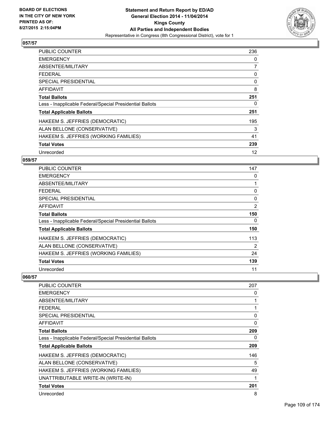

| <b>PUBLIC COUNTER</b>                                    | 236 |
|----------------------------------------------------------|-----|
| <b>EMERGENCY</b>                                         | 0   |
| ABSENTEE/MILITARY                                        | 7   |
| <b>FEDERAL</b>                                           | 0   |
| <b>SPECIAL PRESIDENTIAL</b>                              | 0   |
| <b>AFFIDAVIT</b>                                         | 8   |
| <b>Total Ballots</b>                                     | 251 |
| Less - Inapplicable Federal/Special Presidential Ballots | 0   |
| <b>Total Applicable Ballots</b>                          | 251 |
| HAKEEM S. JEFFRIES (DEMOCRATIC)                          | 195 |
| ALAN BELLONE (CONSERVATIVE)                              | 3   |
| HAKEEM S. JEFFRIES (WORKING FAMILIES)                    | 41  |
| <b>Total Votes</b>                                       | 239 |
| Unrecorded                                               | 12  |

## **059/57**

| PUBLIC COUNTER                                           | 147            |
|----------------------------------------------------------|----------------|
| <b>EMERGENCY</b>                                         | 0              |
| ABSENTEE/MILITARY                                        | 1              |
| <b>FEDERAL</b>                                           | 0              |
| <b>SPECIAL PRESIDENTIAL</b>                              | 0              |
| <b>AFFIDAVIT</b>                                         | $\overline{2}$ |
| <b>Total Ballots</b>                                     | 150            |
| Less - Inapplicable Federal/Special Presidential Ballots | 0              |
| <b>Total Applicable Ballots</b>                          | 150            |
| HAKEEM S. JEFFRIES (DEMOCRATIC)                          | 113            |
| ALAN BELLONE (CONSERVATIVE)                              | 2              |
| HAKEEM S. JEFFRIES (WORKING FAMILIES)                    | 24             |
| <b>Total Votes</b>                                       | 139            |
| Unrecorded                                               | 11             |

| <b>PUBLIC COUNTER</b>                                    | 207          |
|----------------------------------------------------------|--------------|
| <b>EMERGENCY</b>                                         | 0            |
| ABSENTEE/MILITARY                                        | 1            |
| <b>FEDERAL</b>                                           | 1            |
| <b>SPECIAL PRESIDENTIAL</b>                              | $\mathbf{0}$ |
| AFFIDAVIT                                                | 0            |
| <b>Total Ballots</b>                                     | 209          |
| Less - Inapplicable Federal/Special Presidential Ballots | 0            |
| <b>Total Applicable Ballots</b>                          | 209          |
| HAKEEM S. JEFFRIES (DEMOCRATIC)                          | 146          |
| ALAN BELLONE (CONSERVATIVE)                              | 5            |
| HAKEEM S. JEFFRIES (WORKING FAMILIES)                    | 49           |
| UNATTRIBUTABLE WRITE-IN (WRITE-IN)                       | 1            |
| <b>Total Votes</b>                                       | 201          |
| Unrecorded                                               | 8            |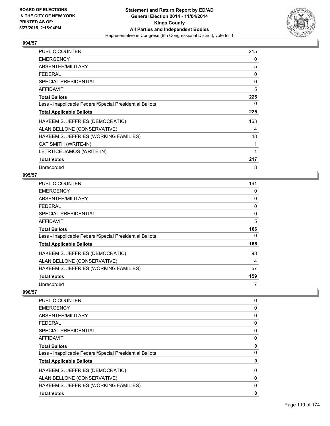

| PUBLIC COUNTER                                           | 215 |
|----------------------------------------------------------|-----|
| <b>EMERGENCY</b>                                         | 0   |
| ABSENTEE/MILITARY                                        | 5   |
| <b>FEDERAL</b>                                           | 0   |
| <b>SPECIAL PRESIDENTIAL</b>                              | 0   |
| AFFIDAVIT                                                | 5   |
| <b>Total Ballots</b>                                     | 225 |
| Less - Inapplicable Federal/Special Presidential Ballots | 0   |
| <b>Total Applicable Ballots</b>                          | 225 |
| HAKEEM S. JEFFRIES (DEMOCRATIC)                          | 163 |
| ALAN BELLONE (CONSERVATIVE)                              | 4   |
| HAKEEM S. JEFFRIES (WORKING FAMILIES)                    | 48  |
| CAT SMITH (WRITE-IN)                                     | 1   |
| LETRTICE JAMOS (WRITE-IN)                                | 1   |
| <b>Total Votes</b>                                       | 217 |
| Unrecorded                                               | 8   |

## **095/57**

| <b>PUBLIC COUNTER</b>                                    | 161 |
|----------------------------------------------------------|-----|
| <b>EMERGENCY</b>                                         | 0   |
| ABSENTEE/MILITARY                                        | 0   |
| <b>FEDERAL</b>                                           | 0   |
| <b>SPECIAL PRESIDENTIAL</b>                              | 0   |
| <b>AFFIDAVIT</b>                                         | 5   |
| <b>Total Ballots</b>                                     | 166 |
| Less - Inapplicable Federal/Special Presidential Ballots | 0   |
| <b>Total Applicable Ballots</b>                          | 166 |
| HAKEEM S. JEFFRIES (DEMOCRATIC)                          | 98  |
| ALAN BELLONE (CONSERVATIVE)                              | 4   |
| HAKEEM S. JEFFRIES (WORKING FAMILIES)                    | 57  |
| <b>Total Votes</b>                                       | 159 |
| Unrecorded                                               | 7   |

| <b>PUBLIC COUNTER</b>                                    | 0 |
|----------------------------------------------------------|---|
| <b>EMERGENCY</b>                                         | 0 |
| ABSENTEE/MILITARY                                        | 0 |
| <b>FEDERAL</b>                                           | 0 |
| SPECIAL PRESIDENTIAL                                     | 0 |
| AFFIDAVIT                                                | 0 |
| <b>Total Ballots</b>                                     | 0 |
| Less - Inapplicable Federal/Special Presidential Ballots | 0 |
| <b>Total Applicable Ballots</b>                          | 0 |
| HAKEEM S. JEFFRIES (DEMOCRATIC)                          | 0 |
| ALAN BELLONE (CONSERVATIVE)                              | 0 |
| HAKEEM S. JEFFRIES (WORKING FAMILIES)                    | 0 |
| <b>Total Votes</b>                                       | 0 |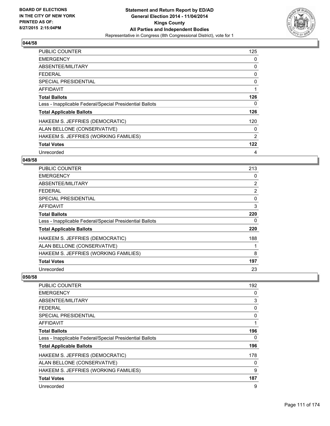

| <b>PUBLIC COUNTER</b>                                    | 125            |
|----------------------------------------------------------|----------------|
| <b>EMERGENCY</b>                                         | 0              |
| ABSENTEE/MILITARY                                        | 0              |
| <b>FEDERAL</b>                                           | 0              |
| SPECIAL PRESIDENTIAL                                     | 0              |
| AFFIDAVIT                                                | 1              |
| <b>Total Ballots</b>                                     | 126            |
| Less - Inapplicable Federal/Special Presidential Ballots | 0              |
| <b>Total Applicable Ballots</b>                          | 126            |
| HAKEEM S. JEFFRIES (DEMOCRATIC)                          | 120            |
| ALAN BELLONE (CONSERVATIVE)                              | 0              |
| HAKEEM S. JEFFRIES (WORKING FAMILIES)                    | $\overline{2}$ |
| <b>Total Votes</b>                                       | 122            |
| Unrecorded                                               | 4              |

## **049/58**

| <b>PUBLIC COUNTER</b>                                    | 213            |
|----------------------------------------------------------|----------------|
| <b>EMERGENCY</b>                                         | 0              |
| ABSENTEE/MILITARY                                        | $\overline{2}$ |
| <b>FEDERAL</b>                                           | $\overline{2}$ |
| <b>SPECIAL PRESIDENTIAL</b>                              | 0              |
| AFFIDAVIT                                                | 3              |
| <b>Total Ballots</b>                                     | 220            |
| Less - Inapplicable Federal/Special Presidential Ballots | 0              |
| <b>Total Applicable Ballots</b>                          | 220            |
| HAKEEM S. JEFFRIES (DEMOCRATIC)                          | 188            |
| ALAN BELLONE (CONSERVATIVE)                              |                |
| HAKEEM S. JEFFRIES (WORKING FAMILIES)                    | 8              |
| <b>Total Votes</b>                                       | 197            |
| Unrecorded                                               | 23             |

| PUBLIC COUNTER                                           | 192 |
|----------------------------------------------------------|-----|
| <b>EMERGENCY</b>                                         | 0   |
| ABSENTEE/MILITARY                                        | 3   |
| <b>FEDERAL</b>                                           | 0   |
| <b>SPECIAL PRESIDENTIAL</b>                              | 0   |
| AFFIDAVIT                                                |     |
| <b>Total Ballots</b>                                     | 196 |
| Less - Inapplicable Federal/Special Presidential Ballots | 0   |
| <b>Total Applicable Ballots</b>                          | 196 |
| HAKEEM S. JEFFRIES (DEMOCRATIC)                          | 178 |
| ALAN BELLONE (CONSERVATIVE)                              | 0   |
| HAKEEM S. JEFFRIES (WORKING FAMILIES)                    | 9   |
| <b>Total Votes</b>                                       | 187 |
| Unrecorded                                               | 9   |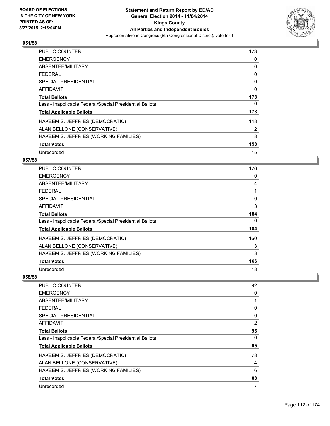

| <b>PUBLIC COUNTER</b>                                    | 173 |
|----------------------------------------------------------|-----|
| <b>EMERGENCY</b>                                         | 0   |
| ABSENTEE/MILITARY                                        | 0   |
| <b>FEDERAL</b>                                           | 0   |
| SPECIAL PRESIDENTIAL                                     | 0   |
| <b>AFFIDAVIT</b>                                         | 0   |
| <b>Total Ballots</b>                                     | 173 |
| Less - Inapplicable Federal/Special Presidential Ballots | 0   |
| <b>Total Applicable Ballots</b>                          | 173 |
| HAKEEM S. JEFFRIES (DEMOCRATIC)                          | 148 |
| ALAN BELLONE (CONSERVATIVE)                              | 2   |
| HAKEEM S. JEFFRIES (WORKING FAMILIES)                    | 8   |
| <b>Total Votes</b>                                       | 158 |
| Unrecorded                                               | 15  |

# **057/58**

| PUBLIC COUNTER                                           | 176 |
|----------------------------------------------------------|-----|
| <b>EMERGENCY</b>                                         | 0   |
| ABSENTEE/MILITARY                                        | 4   |
| <b>FEDERAL</b>                                           |     |
| <b>SPECIAL PRESIDENTIAL</b>                              | 0   |
| AFFIDAVIT                                                | 3   |
| <b>Total Ballots</b>                                     | 184 |
| Less - Inapplicable Federal/Special Presidential Ballots | 0   |
| <b>Total Applicable Ballots</b>                          | 184 |
| HAKEEM S. JEFFRIES (DEMOCRATIC)                          | 160 |
| ALAN BELLONE (CONSERVATIVE)                              | 3   |
| HAKEEM S. JEFFRIES (WORKING FAMILIES)                    | 3   |
| <b>Total Votes</b>                                       | 166 |
| Unrecorded                                               | 18  |

| <b>PUBLIC COUNTER</b>                                    | 92 |
|----------------------------------------------------------|----|
| <b>EMERGENCY</b>                                         | 0  |
| ABSENTEE/MILITARY                                        |    |
| <b>FEDERAL</b>                                           | 0  |
| <b>SPECIAL PRESIDENTIAL</b>                              | 0  |
| AFFIDAVIT                                                | 2  |
| <b>Total Ballots</b>                                     | 95 |
| Less - Inapplicable Federal/Special Presidential Ballots | 0  |
| <b>Total Applicable Ballots</b>                          | 95 |
| HAKEEM S. JEFFRIES (DEMOCRATIC)                          | 78 |
| ALAN BELLONE (CONSERVATIVE)                              | 4  |
| HAKEEM S. JEFFRIES (WORKING FAMILIES)                    | 6  |
| <b>Total Votes</b>                                       | 88 |
| Unrecorded                                               | 7  |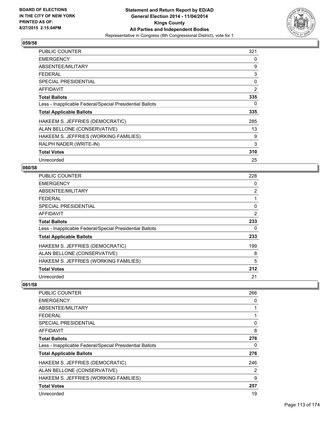

| <b>PUBLIC COUNTER</b>                                    | 321 |
|----------------------------------------------------------|-----|
| <b>EMERGENCY</b>                                         | 0   |
| ABSENTEE/MILITARY                                        | 9   |
| <b>FEDERAL</b>                                           | 3   |
| <b>SPECIAL PRESIDENTIAL</b>                              | 0   |
| <b>AFFIDAVIT</b>                                         | 2   |
| <b>Total Ballots</b>                                     | 335 |
| Less - Inapplicable Federal/Special Presidential Ballots | 0   |
| <b>Total Applicable Ballots</b>                          | 335 |
| HAKEEM S. JEFFRIES (DEMOCRATIC)                          | 285 |
| ALAN BELLONE (CONSERVATIVE)                              | 13  |
| HAKEEM S. JEFFRIES (WORKING FAMILIES)                    | 9   |
| RALPH NADER (WRITE-IN)                                   | 3   |
| <b>Total Votes</b>                                       | 310 |
| Unrecorded                                               | 25  |

#### **060/58**

| <b>PUBLIC COUNTER</b>                                    | 228            |
|----------------------------------------------------------|----------------|
| <b>EMERGENCY</b>                                         | 0              |
| ABSENTEE/MILITARY                                        | $\overline{2}$ |
| <b>FEDERAL</b>                                           |                |
| SPECIAL PRESIDENTIAL                                     | 0              |
| <b>AFFIDAVIT</b>                                         | 2              |
| <b>Total Ballots</b>                                     | 233            |
| Less - Inapplicable Federal/Special Presidential Ballots | 0              |
| <b>Total Applicable Ballots</b>                          | 233            |
| HAKEEM S. JEFFRIES (DEMOCRATIC)                          | 199            |
| ALAN BELLONE (CONSERVATIVE)                              | 8              |
| HAKEEM S. JEFFRIES (WORKING FAMILIES)                    | 5              |
| <b>Total Votes</b>                                       | 212            |
| Unrecorded                                               | 21             |

| <b>PUBLIC COUNTER</b>                                    | 266            |
|----------------------------------------------------------|----------------|
| <b>EMERGENCY</b>                                         | 0              |
| ABSENTEE/MILITARY                                        |                |
| <b>FEDERAL</b>                                           |                |
| SPECIAL PRESIDENTIAL                                     | 0              |
| AFFIDAVIT                                                | 8              |
| <b>Total Ballots</b>                                     | 276            |
| Less - Inapplicable Federal/Special Presidential Ballots | 0              |
| <b>Total Applicable Ballots</b>                          | 276            |
| HAKEEM S. JEFFRIES (DEMOCRATIC)                          | 246            |
| ALAN BELLONE (CONSERVATIVE)                              | $\overline{2}$ |
| HAKEEM S. JEFFRIES (WORKING FAMILIES)                    | 9              |
| <b>Total Votes</b>                                       | 257            |
| Unrecorded                                               | 19             |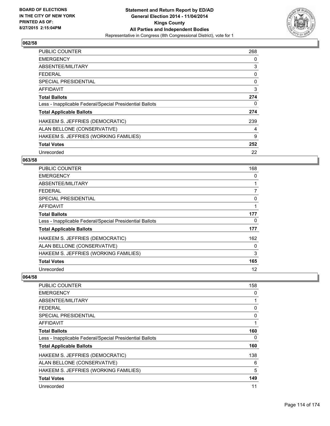

| <b>PUBLIC COUNTER</b>                                    | 268 |
|----------------------------------------------------------|-----|
| <b>EMERGENCY</b>                                         | 0   |
| ABSENTEE/MILITARY                                        | 3   |
| <b>FEDERAL</b>                                           | 0   |
| SPECIAL PRESIDENTIAL                                     | 0   |
| <b>AFFIDAVIT</b>                                         | 3   |
| <b>Total Ballots</b>                                     | 274 |
| Less - Inapplicable Federal/Special Presidential Ballots | 0   |
| <b>Total Applicable Ballots</b>                          | 274 |
| HAKEEM S. JEFFRIES (DEMOCRATIC)                          | 239 |
| ALAN BELLONE (CONSERVATIVE)                              | 4   |
| HAKEEM S. JEFFRIES (WORKING FAMILIES)                    | 9   |
| <b>Total Votes</b>                                       | 252 |
| Unrecorded                                               | 22  |

# **063/58**

| PUBLIC COUNTER                                           | 168 |
|----------------------------------------------------------|-----|
| <b>EMERGENCY</b>                                         | 0   |
| ABSENTEE/MILITARY                                        | 1   |
| <b>FEDERAL</b>                                           | 7   |
| <b>SPECIAL PRESIDENTIAL</b>                              | 0   |
| <b>AFFIDAVIT</b>                                         | 1   |
| <b>Total Ballots</b>                                     | 177 |
| Less - Inapplicable Federal/Special Presidential Ballots | 0   |
| <b>Total Applicable Ballots</b>                          | 177 |
| HAKEEM S. JEFFRIES (DEMOCRATIC)                          | 162 |
| ALAN BELLONE (CONSERVATIVE)                              | 0   |
| HAKEEM S. JEFFRIES (WORKING FAMILIES)                    | 3   |
| <b>Total Votes</b>                                       | 165 |
| Unrecorded                                               | 12  |

| PUBLIC COUNTER                                           | 158 |
|----------------------------------------------------------|-----|
| <b>EMERGENCY</b>                                         | 0   |
| ABSENTEE/MILITARY                                        | 1   |
| <b>FEDERAL</b>                                           | 0   |
| SPECIAL PRESIDENTIAL                                     | 0   |
| AFFIDAVIT                                                | 1   |
| <b>Total Ballots</b>                                     | 160 |
| Less - Inapplicable Federal/Special Presidential Ballots | 0   |
| <b>Total Applicable Ballots</b>                          | 160 |
| HAKEEM S. JEFFRIES (DEMOCRATIC)                          | 138 |
| ALAN BELLONE (CONSERVATIVE)                              | 6   |
| HAKEEM S. JEFFRIES (WORKING FAMILIES)                    | 5   |
| <b>Total Votes</b>                                       | 149 |
| Unrecorded                                               | 11  |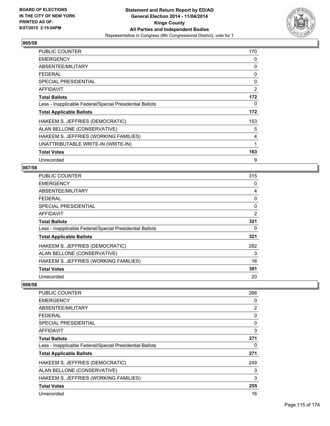

| PUBLIC COUNTER                                           | 170 |
|----------------------------------------------------------|-----|
| <b>EMERGENCY</b>                                         | 0   |
| ABSENTEE/MILITARY                                        | 0   |
| <b>FEDERAL</b>                                           | 0   |
| <b>SPECIAL PRESIDENTIAL</b>                              | 0   |
| AFFIDAVIT                                                | 2   |
| <b>Total Ballots</b>                                     | 172 |
| Less - Inapplicable Federal/Special Presidential Ballots | 0   |
| <b>Total Applicable Ballots</b>                          | 172 |
| HAKEEM S. JEFFRIES (DEMOCRATIC)                          | 153 |
| ALAN BELLONE (CONSERVATIVE)                              | 5   |
| HAKEEM S. JEFFRIES (WORKING FAMILIES)                    | 4   |
| UNATTRIBUTABLE WRITE-IN (WRITE-IN)                       | 1   |
| <b>Total Votes</b>                                       | 163 |
| Unrecorded                                               | 9   |

## **067/58**

| PUBLIC COUNTER                                           | 315 |
|----------------------------------------------------------|-----|
| <b>EMERGENCY</b>                                         | 0   |
| ABSENTEE/MILITARY                                        | 4   |
| <b>FEDERAL</b>                                           | 0   |
| <b>SPECIAL PRESIDENTIAL</b>                              | 0   |
| <b>AFFIDAVIT</b>                                         | 2   |
| <b>Total Ballots</b>                                     | 321 |
| Less - Inapplicable Federal/Special Presidential Ballots | 0   |
| <b>Total Applicable Ballots</b>                          | 321 |
| HAKEEM S. JEFFRIES (DEMOCRATIC)                          | 282 |
| ALAN BELLONE (CONSERVATIVE)                              | 3   |
| HAKEEM S. JEFFRIES (WORKING FAMILIES)                    | 16  |
| <b>Total Votes</b>                                       | 301 |
| Unrecorded                                               | 20  |

| PUBLIC COUNTER                                           | 266 |
|----------------------------------------------------------|-----|
| <b>EMERGENCY</b>                                         | 0   |
| ABSENTEE/MILITARY                                        | 2   |
| <b>FEDERAL</b>                                           | 0   |
| SPECIAL PRESIDENTIAL                                     | 0   |
| AFFIDAVIT                                                | 3   |
| <b>Total Ballots</b>                                     | 271 |
| Less - Inapplicable Federal/Special Presidential Ballots | 0   |
| <b>Total Applicable Ballots</b>                          | 271 |
| HAKEEM S. JEFFRIES (DEMOCRATIC)                          | 249 |
| ALAN BELLONE (CONSERVATIVE)                              | 3   |
| HAKEEM S. JEFFRIES (WORKING FAMILIES)                    | 3   |
| <b>Total Votes</b>                                       | 255 |
| Unrecorded                                               | 16  |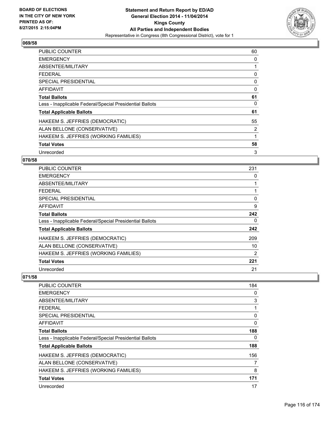

| <b>PUBLIC COUNTER</b>                                    | 60 |
|----------------------------------------------------------|----|
| <b>EMERGENCY</b>                                         | 0  |
| ABSENTEE/MILITARY                                        | 1  |
| <b>FEDERAL</b>                                           | 0  |
| SPECIAL PRESIDENTIAL                                     | 0  |
| AFFIDAVIT                                                | 0  |
| <b>Total Ballots</b>                                     | 61 |
| Less - Inapplicable Federal/Special Presidential Ballots | 0  |
| <b>Total Applicable Ballots</b>                          | 61 |
| HAKEEM S. JEFFRIES (DEMOCRATIC)                          | 55 |
| ALAN BELLONE (CONSERVATIVE)                              | 2  |
| HAKEEM S. JEFFRIES (WORKING FAMILIES)                    | 1  |
| <b>Total Votes</b>                                       | 58 |
| Unrecorded                                               | 3  |

## **070/58**

| PUBLIC COUNTER                                           | 231 |
|----------------------------------------------------------|-----|
| <b>EMERGENCY</b>                                         | 0   |
| ABSENTEE/MILITARY                                        |     |
| <b>FEDERAL</b>                                           |     |
| <b>SPECIAL PRESIDENTIAL</b>                              | 0   |
| <b>AFFIDAVIT</b>                                         | 9   |
| <b>Total Ballots</b>                                     | 242 |
| Less - Inapplicable Federal/Special Presidential Ballots | 0   |
| <b>Total Applicable Ballots</b>                          | 242 |
| HAKEEM S. JEFFRIES (DEMOCRATIC)                          | 209 |
| ALAN BELLONE (CONSERVATIVE)                              | 10  |
| HAKEEM S. JEFFRIES (WORKING FAMILIES)                    | 2   |
| <b>Total Votes</b>                                       | 221 |
| Unrecorded                                               | 21  |

| <b>PUBLIC COUNTER</b>                                    | 184 |
|----------------------------------------------------------|-----|
| <b>EMERGENCY</b>                                         | 0   |
| ABSENTEE/MILITARY                                        | 3   |
| <b>FEDERAL</b>                                           | 1   |
| <b>SPECIAL PRESIDENTIAL</b>                              | 0   |
| AFFIDAVIT                                                | 0   |
| <b>Total Ballots</b>                                     | 188 |
| Less - Inapplicable Federal/Special Presidential Ballots | 0   |
| <b>Total Applicable Ballots</b>                          | 188 |
| HAKEEM S. JEFFRIES (DEMOCRATIC)                          | 156 |
| ALAN BELLONE (CONSERVATIVE)                              | 7   |
| HAKEEM S. JEFFRIES (WORKING FAMILIES)                    | 8   |
| <b>Total Votes</b>                                       | 171 |
| Unrecorded                                               | 17  |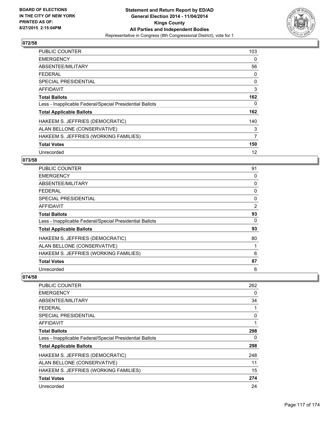

| <b>PUBLIC COUNTER</b>                                    | 103 |
|----------------------------------------------------------|-----|
| <b>EMERGENCY</b>                                         | 0   |
| ABSENTEE/MILITARY                                        | 56  |
| <b>FEDERAL</b>                                           | 0   |
| SPECIAL PRESIDENTIAL                                     | 0   |
| <b>AFFIDAVIT</b>                                         | 3   |
| <b>Total Ballots</b>                                     | 162 |
| Less - Inapplicable Federal/Special Presidential Ballots | 0   |
| <b>Total Applicable Ballots</b>                          | 162 |
| HAKEEM S. JEFFRIES (DEMOCRATIC)                          | 140 |
| ALAN BELLONE (CONSERVATIVE)                              | 3   |
| HAKEEM S. JEFFRIES (WORKING FAMILIES)                    | 7   |
| <b>Total Votes</b>                                       | 150 |
| Unrecorded                                               | 12  |

# **073/58**

| PUBLIC COUNTER                                           | 91 |
|----------------------------------------------------------|----|
| <b>EMERGENCY</b>                                         | 0  |
| ABSENTEE/MILITARY                                        | 0  |
| <b>FEDERAL</b>                                           | 0  |
| <b>SPECIAL PRESIDENTIAL</b>                              | 0  |
| <b>AFFIDAVIT</b>                                         | 2  |
| <b>Total Ballots</b>                                     | 93 |
| Less - Inapplicable Federal/Special Presidential Ballots | 0  |
| <b>Total Applicable Ballots</b>                          | 93 |
| HAKEEM S. JEFFRIES (DEMOCRATIC)                          | 80 |
| ALAN BELLONE (CONSERVATIVE)                              |    |
| HAKEEM S. JEFFRIES (WORKING FAMILIES)                    | 6  |
| <b>Total Votes</b>                                       | 87 |
| Unrecorded                                               | 6  |

| <b>PUBLIC COUNTER</b>                                    | 262 |
|----------------------------------------------------------|-----|
| <b>EMERGENCY</b>                                         | 0   |
| ABSENTEE/MILITARY                                        | 34  |
| <b>FEDERAL</b>                                           |     |
| SPECIAL PRESIDENTIAL                                     | 0   |
| <b>AFFIDAVIT</b>                                         |     |
| <b>Total Ballots</b>                                     | 298 |
| Less - Inapplicable Federal/Special Presidential Ballots | 0   |
| <b>Total Applicable Ballots</b>                          | 298 |
| HAKEEM S. JEFFRIES (DEMOCRATIC)                          | 248 |
| ALAN BELLONE (CONSERVATIVE)                              | 11  |
| HAKEEM S. JEFFRIES (WORKING FAMILIES)                    | 15  |
| <b>Total Votes</b>                                       | 274 |
| Unrecorded                                               | 24  |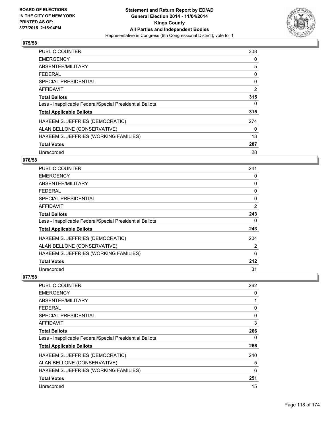

| <b>PUBLIC COUNTER</b>                                    | 308 |
|----------------------------------------------------------|-----|
| <b>EMERGENCY</b>                                         | 0   |
| ABSENTEE/MILITARY                                        | 5   |
| <b>FEDERAL</b>                                           | 0   |
| <b>SPECIAL PRESIDENTIAL</b>                              | 0   |
| <b>AFFIDAVIT</b>                                         | 2   |
| <b>Total Ballots</b>                                     | 315 |
| Less - Inapplicable Federal/Special Presidential Ballots | 0   |
| <b>Total Applicable Ballots</b>                          | 315 |
| HAKEEM S. JEFFRIES (DEMOCRATIC)                          | 274 |
| ALAN BELLONE (CONSERVATIVE)                              | 0   |
| HAKEEM S. JEFFRIES (WORKING FAMILIES)                    | 13  |
| <b>Total Votes</b>                                       | 287 |
| Unrecorded                                               | 28  |

# **076/58**

| <b>PUBLIC COUNTER</b>                                    | 241            |
|----------------------------------------------------------|----------------|
| <b>EMERGENCY</b>                                         | 0              |
| ABSENTEE/MILITARY                                        | 0              |
| <b>FEDERAL</b>                                           | 0              |
| <b>SPECIAL PRESIDENTIAL</b>                              | 0              |
| <b>AFFIDAVIT</b>                                         | $\overline{2}$ |
| <b>Total Ballots</b>                                     | 243            |
| Less - Inapplicable Federal/Special Presidential Ballots | 0              |
| <b>Total Applicable Ballots</b>                          | 243            |
| HAKEEM S. JEFFRIES (DEMOCRATIC)                          | 204            |
| ALAN BELLONE (CONSERVATIVE)                              | 2              |
| HAKEEM S. JEFFRIES (WORKING FAMILIES)                    | 6              |
| <b>Total Votes</b>                                       | 212            |
| Unrecorded                                               | 31             |

| <b>PUBLIC COUNTER</b>                                    | 262 |
|----------------------------------------------------------|-----|
| <b>EMERGENCY</b>                                         | 0   |
| ABSENTEE/MILITARY                                        |     |
| <b>FEDERAL</b>                                           | 0   |
| <b>SPECIAL PRESIDENTIAL</b>                              | 0   |
| AFFIDAVIT                                                | 3   |
| <b>Total Ballots</b>                                     | 266 |
| Less - Inapplicable Federal/Special Presidential Ballots | 0   |
| <b>Total Applicable Ballots</b>                          | 266 |
| HAKEEM S. JEFFRIES (DEMOCRATIC)                          | 240 |
| ALAN BELLONE (CONSERVATIVE)                              | 5   |
| HAKEEM S. JEFFRIES (WORKING FAMILIES)                    | 6   |
| <b>Total Votes</b>                                       | 251 |
| Unrecorded                                               | 15  |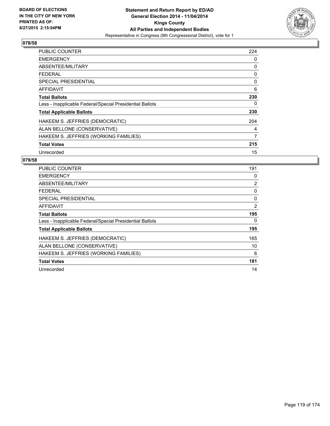

| <b>PUBLIC COUNTER</b>                                    | 224 |
|----------------------------------------------------------|-----|
| <b>EMERGENCY</b>                                         | 0   |
| ABSENTEE/MILITARY                                        | 0   |
| <b>FEDERAL</b>                                           | 0   |
| <b>SPECIAL PRESIDENTIAL</b>                              | 0   |
| <b>AFFIDAVIT</b>                                         | 6   |
| <b>Total Ballots</b>                                     | 230 |
| Less - Inapplicable Federal/Special Presidential Ballots | 0   |
| <b>Total Applicable Ballots</b>                          | 230 |
| HAKEEM S. JEFFRIES (DEMOCRATIC)                          | 204 |
| ALAN BELLONE (CONSERVATIVE)                              | 4   |
| HAKEEM S. JEFFRIES (WORKING FAMILIES)                    | 7   |
| <b>Total Votes</b>                                       | 215 |
| Unrecorded                                               | 15  |

| <b>PUBLIC COUNTER</b>                                    | 191            |
|----------------------------------------------------------|----------------|
| <b>EMERGENCY</b>                                         | 0              |
| ABSENTEE/MILITARY                                        | $\overline{2}$ |
| <b>FEDERAL</b>                                           | 0              |
| SPECIAL PRESIDENTIAL                                     | 0              |
| <b>AFFIDAVIT</b>                                         | 2              |
| <b>Total Ballots</b>                                     | 195            |
| Less - Inapplicable Federal/Special Presidential Ballots | 0              |
| <b>Total Applicable Ballots</b>                          | 195            |
| HAKEEM S. JEFFRIES (DEMOCRATIC)                          | 165            |
| ALAN BELLONE (CONSERVATIVE)                              | 10             |
| HAKEEM S. JEFFRIES (WORKING FAMILIES)                    | 6              |
| <b>Total Votes</b>                                       | 181            |
| Unrecorded                                               | 14             |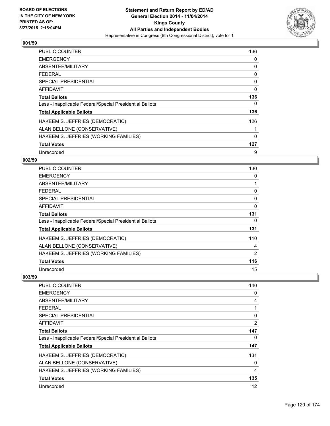

| <b>PUBLIC COUNTER</b>                                    | 136 |
|----------------------------------------------------------|-----|
| <b>EMERGENCY</b>                                         | 0   |
| ABSENTEE/MILITARY                                        | 0   |
| <b>FEDERAL</b>                                           | 0   |
| SPECIAL PRESIDENTIAL                                     | 0   |
| <b>AFFIDAVIT</b>                                         | 0   |
| <b>Total Ballots</b>                                     | 136 |
| Less - Inapplicable Federal/Special Presidential Ballots | 0   |
| <b>Total Applicable Ballots</b>                          | 136 |
| HAKEEM S. JEFFRIES (DEMOCRATIC)                          | 126 |
| ALAN BELLONE (CONSERVATIVE)                              |     |
| HAKEEM S. JEFFRIES (WORKING FAMILIES)                    | 0   |
| <b>Total Votes</b>                                       | 127 |
| Unrecorded                                               | 9   |

## **002/59**

| <b>PUBLIC COUNTER</b>                                    | 130            |
|----------------------------------------------------------|----------------|
| <b>EMERGENCY</b>                                         | 0              |
| ABSENTEE/MILITARY                                        | 1              |
| <b>FEDERAL</b>                                           | 0              |
| <b>SPECIAL PRESIDENTIAL</b>                              | 0              |
| AFFIDAVIT                                                | $\Omega$       |
| <b>Total Ballots</b>                                     | 131            |
| Less - Inapplicable Federal/Special Presidential Ballots | 0              |
| <b>Total Applicable Ballots</b>                          | 131            |
| HAKEEM S. JEFFRIES (DEMOCRATIC)                          | 110            |
| ALAN BELLONE (CONSERVATIVE)                              | 4              |
| HAKEEM S. JEFFRIES (WORKING FAMILIES)                    | $\overline{2}$ |
| <b>Total Votes</b>                                       | 116            |
| Unrecorded                                               | 15             |

| <b>PUBLIC COUNTER</b>                                    | 140 |
|----------------------------------------------------------|-----|
| <b>EMERGENCY</b>                                         | 0   |
| ABSENTEE/MILITARY                                        | 4   |
| <b>FEDERAL</b>                                           |     |
| <b>SPECIAL PRESIDENTIAL</b>                              | 0   |
| AFFIDAVIT                                                | 2   |
| <b>Total Ballots</b>                                     | 147 |
| Less - Inapplicable Federal/Special Presidential Ballots | 0   |
| <b>Total Applicable Ballots</b>                          | 147 |
| HAKEEM S. JEFFRIES (DEMOCRATIC)                          | 131 |
| ALAN BELLONE (CONSERVATIVE)                              | 0   |
| HAKEEM S. JEFFRIES (WORKING FAMILIES)                    | 4   |
| <b>Total Votes</b>                                       | 135 |
| Unrecorded                                               | 12  |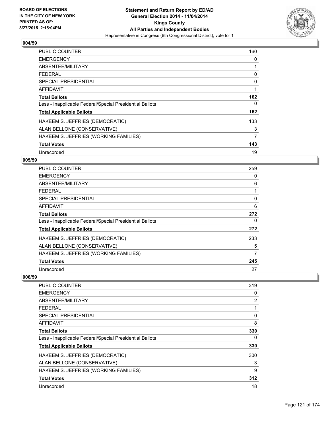

| <b>PUBLIC COUNTER</b>                                    | 160            |
|----------------------------------------------------------|----------------|
| <b>EMERGENCY</b>                                         | 0              |
| ABSENTEE/MILITARY                                        |                |
| <b>FEDERAL</b>                                           | 0              |
| <b>SPECIAL PRESIDENTIAL</b>                              | 0              |
| AFFIDAVIT                                                | 1              |
| <b>Total Ballots</b>                                     | 162            |
| Less - Inapplicable Federal/Special Presidential Ballots | 0              |
| <b>Total Applicable Ballots</b>                          | 162            |
| HAKEEM S. JEFFRIES (DEMOCRATIC)                          | 133            |
| ALAN BELLONE (CONSERVATIVE)                              | 3              |
| HAKEEM S. JEFFRIES (WORKING FAMILIES)                    | $\overline{7}$ |
| <b>Total Votes</b>                                       | 143            |
| Unrecorded                                               | 19             |

## **005/59**

| PUBLIC COUNTER                                           | 259 |
|----------------------------------------------------------|-----|
| <b>EMERGENCY</b>                                         | 0   |
| ABSENTEE/MILITARY                                        | 6   |
| <b>FEDERAL</b>                                           |     |
| <b>SPECIAL PRESIDENTIAL</b>                              | 0   |
| AFFIDAVIT                                                | 6   |
| <b>Total Ballots</b>                                     | 272 |
| Less - Inapplicable Federal/Special Presidential Ballots | 0   |
| <b>Total Applicable Ballots</b>                          | 272 |
| HAKEEM S. JEFFRIES (DEMOCRATIC)                          | 233 |
| ALAN BELLONE (CONSERVATIVE)                              | 5   |
| HAKEEM S. JEFFRIES (WORKING FAMILIES)                    | 7   |
| <b>Total Votes</b>                                       | 245 |
| Unrecorded                                               | 27  |

| PUBLIC COUNTER                                           | 319 |
|----------------------------------------------------------|-----|
| <b>EMERGENCY</b>                                         | 0   |
| ABSENTEE/MILITARY                                        | 2   |
| <b>FEDERAL</b>                                           |     |
| SPECIAL PRESIDENTIAL                                     | 0   |
| AFFIDAVIT                                                | 8   |
| <b>Total Ballots</b>                                     | 330 |
| Less - Inapplicable Federal/Special Presidential Ballots | 0   |
| <b>Total Applicable Ballots</b>                          | 330 |
| HAKEEM S. JEFFRIES (DEMOCRATIC)                          | 300 |
| ALAN BELLONE (CONSERVATIVE)                              | 3   |
| HAKEEM S. JEFFRIES (WORKING FAMILIES)                    | 9   |
| <b>Total Votes</b>                                       | 312 |
| Unrecorded                                               | 18  |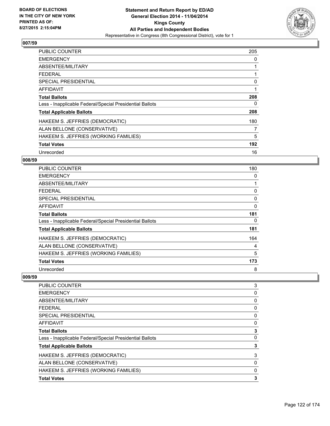

| <b>PUBLIC COUNTER</b>                                    | 205 |
|----------------------------------------------------------|-----|
| <b>EMERGENCY</b>                                         | 0   |
| ABSENTEE/MILITARY                                        |     |
| <b>FEDERAL</b>                                           |     |
| <b>SPECIAL PRESIDENTIAL</b>                              | 0   |
| <b>AFFIDAVIT</b>                                         | 1   |
| <b>Total Ballots</b>                                     | 208 |
| Less - Inapplicable Federal/Special Presidential Ballots | 0   |
| <b>Total Applicable Ballots</b>                          | 208 |
| HAKEEM S. JEFFRIES (DEMOCRATIC)                          | 180 |
| ALAN BELLONE (CONSERVATIVE)                              | 7   |
| HAKEEM S. JEFFRIES (WORKING FAMILIES)                    | 5   |
| <b>Total Votes</b>                                       | 192 |
| Unrecorded                                               | 16  |

## **008/59**

| PUBLIC COUNTER                                           | 180 |
|----------------------------------------------------------|-----|
| <b>EMERGENCY</b>                                         | 0   |
| ABSENTEE/MILITARY                                        |     |
| <b>FEDERAL</b>                                           | 0   |
| <b>SPECIAL PRESIDENTIAL</b>                              | 0   |
| AFFIDAVIT                                                | 0   |
| <b>Total Ballots</b>                                     | 181 |
| Less - Inapplicable Federal/Special Presidential Ballots | 0   |
| <b>Total Applicable Ballots</b>                          | 181 |
| HAKEEM S. JEFFRIES (DEMOCRATIC)                          | 164 |
| ALAN BELLONE (CONSERVATIVE)                              | 4   |
| HAKEEM S. JEFFRIES (WORKING FAMILIES)                    | 5   |
| <b>Total Votes</b>                                       | 173 |
| Unrecorded                                               | 8   |

| PUBLIC COUNTER                                           | 3 |
|----------------------------------------------------------|---|
| <b>EMERGENCY</b>                                         | 0 |
| ABSENTEE/MILITARY                                        | 0 |
| <b>FEDERAL</b>                                           | 0 |
| <b>SPECIAL PRESIDENTIAL</b>                              | 0 |
| AFFIDAVIT                                                | 0 |
| <b>Total Ballots</b>                                     | 3 |
| Less - Inapplicable Federal/Special Presidential Ballots | 0 |
| <b>Total Applicable Ballots</b>                          | 3 |
| HAKEEM S. JEFFRIES (DEMOCRATIC)                          | 3 |
| ALAN BELLONE (CONSERVATIVE)                              | 0 |
| HAKEEM S. JEFFRIES (WORKING FAMILIES)                    | 0 |
| <b>Total Votes</b>                                       | 3 |
|                                                          |   |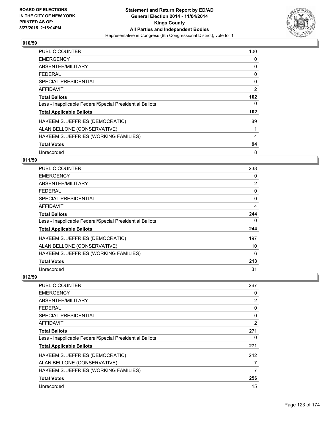

| <b>PUBLIC COUNTER</b>                                    | 100              |
|----------------------------------------------------------|------------------|
| <b>EMERGENCY</b>                                         | 0                |
| ABSENTEE/MILITARY                                        | 0                |
| <b>FEDERAL</b>                                           | 0                |
| <b>SPECIAL PRESIDENTIAL</b>                              | 0                |
| <b>AFFIDAVIT</b>                                         | 2                |
| <b>Total Ballots</b>                                     | 102 <sub>2</sub> |
| Less - Inapplicable Federal/Special Presidential Ballots | 0                |
| <b>Total Applicable Ballots</b>                          | 102              |
| HAKEEM S. JEFFRIES (DEMOCRATIC)                          | 89               |
| ALAN BELLONE (CONSERVATIVE)                              | 1                |
| HAKEEM S. JEFFRIES (WORKING FAMILIES)                    | 4                |
| <b>Total Votes</b>                                       | 94               |
| Unrecorded                                               | 8                |

## **011/59**

| <b>PUBLIC COUNTER</b>                                    | 238            |
|----------------------------------------------------------|----------------|
| <b>EMERGENCY</b>                                         | 0              |
| ABSENTEE/MILITARY                                        | $\overline{2}$ |
| <b>FEDERAL</b>                                           | 0              |
| <b>SPECIAL PRESIDENTIAL</b>                              | 0              |
| AFFIDAVIT                                                | 4              |
| <b>Total Ballots</b>                                     | 244            |
| Less - Inapplicable Federal/Special Presidential Ballots | 0              |
| <b>Total Applicable Ballots</b>                          | 244            |
| HAKEEM S. JEFFRIES (DEMOCRATIC)                          | 197            |
| ALAN BELLONE (CONSERVATIVE)                              | 10             |
| HAKEEM S. JEFFRIES (WORKING FAMILIES)                    | 6              |
| <b>Total Votes</b>                                       | 213            |
| Unrecorded                                               | 31             |

| PUBLIC COUNTER                                           | 267 |
|----------------------------------------------------------|-----|
| <b>EMERGENCY</b>                                         | 0   |
| ABSENTEE/MILITARY                                        | 2   |
| <b>FEDERAL</b>                                           | 0   |
| <b>SPECIAL PRESIDENTIAL</b>                              | 0   |
| AFFIDAVIT                                                | 2   |
| <b>Total Ballots</b>                                     | 271 |
| Less - Inapplicable Federal/Special Presidential Ballots | 0   |
| <b>Total Applicable Ballots</b>                          | 271 |
| HAKEEM S. JEFFRIES (DEMOCRATIC)                          | 242 |
| ALAN BELLONE (CONSERVATIVE)                              | 7   |
| HAKEEM S. JEFFRIES (WORKING FAMILIES)                    | 7   |
| <b>Total Votes</b>                                       | 256 |
| Unrecorded                                               | 15  |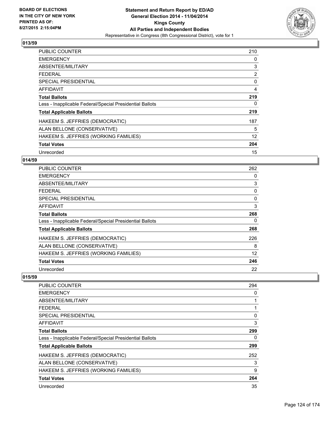

| <b>PUBLIC COUNTER</b>                                    | 210 |
|----------------------------------------------------------|-----|
| <b>EMERGENCY</b>                                         | 0   |
| ABSENTEE/MILITARY                                        | 3   |
| <b>FEDERAL</b>                                           | 2   |
| SPECIAL PRESIDENTIAL                                     | 0   |
| <b>AFFIDAVIT</b>                                         | 4   |
| <b>Total Ballots</b>                                     | 219 |
| Less - Inapplicable Federal/Special Presidential Ballots | 0   |
| <b>Total Applicable Ballots</b>                          | 219 |
| HAKEEM S. JEFFRIES (DEMOCRATIC)                          | 187 |
| ALAN BELLONE (CONSERVATIVE)                              | 5   |
| HAKEEM S. JEFFRIES (WORKING FAMILIES)                    | 12  |
| <b>Total Votes</b>                                       | 204 |
| Unrecorded                                               | 15  |

## **014/59**

| PUBLIC COUNTER                                           | 262 |
|----------------------------------------------------------|-----|
| <b>EMERGENCY</b>                                         | 0   |
| ABSENTEE/MILITARY                                        | 3   |
| <b>FEDERAL</b>                                           | 0   |
| <b>SPECIAL PRESIDENTIAL</b>                              | 0   |
| <b>AFFIDAVIT</b>                                         | 3   |
| <b>Total Ballots</b>                                     | 268 |
| Less - Inapplicable Federal/Special Presidential Ballots | 0   |
| <b>Total Applicable Ballots</b>                          | 268 |
| HAKEEM S. JEFFRIES (DEMOCRATIC)                          | 226 |
| ALAN BELLONE (CONSERVATIVE)                              | 8   |
| HAKEEM S. JEFFRIES (WORKING FAMILIES)                    | 12  |
| <b>Total Votes</b>                                       | 246 |
| Unrecorded                                               | 22  |

| <b>PUBLIC COUNTER</b>                                    | 294 |
|----------------------------------------------------------|-----|
| <b>EMERGENCY</b>                                         | 0   |
| ABSENTEE/MILITARY                                        |     |
| <b>FEDERAL</b>                                           |     |
| <b>SPECIAL PRESIDENTIAL</b>                              | 0   |
| AFFIDAVIT                                                | 3   |
| <b>Total Ballots</b>                                     | 299 |
| Less - Inapplicable Federal/Special Presidential Ballots | 0   |
| <b>Total Applicable Ballots</b>                          | 299 |
| HAKEEM S. JEFFRIES (DEMOCRATIC)                          | 252 |
| ALAN BELLONE (CONSERVATIVE)                              | 3   |
| HAKEEM S. JEFFRIES (WORKING FAMILIES)                    | 9   |
| <b>Total Votes</b>                                       | 264 |
| Unrecorded                                               | 35  |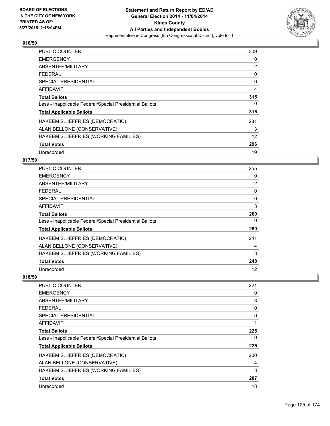

| <b>PUBLIC COUNTER</b>                                    | 309 |
|----------------------------------------------------------|-----|
| <b>EMERGENCY</b>                                         | 0   |
| ABSENTEE/MILITARY                                        | 2   |
| <b>FEDERAL</b>                                           | 0   |
| <b>SPECIAL PRESIDENTIAL</b>                              | 0   |
| <b>AFFIDAVIT</b>                                         | 4   |
| <b>Total Ballots</b>                                     | 315 |
| Less - Inapplicable Federal/Special Presidential Ballots | 0   |
| <b>Total Applicable Ballots</b>                          | 315 |
| HAKEEM S. JEFFRIES (DEMOCRATIC)                          | 281 |
| ALAN BELLONE (CONSERVATIVE)                              | 3   |
| HAKEEM S. JEFFRIES (WORKING FAMILIES)                    | 12  |
| <b>Total Votes</b>                                       | 296 |
| Unrecorded                                               | 19  |

## **017/59**

| <b>PUBLIC COUNTER</b>                                    | 255            |
|----------------------------------------------------------|----------------|
| <b>EMERGENCY</b>                                         | 0              |
| ABSENTEE/MILITARY                                        | $\overline{2}$ |
| <b>FEDERAL</b>                                           | 0              |
| <b>SPECIAL PRESIDENTIAL</b>                              | 0              |
| <b>AFFIDAVIT</b>                                         | 3              |
| <b>Total Ballots</b>                                     | 260            |
| Less - Inapplicable Federal/Special Presidential Ballots | 0              |
| <b>Total Applicable Ballots</b>                          | 260            |
| HAKEEM S. JEFFRIES (DEMOCRATIC)                          | 241            |
| ALAN BELLONE (CONSERVATIVE)                              | 4              |
| HAKEEM S. JEFFRIES (WORKING FAMILIES)                    | 3              |
| <b>Total Votes</b>                                       | 248            |
| Unrecorded                                               | 12             |

| <b>PUBLIC COUNTER</b>                                    | 221 |
|----------------------------------------------------------|-----|
| <b>EMERGENCY</b>                                         | 0   |
| ABSENTEE/MILITARY                                        | 3   |
| <b>FEDERAL</b>                                           | 0   |
| <b>SPECIAL PRESIDENTIAL</b>                              | 0   |
| AFFIDAVIT                                                | 1   |
| <b>Total Ballots</b>                                     | 225 |
| Less - Inapplicable Federal/Special Presidential Ballots | 0   |
| <b>Total Applicable Ballots</b>                          | 225 |
| HAKEEM S. JEFFRIES (DEMOCRATIC)                          | 200 |
| ALAN BELLONE (CONSERVATIVE)                              | 4   |
| HAKEEM S. JEFFRIES (WORKING FAMILIES)                    | 3   |
| <b>Total Votes</b>                                       | 207 |
| Unrecorded                                               | 18  |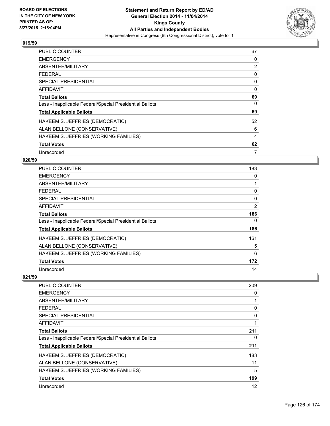

| <b>PUBLIC COUNTER</b>                                    | 67 |
|----------------------------------------------------------|----|
| <b>EMERGENCY</b>                                         | 0  |
| ABSENTEE/MILITARY                                        | 2  |
| <b>FEDERAL</b>                                           | 0  |
| SPECIAL PRESIDENTIAL                                     | 0  |
| <b>AFFIDAVIT</b>                                         | 0  |
| <b>Total Ballots</b>                                     | 69 |
| Less - Inapplicable Federal/Special Presidential Ballots | 0  |
| <b>Total Applicable Ballots</b>                          | 69 |
| HAKEEM S. JEFFRIES (DEMOCRATIC)                          | 52 |
| ALAN BELLONE (CONSERVATIVE)                              | 6  |
| HAKEEM S. JEFFRIES (WORKING FAMILIES)                    | 4  |
| <b>Total Votes</b>                                       | 62 |
| Unrecorded                                               | 7  |

## **020/59**

| PUBLIC COUNTER                                           | 183            |
|----------------------------------------------------------|----------------|
| <b>EMERGENCY</b>                                         | 0              |
| ABSENTEE/MILITARY                                        | 1              |
| <b>FEDERAL</b>                                           | 0              |
| <b>SPECIAL PRESIDENTIAL</b>                              | 0              |
| <b>AFFIDAVIT</b>                                         | $\overline{2}$ |
| <b>Total Ballots</b>                                     | 186            |
| Less - Inapplicable Federal/Special Presidential Ballots | 0              |
| <b>Total Applicable Ballots</b>                          | 186            |
| HAKEEM S. JEFFRIES (DEMOCRATIC)                          | 161            |
| ALAN BELLONE (CONSERVATIVE)                              | 5              |
| HAKEEM S. JEFFRIES (WORKING FAMILIES)                    | 6              |
| <b>Total Votes</b>                                       | 172            |
| Unrecorded                                               | 14             |

| 209 |
|-----|
| 0   |
|     |
| 0   |
| 0   |
|     |
| 211 |
| 0   |
| 211 |
| 183 |
| 11  |
| 5   |
| 199 |
| 12  |
|     |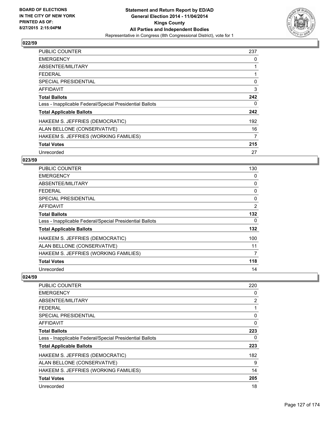

| <b>PUBLIC COUNTER</b>                                    | 237 |
|----------------------------------------------------------|-----|
| <b>EMERGENCY</b>                                         | 0   |
| ABSENTEE/MILITARY                                        |     |
| <b>FEDERAL</b>                                           |     |
| <b>SPECIAL PRESIDENTIAL</b>                              | 0   |
| AFFIDAVIT                                                | 3   |
| <b>Total Ballots</b>                                     | 242 |
| Less - Inapplicable Federal/Special Presidential Ballots | 0   |
| <b>Total Applicable Ballots</b>                          | 242 |
| HAKEEM S. JEFFRIES (DEMOCRATIC)                          | 192 |
| ALAN BELLONE (CONSERVATIVE)                              | 16  |
| HAKEEM S. JEFFRIES (WORKING FAMILIES)                    | 7   |
| <b>Total Votes</b>                                       | 215 |
| Unrecorded                                               | 27  |

## **023/59**

| PUBLIC COUNTER                                           | 130            |
|----------------------------------------------------------|----------------|
| <b>EMERGENCY</b>                                         | 0              |
| ABSENTEE/MILITARY                                        | 0              |
| <b>FEDERAL</b>                                           | 0              |
| <b>SPECIAL PRESIDENTIAL</b>                              | 0              |
| <b>AFFIDAVIT</b>                                         | $\overline{2}$ |
| <b>Total Ballots</b>                                     | 132            |
| Less - Inapplicable Federal/Special Presidential Ballots | 0              |
| <b>Total Applicable Ballots</b>                          | 132            |
| HAKEEM S. JEFFRIES (DEMOCRATIC)                          | 100            |
| ALAN BELLONE (CONSERVATIVE)                              | 11             |
| HAKEEM S. JEFFRIES (WORKING FAMILIES)                    | 7              |
| <b>Total Votes</b>                                       | 118            |
| Unrecorded                                               | 14             |

| PUBLIC COUNTER                                           | 220 |
|----------------------------------------------------------|-----|
| <b>EMERGENCY</b>                                         | 0   |
| ABSENTEE/MILITARY                                        | 2   |
| <b>FEDERAL</b>                                           |     |
| <b>SPECIAL PRESIDENTIAL</b>                              | 0   |
| AFFIDAVIT                                                | 0   |
| <b>Total Ballots</b>                                     | 223 |
| Less - Inapplicable Federal/Special Presidential Ballots | 0   |
| <b>Total Applicable Ballots</b>                          | 223 |
| HAKEEM S. JEFFRIES (DEMOCRATIC)                          | 182 |
| ALAN BELLONE (CONSERVATIVE)                              | 9   |
| HAKEEM S. JEFFRIES (WORKING FAMILIES)                    | 14  |
| <b>Total Votes</b>                                       | 205 |
| Unrecorded                                               | 18  |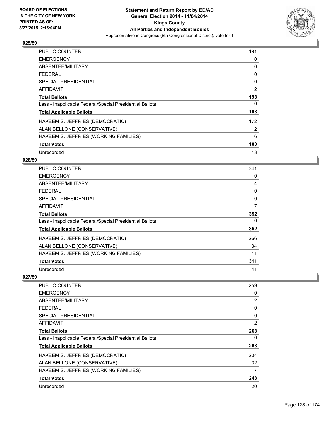

| <b>PUBLIC COUNTER</b>                                    | 191 |
|----------------------------------------------------------|-----|
| <b>EMERGENCY</b>                                         | 0   |
| ABSENTEE/MILITARY                                        | 0   |
| <b>FEDERAL</b>                                           | 0   |
| <b>SPECIAL PRESIDENTIAL</b>                              | 0   |
| AFFIDAVIT                                                | 2   |
| <b>Total Ballots</b>                                     | 193 |
| Less - Inapplicable Federal/Special Presidential Ballots | 0   |
| <b>Total Applicable Ballots</b>                          | 193 |
| HAKEEM S. JEFFRIES (DEMOCRATIC)                          | 172 |
| ALAN BELLONE (CONSERVATIVE)                              | 2   |
| HAKEEM S. JEFFRIES (WORKING FAMILIES)                    | 6   |
| <b>Total Votes</b>                                       | 180 |
| Unrecorded                                               | 13  |

## **026/59**

| PUBLIC COUNTER                                           | 341 |
|----------------------------------------------------------|-----|
| <b>EMERGENCY</b>                                         | 0   |
| ABSENTEE/MILITARY                                        | 4   |
| <b>FEDERAL</b>                                           | 0   |
| <b>SPECIAL PRESIDENTIAL</b>                              | 0   |
| <b>AFFIDAVIT</b>                                         | 7   |
| Total Ballots                                            | 352 |
| Less - Inapplicable Federal/Special Presidential Ballots | 0   |
| <b>Total Applicable Ballots</b>                          | 352 |
| HAKEEM S. JEFFRIES (DEMOCRATIC)                          | 266 |
| ALAN BELLONE (CONSERVATIVE)                              | 34  |
| HAKEEM S. JEFFRIES (WORKING FAMILIES)                    | 11  |
| <b>Total Votes</b>                                       | 311 |
| Unrecorded                                               | 41  |

| PUBLIC COUNTER                                           | 259 |
|----------------------------------------------------------|-----|
| <b>EMERGENCY</b>                                         | 0   |
| ABSENTEE/MILITARY                                        | 2   |
| <b>FEDERAL</b>                                           | 0   |
| SPECIAL PRESIDENTIAL                                     | 0   |
| AFFIDAVIT                                                | 2   |
| <b>Total Ballots</b>                                     | 263 |
| Less - Inapplicable Federal/Special Presidential Ballots | 0   |
| <b>Total Applicable Ballots</b>                          | 263 |
| HAKEEM S. JEFFRIES (DEMOCRATIC)                          | 204 |
| ALAN BELLONE (CONSERVATIVE)                              | 32  |
| HAKEEM S. JEFFRIES (WORKING FAMILIES)                    | 7   |
| <b>Total Votes</b>                                       | 243 |
| Unrecorded                                               | 20  |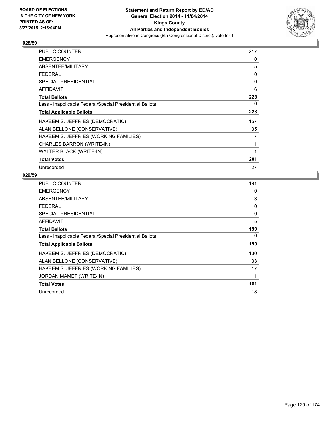

| <b>PUBLIC COUNTER</b>                                    | 217 |
|----------------------------------------------------------|-----|
| <b>EMERGENCY</b>                                         | 0   |
| ABSENTEE/MILITARY                                        | 5   |
| <b>FEDERAL</b>                                           | 0   |
| <b>SPECIAL PRESIDENTIAL</b>                              | 0   |
| <b>AFFIDAVIT</b>                                         | 6   |
| <b>Total Ballots</b>                                     | 228 |
| Less - Inapplicable Federal/Special Presidential Ballots | 0   |
| <b>Total Applicable Ballots</b>                          | 228 |
| HAKEEM S. JEFFRIES (DEMOCRATIC)                          | 157 |
| ALAN BELLONE (CONSERVATIVE)                              | 35  |
| HAKEEM S. JEFFRIES (WORKING FAMILIES)                    | 7   |
| CHARLES BARRON (WRITE-IN)                                | 1   |
| <b>WALTER BLACK (WRITE-IN)</b>                           | 1   |
| <b>Total Votes</b>                                       | 201 |
| Unrecorded                                               | 27  |

| <b>PUBLIC COUNTER</b>                                    | 191 |
|----------------------------------------------------------|-----|
| <b>EMERGENCY</b>                                         | 0   |
| ABSENTEE/MILITARY                                        | 3   |
| <b>FEDERAL</b>                                           | 0   |
| <b>SPECIAL PRESIDENTIAL</b>                              | 0   |
| <b>AFFIDAVIT</b>                                         | 5   |
| <b>Total Ballots</b>                                     | 199 |
| Less - Inapplicable Federal/Special Presidential Ballots | 0   |
| <b>Total Applicable Ballots</b>                          | 199 |
| HAKEEM S. JEFFRIES (DEMOCRATIC)                          | 130 |
| ALAN BELLONE (CONSERVATIVE)                              | 33  |
| HAKEEM S. JEFFRIES (WORKING FAMILIES)                    | 17  |
| JORDAN MAMET (WRITE-IN)                                  | 1   |
| <b>Total Votes</b>                                       | 181 |
| Unrecorded                                               | 18  |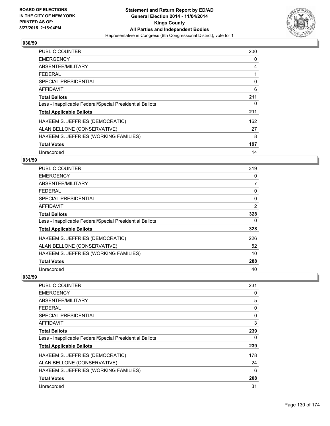

| <b>PUBLIC COUNTER</b>                                    | 200 |
|----------------------------------------------------------|-----|
| <b>EMERGENCY</b>                                         | 0   |
| ABSENTEE/MILITARY                                        | 4   |
| <b>FEDERAL</b>                                           |     |
| <b>SPECIAL PRESIDENTIAL</b>                              | 0   |
| AFFIDAVIT                                                | 6   |
| <b>Total Ballots</b>                                     | 211 |
| Less - Inapplicable Federal/Special Presidential Ballots | 0   |
| <b>Total Applicable Ballots</b>                          | 211 |
| HAKEEM S. JEFFRIES (DEMOCRATIC)                          | 162 |
| ALAN BELLONE (CONSERVATIVE)                              | 27  |
| HAKEEM S. JEFFRIES (WORKING FAMILIES)                    | 8   |
| <b>Total Votes</b>                                       | 197 |
| Unrecorded                                               | 14  |

## **031/59**

| <b>PUBLIC COUNTER</b>                                    | 319            |
|----------------------------------------------------------|----------------|
| <b>EMERGENCY</b>                                         | 0              |
| ABSENTEE/MILITARY                                        | $\overline{7}$ |
| <b>FEDERAL</b>                                           | 0              |
| <b>SPECIAL PRESIDENTIAL</b>                              | 0              |
| AFFIDAVIT                                                | 2              |
| <b>Total Ballots</b>                                     | 328            |
| Less - Inapplicable Federal/Special Presidential Ballots | 0              |
| <b>Total Applicable Ballots</b>                          | 328            |
| HAKEEM S. JEFFRIES (DEMOCRATIC)                          | 226            |
| ALAN BELLONE (CONSERVATIVE)                              | 52             |
| HAKEEM S. JEFFRIES (WORKING FAMILIES)                    | 10             |
| <b>Total Votes</b>                                       | 288            |
| Unrecorded                                               | 40             |

| PUBLIC COUNTER                                           | 231 |
|----------------------------------------------------------|-----|
| <b>EMERGENCY</b>                                         | 0   |
| ABSENTEE/MILITARY                                        | 5   |
| <b>FEDERAL</b>                                           | 0   |
| <b>SPECIAL PRESIDENTIAL</b>                              | 0   |
| AFFIDAVIT                                                | 3   |
| <b>Total Ballots</b>                                     | 239 |
| Less - Inapplicable Federal/Special Presidential Ballots | 0   |
| <b>Total Applicable Ballots</b>                          | 239 |
| HAKEEM S. JEFFRIES (DEMOCRATIC)                          | 178 |
| ALAN BELLONE (CONSERVATIVE)                              | 24  |
| HAKEEM S. JEFFRIES (WORKING FAMILIES)                    | 6   |
| <b>Total Votes</b>                                       | 208 |
| Unrecorded                                               | 31  |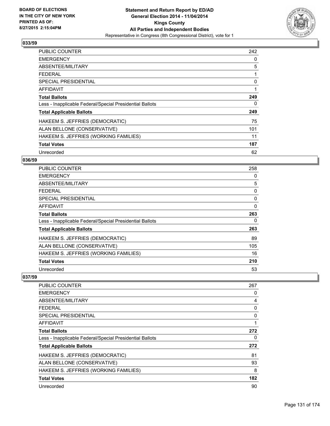

| <b>PUBLIC COUNTER</b>                                    | 242 |
|----------------------------------------------------------|-----|
| <b>EMERGENCY</b>                                         | 0   |
| ABSENTEE/MILITARY                                        | 5   |
| <b>FEDERAL</b>                                           | 1   |
| <b>SPECIAL PRESIDENTIAL</b>                              | 0   |
| <b>AFFIDAVIT</b>                                         | 1   |
| <b>Total Ballots</b>                                     | 249 |
| Less - Inapplicable Federal/Special Presidential Ballots | 0   |
| <b>Total Applicable Ballots</b>                          | 249 |
| HAKEEM S. JEFFRIES (DEMOCRATIC)                          | 75  |
| ALAN BELLONE (CONSERVATIVE)                              | 101 |
| HAKEEM S. JEFFRIES (WORKING FAMILIES)                    | 11  |
| <b>Total Votes</b>                                       | 187 |
| Unrecorded                                               | 62  |

## **036/59**

| PUBLIC COUNTER                                           | 258 |
|----------------------------------------------------------|-----|
| <b>EMERGENCY</b>                                         | 0   |
| ABSENTEE/MILITARY                                        | 5   |
| <b>FEDERAL</b>                                           | 0   |
| <b>SPECIAL PRESIDENTIAL</b>                              | 0   |
| AFFIDAVIT                                                | 0   |
| <b>Total Ballots</b>                                     | 263 |
| Less - Inapplicable Federal/Special Presidential Ballots | 0   |
| <b>Total Applicable Ballots</b>                          | 263 |
| HAKEEM S. JEFFRIES (DEMOCRATIC)                          | 89  |
| ALAN BELLONE (CONSERVATIVE)                              | 105 |
| HAKEEM S. JEFFRIES (WORKING FAMILIES)                    | 16  |
| <b>Total Votes</b>                                       | 210 |
| Unrecorded                                               | 53  |

| PUBLIC COUNTER                                           | 267 |
|----------------------------------------------------------|-----|
| <b>EMERGENCY</b>                                         | 0   |
| ABSENTEE/MILITARY                                        | 4   |
| <b>FEDERAL</b>                                           | 0   |
| SPECIAL PRESIDENTIAL                                     | 0   |
| AFFIDAVIT                                                |     |
| <b>Total Ballots</b>                                     | 272 |
| Less - Inapplicable Federal/Special Presidential Ballots | 0   |
| <b>Total Applicable Ballots</b>                          | 272 |
| HAKEEM S. JEFFRIES (DEMOCRATIC)                          | 81  |
| ALAN BELLONE (CONSERVATIVE)                              | 93  |
| HAKEEM S. JEFFRIES (WORKING FAMILIES)                    | 8   |
| <b>Total Votes</b>                                       | 182 |
| Unrecorded                                               | 90  |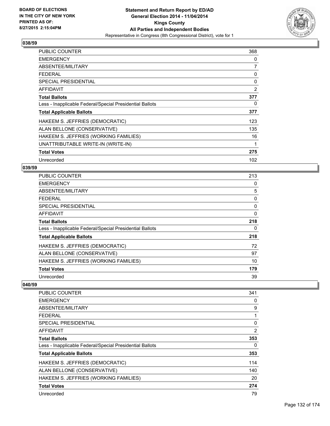

| <b>PUBLIC COUNTER</b>                                    | 368 |
|----------------------------------------------------------|-----|
| <b>EMERGENCY</b>                                         | 0   |
| ABSENTEE/MILITARY                                        | 7   |
| <b>FEDERAL</b>                                           | 0   |
| <b>SPECIAL PRESIDENTIAL</b>                              | 0   |
| <b>AFFIDAVIT</b>                                         | 2   |
| <b>Total Ballots</b>                                     | 377 |
| Less - Inapplicable Federal/Special Presidential Ballots | 0   |
| <b>Total Applicable Ballots</b>                          | 377 |
| HAKEEM S. JEFFRIES (DEMOCRATIC)                          | 123 |
| ALAN BELLONE (CONSERVATIVE)                              | 135 |
| HAKEEM S. JEFFRIES (WORKING FAMILIES)                    | 16  |
| UNATTRIBUTABLE WRITE-IN (WRITE-IN)                       | 1   |
| <b>Total Votes</b>                                       | 275 |
| Unrecorded                                               | 102 |

#### **039/59**

| PUBLIC COUNTER                                           | 213 |
|----------------------------------------------------------|-----|
| <b>EMERGENCY</b>                                         | 0   |
| ABSENTEE/MILITARY                                        | 5   |
| <b>FEDERAL</b>                                           | 0   |
| SPECIAL PRESIDENTIAL                                     | 0   |
| <b>AFFIDAVIT</b>                                         | 0   |
| <b>Total Ballots</b>                                     | 218 |
| Less - Inapplicable Federal/Special Presidential Ballots | 0   |
| <b>Total Applicable Ballots</b>                          | 218 |
| HAKEEM S. JEFFRIES (DEMOCRATIC)                          | 72  |
| ALAN BELLONE (CONSERVATIVE)                              | 97  |
| HAKEEM S. JEFFRIES (WORKING FAMILIES)                    | 10  |
| <b>Total Votes</b>                                       | 179 |
| Unrecorded                                               | 39  |

| <b>PUBLIC COUNTER</b>                                    | 341            |
|----------------------------------------------------------|----------------|
| <b>EMERGENCY</b>                                         | 0              |
| ABSENTEE/MILITARY                                        | 9              |
| <b>FEDERAL</b>                                           | 1              |
| SPECIAL PRESIDENTIAL                                     | $\Omega$       |
| AFFIDAVIT                                                | $\overline{2}$ |
| <b>Total Ballots</b>                                     | 353            |
| Less - Inapplicable Federal/Special Presidential Ballots | 0              |
| <b>Total Applicable Ballots</b>                          | 353            |
| HAKEEM S. JEFFRIES (DEMOCRATIC)                          | 114            |
| ALAN BELLONE (CONSERVATIVE)                              | 140            |
| HAKEEM S. JEFFRIES (WORKING FAMILIES)                    | 20             |
| <b>Total Votes</b>                                       | 274            |
| Unrecorded                                               | 79             |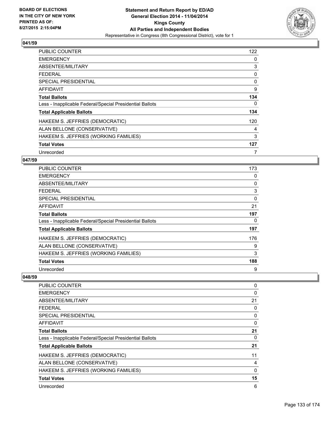

| <b>PUBLIC COUNTER</b>                                    | 122 |
|----------------------------------------------------------|-----|
| <b>EMERGENCY</b>                                         | 0   |
| ABSENTEE/MILITARY                                        | 3   |
| <b>FEDERAL</b>                                           | 0   |
| <b>SPECIAL PRESIDENTIAL</b>                              | 0   |
| <b>AFFIDAVIT</b>                                         | 9   |
| <b>Total Ballots</b>                                     | 134 |
| Less - Inapplicable Federal/Special Presidential Ballots | 0   |
| <b>Total Applicable Ballots</b>                          | 134 |
| HAKEEM S. JEFFRIES (DEMOCRATIC)                          | 120 |
| ALAN BELLONE (CONSERVATIVE)                              | 4   |
| HAKEEM S. JEFFRIES (WORKING FAMILIES)                    | 3   |
| <b>Total Votes</b>                                       | 127 |
| Unrecorded                                               | 7   |

## **047/59**

| PUBLIC COUNTER                                           | 173      |
|----------------------------------------------------------|----------|
| <b>EMERGENCY</b>                                         | 0        |
| ABSENTEE/MILITARY                                        | 0        |
| <b>FEDERAL</b>                                           | 3        |
| <b>SPECIAL PRESIDENTIAL</b>                              | $\Omega$ |
| AFFIDAVIT                                                | 21       |
| <b>Total Ballots</b>                                     | 197      |
| Less - Inapplicable Federal/Special Presidential Ballots | 0        |
| <b>Total Applicable Ballots</b>                          | 197      |
| HAKEEM S. JEFFRIES (DEMOCRATIC)                          | 176      |
| ALAN BELLONE (CONSERVATIVE)                              | 9        |
| HAKEEM S. JEFFRIES (WORKING FAMILIES)                    | 3        |
| <b>Total Votes</b>                                       | 188      |
| Unrecorded                                               | 9        |

| <b>PUBLIC COUNTER</b>                                    | 0  |
|----------------------------------------------------------|----|
| <b>EMERGENCY</b>                                         | 0  |
| ABSENTEE/MILITARY                                        | 21 |
| <b>FEDERAL</b>                                           | 0  |
| <b>SPECIAL PRESIDENTIAL</b>                              | 0  |
| AFFIDAVIT                                                | 0  |
| <b>Total Ballots</b>                                     | 21 |
| Less - Inapplicable Federal/Special Presidential Ballots | 0  |
| <b>Total Applicable Ballots</b>                          | 21 |
| HAKEEM S. JEFFRIES (DEMOCRATIC)                          | 11 |
| ALAN BELLONE (CONSERVATIVE)                              | 4  |
| HAKEEM S. JEFFRIES (WORKING FAMILIES)                    | 0  |
| <b>Total Votes</b>                                       | 15 |
| Unrecorded                                               | 6  |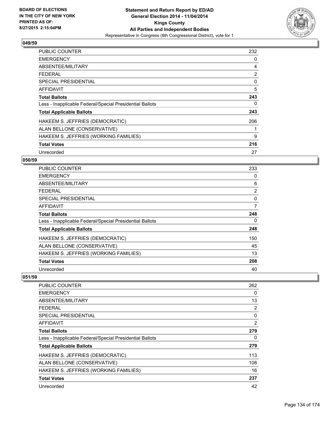

| <b>PUBLIC COUNTER</b>                                    | 232 |
|----------------------------------------------------------|-----|
| <b>EMERGENCY</b>                                         | 0   |
| ABSENTEE/MILITARY                                        | 4   |
| <b>FEDERAL</b>                                           | 2   |
| SPECIAL PRESIDENTIAL                                     | 0   |
| <b>AFFIDAVIT</b>                                         | 5   |
| <b>Total Ballots</b>                                     | 243 |
| Less - Inapplicable Federal/Special Presidential Ballots | 0   |
| <b>Total Applicable Ballots</b>                          | 243 |
| HAKEEM S. JEFFRIES (DEMOCRATIC)                          | 206 |
| ALAN BELLONE (CONSERVATIVE)                              |     |
| HAKEEM S. JEFFRIES (WORKING FAMILIES)                    | 9   |
| <b>Total Votes</b>                                       | 216 |
| Unrecorded                                               | 27  |

# **050/59**

| PUBLIC COUNTER                                           | 233            |
|----------------------------------------------------------|----------------|
| <b>EMERGENCY</b>                                         | 0              |
| ABSENTEE/MILITARY                                        | 6              |
| <b>FEDERAL</b>                                           | $\overline{2}$ |
| <b>SPECIAL PRESIDENTIAL</b>                              | 0              |
| AFFIDAVIT                                                | 7              |
| <b>Total Ballots</b>                                     | 248            |
| Less - Inapplicable Federal/Special Presidential Ballots | 0              |
| <b>Total Applicable Ballots</b>                          | 248            |
| HAKEEM S. JEFFRIES (DEMOCRATIC)                          | 150            |
| ALAN BELLONE (CONSERVATIVE)                              | 45             |
| HAKEEM S. JEFFRIES (WORKING FAMILIES)                    | 13             |
| <b>Total Votes</b>                                       | 208            |
| Unrecorded                                               | 40             |

| <b>PUBLIC COUNTER</b>                                    | 262 |
|----------------------------------------------------------|-----|
| <b>EMERGENCY</b>                                         | 0   |
| ABSENTEE/MILITARY                                        | 13  |
| FEDERAL                                                  | 2   |
| <b>SPECIAL PRESIDENTIAL</b>                              | 0   |
| AFFIDAVIT                                                | 2   |
| <b>Total Ballots</b>                                     | 279 |
| Less - Inapplicable Federal/Special Presidential Ballots | 0   |
| <b>Total Applicable Ballots</b>                          | 279 |
| HAKEEM S. JEFFRIES (DEMOCRATIC)                          | 113 |
| ALAN BELLONE (CONSERVATIVE)                              | 108 |
| HAKEEM S. JEFFRIES (WORKING FAMILIES)                    | 16  |
| <b>Total Votes</b>                                       | 237 |
| Unrecorded                                               | 42  |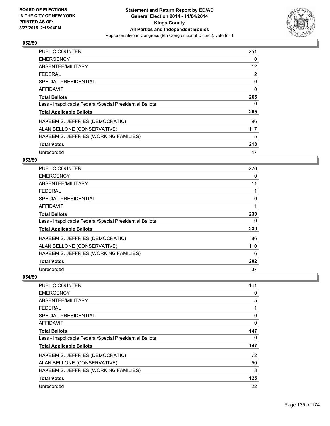

| <b>PUBLIC COUNTER</b>                                    | 251      |
|----------------------------------------------------------|----------|
| <b>EMERGENCY</b>                                         | 0        |
| ABSENTEE/MILITARY                                        | 12       |
| <b>FEDERAL</b>                                           | 2        |
| <b>SPECIAL PRESIDENTIAL</b>                              | 0        |
| <b>AFFIDAVIT</b>                                         | $\Omega$ |
| <b>Total Ballots</b>                                     | 265      |
| Less - Inapplicable Federal/Special Presidential Ballots | 0        |
| <b>Total Applicable Ballots</b>                          | 265      |
| HAKEEM S. JEFFRIES (DEMOCRATIC)                          | 96       |
| ALAN BELLONE (CONSERVATIVE)                              | 117      |
| HAKEEM S. JEFFRIES (WORKING FAMILIES)                    | 5        |
| <b>Total Votes</b>                                       | 218      |
| Unrecorded                                               | 47       |

## **053/59**

| PUBLIC COUNTER                                           | 226 |
|----------------------------------------------------------|-----|
| <b>EMERGENCY</b>                                         | 0   |
| ABSENTEE/MILITARY                                        | 11  |
| <b>FEDERAL</b>                                           |     |
| <b>SPECIAL PRESIDENTIAL</b>                              | 0   |
| AFFIDAVIT                                                | 1   |
| <b>Total Ballots</b>                                     | 239 |
| Less - Inapplicable Federal/Special Presidential Ballots | 0   |
| <b>Total Applicable Ballots</b>                          | 239 |
| HAKEEM S. JEFFRIES (DEMOCRATIC)                          | 86  |
| ALAN BELLONE (CONSERVATIVE)                              | 110 |
| HAKEEM S. JEFFRIES (WORKING FAMILIES)                    | 6   |
| <b>Total Votes</b>                                       | 202 |
| Unrecorded                                               | 37  |

| <b>PUBLIC COUNTER</b>                                    | 141 |
|----------------------------------------------------------|-----|
| <b>EMERGENCY</b>                                         | 0   |
| ABSENTEE/MILITARY                                        | 5   |
| <b>FEDERAL</b>                                           | 1   |
| <b>SPECIAL PRESIDENTIAL</b>                              | 0   |
| AFFIDAVIT                                                | 0   |
| <b>Total Ballots</b>                                     | 147 |
| Less - Inapplicable Federal/Special Presidential Ballots | 0   |
| <b>Total Applicable Ballots</b>                          | 147 |
| HAKEEM S. JEFFRIES (DEMOCRATIC)                          | 72  |
| ALAN BELLONE (CONSERVATIVE)                              | 50  |
| HAKEEM S. JEFFRIES (WORKING FAMILIES)                    | 3   |
| <b>Total Votes</b>                                       | 125 |
| Unrecorded                                               | 22  |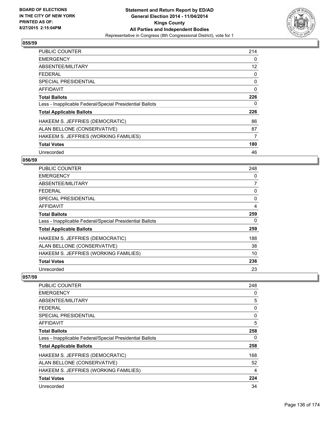

| <b>PUBLIC COUNTER</b>                                    | 214      |
|----------------------------------------------------------|----------|
| <b>EMERGENCY</b>                                         | 0        |
| ABSENTEE/MILITARY                                        | 12       |
| <b>FEDERAL</b>                                           | 0        |
| <b>SPECIAL PRESIDENTIAL</b>                              | 0        |
| <b>AFFIDAVIT</b>                                         | $\Omega$ |
| <b>Total Ballots</b>                                     | 226      |
| Less - Inapplicable Federal/Special Presidential Ballots | 0        |
| <b>Total Applicable Ballots</b>                          | 226      |
| HAKEEM S. JEFFRIES (DEMOCRATIC)                          | 86       |
| ALAN BELLONE (CONSERVATIVE)                              | 87       |
| HAKEEM S. JEFFRIES (WORKING FAMILIES)                    | 7        |
| <b>Total Votes</b>                                       | 180      |
| Unrecorded                                               | 46       |

# **056/59**

| <b>PUBLIC COUNTER</b>                                    | 248            |
|----------------------------------------------------------|----------------|
| <b>EMERGENCY</b>                                         | 0              |
| ABSENTEE/MILITARY                                        | $\overline{7}$ |
| <b>FEDERAL</b>                                           | 0              |
| <b>SPECIAL PRESIDENTIAL</b>                              | 0              |
| <b>AFFIDAVIT</b>                                         | 4              |
| <b>Total Ballots</b>                                     | 259            |
| Less - Inapplicable Federal/Special Presidential Ballots | 0              |
| <b>Total Applicable Ballots</b>                          | 259            |
| HAKEEM S. JEFFRIES (DEMOCRATIC)                          | 188            |
| ALAN BELLONE (CONSERVATIVE)                              | 38             |
| HAKEEM S. JEFFRIES (WORKING FAMILIES)                    | 10             |
| <b>Total Votes</b>                                       | 236            |
| Unrecorded                                               | 23             |

| <b>PUBLIC COUNTER</b>                                    | 248 |
|----------------------------------------------------------|-----|
| <b>EMERGENCY</b>                                         | 0   |
| ABSENTEE/MILITARY                                        | 5   |
| <b>FEDERAL</b>                                           | 0   |
| SPECIAL PRESIDENTIAL                                     | 0   |
| AFFIDAVIT                                                | 5   |
| <b>Total Ballots</b>                                     | 258 |
| Less - Inapplicable Federal/Special Presidential Ballots | 0   |
| <b>Total Applicable Ballots</b>                          | 258 |
| HAKEEM S. JEFFRIES (DEMOCRATIC)                          | 168 |
| ALAN BELLONE (CONSERVATIVE)                              | 52  |
| HAKEEM S. JEFFRIES (WORKING FAMILIES)                    | 4   |
| <b>Total Votes</b>                                       | 224 |
| Unrecorded                                               | 34  |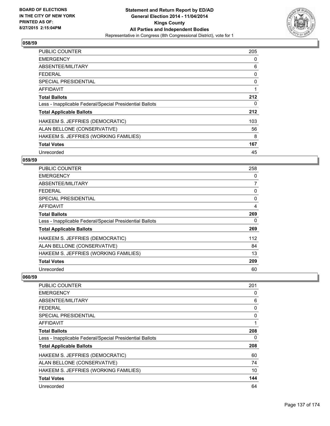

| <b>PUBLIC COUNTER</b>                                    | 205 |
|----------------------------------------------------------|-----|
| <b>EMERGENCY</b>                                         | 0   |
| ABSENTEE/MILITARY                                        | 6   |
| <b>FEDERAL</b>                                           | 0   |
| <b>SPECIAL PRESIDENTIAL</b>                              | 0   |
| AFFIDAVIT                                                | 1   |
| <b>Total Ballots</b>                                     | 212 |
| Less - Inapplicable Federal/Special Presidential Ballots | 0   |
| <b>Total Applicable Ballots</b>                          | 212 |
| HAKEEM S. JEFFRIES (DEMOCRATIC)                          | 103 |
| ALAN BELLONE (CONSERVATIVE)                              | 56  |
| HAKEEM S. JEFFRIES (WORKING FAMILIES)                    | 8   |
| <b>Total Votes</b>                                       | 167 |
| Unrecorded                                               | 45  |

## **059/59**

| PUBLIC COUNTER                                           | 258            |
|----------------------------------------------------------|----------------|
| <b>EMERGENCY</b>                                         | 0              |
| ABSENTEE/MILITARY                                        | $\overline{7}$ |
| <b>FEDERAL</b>                                           | 0              |
| SPECIAL PRESIDENTIAL                                     | 0              |
| AFFIDAVIT                                                | 4              |
| <b>Total Ballots</b>                                     | 269            |
| Less - Inapplicable Federal/Special Presidential Ballots | 0              |
| <b>Total Applicable Ballots</b>                          | 269            |
| HAKEEM S. JEFFRIES (DEMOCRATIC)                          | 112            |
| ALAN BELLONE (CONSERVATIVE)                              | 84             |
| HAKEEM S. JEFFRIES (WORKING FAMILIES)                    | 13             |
| <b>Total Votes</b>                                       | 209            |
| Unrecorded                                               | 60             |

| PUBLIC COUNTER                                           | 201 |
|----------------------------------------------------------|-----|
| <b>EMERGENCY</b>                                         | 0   |
| ABSENTEE/MILITARY                                        | 6   |
| <b>FEDERAL</b>                                           | 0   |
| <b>SPECIAL PRESIDENTIAL</b>                              | 0   |
| AFFIDAVIT                                                | 1   |
| <b>Total Ballots</b>                                     | 208 |
| Less - Inapplicable Federal/Special Presidential Ballots | 0   |
| <b>Total Applicable Ballots</b>                          | 208 |
| HAKEEM S. JEFFRIES (DEMOCRATIC)                          | 60  |
| ALAN BELLONE (CONSERVATIVE)                              | 74  |
| HAKEEM S. JEFFRIES (WORKING FAMILIES)                    | 10  |
| <b>Total Votes</b>                                       | 144 |
| Unrecorded                                               | 64  |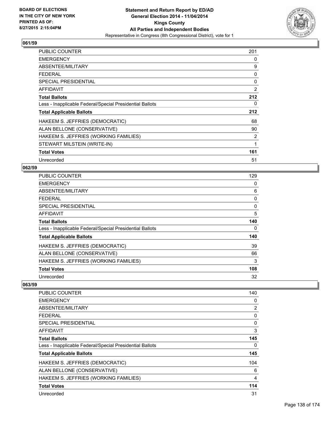

| PUBLIC COUNTER                                           | 201 |
|----------------------------------------------------------|-----|
| <b>EMERGENCY</b>                                         | 0   |
| ABSENTEE/MILITARY                                        | 9   |
| <b>FEDERAL</b>                                           | 0   |
| <b>SPECIAL PRESIDENTIAL</b>                              | 0   |
| AFFIDAVIT                                                | 2   |
| <b>Total Ballots</b>                                     | 212 |
| Less - Inapplicable Federal/Special Presidential Ballots | 0   |
| <b>Total Applicable Ballots</b>                          | 212 |
| HAKEEM S. JEFFRIES (DEMOCRATIC)                          | 68  |
| ALAN BELLONE (CONSERVATIVE)                              | 90  |
| HAKEEM S. JEFFRIES (WORKING FAMILIES)                    | 2   |
| STEWART MILSTEIN (WRITE-IN)                              | 1   |
| <b>Total Votes</b>                                       | 161 |
| Unrecorded                                               | 51  |

## **062/59**

| PUBLIC COUNTER                                           | 129 |
|----------------------------------------------------------|-----|
| <b>EMERGENCY</b>                                         | 0   |
| ABSENTEE/MILITARY                                        | 6   |
| <b>FEDERAL</b>                                           | 0   |
| <b>SPECIAL PRESIDENTIAL</b>                              | 0   |
| <b>AFFIDAVIT</b>                                         | 5   |
| <b>Total Ballots</b>                                     | 140 |
| Less - Inapplicable Federal/Special Presidential Ballots | 0   |
| <b>Total Applicable Ballots</b>                          | 140 |
| HAKEEM S. JEFFRIES (DEMOCRATIC)                          | 39  |
| ALAN BELLONE (CONSERVATIVE)                              | 66  |
| HAKEEM S. JEFFRIES (WORKING FAMILIES)                    | 3   |
| <b>Total Votes</b>                                       | 108 |
| Unrecorded                                               | 32  |

| <b>PUBLIC COUNTER</b>                                    | 140      |
|----------------------------------------------------------|----------|
| <b>EMERGENCY</b>                                         | 0        |
| ABSENTEE/MILITARY                                        | 2        |
| <b>FEDERAL</b>                                           | 0        |
| SPECIAL PRESIDENTIAL                                     | $\Omega$ |
| AFFIDAVIT                                                | 3        |
| <b>Total Ballots</b>                                     | 145      |
| Less - Inapplicable Federal/Special Presidential Ballots | 0        |
| <b>Total Applicable Ballots</b>                          | 145      |
| HAKEEM S. JEFFRIES (DEMOCRATIC)                          | 104      |
| ALAN BELLONE (CONSERVATIVE)                              | 6        |
| HAKEEM S. JEFFRIES (WORKING FAMILIES)                    | 4        |
| <b>Total Votes</b>                                       | 114      |
| Unrecorded                                               | 31       |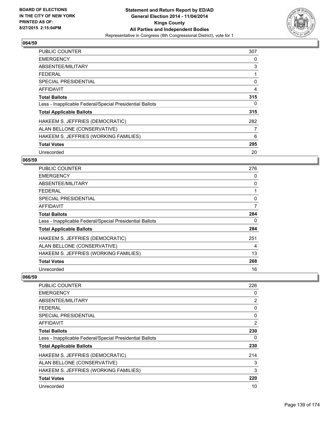

| <b>PUBLIC COUNTER</b>                                    | 307 |
|----------------------------------------------------------|-----|
| <b>EMERGENCY</b>                                         | 0   |
| ABSENTEE/MILITARY                                        | 3   |
| <b>FEDERAL</b>                                           |     |
| <b>SPECIAL PRESIDENTIAL</b>                              | 0   |
| AFFIDAVIT                                                | 4   |
| <b>Total Ballots</b>                                     | 315 |
| Less - Inapplicable Federal/Special Presidential Ballots | 0   |
| <b>Total Applicable Ballots</b>                          | 315 |
| HAKEEM S. JEFFRIES (DEMOCRATIC)                          | 282 |
| ALAN BELLONE (CONSERVATIVE)                              | 7   |
| HAKEEM S. JEFFRIES (WORKING FAMILIES)                    | 6   |
| <b>Total Votes</b>                                       | 295 |
| Unrecorded                                               | 20  |

# **065/59**

| PUBLIC COUNTER                                           | 276 |
|----------------------------------------------------------|-----|
| <b>EMERGENCY</b>                                         | 0   |
| ABSENTEE/MILITARY                                        | 0   |
| <b>FEDERAL</b>                                           |     |
| <b>SPECIAL PRESIDENTIAL</b>                              | 0   |
| AFFIDAVIT                                                | 7   |
| <b>Total Ballots</b>                                     | 284 |
| Less - Inapplicable Federal/Special Presidential Ballots | 0   |
| <b>Total Applicable Ballots</b>                          | 284 |
| HAKEEM S. JEFFRIES (DEMOCRATIC)                          | 251 |
| ALAN BELLONE (CONSERVATIVE)                              | 4   |
| HAKEEM S. JEFFRIES (WORKING FAMILIES)                    | 13  |
| <b>Total Votes</b>                                       | 268 |
| Unrecorded                                               | 16  |

| PUBLIC COUNTER                                           | 226 |
|----------------------------------------------------------|-----|
| <b>EMERGENCY</b>                                         | 0   |
| ABSENTEE/MILITARY                                        | 2   |
| FEDERAL                                                  | 0   |
| SPECIAL PRESIDENTIAL                                     | 0   |
| AFFIDAVIT                                                | 2   |
| <b>Total Ballots</b>                                     | 230 |
| Less - Inapplicable Federal/Special Presidential Ballots | 0   |
| <b>Total Applicable Ballots</b>                          | 230 |
| HAKEEM S. JEFFRIES (DEMOCRATIC)                          | 214 |
| ALAN BELLONE (CONSERVATIVE)                              | 3   |
| HAKEEM S. JEFFRIES (WORKING FAMILIES)                    | 3   |
| <b>Total Votes</b>                                       | 220 |
| Unrecorded                                               | 10  |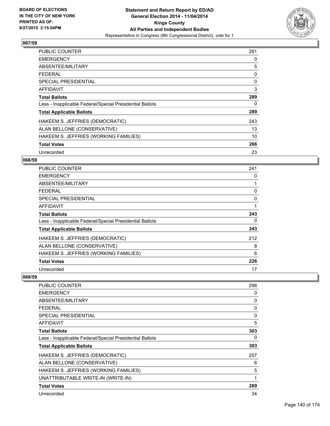

| <b>PUBLIC COUNTER</b>                                    | 281 |
|----------------------------------------------------------|-----|
| <b>EMERGENCY</b>                                         | 0   |
| ABSENTEE/MILITARY                                        | 5   |
| <b>FEDERAL</b>                                           | 0   |
| SPECIAL PRESIDENTIAL                                     | 0   |
| <b>AFFIDAVIT</b>                                         | 3   |
| <b>Total Ballots</b>                                     | 289 |
| Less - Inapplicable Federal/Special Presidential Ballots | 0   |
| <b>Total Applicable Ballots</b>                          | 289 |
| HAKEEM S. JEFFRIES (DEMOCRATIC)                          | 243 |
| ALAN BELLONE (CONSERVATIVE)                              | 13  |
| HAKEEM S. JEFFRIES (WORKING FAMILIES)                    | 10  |
| <b>Total Votes</b>                                       | 266 |
| Unrecorded                                               | 23  |

# **068/59**

| PUBLIC COUNTER                                           | 241 |
|----------------------------------------------------------|-----|
| <b>EMERGENCY</b>                                         | 0   |
| ABSENTEE/MILITARY                                        |     |
| <b>FEDERAL</b>                                           | 0   |
| <b>SPECIAL PRESIDENTIAL</b>                              | 0   |
| <b>AFFIDAVIT</b>                                         | 1   |
| <b>Total Ballots</b>                                     | 243 |
| Less - Inapplicable Federal/Special Presidential Ballots | 0   |
| <b>Total Applicable Ballots</b>                          | 243 |
| HAKEEM S. JEFFRIES (DEMOCRATIC)                          | 212 |
| ALAN BELLONE (CONSERVATIVE)                              | 8   |
| HAKEEM S. JEFFRIES (WORKING FAMILIES)                    | 6   |
| <b>Total Votes</b>                                       | 226 |
| Unrecorded                                               | 17  |

| PUBLIC COUNTER                                           | 298 |
|----------------------------------------------------------|-----|
| <b>EMERGENCY</b>                                         | 0   |
| ABSENTEE/MILITARY                                        | 0   |
| FEDERAL                                                  | 0   |
| <b>SPECIAL PRESIDENTIAL</b>                              | 0   |
| AFFIDAVIT                                                | 5   |
| <b>Total Ballots</b>                                     | 303 |
| Less - Inapplicable Federal/Special Presidential Ballots | 0   |
| <b>Total Applicable Ballots</b>                          | 303 |
| HAKEEM S. JEFFRIES (DEMOCRATIC)                          | 257 |
| ALAN BELLONE (CONSERVATIVE)                              | 6   |
| HAKEEM S. JEFFRIES (WORKING FAMILIES)                    | 5   |
| UNATTRIBUTABLE WRITE-IN (WRITE-IN)                       | 1   |
| <b>Total Votes</b>                                       | 269 |
| Unrecorded                                               | 34  |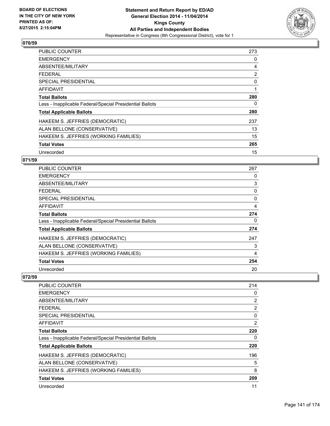

| <b>PUBLIC COUNTER</b>                                    | 273 |
|----------------------------------------------------------|-----|
| <b>EMERGENCY</b>                                         | 0   |
| ABSENTEE/MILITARY                                        | 4   |
| <b>FEDERAL</b>                                           | 2   |
| SPECIAL PRESIDENTIAL                                     | 0   |
| <b>AFFIDAVIT</b>                                         | 1   |
| <b>Total Ballots</b>                                     | 280 |
| Less - Inapplicable Federal/Special Presidential Ballots | 0   |
| <b>Total Applicable Ballots</b>                          | 280 |
| HAKEEM S. JEFFRIES (DEMOCRATIC)                          | 237 |
| ALAN BELLONE (CONSERVATIVE)                              | 13  |
| HAKEEM S. JEFFRIES (WORKING FAMILIES)                    | 15  |
| <b>Total Votes</b>                                       | 265 |
| Unrecorded                                               | 15  |

## **071/59**

| <b>PUBLIC COUNTER</b>                                    | 267      |
|----------------------------------------------------------|----------|
| <b>EMERGENCY</b>                                         | 0        |
| ABSENTEE/MILITARY                                        | 3        |
| <b>FEDERAL</b>                                           | 0        |
| <b>SPECIAL PRESIDENTIAL</b>                              | $\Omega$ |
| <b>AFFIDAVIT</b>                                         | 4        |
| <b>Total Ballots</b>                                     | 274      |
| Less - Inapplicable Federal/Special Presidential Ballots | 0        |
| <b>Total Applicable Ballots</b>                          | 274      |
| HAKEEM S. JEFFRIES (DEMOCRATIC)                          | 247      |
| ALAN BELLONE (CONSERVATIVE)                              | 3        |
| HAKEEM S. JEFFRIES (WORKING FAMILIES)                    | 4        |
| <b>Total Votes</b>                                       | 254      |
| Unrecorded                                               | 20       |

| PUBLIC COUNTER                                           | 214 |
|----------------------------------------------------------|-----|
| <b>EMERGENCY</b>                                         | 0   |
| ABSENTEE/MILITARY                                        | 2   |
| FEDERAL                                                  | 2   |
| <b>SPECIAL PRESIDENTIAL</b>                              | 0   |
| AFFIDAVIT                                                | 2   |
| <b>Total Ballots</b>                                     | 220 |
| Less - Inapplicable Federal/Special Presidential Ballots | 0   |
| <b>Total Applicable Ballots</b>                          | 220 |
| HAKEEM S. JEFFRIES (DEMOCRATIC)                          | 196 |
| ALAN BELLONE (CONSERVATIVE)                              | 5   |
| HAKEEM S. JEFFRIES (WORKING FAMILIES)                    | 8   |
| <b>Total Votes</b>                                       | 209 |
| Unrecorded                                               | 11  |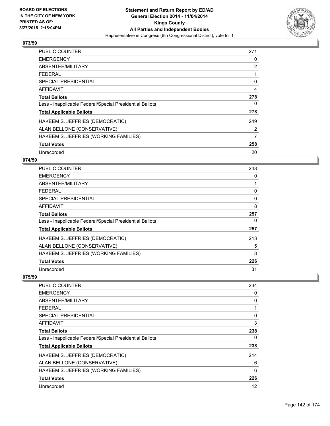

| <b>PUBLIC COUNTER</b>                                    | 271 |
|----------------------------------------------------------|-----|
| <b>EMERGENCY</b>                                         | 0   |
| ABSENTEE/MILITARY                                        | 2   |
| <b>FEDERAL</b>                                           |     |
| SPECIAL PRESIDENTIAL                                     | 0   |
| <b>AFFIDAVIT</b>                                         | 4   |
| <b>Total Ballots</b>                                     | 278 |
| Less - Inapplicable Federal/Special Presidential Ballots | 0   |
| <b>Total Applicable Ballots</b>                          | 278 |
| HAKEEM S. JEFFRIES (DEMOCRATIC)                          | 249 |
| ALAN BELLONE (CONSERVATIVE)                              | 2   |
| HAKEEM S. JEFFRIES (WORKING FAMILIES)                    | 7   |
| <b>Total Votes</b>                                       | 258 |
| Unrecorded                                               | 20  |

# **074/59**

| <b>PUBLIC COUNTER</b>                                    | 248 |
|----------------------------------------------------------|-----|
| <b>EMERGENCY</b>                                         | 0   |
| ABSENTEE/MILITARY                                        |     |
| <b>FEDERAL</b>                                           | 0   |
| <b>SPECIAL PRESIDENTIAL</b>                              | 0   |
| AFFIDAVIT                                                | 8   |
| <b>Total Ballots</b>                                     | 257 |
| Less - Inapplicable Federal/Special Presidential Ballots | 0   |
| <b>Total Applicable Ballots</b>                          | 257 |
| HAKEEM S. JEFFRIES (DEMOCRATIC)                          | 213 |
| ALAN BELLONE (CONSERVATIVE)                              | 5   |
| HAKEEM S. JEFFRIES (WORKING FAMILIES)                    | 8   |
| <b>Total Votes</b>                                       | 226 |
| Unrecorded                                               | 31  |

| <b>PUBLIC COUNTER</b>                                    | 234 |
|----------------------------------------------------------|-----|
| <b>EMERGENCY</b>                                         | 0   |
| ABSENTEE/MILITARY                                        | 0   |
| <b>FEDERAL</b>                                           | 1   |
| <b>SPECIAL PRESIDENTIAL</b>                              | 0   |
| AFFIDAVIT                                                | 3   |
| <b>Total Ballots</b>                                     | 238 |
| Less - Inapplicable Federal/Special Presidential Ballots | 0   |
| <b>Total Applicable Ballots</b>                          | 238 |
| HAKEEM S. JEFFRIES (DEMOCRATIC)                          | 214 |
| ALAN BELLONE (CONSERVATIVE)                              | 6   |
| HAKEEM S. JEFFRIES (WORKING FAMILIES)                    | 6   |
| <b>Total Votes</b>                                       | 226 |
| Unrecorded                                               | 12  |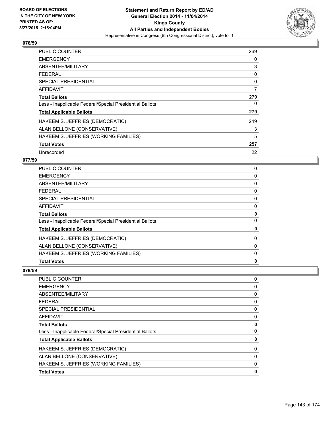

| <b>PUBLIC COUNTER</b>                                    | 269 |
|----------------------------------------------------------|-----|
| <b>EMERGENCY</b>                                         | 0   |
| ABSENTEE/MILITARY                                        | 3   |
| FEDERAL                                                  | 0   |
| SPECIAL PRESIDENTIAL                                     | 0   |
| <b>AFFIDAVIT</b>                                         | 7   |
| <b>Total Ballots</b>                                     | 279 |
| Less - Inapplicable Federal/Special Presidential Ballots | 0   |
| <b>Total Applicable Ballots</b>                          | 279 |
| HAKEEM S. JEFFRIES (DEMOCRATIC)                          | 249 |
| ALAN BELLONE (CONSERVATIVE)                              | 3   |
| HAKEEM S. JEFFRIES (WORKING FAMILIES)                    | 5   |
| <b>Total Votes</b>                                       | 257 |
| Unrecorded                                               | 22  |

# **077/59**

| PUBLIC COUNTER                                           | 0           |
|----------------------------------------------------------|-------------|
| <b>EMERGENCY</b>                                         | 0           |
| <b>ABSENTEE/MILITARY</b>                                 | 0           |
| <b>FEDERAL</b>                                           | 0           |
| <b>SPECIAL PRESIDENTIAL</b>                              | 0           |
| <b>AFFIDAVIT</b>                                         | 0           |
| <b>Total Ballots</b>                                     | 0           |
| Less - Inapplicable Federal/Special Presidential Ballots | 0           |
| <b>Total Applicable Ballots</b>                          | 0           |
| HAKEEM S. JEFFRIES (DEMOCRATIC)                          | 0           |
| ALAN BELLONE (CONSERVATIVE)                              | 0           |
| HAKEEM S. JEFFRIES (WORKING FAMILIES)                    | 0           |
| <b>Total Votes</b>                                       | $\mathbf 0$ |

| <b>Total Votes</b>                                       | 0        |
|----------------------------------------------------------|----------|
| HAKEEM S. JEFFRIES (WORKING FAMILIES)                    | 0        |
| ALAN BELLONE (CONSERVATIVE)                              | 0        |
| HAKEEM S. JEFFRIES (DEMOCRATIC)                          | 0        |
| <b>Total Applicable Ballots</b>                          | 0        |
| Less - Inapplicable Federal/Special Presidential Ballots | $\Omega$ |
| <b>Total Ballots</b>                                     | 0        |
| <b>AFFIDAVIT</b>                                         | 0        |
| <b>SPECIAL PRESIDENTIAL</b>                              | 0        |
| <b>FEDERAL</b>                                           | 0        |
| ABSENTEE/MILITARY                                        | 0        |
| <b>EMERGENCY</b>                                         | 0        |
| PUBLIC COUNTER                                           | 0        |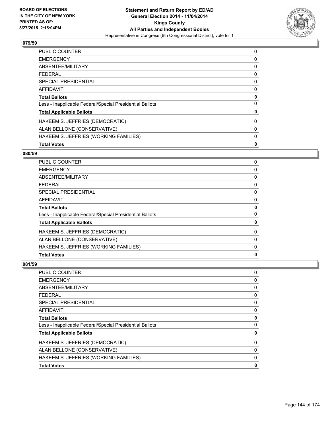

| 0           |
|-------------|
| 0           |
| 0           |
| 0           |
| 0           |
| 0           |
| 0           |
| 0           |
| 0           |
| 0           |
| 0           |
| 0           |
| $\mathbf 0$ |
|             |

## **080/59**

| <b>PUBLIC COUNTER</b>                                    | 0 |
|----------------------------------------------------------|---|
| <b>EMERGENCY</b>                                         | 0 |
| ABSENTEE/MILITARY                                        | 0 |
| <b>FEDERAL</b>                                           | 0 |
| <b>SPECIAL PRESIDENTIAL</b>                              | 0 |
| <b>AFFIDAVIT</b>                                         | 0 |
| <b>Total Ballots</b>                                     | 0 |
| Less - Inapplicable Federal/Special Presidential Ballots | 0 |
| <b>Total Applicable Ballots</b>                          | 0 |
| HAKEEM S. JEFFRIES (DEMOCRATIC)                          | 0 |
| ALAN BELLONE (CONSERVATIVE)                              | 0 |
| HAKEEM S. JEFFRIES (WORKING FAMILIES)                    | 0 |
| <b>Total Votes</b>                                       | 0 |

| PUBLIC COUNTER                                           | 0           |
|----------------------------------------------------------|-------------|
| <b>EMERGENCY</b>                                         | 0           |
| ABSENTEE/MILITARY                                        | 0           |
| <b>FEDERAL</b>                                           | $\mathbf 0$ |
| SPECIAL PRESIDENTIAL                                     | 0           |
| AFFIDAVIT                                                | 0           |
| <b>Total Ballots</b>                                     | 0           |
| Less - Inapplicable Federal/Special Presidential Ballots | $\mathbf 0$ |
| <b>Total Applicable Ballots</b>                          | 0           |
| HAKEEM S. JEFFRIES (DEMOCRATIC)                          | 0           |
| ALAN BELLONE (CONSERVATIVE)                              | 0           |
| HAKEEM S. JEFFRIES (WORKING FAMILIES)                    | 0           |
| <b>Total Votes</b>                                       | 0           |
|                                                          |             |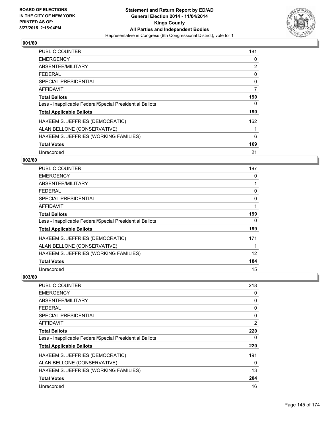

| <b>PUBLIC COUNTER</b>                                    | 181 |
|----------------------------------------------------------|-----|
| <b>EMERGENCY</b>                                         | 0   |
| ABSENTEE/MILITARY                                        | 2   |
| <b>FEDERAL</b>                                           | 0   |
| <b>SPECIAL PRESIDENTIAL</b>                              | 0   |
| AFFIDAVIT                                                | 7   |
| <b>Total Ballots</b>                                     | 190 |
| Less - Inapplicable Federal/Special Presidential Ballots | 0   |
| <b>Total Applicable Ballots</b>                          | 190 |
| HAKEEM S. JEFFRIES (DEMOCRATIC)                          | 162 |
| ALAN BELLONE (CONSERVATIVE)                              |     |
| HAKEEM S. JEFFRIES (WORKING FAMILIES)                    | 6   |
| <b>Total Votes</b>                                       | 169 |
| Unrecorded                                               | 21  |

### **002/60**

| PUBLIC COUNTER                                           | 197 |
|----------------------------------------------------------|-----|
| <b>EMERGENCY</b>                                         | 0   |
| ABSENTEE/MILITARY                                        | 1   |
| <b>FEDERAL</b>                                           | 0   |
| <b>SPECIAL PRESIDENTIAL</b>                              | 0   |
| <b>AFFIDAVIT</b>                                         | 1   |
| <b>Total Ballots</b>                                     | 199 |
| Less - Inapplicable Federal/Special Presidential Ballots | 0   |
| <b>Total Applicable Ballots</b>                          | 199 |
| HAKEEM S. JEFFRIES (DEMOCRATIC)                          | 171 |
| ALAN BELLONE (CONSERVATIVE)                              |     |
| HAKEEM S. JEFFRIES (WORKING FAMILIES)                    | 12  |
| <b>Total Votes</b>                                       | 184 |
| Unrecorded                                               | 15  |

| <b>PUBLIC COUNTER</b>                                    | 218 |
|----------------------------------------------------------|-----|
| <b>EMERGENCY</b>                                         | 0   |
| ABSENTEE/MILITARY                                        | 0   |
| <b>FEDERAL</b>                                           | 0   |
| <b>SPECIAL PRESIDENTIAL</b>                              | 0   |
| <b>AFFIDAVIT</b>                                         | 2   |
| <b>Total Ballots</b>                                     | 220 |
| Less - Inapplicable Federal/Special Presidential Ballots | 0   |
| <b>Total Applicable Ballots</b>                          | 220 |
| HAKEEM S. JEFFRIES (DEMOCRATIC)                          | 191 |
| ALAN BELLONE (CONSERVATIVE)                              | 0   |
| HAKEEM S. JEFFRIES (WORKING FAMILIES)                    | 13  |
| <b>Total Votes</b>                                       | 204 |
| Unrecorded                                               | 16  |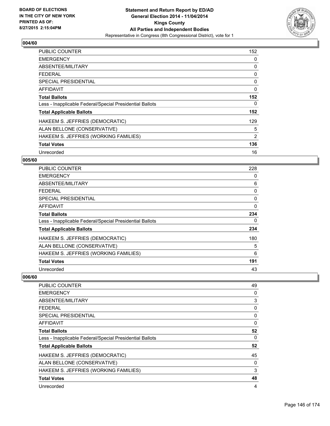

| <b>PUBLIC COUNTER</b>                                    | 152         |
|----------------------------------------------------------|-------------|
| <b>EMERGENCY</b>                                         | 0           |
| ABSENTEE/MILITARY                                        | 0           |
| <b>FEDERAL</b>                                           | 0           |
| <b>SPECIAL PRESIDENTIAL</b>                              | 0           |
| AFFIDAVIT                                                | $\mathbf 0$ |
| <b>Total Ballots</b>                                     | 152         |
| Less - Inapplicable Federal/Special Presidential Ballots | 0           |
| <b>Total Applicable Ballots</b>                          | 152         |
| HAKEEM S. JEFFRIES (DEMOCRATIC)                          | 129         |
| ALAN BELLONE (CONSERVATIVE)                              | 5           |
| HAKEEM S. JEFFRIES (WORKING FAMILIES)                    | 2           |
| <b>Total Votes</b>                                       | 136         |
| Unrecorded                                               | 16          |

### **005/60**

| <b>PUBLIC COUNTER</b>                                    | 228      |
|----------------------------------------------------------|----------|
| <b>EMERGENCY</b>                                         | 0        |
| ABSENTEE/MILITARY                                        | 6        |
| <b>FEDERAL</b>                                           | 0        |
| <b>SPECIAL PRESIDENTIAL</b>                              | 0        |
| AFFIDAVIT                                                | $\Omega$ |
| <b>Total Ballots</b>                                     | 234      |
| Less - Inapplicable Federal/Special Presidential Ballots | 0        |
| <b>Total Applicable Ballots</b>                          | 234      |
| HAKEEM S. JEFFRIES (DEMOCRATIC)                          | 180      |
| ALAN BELLONE (CONSERVATIVE)                              | 5        |
| HAKEEM S. JEFFRIES (WORKING FAMILIES)                    | 6        |
| <b>Total Votes</b>                                       | 191      |
| Unrecorded                                               | 43       |

| <b>PUBLIC COUNTER</b>                                    | 49 |
|----------------------------------------------------------|----|
| <b>EMERGENCY</b>                                         | 0  |
| ABSENTEE/MILITARY                                        | 3  |
| <b>FEDERAL</b>                                           | 0  |
| <b>SPECIAL PRESIDENTIAL</b>                              | 0  |
| AFFIDAVIT                                                | 0  |
| <b>Total Ballots</b>                                     | 52 |
| Less - Inapplicable Federal/Special Presidential Ballots | 0  |
| <b>Total Applicable Ballots</b>                          | 52 |
| HAKEEM S. JEFFRIES (DEMOCRATIC)                          | 45 |
| ALAN BELLONE (CONSERVATIVE)                              | 0  |
| HAKEEM S. JEFFRIES (WORKING FAMILIES)                    | 3  |
| <b>Total Votes</b>                                       | 48 |
| Unrecorded                                               | 4  |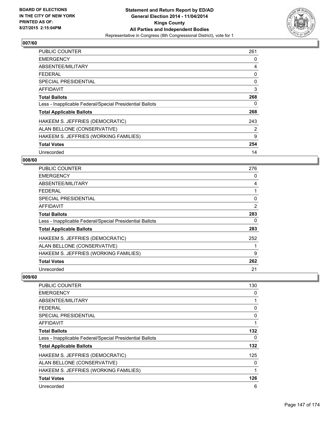

| <b>PUBLIC COUNTER</b>                                    | 261 |
|----------------------------------------------------------|-----|
| <b>EMERGENCY</b>                                         | 0   |
| ABSENTEE/MILITARY                                        | 4   |
| <b>FEDERAL</b>                                           | 0   |
| <b>SPECIAL PRESIDENTIAL</b>                              | 0   |
| AFFIDAVIT                                                | 3   |
| <b>Total Ballots</b>                                     | 268 |
| Less - Inapplicable Federal/Special Presidential Ballots | 0   |
| <b>Total Applicable Ballots</b>                          | 268 |
| HAKEEM S. JEFFRIES (DEMOCRATIC)                          | 243 |
| ALAN BELLONE (CONSERVATIVE)                              | 2   |
| HAKEEM S. JEFFRIES (WORKING FAMILIES)                    | 9   |
| <b>Total Votes</b>                                       | 254 |
| Unrecorded                                               | 14  |

### **008/60**

| PUBLIC COUNTER                                           | 276 |
|----------------------------------------------------------|-----|
| <b>EMERGENCY</b>                                         | 0   |
| ABSENTEE/MILITARY                                        | 4   |
| <b>FEDERAL</b>                                           |     |
| <b>SPECIAL PRESIDENTIAL</b>                              | 0   |
| AFFIDAVIT                                                | 2   |
| <b>Total Ballots</b>                                     | 283 |
| Less - Inapplicable Federal/Special Presidential Ballots | 0   |
| <b>Total Applicable Ballots</b>                          | 283 |
| HAKEEM S. JEFFRIES (DEMOCRATIC)                          | 252 |
| ALAN BELLONE (CONSERVATIVE)                              |     |
| HAKEEM S. JEFFRIES (WORKING FAMILIES)                    | 9   |
| <b>Total Votes</b>                                       | 262 |
| Unrecorded                                               | 21  |

| <b>PUBLIC COUNTER</b>                                    | 130 |
|----------------------------------------------------------|-----|
| <b>EMERGENCY</b>                                         | 0   |
| ABSENTEE/MILITARY                                        | 1   |
| <b>FEDERAL</b>                                           | 0   |
| SPECIAL PRESIDENTIAL                                     | 0   |
| AFFIDAVIT                                                | 1   |
| <b>Total Ballots</b>                                     | 132 |
| Less - Inapplicable Federal/Special Presidential Ballots | 0   |
| <b>Total Applicable Ballots</b>                          | 132 |
| HAKEEM S. JEFFRIES (DEMOCRATIC)                          | 125 |
| ALAN BELLONE (CONSERVATIVE)                              | 0   |
| HAKEEM S. JEFFRIES (WORKING FAMILIES)                    | 1   |
| <b>Total Votes</b>                                       | 126 |
| Unrecorded                                               | 6   |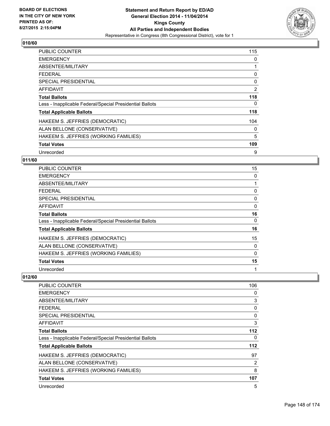

| <b>PUBLIC COUNTER</b>                                    | 115 |
|----------------------------------------------------------|-----|
| <b>EMERGENCY</b>                                         | 0   |
| ABSENTEE/MILITARY                                        |     |
| <b>FEDERAL</b>                                           | 0   |
| SPECIAL PRESIDENTIAL                                     | 0   |
| <b>AFFIDAVIT</b>                                         | 2   |
| <b>Total Ballots</b>                                     | 118 |
| Less - Inapplicable Federal/Special Presidential Ballots | 0   |
| <b>Total Applicable Ballots</b>                          | 118 |
| HAKEEM S. JEFFRIES (DEMOCRATIC)                          | 104 |
| ALAN BELLONE (CONSERVATIVE)                              | 0   |
| HAKEEM S. JEFFRIES (WORKING FAMILIES)                    | 5   |
| <b>Total Votes</b>                                       | 109 |
| Unrecorded                                               | 9   |

### **011/60**

| <b>PUBLIC COUNTER</b>                                    | 15       |
|----------------------------------------------------------|----------|
| <b>EMERGENCY</b>                                         | 0        |
| ABSENTEE/MILITARY                                        |          |
| <b>FEDERAL</b>                                           | 0        |
| <b>SPECIAL PRESIDENTIAL</b>                              | 0        |
| <b>AFFIDAVIT</b>                                         | 0        |
| <b>Total Ballots</b>                                     | 16       |
| Less - Inapplicable Federal/Special Presidential Ballots | $\Omega$ |
| <b>Total Applicable Ballots</b>                          | 16       |
| HAKEEM S. JEFFRIES (DEMOCRATIC)                          | 15       |
| ALAN BELLONE (CONSERVATIVE)                              | 0        |
| HAKEEM S. JEFFRIES (WORKING FAMILIES)                    | 0        |
| <b>Total Votes</b>                                       | 15       |
| Unrecorded                                               | 1        |

| PUBLIC COUNTER                                           | 106 |
|----------------------------------------------------------|-----|
| <b>EMERGENCY</b>                                         | 0   |
| ABSENTEE/MILITARY                                        | 3   |
| FEDERAL                                                  | 0   |
| <b>SPECIAL PRESIDENTIAL</b>                              | 0   |
| AFFIDAVIT                                                | 3   |
| <b>Total Ballots</b>                                     | 112 |
| Less - Inapplicable Federal/Special Presidential Ballots | 0   |
| <b>Total Applicable Ballots</b>                          | 112 |
| HAKEEM S. JEFFRIES (DEMOCRATIC)                          | 97  |
| ALAN BELLONE (CONSERVATIVE)                              | 2   |
| HAKEEM S. JEFFRIES (WORKING FAMILIES)                    | 8   |
| <b>Total Votes</b>                                       | 107 |
| Unrecorded                                               | 5   |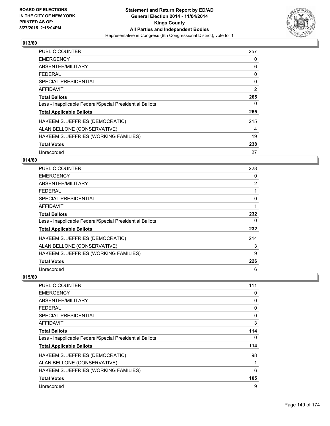

| <b>PUBLIC COUNTER</b>                                    | 257 |
|----------------------------------------------------------|-----|
| <b>EMERGENCY</b>                                         | 0   |
| ABSENTEE/MILITARY                                        | 6   |
| <b>FEDERAL</b>                                           | 0   |
| <b>SPECIAL PRESIDENTIAL</b>                              | 0   |
| <b>AFFIDAVIT</b>                                         | 2   |
| <b>Total Ballots</b>                                     | 265 |
| Less - Inapplicable Federal/Special Presidential Ballots | 0   |
| <b>Total Applicable Ballots</b>                          | 265 |
| HAKEEM S. JEFFRIES (DEMOCRATIC)                          | 215 |
| ALAN BELLONE (CONSERVATIVE)                              | 4   |
| HAKEEM S. JEFFRIES (WORKING FAMILIES)                    | 19  |
| <b>Total Votes</b>                                       | 238 |
| Unrecorded                                               | 27  |

### **014/60**

| PUBLIC COUNTER                                           | 228            |
|----------------------------------------------------------|----------------|
| <b>EMERGENCY</b>                                         | 0              |
| ABSENTEE/MILITARY                                        | $\overline{2}$ |
| <b>FEDERAL</b>                                           |                |
| <b>SPECIAL PRESIDENTIAL</b>                              | 0              |
| <b>AFFIDAVIT</b>                                         |                |
| <b>Total Ballots</b>                                     | 232            |
| Less - Inapplicable Federal/Special Presidential Ballots | 0              |
| <b>Total Applicable Ballots</b>                          | 232            |
| HAKEEM S. JEFFRIES (DEMOCRATIC)                          | 214            |
| ALAN BELLONE (CONSERVATIVE)                              | 3              |
| HAKEEM S. JEFFRIES (WORKING FAMILIES)                    | 9              |
| <b>Total Votes</b>                                       | 226            |
| Unrecorded                                               | 6              |

| <b>PUBLIC COUNTER</b>                                    | 111 |
|----------------------------------------------------------|-----|
| <b>EMERGENCY</b>                                         | 0   |
| ABSENTEE/MILITARY                                        | 0   |
| <b>FEDERAL</b>                                           | 0   |
| <b>SPECIAL PRESIDENTIAL</b>                              | 0   |
| AFFIDAVIT                                                | 3   |
| <b>Total Ballots</b>                                     | 114 |
| Less - Inapplicable Federal/Special Presidential Ballots | 0   |
| <b>Total Applicable Ballots</b>                          | 114 |
| HAKEEM S. JEFFRIES (DEMOCRATIC)                          | 98  |
| ALAN BELLONE (CONSERVATIVE)                              | 1   |
| HAKEEM S. JEFFRIES (WORKING FAMILIES)                    | 6   |
| <b>Total Votes</b>                                       | 105 |
| Unrecorded                                               | 9   |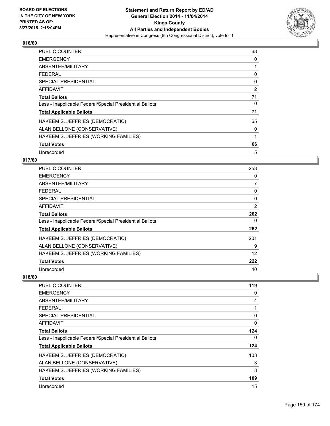

| <b>PUBLIC COUNTER</b>                                    | 68 |
|----------------------------------------------------------|----|
| <b>EMERGENCY</b>                                         | 0  |
| ABSENTEE/MILITARY                                        |    |
| <b>FEDERAL</b>                                           | 0  |
| SPECIAL PRESIDENTIAL                                     | 0  |
| AFFIDAVIT                                                | 2  |
| <b>Total Ballots</b>                                     | 71 |
| Less - Inapplicable Federal/Special Presidential Ballots | 0  |
| <b>Total Applicable Ballots</b>                          | 71 |
| HAKEEM S. JEFFRIES (DEMOCRATIC)                          | 65 |
| ALAN BELLONE (CONSERVATIVE)                              | 0  |
| HAKEEM S. JEFFRIES (WORKING FAMILIES)                    | 1  |
| <b>Total Votes</b>                                       | 66 |
| Unrecorded                                               | 5  |

### **017/60**

| PUBLIC COUNTER                                           | 253            |
|----------------------------------------------------------|----------------|
| <b>EMERGENCY</b>                                         | 0              |
| ABSENTEE/MILITARY                                        | 7              |
| <b>FEDERAL</b>                                           | 0              |
| <b>SPECIAL PRESIDENTIAL</b>                              | 0              |
| AFFIDAVIT                                                | $\overline{2}$ |
| <b>Total Ballots</b>                                     | 262            |
| Less - Inapplicable Federal/Special Presidential Ballots | 0              |
| <b>Total Applicable Ballots</b>                          | 262            |
| HAKEEM S. JEFFRIES (DEMOCRATIC)                          | 201            |
| ALAN BELLONE (CONSERVATIVE)                              | 9              |
| HAKEEM S. JEFFRIES (WORKING FAMILIES)                    | 12             |
| <b>Total Votes</b>                                       | 222            |
| Unrecorded                                               | 40             |

| <b>PUBLIC COUNTER</b>                                    | 119 |
|----------------------------------------------------------|-----|
| <b>EMERGENCY</b>                                         | 0   |
| ABSENTEE/MILITARY                                        | 4   |
| <b>FEDERAL</b>                                           | 1   |
| <b>SPECIAL PRESIDENTIAL</b>                              | 0   |
| AFFIDAVIT                                                | 0   |
| <b>Total Ballots</b>                                     | 124 |
| Less - Inapplicable Federal/Special Presidential Ballots | 0   |
| <b>Total Applicable Ballots</b>                          | 124 |
| HAKEEM S. JEFFRIES (DEMOCRATIC)                          | 103 |
| ALAN BELLONE (CONSERVATIVE)                              | 3   |
| HAKEEM S. JEFFRIES (WORKING FAMILIES)                    | 3   |
| <b>Total Votes</b>                                       | 109 |
| Unrecorded                                               | 15  |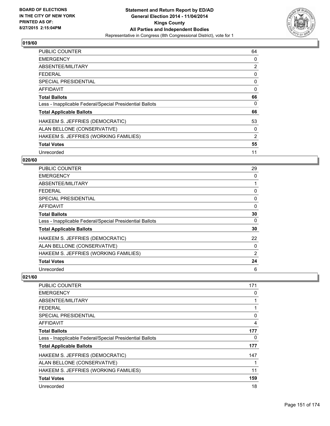

| <b>PUBLIC COUNTER</b>                                    | 64             |
|----------------------------------------------------------|----------------|
| <b>EMERGENCY</b>                                         | 0              |
| ABSENTEE/MILITARY                                        | $\overline{2}$ |
| FEDERAL                                                  | 0              |
| SPECIAL PRESIDENTIAL                                     | 0              |
| AFFIDAVIT                                                | 0              |
| <b>Total Ballots</b>                                     | 66             |
| Less - Inapplicable Federal/Special Presidential Ballots | 0              |
| <b>Total Applicable Ballots</b>                          | 66             |
| HAKEEM S. JEFFRIES (DEMOCRATIC)                          | 53             |
| ALAN BELLONE (CONSERVATIVE)                              | 0              |
| HAKEEM S. JEFFRIES (WORKING FAMILIES)                    | 2              |
| <b>Total Votes</b>                                       | 55             |
| Unrecorded                                               | 11             |

### **020/60**

| <b>PUBLIC COUNTER</b>                                    | 29 |
|----------------------------------------------------------|----|
| <b>EMERGENCY</b>                                         | 0  |
| ABSENTEE/MILITARY                                        |    |
| <b>FEDERAL</b>                                           | 0  |
| <b>SPECIAL PRESIDENTIAL</b>                              | 0  |
| <b>AFFIDAVIT</b>                                         | 0  |
| <b>Total Ballots</b>                                     | 30 |
| Less - Inapplicable Federal/Special Presidential Ballots | 0  |
| <b>Total Applicable Ballots</b>                          | 30 |
| HAKEEM S. JEFFRIES (DEMOCRATIC)                          | 22 |
| ALAN BELLONE (CONSERVATIVE)                              | 0  |
| HAKEEM S. JEFFRIES (WORKING FAMILIES)                    | 2  |
| <b>Total Votes</b>                                       | 24 |
| Unrecorded                                               | 6  |

| <b>PUBLIC COUNTER</b>                                    | 171 |
|----------------------------------------------------------|-----|
| <b>EMERGENCY</b>                                         | 0   |
| ABSENTEE/MILITARY                                        | 1   |
| <b>FEDERAL</b>                                           |     |
| <b>SPECIAL PRESIDENTIAL</b>                              | 0   |
| AFFIDAVIT                                                | 4   |
| <b>Total Ballots</b>                                     | 177 |
| Less - Inapplicable Federal/Special Presidential Ballots | 0   |
| <b>Total Applicable Ballots</b>                          | 177 |
| HAKEEM S. JEFFRIES (DEMOCRATIC)                          | 147 |
| ALAN BELLONE (CONSERVATIVE)                              | 1   |
| HAKEEM S. JEFFRIES (WORKING FAMILIES)                    | 11  |
| <b>Total Votes</b>                                       | 159 |
| Unrecorded                                               | 18  |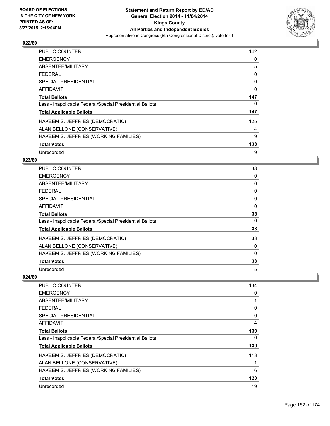

| <b>PUBLIC COUNTER</b>                                    | 142         |
|----------------------------------------------------------|-------------|
| <b>EMERGENCY</b>                                         | 0           |
| ABSENTEE/MILITARY                                        | 5           |
| <b>FFDFRAL</b>                                           | 0           |
| <b>SPECIAL PRESIDENTIAL</b>                              | 0           |
| <b>AFFIDAVIT</b>                                         | $\mathbf 0$ |
| <b>Total Ballots</b>                                     | 147         |
| Less - Inapplicable Federal/Special Presidential Ballots | 0           |
| <b>Total Applicable Ballots</b>                          | 147         |
| HAKEEM S. JEFFRIES (DEMOCRATIC)                          | 125         |
| ALAN BELLONE (CONSERVATIVE)                              | 4           |
| HAKEEM S. JEFFRIES (WORKING FAMILIES)                    | 9           |
| <b>Total Votes</b>                                       | 138         |
| Unrecorded                                               | 9           |

#### **023/60**

| PUBLIC COUNTER                                           | 38 |
|----------------------------------------------------------|----|
| <b>EMERGENCY</b>                                         | 0  |
| ABSENTEE/MILITARY                                        | 0  |
| <b>FEDERAL</b>                                           | 0  |
| <b>SPECIAL PRESIDENTIAL</b>                              | 0  |
| <b>AFFIDAVIT</b>                                         | 0  |
| <b>Total Ballots</b>                                     | 38 |
| Less - Inapplicable Federal/Special Presidential Ballots | 0  |
| <b>Total Applicable Ballots</b>                          | 38 |
| HAKEEM S. JEFFRIES (DEMOCRATIC)                          | 33 |
| ALAN BELLONE (CONSERVATIVE)                              | 0  |
| HAKEEM S. JEFFRIES (WORKING FAMILIES)                    | 0  |
| <b>Total Votes</b>                                       | 33 |
| Unrecorded                                               | 5  |

| PUBLIC COUNTER                                           | 134 |
|----------------------------------------------------------|-----|
| <b>EMERGENCY</b>                                         | 0   |
| ABSENTEE/MILITARY                                        |     |
| FEDERAL                                                  | 0   |
| <b>SPECIAL PRESIDENTIAL</b>                              | 0   |
| AFFIDAVIT                                                | 4   |
| <b>Total Ballots</b>                                     | 139 |
| Less - Inapplicable Federal/Special Presidential Ballots | 0   |
| <b>Total Applicable Ballots</b>                          | 139 |
| HAKEEM S. JEFFRIES (DEMOCRATIC)                          | 113 |
| ALAN BELLONE (CONSERVATIVE)                              |     |
| HAKEEM S. JEFFRIES (WORKING FAMILIES)                    | 6   |
| <b>Total Votes</b>                                       | 120 |
| Unrecorded                                               | 19  |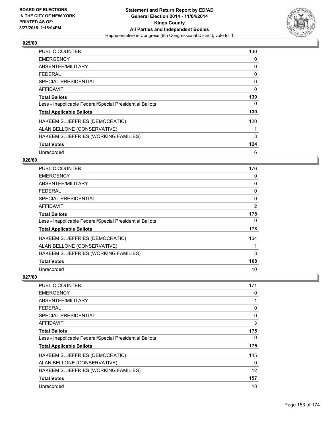

| <b>PUBLIC COUNTER</b>                                    | 130         |
|----------------------------------------------------------|-------------|
| <b>EMERGENCY</b>                                         | 0           |
| ABSENTEE/MILITARY                                        | 0           |
| <b>FFDFRAL</b>                                           | 0           |
| <b>SPECIAL PRESIDENTIAL</b>                              | 0           |
| <b>AFFIDAVIT</b>                                         | $\mathbf 0$ |
| <b>Total Ballots</b>                                     | 130         |
| Less - Inapplicable Federal/Special Presidential Ballots | 0           |
| <b>Total Applicable Ballots</b>                          | 130         |
| HAKEEM S. JEFFRIES (DEMOCRATIC)                          | 120         |
| ALAN BELLONE (CONSERVATIVE)                              |             |
| HAKEEM S. JEFFRIES (WORKING FAMILIES)                    | 3           |
| <b>Total Votes</b>                                       | 124         |
| Unrecorded                                               | 6           |

### **026/60**

| PUBLIC COUNTER                                           | 176            |
|----------------------------------------------------------|----------------|
| <b>EMERGENCY</b>                                         | 0              |
| ABSENTEE/MILITARY                                        | 0              |
| <b>FEDERAL</b>                                           | 0              |
| <b>SPECIAL PRESIDENTIAL</b>                              | 0              |
| <b>AFFIDAVIT</b>                                         | $\overline{2}$ |
| <b>Total Ballots</b>                                     | 178            |
| Less - Inapplicable Federal/Special Presidential Ballots | 0              |
| <b>Total Applicable Ballots</b>                          | 178            |
| HAKEEM S. JEFFRIES (DEMOCRATIC)                          | 164            |
| ALAN BELLONE (CONSERVATIVE)                              |                |
| HAKEEM S. JEFFRIES (WORKING FAMILIES)                    | 3              |
| <b>Total Votes</b>                                       | 168            |
| Unrecorded                                               | 10             |

| PUBLIC COUNTER                                           | 171 |
|----------------------------------------------------------|-----|
| <b>EMERGENCY</b>                                         | 0   |
| ABSENTEE/MILITARY                                        | 1   |
| FEDERAL                                                  | 0   |
| SPECIAL PRESIDENTIAL                                     | 0   |
| AFFIDAVIT                                                | 3   |
| <b>Total Ballots</b>                                     | 175 |
| Less - Inapplicable Federal/Special Presidential Ballots | 0   |
| <b>Total Applicable Ballots</b>                          | 175 |
| HAKEEM S. JEFFRIES (DEMOCRATIC)                          | 145 |
| ALAN BELLONE (CONSERVATIVE)                              | 0   |
| HAKEEM S. JEFFRIES (WORKING FAMILIES)                    | 12  |
| <b>Total Votes</b>                                       | 157 |
| Unrecorded                                               | 18  |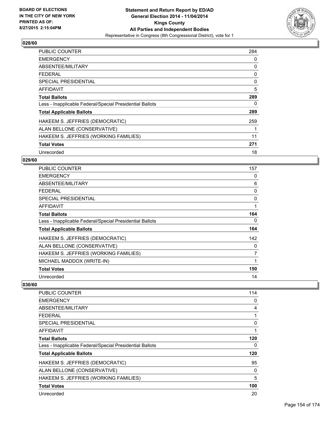

| <b>PUBLIC COUNTER</b>                                    | 284 |
|----------------------------------------------------------|-----|
| <b>EMERGENCY</b>                                         | 0   |
| ABSENTEE/MILITARY                                        | 0   |
| <b>FEDERAL</b>                                           | 0   |
| <b>SPECIAL PRESIDENTIAL</b>                              | 0   |
| <b>AFFIDAVIT</b>                                         | 5   |
| <b>Total Ballots</b>                                     | 289 |
| Less - Inapplicable Federal/Special Presidential Ballots | 0   |
| <b>Total Applicable Ballots</b>                          | 289 |
| HAKEEM S. JEFFRIES (DEMOCRATIC)                          | 259 |
| ALAN BELLONE (CONSERVATIVE)                              | 1   |
| HAKEEM S. JEFFRIES (WORKING FAMILIES)                    | 11  |
| <b>Total Votes</b>                                       | 271 |
| Unrecorded                                               | 18  |

### **029/60**

| <b>PUBLIC COUNTER</b>                                    | 157 |
|----------------------------------------------------------|-----|
| <b>EMERGENCY</b>                                         | 0   |
| ABSENTEE/MILITARY                                        | 6   |
| <b>FEDERAL</b>                                           | 0   |
| <b>SPECIAL PRESIDENTIAL</b>                              | 0   |
| AFFIDAVIT                                                | 1   |
| <b>Total Ballots</b>                                     | 164 |
| Less - Inapplicable Federal/Special Presidential Ballots | 0   |
| <b>Total Applicable Ballots</b>                          | 164 |
| HAKEEM S. JEFFRIES (DEMOCRATIC)                          | 142 |
| ALAN BELLONE (CONSERVATIVE)                              | 0   |
| HAKEEM S. JEFFRIES (WORKING FAMILIES)                    | 7   |
| MICHAEL MADDOX (WRITE-IN)                                | 1   |
| <b>Total Votes</b>                                       | 150 |
| Unrecorded                                               | 14  |

| <b>PUBLIC COUNTER</b>                                    | 114 |
|----------------------------------------------------------|-----|
| <b>EMERGENCY</b>                                         | 0   |
| ABSENTEE/MILITARY                                        | 4   |
| <b>FEDERAL</b>                                           | 1   |
| SPECIAL PRESIDENTIAL                                     | 0   |
| AFFIDAVIT                                                |     |
| <b>Total Ballots</b>                                     | 120 |
| Less - Inapplicable Federal/Special Presidential Ballots | 0   |
| <b>Total Applicable Ballots</b>                          | 120 |
| HAKEEM S. JEFFRIES (DEMOCRATIC)                          | 95  |
| ALAN BELLONE (CONSERVATIVE)                              | 0   |
| HAKEEM S. JEFFRIES (WORKING FAMILIES)                    | 5   |
| <b>Total Votes</b>                                       | 100 |
| Unrecorded                                               | 20  |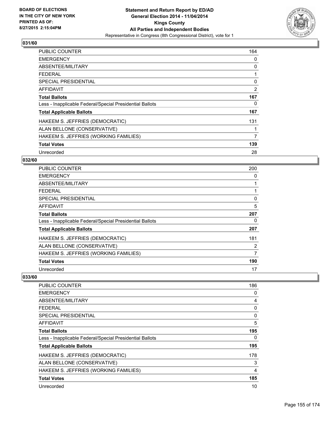

| <b>PUBLIC COUNTER</b>                                    | 164 |
|----------------------------------------------------------|-----|
| <b>EMERGENCY</b>                                         | 0   |
| ABSENTEE/MILITARY                                        | 0   |
| <b>FEDERAL</b>                                           |     |
| <b>SPECIAL PRESIDENTIAL</b>                              | 0   |
| AFFIDAVIT                                                | 2   |
| <b>Total Ballots</b>                                     | 167 |
| Less - Inapplicable Federal/Special Presidential Ballots | 0   |
| <b>Total Applicable Ballots</b>                          | 167 |
| HAKEEM S. JEFFRIES (DEMOCRATIC)                          | 131 |
| ALAN BELLONE (CONSERVATIVE)                              |     |
| HAKEEM S. JEFFRIES (WORKING FAMILIES)                    | 7   |
| <b>Total Votes</b>                                       | 139 |
| Unrecorded                                               | 28  |

### **032/60**

| <b>PUBLIC COUNTER</b>                                    | 200 |
|----------------------------------------------------------|-----|
| <b>EMERGENCY</b>                                         | 0   |
| ABSENTEE/MILITARY                                        |     |
| <b>FEDERAL</b>                                           |     |
| <b>SPECIAL PRESIDENTIAL</b>                              | 0   |
| <b>AFFIDAVIT</b>                                         | 5   |
| <b>Total Ballots</b>                                     | 207 |
| Less - Inapplicable Federal/Special Presidential Ballots | 0   |
| <b>Total Applicable Ballots</b>                          | 207 |
| HAKEEM S. JEFFRIES (DEMOCRATIC)                          | 181 |
| ALAN BELLONE (CONSERVATIVE)                              | 2   |
| HAKEEM S. JEFFRIES (WORKING FAMILIES)                    | 7   |
| <b>Total Votes</b>                                       | 190 |
| Unrecorded                                               | 17  |

| <b>PUBLIC COUNTER</b>                                    | 186 |
|----------------------------------------------------------|-----|
| <b>EMERGENCY</b>                                         | 0   |
| ABSENTEE/MILITARY                                        | 4   |
| <b>FEDERAL</b>                                           | 0   |
| <b>SPECIAL PRESIDENTIAL</b>                              | 0   |
| AFFIDAVIT                                                | 5   |
| <b>Total Ballots</b>                                     | 195 |
| Less - Inapplicable Federal/Special Presidential Ballots | 0   |
| <b>Total Applicable Ballots</b>                          | 195 |
| HAKEEM S. JEFFRIES (DEMOCRATIC)                          | 178 |
| ALAN BELLONE (CONSERVATIVE)                              | 3   |
| HAKEEM S. JEFFRIES (WORKING FAMILIES)                    | 4   |
| <b>Total Votes</b>                                       | 185 |
| Unrecorded                                               | 10  |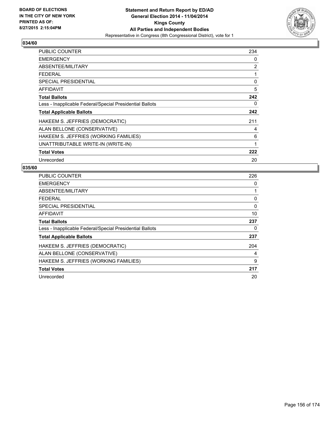

| <b>PUBLIC COUNTER</b>                                    | 234 |
|----------------------------------------------------------|-----|
| <b>EMERGENCY</b>                                         | 0   |
| ABSENTEE/MILITARY                                        | 2   |
| <b>FEDERAL</b>                                           | 1   |
| <b>SPECIAL PRESIDENTIAL</b>                              | 0   |
| AFFIDAVIT                                                | 5   |
| <b>Total Ballots</b>                                     | 242 |
| Less - Inapplicable Federal/Special Presidential Ballots | 0   |
| <b>Total Applicable Ballots</b>                          | 242 |
| HAKEEM S. JEFFRIES (DEMOCRATIC)                          | 211 |
| ALAN BELLONE (CONSERVATIVE)                              | 4   |
| HAKEEM S. JEFFRIES (WORKING FAMILIES)                    | 6   |
| UNATTRIBUTABLE WRITE-IN (WRITE-IN)                       | 1   |
| <b>Total Votes</b>                                       | 222 |
| Unrecorded                                               | 20  |

| <b>PUBLIC COUNTER</b>                                    | 226 |
|----------------------------------------------------------|-----|
| <b>EMERGENCY</b>                                         | 0   |
| ABSENTEE/MILITARY                                        | 1   |
| FEDERAL                                                  | 0   |
| SPECIAL PRESIDENTIAL                                     | 0   |
| <b>AFFIDAVIT</b>                                         | 10  |
| <b>Total Ballots</b>                                     | 237 |
| Less - Inapplicable Federal/Special Presidential Ballots | 0   |
| <b>Total Applicable Ballots</b>                          | 237 |
| HAKEEM S. JEFFRIES (DEMOCRATIC)                          | 204 |
| ALAN BELLONE (CONSERVATIVE)                              | 4   |
| HAKEEM S. JEFFRIES (WORKING FAMILIES)                    | 9   |
| <b>Total Votes</b>                                       | 217 |
| Unrecorded                                               | 20  |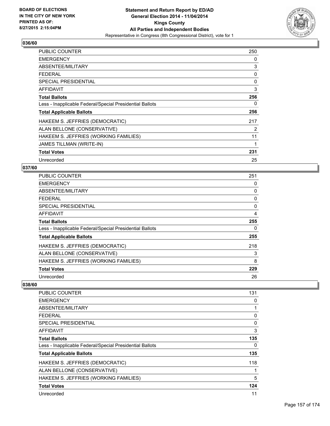

| <b>PUBLIC COUNTER</b>                                    | 250 |
|----------------------------------------------------------|-----|
| <b>EMERGENCY</b>                                         | 0   |
| ABSENTEE/MILITARY                                        | 3   |
| <b>FEDERAL</b>                                           | 0   |
| SPECIAL PRESIDENTIAL                                     | 0   |
| AFFIDAVIT                                                | 3   |
| <b>Total Ballots</b>                                     | 256 |
| Less - Inapplicable Federal/Special Presidential Ballots | 0   |
| <b>Total Applicable Ballots</b>                          | 256 |
| HAKEEM S. JEFFRIES (DEMOCRATIC)                          | 217 |
| ALAN BELLONE (CONSERVATIVE)                              | 2   |
| HAKEEM S. JEFFRIES (WORKING FAMILIES)                    | 11  |
| <b>JAMES TILLMAN (WRITE-IN)</b>                          | 1   |
| <b>Total Votes</b>                                       | 231 |
| Unrecorded                                               | 25  |

### **037/60**

| <b>PUBLIC COUNTER</b>                                    | 251 |
|----------------------------------------------------------|-----|
| <b>EMERGENCY</b>                                         | 0   |
| ABSENTEE/MILITARY                                        | 0   |
| <b>FEDERAL</b>                                           | 0   |
| <b>SPECIAL PRESIDENTIAL</b>                              | 0   |
| AFFIDAVIT                                                | 4   |
| <b>Total Ballots</b>                                     | 255 |
| Less - Inapplicable Federal/Special Presidential Ballots | 0   |
| <b>Total Applicable Ballots</b>                          | 255 |
| HAKEEM S. JEFFRIES (DEMOCRATIC)                          | 218 |
| ALAN BELLONE (CONSERVATIVE)                              | 3   |
| HAKEEM S. JEFFRIES (WORKING FAMILIES)                    | 8   |
| <b>Total Votes</b>                                       | 229 |
| Unrecorded                                               | 26  |

| <b>PUBLIC COUNTER</b>                                    | 131      |
|----------------------------------------------------------|----------|
| <b>EMERGENCY</b>                                         | 0        |
| ABSENTEE/MILITARY                                        |          |
| <b>FEDERAL</b>                                           | 0        |
| SPECIAL PRESIDENTIAL                                     | $\Omega$ |
| AFFIDAVIT                                                | 3        |
| <b>Total Ballots</b>                                     | 135      |
| Less - Inapplicable Federal/Special Presidential Ballots | 0        |
| <b>Total Applicable Ballots</b>                          | 135      |
| HAKEEM S. JEFFRIES (DEMOCRATIC)                          | 118      |
| ALAN BELLONE (CONSERVATIVE)                              |          |
| HAKEEM S. JEFFRIES (WORKING FAMILIES)                    | 5        |
| <b>Total Votes</b>                                       | 124      |
| Unrecorded                                               | 11       |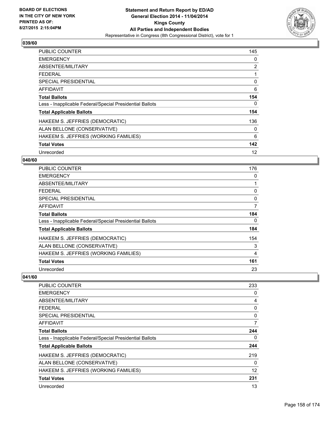

| <b>PUBLIC COUNTER</b>                                    | 145 |
|----------------------------------------------------------|-----|
| <b>EMERGENCY</b>                                         | 0   |
| ABSENTEE/MILITARY                                        | 2   |
| <b>FEDERAL</b>                                           |     |
| <b>SPECIAL PRESIDENTIAL</b>                              | 0   |
| AFFIDAVIT                                                | 6   |
| <b>Total Ballots</b>                                     | 154 |
| Less - Inapplicable Federal/Special Presidential Ballots | 0   |
| <b>Total Applicable Ballots</b>                          | 154 |
| HAKEEM S. JEFFRIES (DEMOCRATIC)                          | 136 |
| ALAN BELLONE (CONSERVATIVE)                              | 0   |
| HAKEEM S. JEFFRIES (WORKING FAMILIES)                    | 6   |
| <b>Total Votes</b>                                       | 142 |
| Unrecorded                                               | 12  |

### **040/60**

| PUBLIC COUNTER                                           | 176 |
|----------------------------------------------------------|-----|
| <b>EMERGENCY</b>                                         | 0   |
| ABSENTEE/MILITARY                                        | 1   |
| <b>FEDERAL</b>                                           | 0   |
| <b>SPECIAL PRESIDENTIAL</b>                              | 0   |
| <b>AFFIDAVIT</b>                                         | 7   |
| <b>Total Ballots</b>                                     | 184 |
| Less - Inapplicable Federal/Special Presidential Ballots | 0   |
| <b>Total Applicable Ballots</b>                          | 184 |
| HAKEEM S. JEFFRIES (DEMOCRATIC)                          | 154 |
| ALAN BELLONE (CONSERVATIVE)                              | 3   |
| HAKEEM S. JEFFRIES (WORKING FAMILIES)                    | 4   |
| <b>Total Votes</b>                                       | 161 |
| Unrecorded                                               | 23  |

| <b>PUBLIC COUNTER</b>                                    | 233 |
|----------------------------------------------------------|-----|
| <b>EMERGENCY</b>                                         | 0   |
| ABSENTEE/MILITARY                                        | 4   |
| <b>FEDERAL</b>                                           | 0   |
| <b>SPECIAL PRESIDENTIAL</b>                              | 0   |
| AFFIDAVIT                                                | 7   |
| <b>Total Ballots</b>                                     | 244 |
| Less - Inapplicable Federal/Special Presidential Ballots | 0   |
| <b>Total Applicable Ballots</b>                          | 244 |
| HAKEEM S. JEFFRIES (DEMOCRATIC)                          | 219 |
| ALAN BELLONE (CONSERVATIVE)                              | 0   |
| HAKEEM S. JEFFRIES (WORKING FAMILIES)                    | 12  |
| <b>Total Votes</b>                                       | 231 |
| Unrecorded                                               | 13  |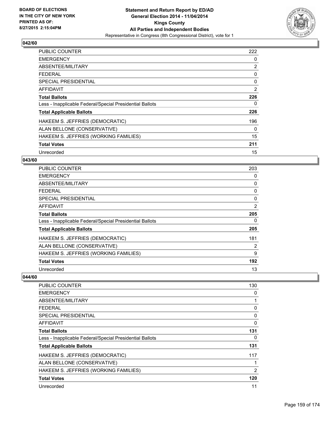

| <b>PUBLIC COUNTER</b>                                    | 222 |
|----------------------------------------------------------|-----|
| <b>EMERGENCY</b>                                         | 0   |
| ABSENTEE/MILITARY                                        | 2   |
| <b>FEDERAL</b>                                           | 0   |
| <b>SPECIAL PRESIDENTIAL</b>                              | 0   |
| AFFIDAVIT                                                | 2   |
| <b>Total Ballots</b>                                     | 226 |
| Less - Inapplicable Federal/Special Presidential Ballots | 0   |
| <b>Total Applicable Ballots</b>                          | 226 |
| HAKEEM S. JEFFRIES (DEMOCRATIC)                          | 196 |
| ALAN BELLONE (CONSERVATIVE)                              | 0   |
| HAKEEM S. JEFFRIES (WORKING FAMILIES)                    | 15  |
| <b>Total Votes</b>                                       | 211 |
| Unrecorded                                               | 15  |

#### **043/60**

| PUBLIC COUNTER                                           | 203            |
|----------------------------------------------------------|----------------|
| <b>EMERGENCY</b>                                         | 0              |
| ABSENTEE/MILITARY                                        | 0              |
| <b>FEDERAL</b>                                           | 0              |
| <b>SPECIAL PRESIDENTIAL</b>                              | 0              |
| <b>AFFIDAVIT</b>                                         | $\overline{2}$ |
| <b>Total Ballots</b>                                     | 205            |
| Less - Inapplicable Federal/Special Presidential Ballots | 0              |
| <b>Total Applicable Ballots</b>                          | 205            |
| HAKEEM S. JEFFRIES (DEMOCRATIC)                          | 181            |
| ALAN BELLONE (CONSERVATIVE)                              | 2              |
| HAKEEM S. JEFFRIES (WORKING FAMILIES)                    | 9              |
| <b>Total Votes</b>                                       | 192            |
| Unrecorded                                               | 13             |

| PUBLIC COUNTER                                           | 130          |
|----------------------------------------------------------|--------------|
| <b>EMERGENCY</b>                                         | 0            |
| ABSENTEE/MILITARY                                        | 1            |
| <b>FEDERAL</b>                                           | 0            |
| <b>SPECIAL PRESIDENTIAL</b>                              | 0            |
| AFFIDAVIT                                                | 0            |
| <b>Total Ballots</b>                                     | 131          |
| Less - Inapplicable Federal/Special Presidential Ballots | 0            |
| <b>Total Applicable Ballots</b>                          | 131          |
| HAKEEM S. JEFFRIES (DEMOCRATIC)                          | 117          |
| ALAN BELLONE (CONSERVATIVE)                              | $\mathbf{1}$ |
| HAKEEM S. JEFFRIES (WORKING FAMILIES)                    | 2            |
| <b>Total Votes</b>                                       | 120          |
| Unrecorded                                               | 11           |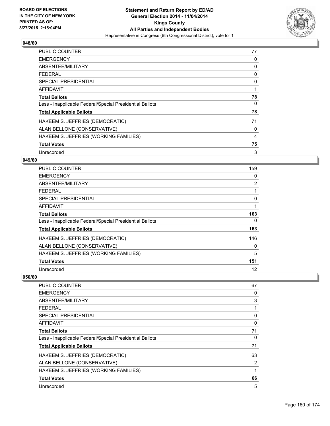

| <b>PUBLIC COUNTER</b>                                    | 77 |
|----------------------------------------------------------|----|
| <b>EMERGENCY</b>                                         | 0  |
| ABSENTEE/MILITARY                                        | 0  |
| <b>FEDERAL</b>                                           | 0  |
| SPECIAL PRESIDENTIAL                                     | 0  |
| <b>AFFIDAVIT</b>                                         | 1  |
| <b>Total Ballots</b>                                     | 78 |
| Less - Inapplicable Federal/Special Presidential Ballots | 0  |
| <b>Total Applicable Ballots</b>                          | 78 |
| HAKEEM S. JEFFRIES (DEMOCRATIC)                          | 71 |
| ALAN BELLONE (CONSERVATIVE)                              | 0  |
| HAKEEM S. JEFFRIES (WORKING FAMILIES)                    | 4  |
| <b>Total Votes</b>                                       | 75 |
| Unrecorded                                               | 3  |

### **049/60**

| <b>PUBLIC COUNTER</b>                                    | 159            |
|----------------------------------------------------------|----------------|
| <b>EMERGENCY</b>                                         | 0              |
| ABSENTEE/MILITARY                                        | $\overline{2}$ |
| <b>FEDERAL</b>                                           |                |
| <b>SPECIAL PRESIDENTIAL</b>                              | 0              |
| <b>AFFIDAVIT</b>                                         | 1              |
| <b>Total Ballots</b>                                     | 163            |
| Less - Inapplicable Federal/Special Presidential Ballots | 0              |
| <b>Total Applicable Ballots</b>                          | 163            |
| HAKEEM S. JEFFRIES (DEMOCRATIC)                          | 146            |
| ALAN BELLONE (CONSERVATIVE)                              | 0              |
| HAKEEM S. JEFFRIES (WORKING FAMILIES)                    | 5              |
| <b>Total Votes</b>                                       | 151            |
| Unrecorded                                               | 12             |

| <b>PUBLIC COUNTER</b>                                    | 67           |
|----------------------------------------------------------|--------------|
| <b>EMERGENCY</b>                                         | 0            |
| ABSENTEE/MILITARY                                        | 3            |
| <b>FEDERAL</b>                                           | 1            |
| <b>SPECIAL PRESIDENTIAL</b>                              | 0            |
| AFFIDAVIT                                                | 0            |
| <b>Total Ballots</b>                                     | 71           |
| Less - Inapplicable Federal/Special Presidential Ballots | 0            |
| <b>Total Applicable Ballots</b>                          | 71           |
| HAKEEM S. JEFFRIES (DEMOCRATIC)                          | 63           |
| ALAN BELLONE (CONSERVATIVE)                              | 2            |
| HAKEEM S. JEFFRIES (WORKING FAMILIES)                    | $\mathbf{1}$ |
| <b>Total Votes</b>                                       | 66           |
| Unrecorded                                               | 5            |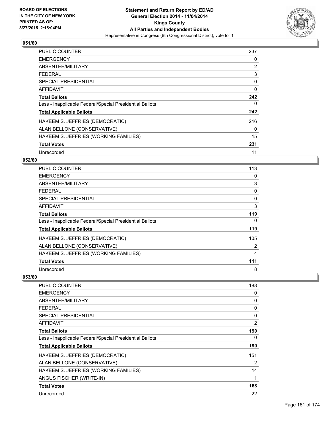

| PUBLIC COUNTER                                           | 237            |
|----------------------------------------------------------|----------------|
| <b>EMERGENCY</b>                                         | 0              |
| ABSENTEE/MILITARY                                        | $\overline{2}$ |
| <b>FEDERAL</b>                                           | 3              |
| <b>SPECIAL PRESIDENTIAL</b>                              | 0              |
| AFFIDAVIT                                                | $\mathbf 0$    |
| <b>Total Ballots</b>                                     | 242            |
| Less - Inapplicable Federal/Special Presidential Ballots | 0              |
| <b>Total Applicable Ballots</b>                          | 242            |
| HAKEEM S. JEFFRIES (DEMOCRATIC)                          | 216            |
| ALAN BELLONE (CONSERVATIVE)                              | 0              |
| HAKEEM S. JEFFRIES (WORKING FAMILIES)                    | 15             |
| <b>Total Votes</b>                                       | 231            |
| Unrecorded                                               | 11             |

### **052/60**

| <b>PUBLIC COUNTER</b>                                    | 113 |
|----------------------------------------------------------|-----|
| <b>EMERGENCY</b>                                         | 0   |
| ABSENTEE/MILITARY                                        | 3   |
| <b>FEDERAL</b>                                           | 0   |
| <b>SPECIAL PRESIDENTIAL</b>                              | 0   |
| <b>AFFIDAVIT</b>                                         | 3   |
| <b>Total Ballots</b>                                     | 119 |
| Less - Inapplicable Federal/Special Presidential Ballots | 0   |
| <b>Total Applicable Ballots</b>                          | 119 |
| HAKEEM S. JEFFRIES (DEMOCRATIC)                          | 105 |
| ALAN BELLONE (CONSERVATIVE)                              | 2   |
| HAKEEM S. JEFFRIES (WORKING FAMILIES)                    | 4   |
| <b>Total Votes</b>                                       | 111 |
| Unrecorded                                               | 8   |

| PUBLIC COUNTER                                           | 188            |
|----------------------------------------------------------|----------------|
| <b>EMERGENCY</b>                                         | 0              |
| ABSENTEE/MILITARY                                        | 0              |
| <b>FEDERAL</b>                                           | 0              |
| <b>SPECIAL PRESIDENTIAL</b>                              | 0              |
| <b>AFFIDAVIT</b>                                         | $\overline{2}$ |
| <b>Total Ballots</b>                                     | 190            |
| Less - Inapplicable Federal/Special Presidential Ballots | 0              |
| <b>Total Applicable Ballots</b>                          | 190            |
| HAKEEM S. JEFFRIES (DEMOCRATIC)                          | 151            |
| ALAN BELLONE (CONSERVATIVE)                              | 2              |
| HAKEEM S. JEFFRIES (WORKING FAMILIES)                    | 14             |
| ANGUS FISCHER (WRITE-IN)                                 | 1              |
| <b>Total Votes</b>                                       | 168            |
| Unrecorded                                               | 22             |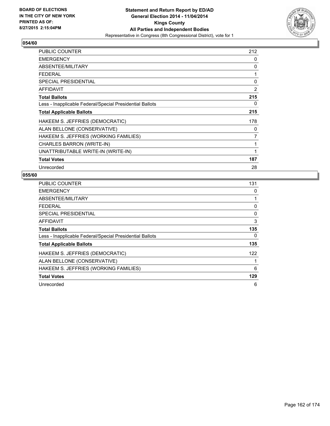

| PUBLIC COUNTER                                           | 212            |
|----------------------------------------------------------|----------------|
| <b>EMERGENCY</b>                                         | 0              |
| ABSENTEE/MILITARY                                        | 0              |
| <b>FEDERAL</b>                                           | 1              |
| <b>SPECIAL PRESIDENTIAL</b>                              | 0              |
| AFFIDAVIT                                                | $\overline{2}$ |
| <b>Total Ballots</b>                                     | 215            |
| Less - Inapplicable Federal/Special Presidential Ballots | 0              |
| <b>Total Applicable Ballots</b>                          | 215            |
| HAKEEM S. JEFFRIES (DEMOCRATIC)                          | 178            |
| ALAN BELLONE (CONSERVATIVE)                              | 0              |
| HAKEEM S. JEFFRIES (WORKING FAMILIES)                    | 7              |
| CHARLES BARRON (WRITE-IN)                                | 1              |
| UNATTRIBUTABLE WRITE-IN (WRITE-IN)                       | 1              |
| <b>Total Votes</b>                                       | 187            |
| Unrecorded                                               | 28             |

| <b>PUBLIC COUNTER</b>                                    | 131 |
|----------------------------------------------------------|-----|
| <b>EMERGENCY</b>                                         | 0   |
| ABSENTEE/MILITARY                                        |     |
| <b>FEDERAL</b>                                           | 0   |
| <b>SPECIAL PRESIDENTIAL</b>                              | 0   |
| <b>AFFIDAVIT</b>                                         | 3   |
| <b>Total Ballots</b>                                     | 135 |
| Less - Inapplicable Federal/Special Presidential Ballots | 0   |
| <b>Total Applicable Ballots</b>                          | 135 |
| HAKEEM S. JEFFRIES (DEMOCRATIC)                          | 122 |
| ALAN BELLONE (CONSERVATIVE)                              |     |
| HAKEEM S. JEFFRIES (WORKING FAMILIES)                    | 6   |
| <b>Total Votes</b>                                       | 129 |
| Unrecorded                                               | 6   |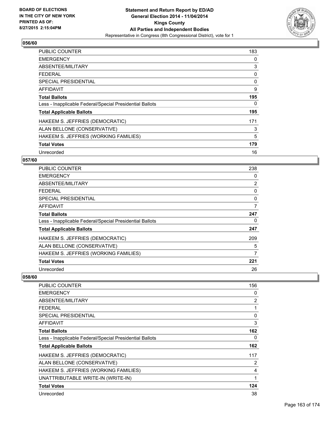

| <b>PUBLIC COUNTER</b>                                    | 183 |
|----------------------------------------------------------|-----|
| <b>EMERGENCY</b>                                         | 0   |
| ABSENTEE/MILITARY                                        | 3   |
| <b>FEDERAL</b>                                           | 0   |
| <b>SPECIAL PRESIDENTIAL</b>                              | 0   |
| AFFIDAVIT                                                | 9   |
| <b>Total Ballots</b>                                     | 195 |
| Less - Inapplicable Federal/Special Presidential Ballots | 0   |
| <b>Total Applicable Ballots</b>                          | 195 |
| HAKEEM S. JEFFRIES (DEMOCRATIC)                          | 171 |
| ALAN BELLONE (CONSERVATIVE)                              | 3   |
| HAKEEM S. JEFFRIES (WORKING FAMILIES)                    | 5   |
| <b>Total Votes</b>                                       | 179 |
| Unrecorded                                               | 16  |

### **057/60**

| <b>PUBLIC COUNTER</b>                                    | 238            |
|----------------------------------------------------------|----------------|
| <b>EMERGENCY</b>                                         | 0              |
| ABSENTEE/MILITARY                                        | $\overline{2}$ |
| <b>FEDERAL</b>                                           | 0              |
| <b>SPECIAL PRESIDENTIAL</b>                              | 0              |
| AFFIDAVIT                                                | 7              |
| <b>Total Ballots</b>                                     | 247            |
| Less - Inapplicable Federal/Special Presidential Ballots | 0              |
| <b>Total Applicable Ballots</b>                          | 247            |
| HAKEEM S. JEFFRIES (DEMOCRATIC)                          | 209            |
| ALAN BELLONE (CONSERVATIVE)                              | 5              |
| HAKEEM S. JEFFRIES (WORKING FAMILIES)                    | 7              |
| <b>Total Votes</b>                                       | 221            |
| Unrecorded                                               | 26             |

| PUBLIC COUNTER                                           | 156 |
|----------------------------------------------------------|-----|
| <b>EMERGENCY</b>                                         | 0   |
| ABSENTEE/MILITARY                                        | 2   |
| <b>FEDERAL</b>                                           | 1   |
| <b>SPECIAL PRESIDENTIAL</b>                              | 0   |
| AFFIDAVIT                                                | 3   |
| <b>Total Ballots</b>                                     | 162 |
| Less - Inapplicable Federal/Special Presidential Ballots | 0   |
| <b>Total Applicable Ballots</b>                          | 162 |
| HAKEEM S. JEFFRIES (DEMOCRATIC)                          | 117 |
| ALAN BELLONE (CONSERVATIVE)                              | 2   |
| HAKEEM S. JEFFRIES (WORKING FAMILIES)                    | 4   |
| UNATTRIBUTABLE WRITE-IN (WRITE-IN)                       | 1   |
| <b>Total Votes</b>                                       | 124 |
| Unrecorded                                               | 38  |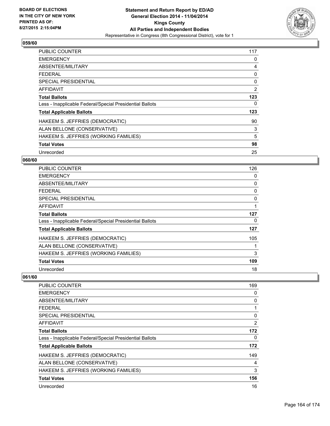

| <b>PUBLIC COUNTER</b>                                    | 117 |
|----------------------------------------------------------|-----|
| <b>EMERGENCY</b>                                         | 0   |
| ABSENTEE/MILITARY                                        | 4   |
| <b>FEDERAL</b>                                           | 0   |
| SPECIAL PRESIDENTIAL                                     | 0   |
| AFFIDAVIT                                                | 2   |
| <b>Total Ballots</b>                                     | 123 |
| Less - Inapplicable Federal/Special Presidential Ballots | 0   |
| <b>Total Applicable Ballots</b>                          | 123 |
| HAKEEM S. JEFFRIES (DEMOCRATIC)                          | 90  |
| ALAN BELLONE (CONSERVATIVE)                              | 3   |
| HAKEEM S. JEFFRIES (WORKING FAMILIES)                    | 5   |
| <b>Total Votes</b>                                       | 98  |
| Unrecorded                                               | 25  |

### **060/60**

| PUBLIC COUNTER                                           | 126 |
|----------------------------------------------------------|-----|
| <b>EMERGENCY</b>                                         | 0   |
| ABSENTEE/MILITARY                                        | 0   |
| <b>FEDERAL</b>                                           | 0   |
| <b>SPECIAL PRESIDENTIAL</b>                              | 0   |
| <b>AFFIDAVIT</b>                                         |     |
| Total Ballots                                            | 127 |
| Less - Inapplicable Federal/Special Presidential Ballots | 0   |
| <b>Total Applicable Ballots</b>                          | 127 |
| HAKEEM S. JEFFRIES (DEMOCRATIC)                          | 105 |
| ALAN BELLONE (CONSERVATIVE)                              |     |
| HAKEEM S. JEFFRIES (WORKING FAMILIES)                    | 3   |
| <b>Total Votes</b>                                       | 109 |
| Unrecorded                                               | 18  |

| PUBLIC COUNTER                                           | 169            |
|----------------------------------------------------------|----------------|
| <b>EMERGENCY</b>                                         | 0              |
| ABSENTEE/MILITARY                                        | 0              |
| <b>FEDERAL</b>                                           | 1              |
| SPECIAL PRESIDENTIAL                                     | 0              |
| AFFIDAVIT                                                | $\overline{2}$ |
| <b>Total Ballots</b>                                     | 172            |
| Less - Inapplicable Federal/Special Presidential Ballots | 0              |
| <b>Total Applicable Ballots</b>                          | 172            |
| HAKEEM S. JEFFRIES (DEMOCRATIC)                          | 149            |
| ALAN BELLONE (CONSERVATIVE)                              | 4              |
| HAKEEM S. JEFFRIES (WORKING FAMILIES)                    | 3              |
| <b>Total Votes</b>                                       | 156            |
| Unrecorded                                               | 16             |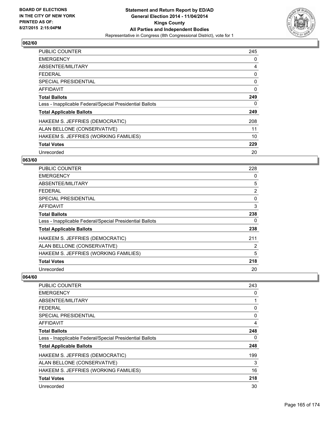

| <b>PUBLIC COUNTER</b>                                    | 245      |
|----------------------------------------------------------|----------|
| <b>EMERGENCY</b>                                         | 0        |
| ABSENTEE/MILITARY                                        | 4        |
| FFDFRAI                                                  | 0        |
| <b>SPECIAL PRESIDENTIAL</b>                              | 0        |
| <b>AFFIDAVIT</b>                                         | $\Omega$ |
| <b>Total Ballots</b>                                     | 249      |
| Less - Inapplicable Federal/Special Presidential Ballots | 0        |
| <b>Total Applicable Ballots</b>                          | 249      |
| HAKEEM S. JEFFRIES (DEMOCRATIC)                          | 208      |
| ALAN BELLONE (CONSERVATIVE)                              | 11       |
| HAKEEM S. JEFFRIES (WORKING FAMILIES)                    | 10       |
| <b>Total Votes</b>                                       | 229      |
| Unrecorded                                               | 20       |

### **063/60**

| <b>PUBLIC COUNTER</b>                                    | 228            |
|----------------------------------------------------------|----------------|
| <b>EMERGENCY</b>                                         | 0              |
| ABSENTEE/MILITARY                                        | 5              |
| <b>FEDERAL</b>                                           | $\overline{2}$ |
| <b>SPECIAL PRESIDENTIAL</b>                              | 0              |
| <b>AFFIDAVIT</b>                                         | 3              |
| <b>Total Ballots</b>                                     | 238            |
| Less - Inapplicable Federal/Special Presidential Ballots | 0              |
| <b>Total Applicable Ballots</b>                          | 238            |
| HAKEEM S. JEFFRIES (DEMOCRATIC)                          | 211            |
| ALAN BELLONE (CONSERVATIVE)                              | 2              |
| HAKEEM S. JEFFRIES (WORKING FAMILIES)                    | 5              |
| <b>Total Votes</b>                                       | 218            |
| Unrecorded                                               | 20             |

| <b>PUBLIC COUNTER</b>                                    | 243 |
|----------------------------------------------------------|-----|
| <b>EMERGENCY</b>                                         | 0   |
| ABSENTEE/MILITARY                                        | 1   |
| <b>FEDERAL</b>                                           | 0   |
| <b>SPECIAL PRESIDENTIAL</b>                              | 0   |
| AFFIDAVIT                                                | 4   |
| <b>Total Ballots</b>                                     | 248 |
| Less - Inapplicable Federal/Special Presidential Ballots | 0   |
| <b>Total Applicable Ballots</b>                          | 248 |
| HAKEEM S. JEFFRIES (DEMOCRATIC)                          | 199 |
| ALAN BELLONE (CONSERVATIVE)                              | 3   |
| HAKEEM S. JEFFRIES (WORKING FAMILIES)                    | 16  |
| <b>Total Votes</b>                                       | 218 |
| Unrecorded                                               | 30  |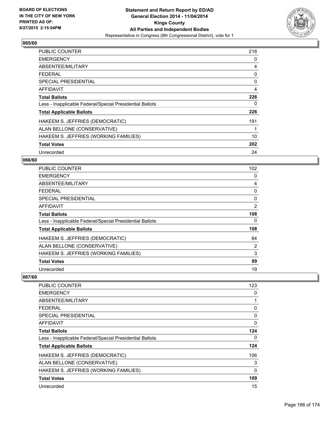

| <b>PUBLIC COUNTER</b>                                    | 218 |
|----------------------------------------------------------|-----|
| <b>EMERGENCY</b>                                         | 0   |
| ABSENTEE/MILITARY                                        | 4   |
| <b>FEDERAL</b>                                           | 0   |
| <b>SPECIAL PRESIDENTIAL</b>                              | 0   |
| AFFIDAVIT                                                | 4   |
| <b>Total Ballots</b>                                     | 226 |
| Less - Inapplicable Federal/Special Presidential Ballots | 0   |
| <b>Total Applicable Ballots</b>                          | 226 |
| HAKEEM S. JEFFRIES (DEMOCRATIC)                          | 191 |
| ALAN BELLONE (CONSERVATIVE)                              |     |
| HAKEEM S. JEFFRIES (WORKING FAMILIES)                    | 10  |
| <b>Total Votes</b>                                       | 202 |
| Unrecorded                                               | 24  |

### **066/60**

| PUBLIC COUNTER                                           | 102            |
|----------------------------------------------------------|----------------|
| <b>EMERGENCY</b>                                         | 0              |
| ABSENTEE/MILITARY                                        | 4              |
| <b>FEDERAL</b>                                           | 0              |
| <b>SPECIAL PRESIDENTIAL</b>                              | 0              |
| <b>AFFIDAVIT</b>                                         | $\overline{2}$ |
| <b>Total Ballots</b>                                     | 108            |
| Less - Inapplicable Federal/Special Presidential Ballots | 0              |
| <b>Total Applicable Ballots</b>                          | 108            |
| HAKEEM S. JEFFRIES (DEMOCRATIC)                          | 84             |
| ALAN BELLONE (CONSERVATIVE)                              | 2              |
| HAKEEM S. JEFFRIES (WORKING FAMILIES)                    | 3              |
| <b>Total Votes</b>                                       | 89             |
| Unrecorded                                               | 19             |

| PUBLIC COUNTER                                           | 123 |
|----------------------------------------------------------|-----|
| <b>EMERGENCY</b>                                         | 0   |
| ABSENTEE/MILITARY                                        | 1   |
| <b>FEDERAL</b>                                           | 0   |
| SPECIAL PRESIDENTIAL                                     | 0   |
| AFFIDAVIT                                                | 0   |
| <b>Total Ballots</b>                                     | 124 |
| Less - Inapplicable Federal/Special Presidential Ballots | 0   |
| <b>Total Applicable Ballots</b>                          | 124 |
| HAKEEM S. JEFFRIES (DEMOCRATIC)                          | 106 |
| ALAN BELLONE (CONSERVATIVE)                              | 3   |
| HAKEEM S. JEFFRIES (WORKING FAMILIES)                    | 0   |
| <b>Total Votes</b>                                       | 109 |
| Unrecorded                                               | 15  |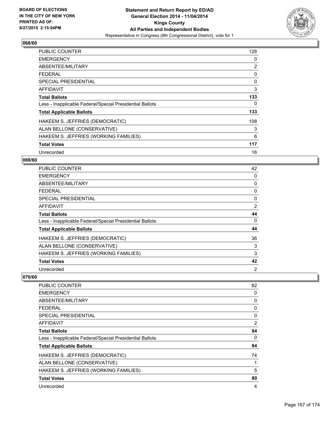

| <b>PUBLIC COUNTER</b>                                    | 128            |
|----------------------------------------------------------|----------------|
| <b>EMERGENCY</b>                                         | 0              |
| ABSENTEE/MILITARY                                        | $\overline{2}$ |
| <b>FEDERAL</b>                                           | 0              |
| SPECIAL PRESIDENTIAL                                     | 0              |
| AFFIDAVIT                                                | 3              |
| <b>Total Ballots</b>                                     | 133            |
| Less - Inapplicable Federal/Special Presidential Ballots | 0              |
| <b>Total Applicable Ballots</b>                          | 133            |
| HAKEEM S. JEFFRIES (DEMOCRATIC)                          | 108            |
| ALAN BELLONE (CONSERVATIVE)                              | 3              |
| HAKEEM S. JEFFRIES (WORKING FAMILIES)                    | 6              |
| <b>Total Votes</b>                                       | 117            |
| Unrecorded                                               | 16             |

### **069/60**

| PUBLIC COUNTER                                           | 42 |
|----------------------------------------------------------|----|
| <b>EMERGENCY</b>                                         | 0  |
| ABSENTEE/MILITARY                                        | 0  |
| <b>FEDERAL</b>                                           | 0  |
| SPECIAL PRESIDENTIAL                                     | 0  |
| <b>AFFIDAVIT</b>                                         | 2  |
| <b>Total Ballots</b>                                     | 44 |
| Less - Inapplicable Federal/Special Presidential Ballots | 0  |
| <b>Total Applicable Ballots</b>                          | 44 |
| HAKEEM S. JEFFRIES (DEMOCRATIC)                          | 36 |
| ALAN BELLONE (CONSERVATIVE)                              | 3  |
| HAKEEM S. JEFFRIES (WORKING FAMILIES)                    | 3  |
| <b>Total Votes</b>                                       | 42 |
| Unrecorded                                               | 2  |

| PUBLIC COUNTER                                           | 82 |
|----------------------------------------------------------|----|
| <b>EMERGENCY</b>                                         | 0  |
| ABSENTEE/MILITARY                                        | 0  |
| <b>FEDERAL</b>                                           | 0  |
| <b>SPECIAL PRESIDENTIAL</b>                              | 0  |
| AFFIDAVIT                                                | 2  |
| <b>Total Ballots</b>                                     | 84 |
| Less - Inapplicable Federal/Special Presidential Ballots | 0  |
| <b>Total Applicable Ballots</b>                          | 84 |
| HAKEEM S. JEFFRIES (DEMOCRATIC)                          | 74 |
| ALAN BELLONE (CONSERVATIVE)                              | 1  |
| HAKEEM S. JEFFRIES (WORKING FAMILIES)                    | 5  |
| <b>Total Votes</b>                                       | 80 |
| Unrecorded                                               | 4  |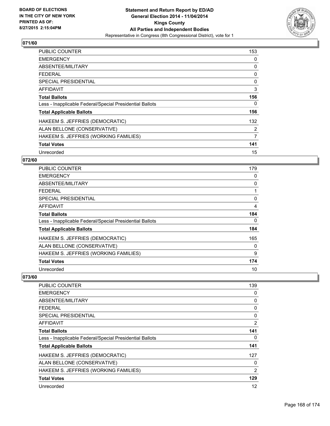

| <b>PUBLIC COUNTER</b>                                    | 153            |
|----------------------------------------------------------|----------------|
| <b>EMERGENCY</b>                                         | 0              |
| ABSENTEE/MILITARY                                        | 0              |
| <b>FEDERAL</b>                                           | 0              |
| <b>SPECIAL PRESIDENTIAL</b>                              | 0              |
| <b>AFFIDAVIT</b>                                         | 3              |
| <b>Total Ballots</b>                                     | 156            |
| Less - Inapplicable Federal/Special Presidential Ballots | 0              |
| <b>Total Applicable Ballots</b>                          | 156            |
| HAKEEM S. JEFFRIES (DEMOCRATIC)                          | 132            |
| ALAN BELLONE (CONSERVATIVE)                              | 2              |
| HAKEEM S. JEFFRIES (WORKING FAMILIES)                    | $\overline{7}$ |
| <b>Total Votes</b>                                       | 141            |
| Unrecorded                                               | 15             |

### **072/60**

| <b>PUBLIC COUNTER</b>                                    | 179 |
|----------------------------------------------------------|-----|
| <b>EMERGENCY</b>                                         | 0   |
| ABSENTEE/MILITARY                                        | 0   |
| <b>FEDERAL</b>                                           |     |
| <b>SPECIAL PRESIDENTIAL</b>                              | 0   |
| AFFIDAVIT                                                | 4   |
| <b>Total Ballots</b>                                     | 184 |
| Less - Inapplicable Federal/Special Presidential Ballots | 0   |
| <b>Total Applicable Ballots</b>                          | 184 |
| HAKEEM S. JEFFRIES (DEMOCRATIC)                          | 165 |
| ALAN BELLONE (CONSERVATIVE)                              | 0   |
| HAKEEM S. JEFFRIES (WORKING FAMILIES)                    | 9   |
| <b>Total Votes</b>                                       | 174 |
| Unrecorded                                               | 10  |

| <b>PUBLIC COUNTER</b>                                    | 139            |
|----------------------------------------------------------|----------------|
| <b>EMERGENCY</b>                                         | 0              |
| ABSENTEE/MILITARY                                        | 0              |
| <b>FEDERAL</b>                                           | 0              |
| <b>SPECIAL PRESIDENTIAL</b>                              | 0              |
| AFFIDAVIT                                                | 2              |
| <b>Total Ballots</b>                                     | 141            |
| Less - Inapplicable Federal/Special Presidential Ballots | 0              |
| <b>Total Applicable Ballots</b>                          | 141            |
| HAKEEM S. JEFFRIES (DEMOCRATIC)                          | 127            |
| ALAN BELLONE (CONSERVATIVE)                              | 0              |
| HAKEEM S. JEFFRIES (WORKING FAMILIES)                    | $\overline{2}$ |
| <b>Total Votes</b>                                       | 129            |
| Unrecorded                                               | 12             |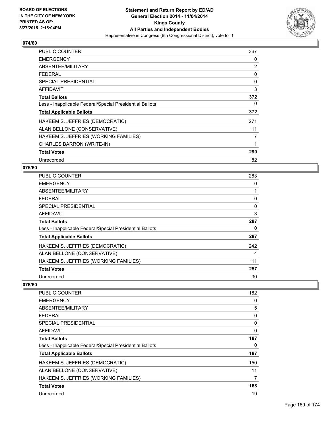

| <b>PUBLIC COUNTER</b>                                    | 367 |
|----------------------------------------------------------|-----|
| <b>EMERGENCY</b>                                         | 0   |
| ABSENTEE/MILITARY                                        | 2   |
| <b>FEDERAL</b>                                           | 0   |
| <b>SPECIAL PRESIDENTIAL</b>                              | 0   |
| AFFIDAVIT                                                | 3   |
| <b>Total Ballots</b>                                     | 372 |
| Less - Inapplicable Federal/Special Presidential Ballots | 0   |
| <b>Total Applicable Ballots</b>                          | 372 |
| HAKEEM S. JEFFRIES (DEMOCRATIC)                          | 271 |
| ALAN BELLONE (CONSERVATIVE)                              | 11  |
| HAKEEM S. JEFFRIES (WORKING FAMILIES)                    | 7   |
| <b>CHARLES BARRON (WRITE-IN)</b>                         | 1   |
| <b>Total Votes</b>                                       | 290 |
| Unrecorded                                               | 82  |

#### **075/60**

| PUBLIC COUNTER                                           | 283 |
|----------------------------------------------------------|-----|
| <b>EMERGENCY</b>                                         | 0   |
| ABSENTEE/MILITARY                                        |     |
| <b>FEDERAL</b>                                           | 0   |
| <b>SPECIAL PRESIDENTIAL</b>                              | 0   |
| AFFIDAVIT                                                | 3   |
| <b>Total Ballots</b>                                     | 287 |
| Less - Inapplicable Federal/Special Presidential Ballots | 0   |
| <b>Total Applicable Ballots</b>                          | 287 |
| HAKEEM S. JEFFRIES (DEMOCRATIC)                          | 242 |
| ALAN BELLONE (CONSERVATIVE)                              | 4   |
| HAKEEM S. JEFFRIES (WORKING FAMILIES)                    | 11  |
| <b>Total Votes</b>                                       | 257 |
| Unrecorded                                               | 30  |

| <b>PUBLIC COUNTER</b>                                    | 182 |
|----------------------------------------------------------|-----|
| <b>EMERGENCY</b>                                         | 0   |
| ABSENTEE/MILITARY                                        | 5   |
| <b>FEDERAL</b>                                           | 0   |
| <b>SPECIAL PRESIDENTIAL</b>                              | 0   |
| <b>AFFIDAVIT</b>                                         | 0   |
| <b>Total Ballots</b>                                     | 187 |
| Less - Inapplicable Federal/Special Presidential Ballots | 0   |
| <b>Total Applicable Ballots</b>                          | 187 |
| HAKEEM S. JEFFRIES (DEMOCRATIC)                          | 150 |
| ALAN BELLONE (CONSERVATIVE)                              | 11  |
| HAKEEM S. JEFFRIES (WORKING FAMILIES)                    | 7   |
| <b>Total Votes</b>                                       | 168 |
| Unrecorded                                               | 19  |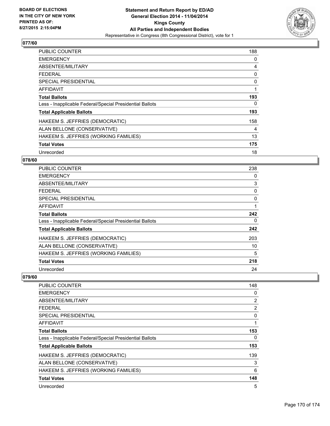

| <b>PUBLIC COUNTER</b>                                    | 188 |
|----------------------------------------------------------|-----|
| <b>EMERGENCY</b>                                         | 0   |
| ABSENTEE/MILITARY                                        | 4   |
| <b>FEDERAL</b>                                           | 0   |
| SPECIAL PRESIDENTIAL                                     | 0   |
| <b>AFFIDAVIT</b>                                         | 1   |
| <b>Total Ballots</b>                                     | 193 |
| Less - Inapplicable Federal/Special Presidential Ballots | 0   |
| <b>Total Applicable Ballots</b>                          | 193 |
| HAKEEM S. JEFFRIES (DEMOCRATIC)                          | 158 |
| ALAN BELLONE (CONSERVATIVE)                              | 4   |
| HAKEEM S. JEFFRIES (WORKING FAMILIES)                    | 13  |
| <b>Total Votes</b>                                       | 175 |
| Unrecorded                                               | 18  |

### **078/60**

| <b>PUBLIC COUNTER</b>                                    | 238 |
|----------------------------------------------------------|-----|
| <b>EMERGENCY</b>                                         | 0   |
| ABSENTEE/MILITARY                                        | 3   |
| <b>FEDERAL</b>                                           | 0   |
| <b>SPECIAL PRESIDENTIAL</b>                              | 0   |
| <b>AFFIDAVIT</b>                                         | 1   |
| <b>Total Ballots</b>                                     | 242 |
| Less - Inapplicable Federal/Special Presidential Ballots | 0   |
| <b>Total Applicable Ballots</b>                          | 242 |
| HAKEEM S. JEFFRIES (DEMOCRATIC)                          | 203 |
| ALAN BELLONE (CONSERVATIVE)                              | 10  |
| HAKEEM S. JEFFRIES (WORKING FAMILIES)                    | 5   |
| <b>Total Votes</b>                                       | 218 |
| Unrecorded                                               | 24  |

| <b>PUBLIC COUNTER</b>                                    | 148 |
|----------------------------------------------------------|-----|
| <b>EMERGENCY</b>                                         | 0   |
| ABSENTEE/MILITARY                                        | 2   |
| <b>FEDERAL</b>                                           | 2   |
| <b>SPECIAL PRESIDENTIAL</b>                              | 0   |
| AFFIDAVIT                                                | 1   |
| <b>Total Ballots</b>                                     | 153 |
| Less - Inapplicable Federal/Special Presidential Ballots | 0   |
| <b>Total Applicable Ballots</b>                          | 153 |
| HAKEEM S. JEFFRIES (DEMOCRATIC)                          | 139 |
| ALAN BELLONE (CONSERVATIVE)                              | 3   |
| HAKEEM S. JEFFRIES (WORKING FAMILIES)                    | 6   |
| <b>Total Votes</b>                                       | 148 |
| Unrecorded                                               | 5   |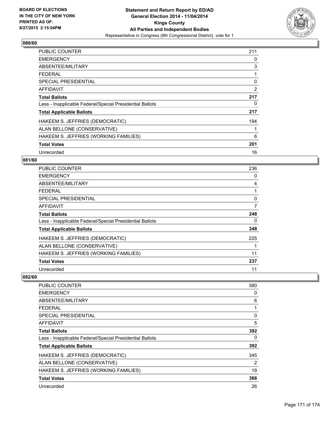

| <b>PUBLIC COUNTER</b>                                    | 211            |
|----------------------------------------------------------|----------------|
| <b>EMERGENCY</b>                                         | 0              |
| ABSENTEE/MILITARY                                        | 3              |
| <b>FEDERAL</b>                                           | 1              |
| <b>SPECIAL PRESIDENTIAL</b>                              | 0              |
| AFFIDAVIT                                                | $\overline{2}$ |
| <b>Total Ballots</b>                                     | 217            |
| Less - Inapplicable Federal/Special Presidential Ballots | 0              |
| <b>Total Applicable Ballots</b>                          | 217            |
| HAKEEM S. JEFFRIES (DEMOCRATIC)                          | 194            |
| ALAN BELLONE (CONSERVATIVE)                              | 1              |
| HAKEEM S. JEFFRIES (WORKING FAMILIES)                    | 6              |
| <b>Total Votes</b>                                       | 201            |
| Unrecorded                                               | 16             |

### **081/60**

| <b>PUBLIC COUNTER</b>                                    | 236 |
|----------------------------------------------------------|-----|
| <b>EMERGENCY</b>                                         | 0   |
| ABSENTEE/MILITARY                                        | 4   |
| <b>FEDERAL</b>                                           |     |
| <b>SPECIAL PRESIDENTIAL</b>                              | 0   |
| <b>AFFIDAVIT</b>                                         | 7   |
| <b>Total Ballots</b>                                     | 248 |
| Less - Inapplicable Federal/Special Presidential Ballots | 0   |
| <b>Total Applicable Ballots</b>                          | 248 |
| HAKEEM S. JEFFRIES (DEMOCRATIC)                          | 225 |
| ALAN BELLONE (CONSERVATIVE)                              |     |
| HAKEEM S. JEFFRIES (WORKING FAMILIES)                    | 11  |
| <b>Total Votes</b>                                       | 237 |
| Unrecorded                                               | 11  |

| <b>PUBLIC COUNTER</b>                                    | 380 |
|----------------------------------------------------------|-----|
| <b>EMERGENCY</b>                                         | 0   |
| ABSENTEE/MILITARY                                        | 6   |
| <b>FEDERAL</b>                                           | 1   |
| <b>SPECIAL PRESIDENTIAL</b>                              | 0   |
| AFFIDAVIT                                                | 5   |
| <b>Total Ballots</b>                                     | 392 |
| Less - Inapplicable Federal/Special Presidential Ballots | 0   |
| <b>Total Applicable Ballots</b>                          | 392 |
| HAKEEM S. JEFFRIES (DEMOCRATIC)                          | 345 |
| ALAN BELLONE (CONSERVATIVE)                              | 2   |
| HAKEEM S. JEFFRIES (WORKING FAMILIES)                    | 19  |
| <b>Total Votes</b>                                       | 366 |
| Unrecorded                                               | 26  |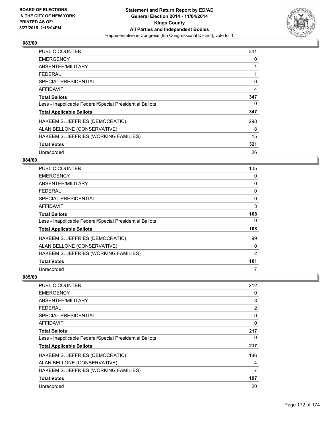

| <b>PUBLIC COUNTER</b>                                    | 341 |
|----------------------------------------------------------|-----|
| <b>EMERGENCY</b>                                         | 0   |
| ABSENTEE/MILITARY                                        |     |
| <b>FEDERAL</b>                                           |     |
| <b>SPECIAL PRESIDENTIAL</b>                              | 0   |
| AFFIDAVIT                                                | 4   |
| <b>Total Ballots</b>                                     | 347 |
| Less - Inapplicable Federal/Special Presidential Ballots | 0   |
| <b>Total Applicable Ballots</b>                          | 347 |
| HAKEEM S. JEFFRIES (DEMOCRATIC)                          | 298 |
| ALAN BELLONE (CONSERVATIVE)                              | 8   |
| HAKEEM S. JEFFRIES (WORKING FAMILIES)                    | 15  |
| <b>Total Votes</b>                                       | 321 |
| Unrecorded                                               | 26  |

### **084/60**

| <b>PUBLIC COUNTER</b>                                    | 105 |
|----------------------------------------------------------|-----|
| <b>EMERGENCY</b>                                         | 0   |
| ABSENTEE/MILITARY                                        | 0   |
| <b>FEDERAL</b>                                           | 0   |
| SPECIAL PRESIDENTIAL                                     | 0   |
| <b>AFFIDAVIT</b>                                         | 3   |
| <b>Total Ballots</b>                                     | 108 |
| Less - Inapplicable Federal/Special Presidential Ballots | 0   |
| <b>Total Applicable Ballots</b>                          | 108 |
| HAKEEM S. JEFFRIES (DEMOCRATIC)                          | 99  |
| ALAN BELLONE (CONSERVATIVE)                              | 0   |
| HAKEEM S. JEFFRIES (WORKING FAMILIES)                    | 2   |
| <b>Total Votes</b>                                       | 101 |
| Unrecorded                                               | 7   |

| <b>PUBLIC COUNTER</b>                                    | 212 |
|----------------------------------------------------------|-----|
| <b>EMERGENCY</b>                                         | 0   |
| ABSENTEE/MILITARY                                        | 3   |
| FEDERAL                                                  | 2   |
| SPECIAL PRESIDENTIAL                                     | 0   |
| AFFIDAVIT                                                | 0   |
| <b>Total Ballots</b>                                     | 217 |
| Less - Inapplicable Federal/Special Presidential Ballots | 0   |
| <b>Total Applicable Ballots</b>                          | 217 |
| HAKEEM S. JEFFRIES (DEMOCRATIC)                          | 186 |
| ALAN BELLONE (CONSERVATIVE)                              | 4   |
| HAKEEM S. JEFFRIES (WORKING FAMILIES)                    | 7   |
| <b>Total Votes</b>                                       | 197 |
| Unrecorded                                               | 20  |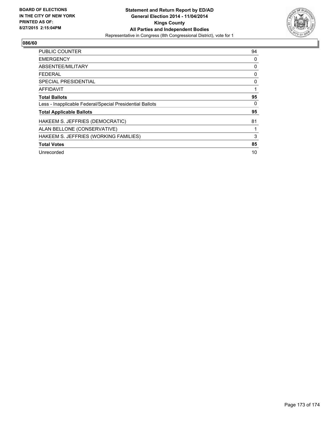

| <b>PUBLIC COUNTER</b>                                    | 94 |
|----------------------------------------------------------|----|
| <b>EMERGENCY</b>                                         | 0  |
| ABSENTEE/MILITARY                                        | 0  |
| FEDERAL                                                  | 0  |
| SPECIAL PRESIDENTIAL                                     | 0  |
| AFFIDAVIT                                                | 1  |
| <b>Total Ballots</b>                                     | 95 |
| Less - Inapplicable Federal/Special Presidential Ballots | 0  |
| <b>Total Applicable Ballots</b>                          | 95 |
| HAKEEM S. JEFFRIES (DEMOCRATIC)                          | 81 |
| ALAN BELLONE (CONSERVATIVE)                              | 1  |
| HAKEEM S. JEFFRIES (WORKING FAMILIES)                    | 3  |
| <b>Total Votes</b>                                       | 85 |
| Unrecorded                                               | 10 |